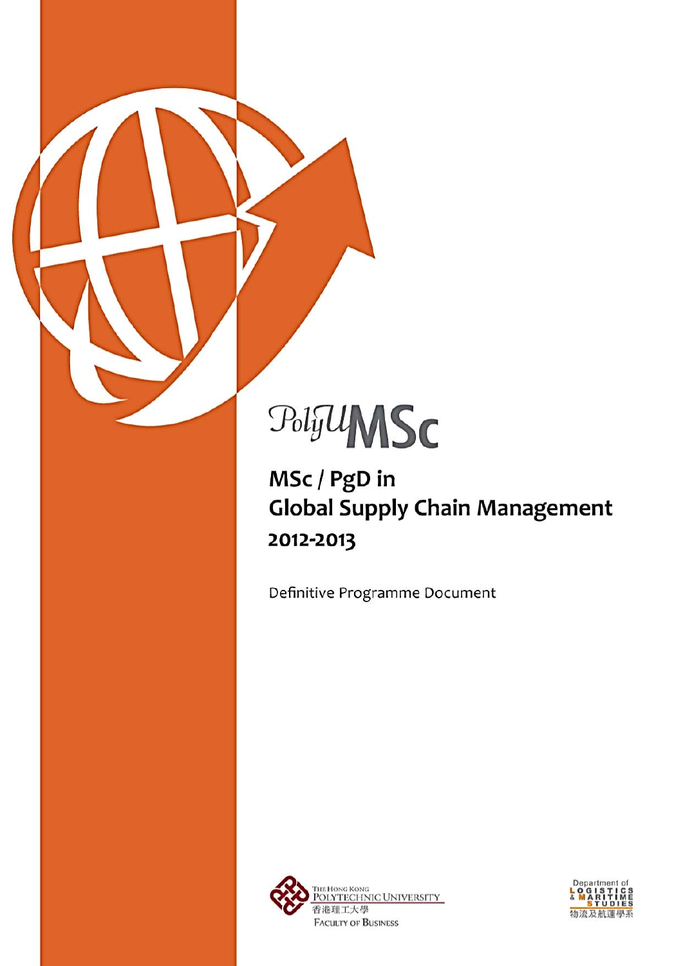# **PolyUMSC**

MSc / PgD in **Global Supply Chain Management** 2012-2013

Definitive Programme Document



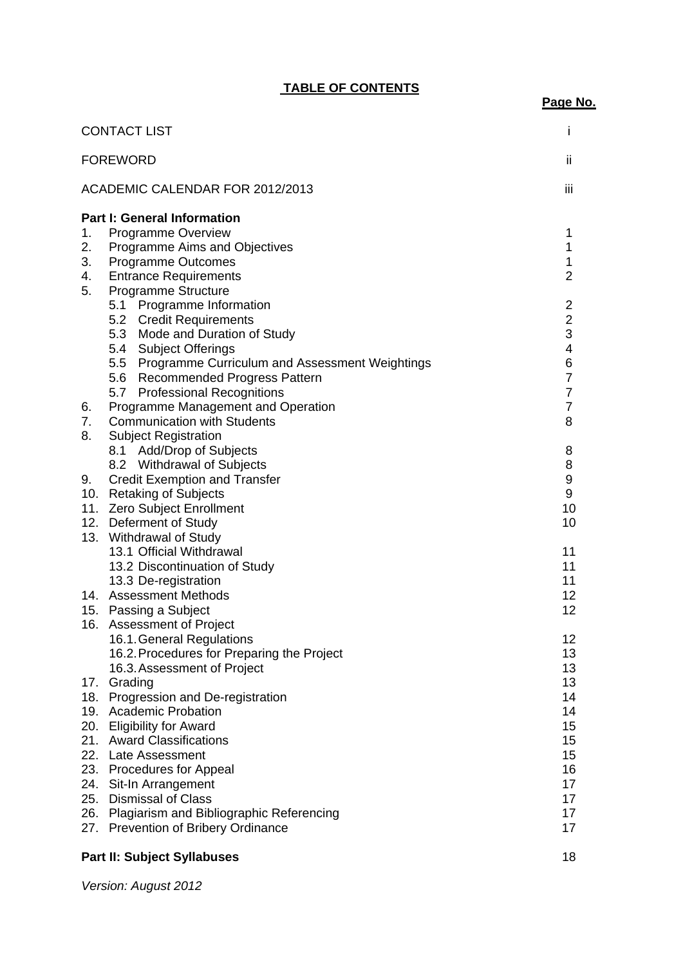# **TABLE OF CONTENTS**

|                                                       | <b>CONTACT LIST</b>                                                      | İ                       |  |  |
|-------------------------------------------------------|--------------------------------------------------------------------------|-------------------------|--|--|
|                                                       | <b>FOREWORD</b><br>ii                                                    |                         |  |  |
|                                                       | ACADEMIC CALENDAR FOR 2012/2013                                          | Ϊij                     |  |  |
|                                                       | <b>Part I: General Information</b>                                       |                         |  |  |
| 1.<br>2.                                              | Programme Overview                                                       | 1<br>1                  |  |  |
| 3.                                                    | Programme Aims and Objectives<br>Programme Outcomes                      | 1                       |  |  |
| 4.                                                    | <b>Entrance Requirements</b>                                             | $\overline{2}$          |  |  |
| 5.                                                    | Programme Structure                                                      |                         |  |  |
|                                                       | 5.1 Programme Information                                                | $\overline{2}$          |  |  |
|                                                       | 5.2 Credit Requirements                                                  | $\overline{2}$          |  |  |
|                                                       | 5.3 Mode and Duration of Study                                           | 3                       |  |  |
|                                                       | 5.4 Subject Offerings                                                    | $\overline{\mathbf{4}}$ |  |  |
|                                                       | 5.5 Programme Curriculum and Assessment Weightings                       | $\,6$                   |  |  |
|                                                       | 5.6 Recommended Progress Pattern                                         | $\overline{7}$          |  |  |
|                                                       | 5.7 Professional Recognitions                                            | $\overline{7}$          |  |  |
| 6.<br>7.                                              | Programme Management and Operation<br><b>Communication with Students</b> | $\overline{7}$<br>8     |  |  |
| 8.                                                    | <b>Subject Registration</b>                                              |                         |  |  |
|                                                       | 8.1 Add/Drop of Subjects                                                 | 8                       |  |  |
|                                                       | 8.2 Withdrawal of Subjects                                               | 8                       |  |  |
| 9.                                                    | <b>Credit Exemption and Transfer</b>                                     | 9                       |  |  |
|                                                       | 10. Retaking of Subjects                                                 |                         |  |  |
|                                                       |                                                                          |                         |  |  |
| 11. Zero Subject Enrollment<br>12. Deferment of Study |                                                                          |                         |  |  |
|                                                       | 13. Withdrawal of Study                                                  |                         |  |  |
|                                                       | 13.1 Official Withdrawal                                                 | 11                      |  |  |
|                                                       | 13.2 Discontinuation of Study                                            | 11                      |  |  |
|                                                       | 13.3 De-registration                                                     | 11                      |  |  |
|                                                       | 14. Assessment Methods                                                   | 12 <sub>2</sub><br>12   |  |  |
|                                                       | 15. Passing a Subject<br>16. Assessment of Project                       |                         |  |  |
|                                                       | 16.1. General Regulations                                                | 12                      |  |  |
|                                                       | 16.2. Procedures for Preparing the Project                               | 13                      |  |  |
|                                                       | 16.3. Assessment of Project                                              | 13                      |  |  |
| 17.                                                   | Grading                                                                  | 13                      |  |  |
| 18.                                                   | Progression and De-registration                                          | 14                      |  |  |
| 19.                                                   | <b>Academic Probation</b>                                                | 14                      |  |  |
|                                                       | 20. Eligibility for Award                                                | 15                      |  |  |
|                                                       | 21. Award Classifications                                                | 15                      |  |  |
|                                                       | 22. Late Assessment                                                      | 15                      |  |  |
| 24.                                                   | 23. Procedures for Appeal                                                | 16<br>17                |  |  |
| 25.                                                   | Sit-In Arrangement<br><b>Dismissal of Class</b>                          | 17                      |  |  |
| 26.                                                   | Plagiarism and Bibliographic Referencing                                 | 17                      |  |  |
| 27.                                                   | <b>Prevention of Bribery Ordinance</b>                                   | 17                      |  |  |
|                                                       |                                                                          |                         |  |  |

# **Part II: Subject Syllabuses 18**

*Version: August 2012* 

**Page No.**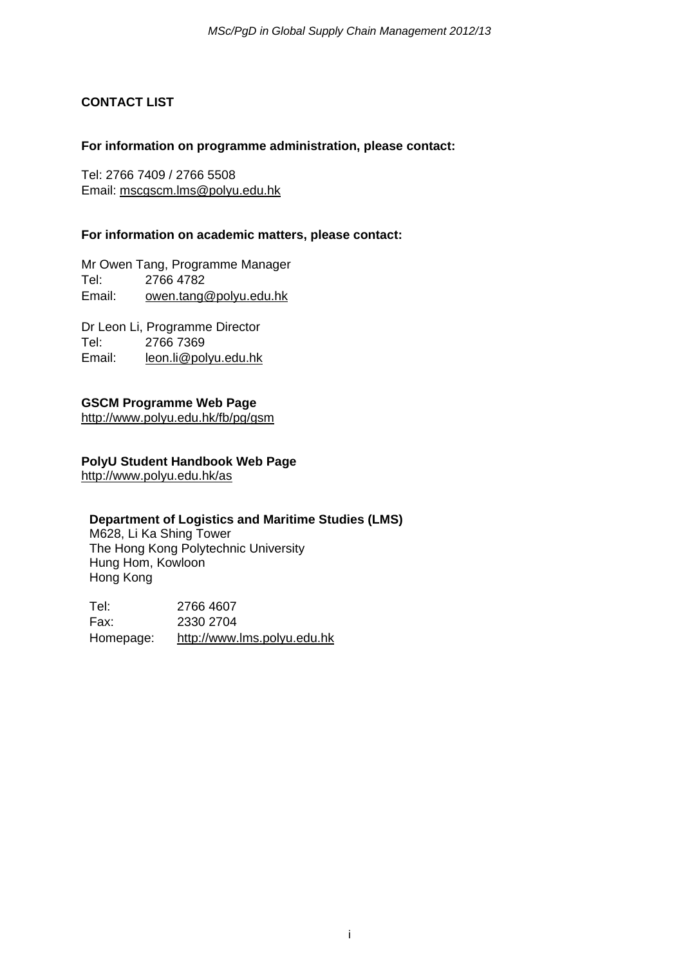# **CONTACT LIST**

#### **For information on programme administration, please contact:**

Tel: 2766 7409 / 2766 5508 Email: mscgscm.lms@polyu.edu.hk

#### **For information on academic matters, please contact:**

Mr Owen Tang, Programme Manager Tel: 2766 4782 Email: owen.tang@polyu.edu.hk

Dr Leon Li, Programme Director Tel: 2766 7369 Email: leon.li@polyu.edu.hk

#### **GSCM Programme Web Page**

http://www.polyu.edu.hk/fb/pg/gsm

### **PolyU Student Handbook Web Page**

http://www.polyu.edu.hk/as

#### **Department of Logistics and Maritime Studies (LMS)**

M628, Li Ka Shing Tower The Hong Kong Polytechnic University Hung Hom, Kowloon Hong Kong

Tel: 2766 4607 Fax: 2330 2704 Homepage: http://www.lms.polyu.edu.hk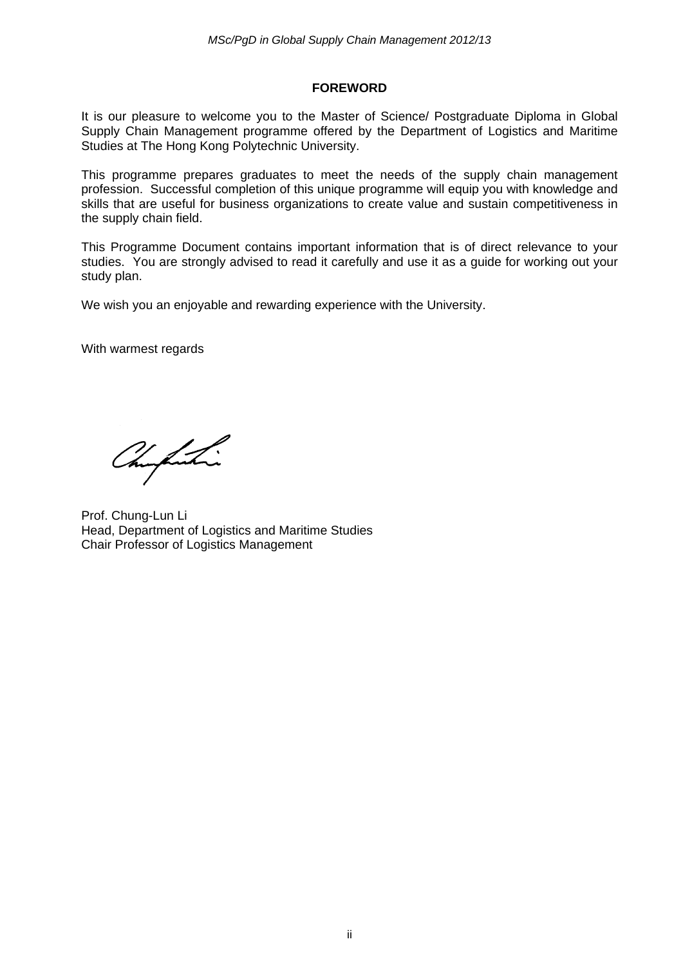#### **FOREWORD**

It is our pleasure to welcome you to the Master of Science/ Postgraduate Diploma in Global Supply Chain Management programme offered by the Department of Logistics and Maritime Studies at The Hong Kong Polytechnic University.

This programme prepares graduates to meet the needs of the supply chain management profession. Successful completion of this unique programme will equip you with knowledge and skills that are useful for business organizations to create value and sustain competitiveness in the supply chain field.

This Programme Document contains important information that is of direct relevance to your studies. You are strongly advised to read it carefully and use it as a guide for working out your study plan.

We wish you an enjoyable and rewarding experience with the University.

With warmest regards

Chapatri

Prof. Chung-Lun Li Head, Department of Logistics and Maritime Studies Chair Professor of Logistics Management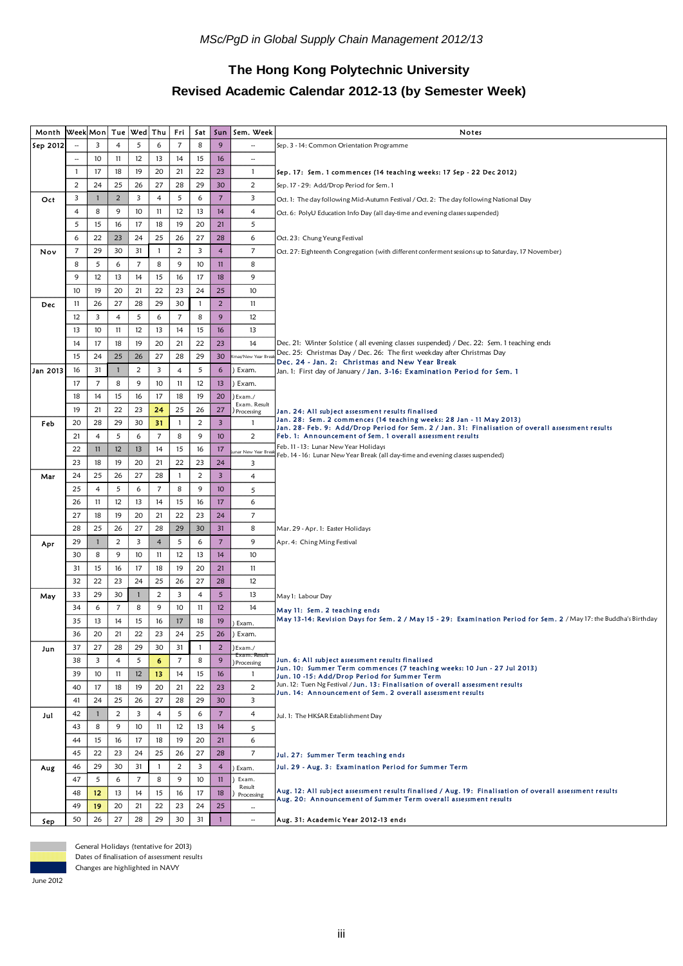# **The Hong Kong Polytechnic University Revised Academic Calendar 2012-13 (by Semester Week)**

| Month    | Week Mon  Tue   Wed  Thu |                |                |                |                | Fri            | Sat          | Sun                     | Sem. Week                    | Notes                                                                                                                                                               |  |  |
|----------|--------------------------|----------------|----------------|----------------|----------------|----------------|--------------|-------------------------|------------------------------|---------------------------------------------------------------------------------------------------------------------------------------------------------------------|--|--|
| Sep 2012 |                          | 3              | 4              | 5              | 6              | $\overline{7}$ | 8            | 9                       |                              | Sep. 3 - 14: Common Orientation Programme                                                                                                                           |  |  |
|          | $\overline{\phantom{a}}$ | 10             | 11             | 12             | 13             | 14             | 15           | 16                      | $\overline{\phantom{a}}$     |                                                                                                                                                                     |  |  |
|          | 1                        | 17             | 18             | 19             | 20             | 21             | 22           | 23                      | $\mathbf{1}$                 | Sep. 17: Sem. 1 commences (14 teaching weeks: 17 Sep - 22 Dec 2012)                                                                                                 |  |  |
|          | 2                        | 24             | 25             | 26             | 27             | 28             | 29           | 30                      | $\overline{c}$               | Sep. 17 - 29: Add/Drop Period for Sem. 1                                                                                                                            |  |  |
| Oct      | 3                        | 1              | $\overline{2}$ | 3              | $\overline{4}$ | 5              | 6            | $\overline{7}$          | 3                            | Oct. 1: The day following Mid-Autumn Festival / Oct. 2: The day following National Day                                                                              |  |  |
|          | 4                        | 8              | 9              | 10             | 11             | 12             | 13           | 14                      | 4                            | Oct. 6: PolyU Education Info Day (all day-time and evening classes suspended)                                                                                       |  |  |
|          | 5                        | 15             | 16             | 17             | 18             | 19             | 20           | 21                      | 5                            |                                                                                                                                                                     |  |  |
|          | 6                        | 22             | 23             | 24             | 25             | 26             | 27           | 28                      | 6                            | Oct. 23: Chung Yeung Festival                                                                                                                                       |  |  |
| Nov      | $\overline{7}$           | 29             | 30             | 31             | $\mathbf{1}$   | $\overline{c}$ | 3            | $\overline{4}$          | $\overline{7}$               | Oct. 27: Eighteenth Congregation (with different conferment sessions up to Saturday, 17 November)                                                                   |  |  |
|          | 8                        | 5              | 6              | $\overline{7}$ | 8              | 9              | 10           | 11                      | 8                            |                                                                                                                                                                     |  |  |
|          | 9                        | 12             | 13             | 14             | 15             | 16             | 17           | 18                      | 9                            |                                                                                                                                                                     |  |  |
|          | 10                       | 19             | 20             | 21             | 22             | 23             | 24           | 25                      | 10                           |                                                                                                                                                                     |  |  |
|          | -11                      | 26             | 27             | 28             | 29             | 30             | $\mathbf{1}$ | $\overline{2}$          | 11                           |                                                                                                                                                                     |  |  |
| Dec      | 12                       | 3              | $\overline{4}$ | 5              | 6              | $\overline{7}$ | 8            | 9                       | 12                           |                                                                                                                                                                     |  |  |
|          |                          |                |                |                | 13             |                |              |                         | 13                           |                                                                                                                                                                     |  |  |
|          | 13                       | 10             | 11             | 12             |                | 14             | 15           | 16                      |                              |                                                                                                                                                                     |  |  |
|          | 14                       | 17             | 18             | 19             | 20             | 21             | 22           | 23                      | 14                           | Dec. 21: Winter Solstice (all evening classes suspended) / Dec. 22: Sem. 1 teaching ends<br>Dec. 25: Christmas Day / Dec. 26: The first weekday after Christmas Day |  |  |
|          | 15                       | 24             | 25             | 26             | 27             | 28             | 29           | 30                      | mas/New Year Br              | Dec. 24 - Jan. 2: Christmas and New Year Break                                                                                                                      |  |  |
| Jan 2013 | 16                       | 31             | $\mathbf{1}$   | 2              | 3              | 4              | 5            | 6                       | Exam.                        | Jan. 1: First day of January / <b>Jan. 3-16: Examination Period for Sem. 1</b>                                                                                      |  |  |
|          | 17                       | $\overline{7}$ | 8              | 9              | 10             | 11             | 12           | 13                      | ) Exam.                      |                                                                                                                                                                     |  |  |
|          | 18                       | 14             | 15             | 16             | 17             | 18             | 19           | 20                      | Exam./<br>Exam. Result       |                                                                                                                                                                     |  |  |
|          | 19                       | 21             | 22             | 23             | 24             | 25             | 26           | 27                      | Processing                   | Jan. 24: All subject assessment results finalised<br>Jan. 28: Sem. 2 commences (14 teaching weeks: 28 Jan - 11 May 2013)                                            |  |  |
| Feb      | 20                       | 28             | 29             | 30             | 31             | -1             | 2            | $\overline{\mathbf{3}}$ | $\mathbf{1}$                 | Jan. 28- Feb. 9: Add/Drop Period for Sem. 2 / Jan. 31: Finalisation of overall assessment results                                                                   |  |  |
|          | 21                       | 4              | 5              | 6              | $\overline{7}$ | 8              | 9            | 10 <sup>2</sup>         | $\overline{c}$               | Feb. 1: Announcement of Sem. 1 overall assessment results                                                                                                           |  |  |
|          | 22                       | 11             | 12             | 13             | 14             | 15             | 16           | 17                      | unar New Year Bre            | Feb. 11 - 13: Lunar New Year Holidays<br>Feb. 14 - 16: Lunar New Year Break (all day-time and evening classes suspended)                                            |  |  |
|          | 23                       | 18             | 19             | 20             | 21             | 22             | 23           | 24                      | 3                            |                                                                                                                                                                     |  |  |
| Mar      | 24                       | 25             | 26             | 27             | 28             | 1              | 2            | $\overline{3}$          | $\overline{4}$               |                                                                                                                                                                     |  |  |
|          | 25                       | 4              | 5              | 6              | $\overline{7}$ | 8              | 9            | 10                      | 5                            |                                                                                                                                                                     |  |  |
|          | 26                       | 11             | 12             | 13             | 14             | 15             | 16           | 17                      | 6                            |                                                                                                                                                                     |  |  |
|          | 27                       | 18             | 19             | 20             | 21             | 22             | 23           | 24                      | $\overline{7}$               |                                                                                                                                                                     |  |  |
|          | 28                       | 25             | 26             | 27             | 28             | 29             | 30           | 31                      | 8                            | Mar. 29 - Apr. 1: Easter Holidays                                                                                                                                   |  |  |
| Apr      | 29                       |                | $\overline{2}$ | 3              | $\overline{4}$ | 5              | 6            | $\overline{7}$          | 9                            | Apr. 4: Ching Ming Festival                                                                                                                                         |  |  |
|          | 30                       | 8              | 9              | 10             | 11             | 12             | 13           | 14                      | 10                           |                                                                                                                                                                     |  |  |
|          | 31                       | 15             | 16             | 17             | 18             | 19             | 20           | 21                      | 11                           |                                                                                                                                                                     |  |  |
|          | 32                       | 22             | 23             | 24             | 25             | 26             | 27           | 28                      | 12                           |                                                                                                                                                                     |  |  |
| May      | 33                       | 29             | 30             | $\mathbf{1}$   | $\overline{2}$ | 3              | 4            | $\sqrt{5}$              | 13                           | May 1: Labour Day                                                                                                                                                   |  |  |
|          | 34                       | 6              | $\overline{7}$ | 8              | 9              | 10             | 11           | 12                      | 14                           | May 11: Sem. 2 teaching ends                                                                                                                                        |  |  |
|          | 35                       | 13             | 14             | 15             | 16             | 17             | 18           | 19                      | Exam.                        | May 13-14: Revision Days for Sem. 2 / May 15 - 29: Examination Period for Sem. 2 / May 17: the Buddha's Birthday                                                    |  |  |
|          | 36                       | 20             | 21             | 22             | 23             | 24             | 25           | 26                      | Exam.                        |                                                                                                                                                                     |  |  |
| Jun      | 37                       | 27             | 28             | 29             | 30             | 31             | $\mathbf{1}$ | $\overline{2}$          | )Exam./                      |                                                                                                                                                                     |  |  |
|          | 38                       | 3              | $\overline{4}$ | 5              | 6              | 7              | 8            | 9                       | Exam. Result<br>) Processing | Jun. 6: All subject assessment results finalised                                                                                                                    |  |  |
|          | 39                       | 10             | 11             | 12             | 13             | 14             | 15           | 16                      | $\mathbf{1}$                 | Jun. 10: Summer Term commences (7 teaching weeks: 10 Jun - 27 Jul 2013)<br>Jun. 10 -15: Add/Drop Period for Summer Term                                             |  |  |
|          | 40                       | 17             | 18             | 19             | 20             | 21             | 22           | 23                      | $\overline{2}$               | Jun. 12: Tuen Ng Festival / Jun. 13: Finalisation of overall assessment results<br>Jun. 14: Announcement of Sem. 2 overall assessment results                       |  |  |
|          | 41                       | 24             | 25             | 26             | 27             | 28             | 29           | 30                      | 3                            |                                                                                                                                                                     |  |  |
| Jul      | 42                       | $\mathbf{1}$   | 2              | 3              | $\overline{4}$ | 5              | 6            | $\overline{7}$          | $\overline{4}$               | Jul. 1: The HKSAR Establishment Day                                                                                                                                 |  |  |
|          | 43                       | 8              | 9              | 10             | 11             | 12             | 13           | 14                      | 5                            |                                                                                                                                                                     |  |  |
|          | 44                       | 15             | 16             | 17             | 18             | 19             | 20           | 21                      | 6                            |                                                                                                                                                                     |  |  |
|          | 45                       | 22             | 23             | 24             | 25             | 26             | 27           | 28                      | $\overline{7}$               | Jul. 27: Summer Term teaching ends                                                                                                                                  |  |  |
| Aug      | 46                       | 29             | 30             | 31             | $\mathbf{1}$   | 2              | 3            | $\overline{4}$          | Exam.                        | Jul. 29 - Aug. 3: Examination Period for Summer Term                                                                                                                |  |  |
|          | 47                       | 5              | 6              | $\overline{7}$ | 8              | 9              | 10           | $\overline{11}$         | Exam.                        |                                                                                                                                                                     |  |  |
|          | 48                       | 12             | 13             | 14             | 15             | 16             | 17           | 18                      | Result<br>Processing         | Aug. 12: All subject assessment results finalised / Aug. 19: Finalisation of overall assessment results                                                             |  |  |
|          | 49                       | 19             | 20             | 21             | 22             | 23             | 24           | 25                      | $\overline{\phantom{a}}$     | Aug. 20: Announcement of Summer Term overall assessment results                                                                                                     |  |  |
| Sep      | 50                       | 26             | 27             | 28             | 29             | 30             | 31           | $\mathbf{1}$            | $\overline{\phantom{a}}$     | Aug. 31: Academic Year 2012-13 ends                                                                                                                                 |  |  |
|          |                          |                |                |                |                |                |              |                         |                              |                                                                                                                                                                     |  |  |



General Holidays (tentative for 2013)

Dates of finalisation of assessment results

Changes are highlighted in NAVY

June 2012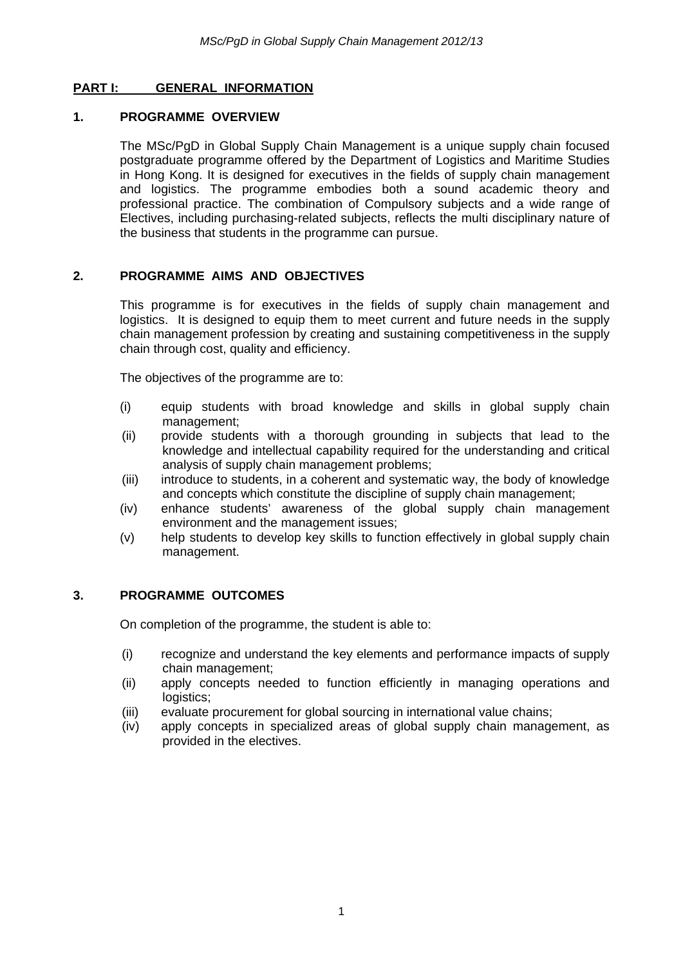#### **PART I: GENERAL INFORMATION**

#### **1. PROGRAMME OVERVIEW**

The MSc/PgD in Global Supply Chain Management is a unique supply chain focused postgraduate programme offered by the Department of Logistics and Maritime Studies in Hong Kong. It is designed for executives in the fields of supply chain management and logistics. The programme embodies both a sound academic theory and professional practice. The combination of Compulsory subjects and a wide range of Electives, including purchasing-related subjects, reflects the multi disciplinary nature of the business that students in the programme can pursue.

#### **2. PROGRAMME AIMS AND OBJECTIVES**

This programme is for executives in the fields of supply chain management and logistics. It is designed to equip them to meet current and future needs in the supply chain management profession by creating and sustaining competitiveness in the supply chain through cost, quality and efficiency.

The objectives of the programme are to:

- (i) equip students with broad knowledge and skills in global supply chain management;
- (ii) provide students with a thorough grounding in subjects that lead to the knowledge and intellectual capability required for the understanding and critical analysis of supply chain management problems;
- (iii) introduce to students, in a coherent and systematic way, the body of knowledge and concepts which constitute the discipline of supply chain management;
- (iv) enhance students' awareness of the global supply chain management environment and the management issues;
- (v) help students to develop key skills to function effectively in global supply chain management.

#### **3. PROGRAMME OUTCOMES**

On completion of the programme, the student is able to:

- (i) recognize and understand the key elements and performance impacts of supply chain management;
- (ii) apply concepts needed to function efficiently in managing operations and logistics:
- (iii) evaluate procurement for global sourcing in international value chains;
- (iv) apply concepts in specialized areas of global supply chain management, as provided in the electives.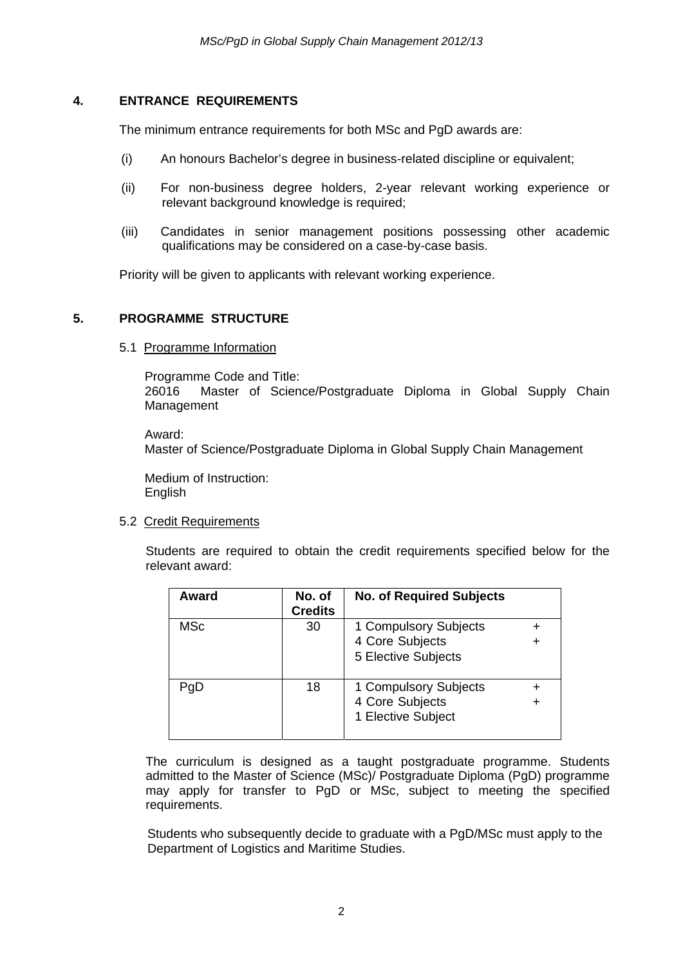#### **4. ENTRANCE REQUIREMENTS**

The minimum entrance requirements for both MSc and PgD awards are:

- (i) An honours Bachelor's degree in business-related discipline or equivalent;
- (ii) For non-business degree holders, 2-year relevant working experience or relevant background knowledge is required;
- (iii) Candidates in senior management positions possessing other academic qualifications may be considered on a case-by-case basis.

Priority will be given to applicants with relevant working experience.

#### **5. PROGRAMME STRUCTURE**

#### 5.1 Programme Information

Programme Code and Title: 26016 Master of Science/Postgraduate Diploma in Global Supply Chain Management

Award:

Master of Science/Postgraduate Diploma in Global Supply Chain Management

Medium of Instruction: English

#### 5.2 Credit Requirements

Students are required to obtain the credit requirements specified below for the relevant award:

| <b>Award</b> | No. of<br><b>Credits</b> | <b>No. of Required Subjects</b>                                 |  |
|--------------|--------------------------|-----------------------------------------------------------------|--|
| MSc          | 30                       | 1 Compulsory Subjects<br>4 Core Subjects<br>5 Elective Subjects |  |
| PgD          | 18                       | 1 Compulsory Subjects<br>4 Core Subjects<br>1 Elective Subject  |  |

The curriculum is designed as a taught postgraduate programme. Students admitted to the Master of Science (MSc)/ Postgraduate Diploma (PgD) programme may apply for transfer to PgD or MSc, subject to meeting the specified requirements.

Students who subsequently decide to graduate with a PgD/MSc must apply to the Department of Logistics and Maritime Studies.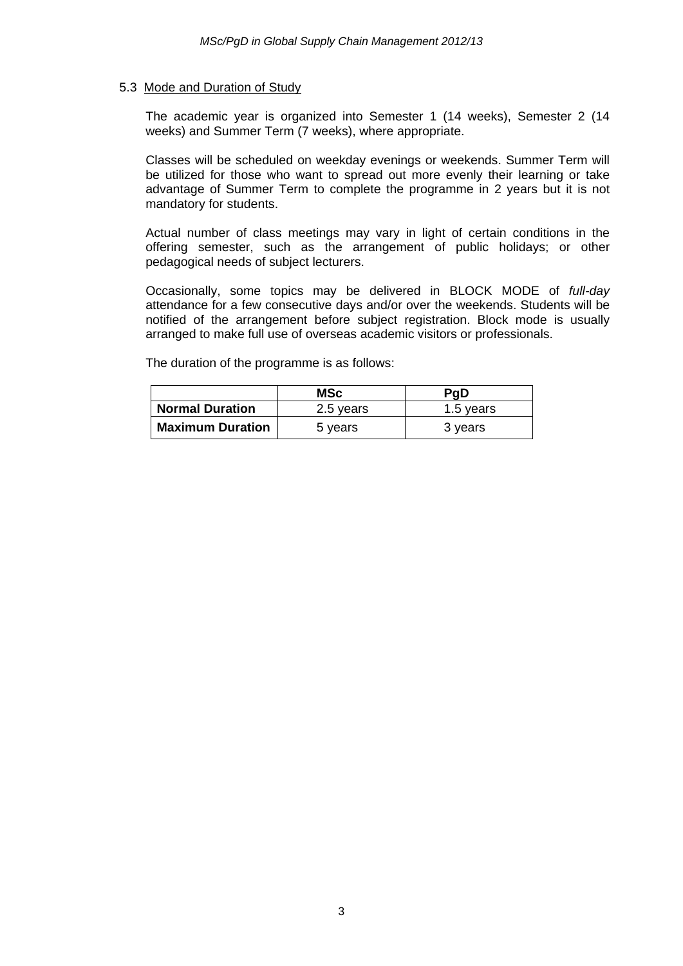#### 5.3 Mode and Duration of Study

The academic year is organized into Semester 1 (14 weeks), Semester 2 (14 weeks) and Summer Term (7 weeks), where appropriate.

Classes will be scheduled on weekday evenings or weekends. Summer Term will be utilized for those who want to spread out more evenly their learning or take advantage of Summer Term to complete the programme in 2 years but it is not mandatory for students.

Actual number of class meetings may vary in light of certain conditions in the offering semester, such as the arrangement of public holidays; or other pedagogical needs of subject lecturers.

Occasionally, some topics may be delivered in BLOCK MODE of *full-day* attendance for a few consecutive days and/or over the weekends. Students will be notified of the arrangement before subject registration. Block mode is usually arranged to make full use of overseas academic visitors or professionals.

The duration of the programme is as follows:

|                         | <b>MSc</b> | PgD       |
|-------------------------|------------|-----------|
| <b>Normal Duration</b>  | 2.5 years  | 1.5 years |
| <b>Maximum Duration</b> | 5 years    | 3 years   |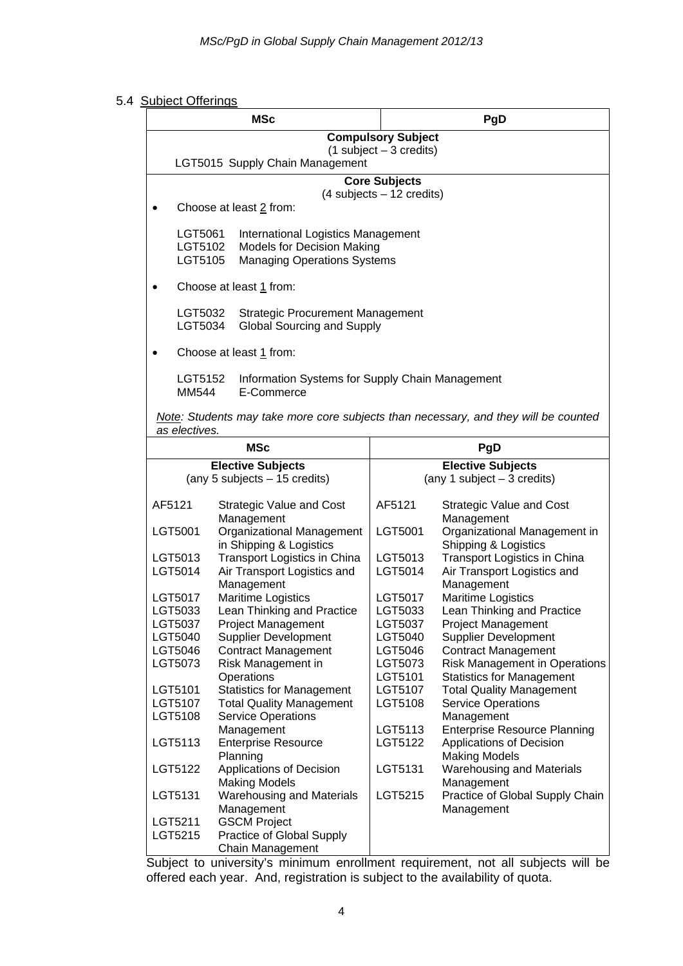#### 5.4 Subject Offerings

|        |                                                                              | <b>MSc</b>                                                                   |                              | PgD                                                                                 |  |  |  |
|--------|------------------------------------------------------------------------------|------------------------------------------------------------------------------|------------------------------|-------------------------------------------------------------------------------------|--|--|--|
|        |                                                                              |                                                                              | <b>Compulsory Subject</b>    |                                                                                     |  |  |  |
|        | $(1 \text{ subject} - 3 \text{ credits})$<br>LGT5015 Supply Chain Management |                                                                              |                              |                                                                                     |  |  |  |
|        | <b>Core Subjects</b>                                                         |                                                                              |                              |                                                                                     |  |  |  |
|        |                                                                              | Choose at least 2 from:                                                      | $(4$ subjects $-12$ credits) |                                                                                     |  |  |  |
|        |                                                                              |                                                                              |                              |                                                                                     |  |  |  |
|        | LGT5061<br>LGT5102                                                           | International Logistics Management<br><b>Models for Decision Making</b>      |                              |                                                                                     |  |  |  |
|        | LGT5105                                                                      | <b>Managing Operations Systems</b>                                           |                              |                                                                                     |  |  |  |
|        |                                                                              | Choose at least 1 from:                                                      |                              |                                                                                     |  |  |  |
|        | LGT5032<br>LGT5034                                                           | <b>Strategic Procurement Management</b><br><b>Global Sourcing and Supply</b> |                              |                                                                                     |  |  |  |
|        |                                                                              | Choose at least 1 from:                                                      |                              |                                                                                     |  |  |  |
|        | LGT5152<br>MM544                                                             | Information Systems for Supply Chain Management<br>E-Commerce                |                              |                                                                                     |  |  |  |
|        |                                                                              |                                                                              |                              | Note: Students may take more core subjects than necessary, and they will be counted |  |  |  |
|        | as electives.                                                                |                                                                              |                              |                                                                                     |  |  |  |
|        |                                                                              | <b>MSc</b>                                                                   |                              | PgD                                                                                 |  |  |  |
|        |                                                                              | <b>Elective Subjects</b><br>(any 5 subjects - 15 credits)                    |                              | <b>Elective Subjects</b><br>(any 1 subject - 3 credits)                             |  |  |  |
| AF5121 |                                                                              | <b>Strategic Value and Cost</b>                                              | AF5121                       | <b>Strategic Value and Cost</b>                                                     |  |  |  |
|        | LGT5001                                                                      | Management                                                                   | LGT5001                      | Management                                                                          |  |  |  |
|        |                                                                              | Organizational Management<br>in Shipping & Logistics                         |                              | Organizational Management in<br>Shipping & Logistics                                |  |  |  |
|        | LGT5013                                                                      | Transport Logistics in China                                                 | LGT5013                      | Transport Logistics in China                                                        |  |  |  |
|        | LGT5014                                                                      | Air Transport Logistics and                                                  | LGT5014                      | Air Transport Logistics and                                                         |  |  |  |
|        |                                                                              | Management                                                                   |                              | Management                                                                          |  |  |  |
|        | LGT5017<br>LGT5033                                                           | <b>Maritime Logistics</b><br>Lean Thinking and Practice                      | LGT5017<br>LGT5033           | <b>Maritime Logistics</b><br>Lean Thinking and Practice                             |  |  |  |
|        | LGT5037                                                                      | Project Management                                                           | LGT5037                      | Project Management                                                                  |  |  |  |
|        | LGT5040                                                                      | <b>Supplier Development</b>                                                  | LGT5040                      | <b>Supplier Development</b>                                                         |  |  |  |
|        | LGT5046                                                                      | <b>Contract Management</b>                                                   | LGT5046                      | <b>Contract Management</b>                                                          |  |  |  |
|        | LGT5073                                                                      | Risk Management in                                                           | LGT5073                      | <b>Risk Management in Operations</b>                                                |  |  |  |
|        |                                                                              | Operations                                                                   | LGT5101                      | <b>Statistics for Management</b>                                                    |  |  |  |
|        | LGT5101                                                                      | <b>Statistics for Management</b>                                             | LGT5107                      | <b>Total Quality Management</b>                                                     |  |  |  |
|        | LGT5107                                                                      | <b>Total Quality Management</b>                                              | LGT5108                      | <b>Service Operations</b>                                                           |  |  |  |
|        | LGT5108                                                                      | <b>Service Operations</b>                                                    |                              | Management                                                                          |  |  |  |
|        | LGT5113                                                                      | Management<br><b>Enterprise Resource</b>                                     | LGT5113<br>LGT5122           | <b>Enterprise Resource Planning</b><br>Applications of Decision                     |  |  |  |
|        | LGT5122                                                                      | Planning<br>Applications of Decision                                         | LGT5131                      | <b>Making Models</b><br><b>Warehousing and Materials</b>                            |  |  |  |
|        | LGT5131                                                                      | <b>Making Models</b>                                                         | LGT5215                      | Management                                                                          |  |  |  |
|        |                                                                              | <b>Warehousing and Materials</b><br>Management                               |                              | Practice of Global Supply Chain<br>Management                                       |  |  |  |
|        | LGT5211                                                                      | <b>GSCM Project</b>                                                          |                              |                                                                                     |  |  |  |
|        | LGT5215                                                                      | Practice of Global Supply<br>Chain Management                                |                              |                                                                                     |  |  |  |

Subject to university's minimum enrollment requirement, not all subjects will be offered each year. And, registration is subject to the availability of quota.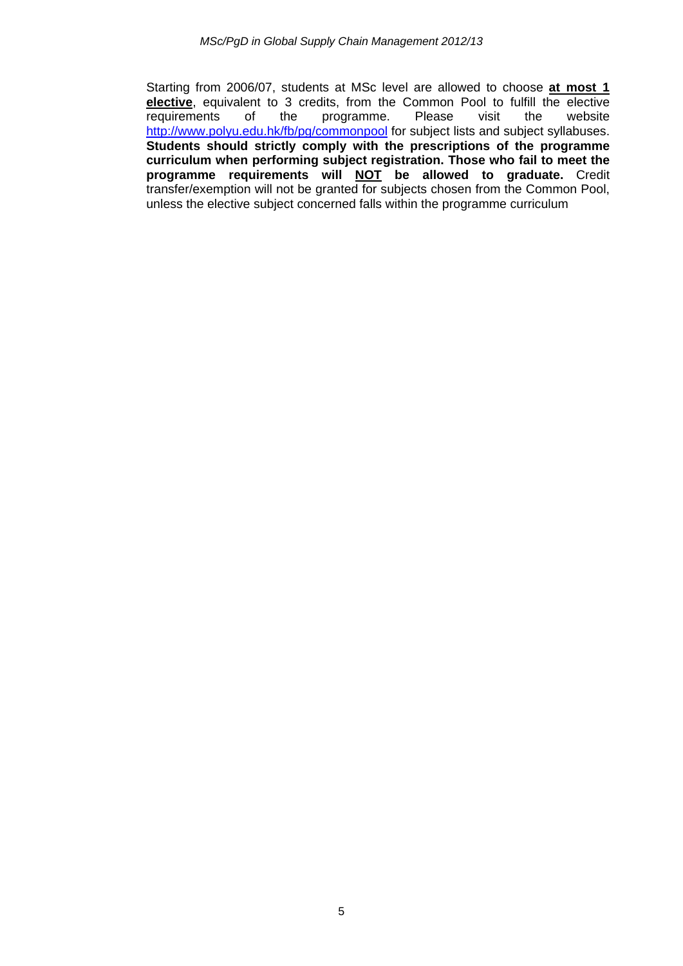Starting from 2006/07, students at MSc level are allowed to choose **at most 1 elective**, equivalent to 3 credits, from the Common Pool to fulfill the elective requirements of the programme. Please visit the website http://www.polyu.edu.hk/fb/pg/commonpool for subject lists and subject syllabuses. **Students should strictly comply with the prescriptions of the programme curriculum when performing subject registration. Those who fail to meet the programme requirements will NOT be allowed to graduate.** Credit transfer/exemption will not be granted for subjects chosen from the Common Pool, unless the elective subject concerned falls within the programme curriculum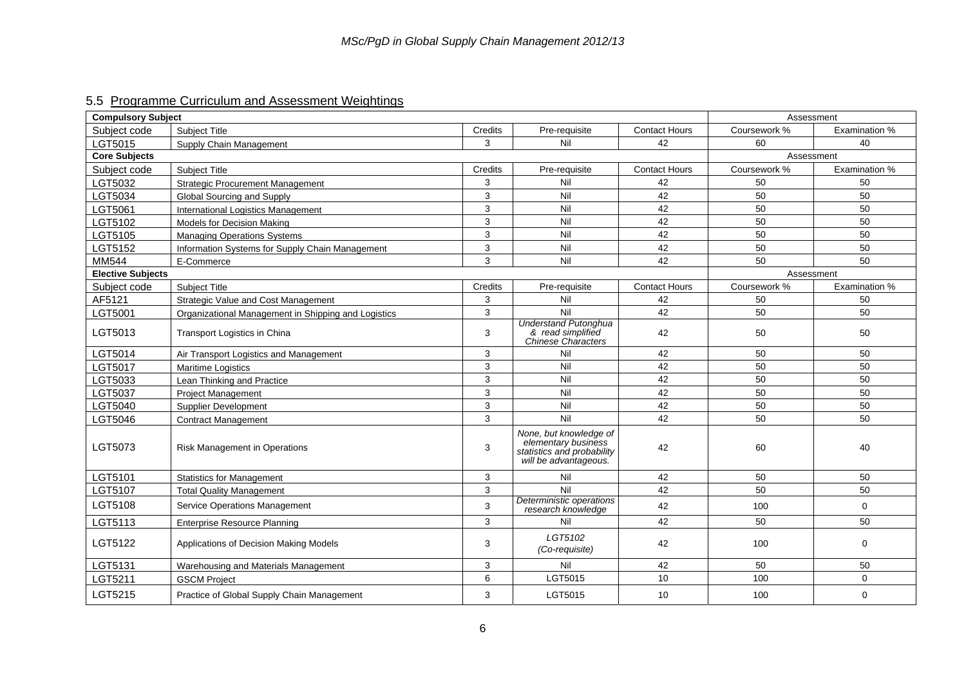# 5.5 Programme Curriculum and Assessment Weightings

|                          | <b>Compulsory Subject</b><br>Assessment             |                |                                                                                                      |                      |              |               |  |
|--------------------------|-----------------------------------------------------|----------------|------------------------------------------------------------------------------------------------------|----------------------|--------------|---------------|--|
| Subject code             | <b>Subject Title</b>                                | Credits        | Pre-requisite                                                                                        | <b>Contact Hours</b> | Coursework % | Examination % |  |
| LGT5015                  | Supply Chain Management                             | 3              | Nil                                                                                                  | 42                   | 60           | 40            |  |
| <b>Core Subjects</b>     |                                                     |                |                                                                                                      |                      | Assessment   |               |  |
| Subject code             | <b>Subiect Title</b>                                | Credits        | Pre-requisite                                                                                        | <b>Contact Hours</b> | Coursework % | Examination % |  |
| LGT5032                  | <b>Strategic Procurement Management</b>             | 3              | Nil                                                                                                  | 42                   | 50           | 50            |  |
| LGT5034                  | Global Sourcing and Supply                          | 3              | Nil                                                                                                  | 42                   | 50           | 50            |  |
| LGT5061                  | International Logistics Management                  | 3              | Nil                                                                                                  | 42                   | 50           | 50            |  |
| LGT5102                  | Models for Decision Making                          | 3              | Nil                                                                                                  | 42                   | 50           | 50            |  |
| LGT5105                  | <b>Managing Operations Systems</b>                  | 3              | Nil                                                                                                  | 42                   | 50           | 50            |  |
| LGT5152                  | Information Systems for Supply Chain Management     | $\mathbf{3}$   | Nil                                                                                                  | 42                   | 50           | 50            |  |
| MM544                    | E-Commerce                                          | 3              | Nil                                                                                                  | 42                   | 50           | 50            |  |
| <b>Elective Subjects</b> |                                                     |                |                                                                                                      |                      | Assessment   |               |  |
| Subject code             | Subject Title                                       | Credits        | Pre-requisite                                                                                        | <b>Contact Hours</b> | Coursework % | Examination % |  |
| AF5121                   | <b>Strategic Value and Cost Management</b>          | 3              | Nil                                                                                                  | 42                   | 50           | 50            |  |
| LGT5001                  | Organizational Management in Shipping and Logistics | $\overline{3}$ | Nil                                                                                                  | 42                   | 50           | 50            |  |
| LGT5013                  | Transport Logistics in China                        | 3              | <b>Understand Putonghua</b><br>& read simplified<br>Chinese Characters                               | 42                   | 50           | 50            |  |
| LGT5014                  | Air Transport Logistics and Management              | 3              | Nil                                                                                                  | 42                   | 50           | 50            |  |
| LGT5017                  | <b>Maritime Logistics</b>                           | 3              | Nil                                                                                                  | 42                   | 50           | 50            |  |
| LGT5033                  | Lean Thinking and Practice                          | $\overline{3}$ | Nil                                                                                                  | 42                   | 50           | 50            |  |
| LGT5037                  | <b>Project Management</b>                           | $\overline{3}$ | Nil                                                                                                  | 42                   | 50           | 50            |  |
| LGT5040                  | <b>Supplier Development</b>                         | $\overline{3}$ | Nil                                                                                                  | 42                   | 50           | 50            |  |
| LGT5046                  | <b>Contract Management</b>                          | 3              | Nil                                                                                                  | 42                   | 50           | 50            |  |
| LGT5073                  | Risk Management in Operations                       | 3              | None, but knowledge of<br>elementary business<br>statistics and probability<br>will be advantageous. | 42                   | 60           | 40            |  |
| LGT5101                  | <b>Statistics for Management</b>                    | 3              | Nil                                                                                                  | 42                   | 50           | 50            |  |
| LGT5107                  | <b>Total Quality Management</b>                     | 3              | Nil                                                                                                  | 42                   | 50           | 50            |  |
| LGT5108                  | <b>Service Operations Management</b>                | 3              | Deterministic operations<br>research knowledge                                                       | 42                   | 100          | $\Omega$      |  |
| LGT5113                  | <b>Enterprise Resource Planning</b>                 | 3              | Nil                                                                                                  | 42                   | 50           | 50            |  |
| LGT5122                  | Applications of Decision Making Models              | 3              | LGT5102<br>(Co-requisite)                                                                            | 42                   | 100          | $\mathbf{0}$  |  |
| LGT5131                  | Warehousing and Materials Management                | 3              | Nil                                                                                                  | 42                   | 50           | 50            |  |
| LGT5211                  | <b>GSCM Project</b>                                 | 6              | LGT5015                                                                                              | 10                   | 100          | $\Omega$      |  |
| LGT5215                  | Practice of Global Supply Chain Management          | 3              | LGT5015                                                                                              | 10                   | 100          | $\mathbf{0}$  |  |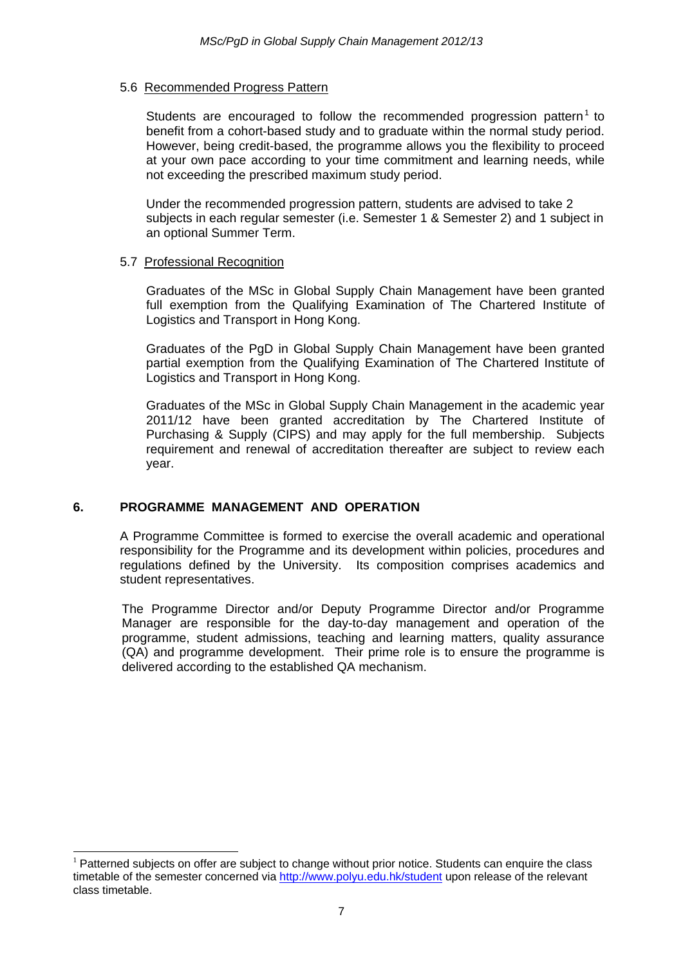#### 5.6 Recommended Progress Pattern

Students are encouraged to follow the recommended progression pattern<sup>1</sup> to benefit from a cohort-based study and to graduate within the normal study period. However, being credit-based, the programme allows you the flexibility to proceed at your own pace according to your time commitment and learning needs, while not exceeding the prescribed maximum study period.

Under the recommended progression pattern, students are advised to take 2 subjects in each regular semester (i.e. Semester 1 & Semester 2) and 1 subject in an optional Summer Term.

#### 5.7 Professional Recognition

Graduates of the MSc in Global Supply Chain Management have been granted full exemption from the Qualifying Examination of The Chartered Institute of Logistics and Transport in Hong Kong.

Graduates of the PgD in Global Supply Chain Management have been granted partial exemption from the Qualifying Examination of The Chartered Institute of Logistics and Transport in Hong Kong.

Graduates of the MSc in Global Supply Chain Management in the academic year 2011/12 have been granted accreditation by The Chartered Institute of Purchasing & Supply (CIPS) and may apply for the full membership. Subjects requirement and renewal of accreditation thereafter are subject to review each year.

#### **6. PROGRAMME MANAGEMENT AND OPERATION**

-

A Programme Committee is formed to exercise the overall academic and operational responsibility for the Programme and its development within policies, procedures and regulations defined by the University. Its composition comprises academics and student representatives.

The Programme Director and/or Deputy Programme Director and/or Programme Manager are responsible for the day-to-day management and operation of the programme, student admissions, teaching and learning matters, quality assurance (QA) and programme development. Their prime role is to ensure the programme is delivered according to the established QA mechanism.

 $<sup>1</sup>$  Patterned subjects on offer are subject to change without prior notice. Students can enquire the class</sup> timetable of the semester concerned via http://www.polyu.edu.hk/student upon release of the relevant class timetable.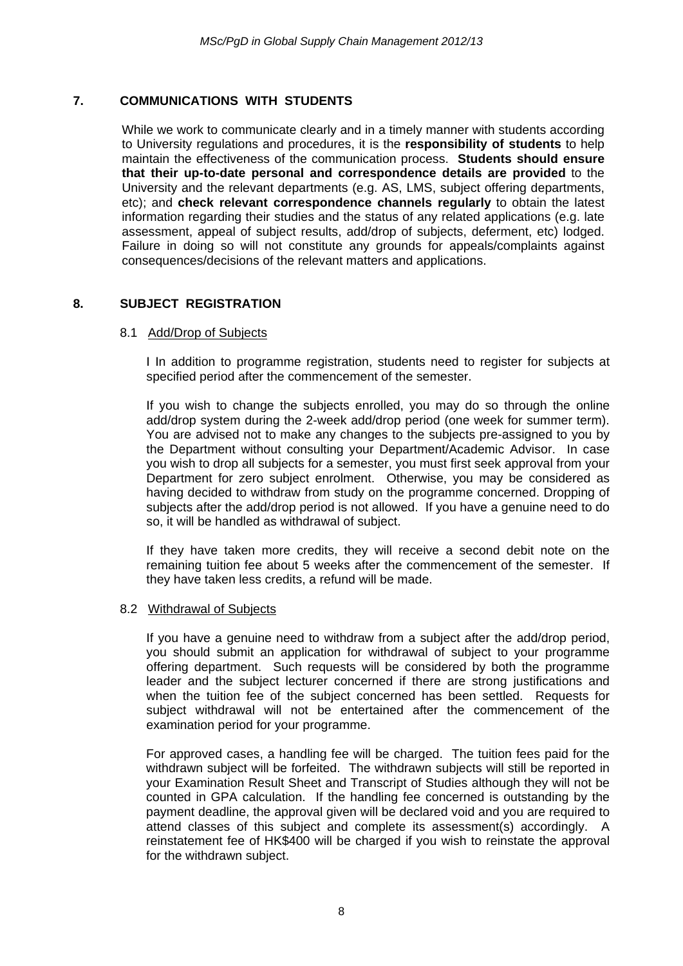#### **7. COMMUNICATIONS WITH STUDENTS**

While we work to communicate clearly and in a timely manner with students according to University regulations and procedures, it is the **responsibility of students** to help maintain the effectiveness of the communication process. **Students should ensure that their up-to-date personal and correspondence details are provided** to the University and the relevant departments (e.g. AS, LMS, subject offering departments, etc); and **check relevant correspondence channels regularly** to obtain the latest information regarding their studies and the status of any related applications (e.g. late assessment, appeal of subject results, add/drop of subjects, deferment, etc) lodged. Failure in doing so will not constitute any grounds for appeals/complaints against consequences/decisions of the relevant matters and applications.

#### **8. SUBJECT REGISTRATION**

#### 8.1 Add/Drop of Subjects

I In addition to programme registration, students need to register for subjects at specified period after the commencement of the semester.

If you wish to change the subjects enrolled, you may do so through the online add/drop system during the 2-week add/drop period (one week for summer term). You are advised not to make any changes to the subjects pre-assigned to you by the Department without consulting your Department/Academic Advisor. In case you wish to drop all subjects for a semester, you must first seek approval from your Department for zero subject enrolment. Otherwise, you may be considered as having decided to withdraw from study on the programme concerned. Dropping of subjects after the add/drop period is not allowed. If you have a genuine need to do so, it will be handled as withdrawal of subject.

If they have taken more credits, they will receive a second debit note on the remaining tuition fee about 5 weeks after the commencement of the semester. If they have taken less credits, a refund will be made.

#### 8.2 Withdrawal of Subjects

If you have a genuine need to withdraw from a subject after the add/drop period, you should submit an application for withdrawal of subject to your programme offering department. Such requests will be considered by both the programme leader and the subject lecturer concerned if there are strong justifications and when the tuition fee of the subject concerned has been settled. Requests for subject withdrawal will not be entertained after the commencement of the examination period for your programme.

For approved cases, a handling fee will be charged. The tuition fees paid for the withdrawn subject will be forfeited. The withdrawn subjects will still be reported in your Examination Result Sheet and Transcript of Studies although they will not be counted in GPA calculation. If the handling fee concerned is outstanding by the payment deadline, the approval given will be declared void and you are required to attend classes of this subject and complete its assessment(s) accordingly. A reinstatement fee of HK\$400 will be charged if you wish to reinstate the approval for the withdrawn subject.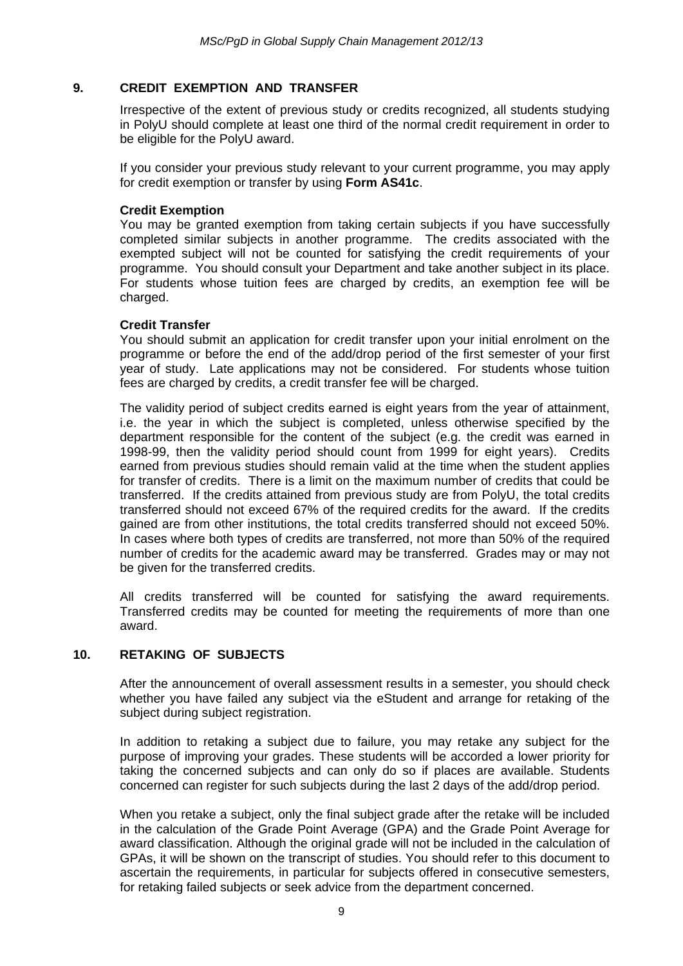#### **9. CREDIT EXEMPTION AND TRANSFER**

Irrespective of the extent of previous study or credits recognized, all students studying in PolyU should complete at least one third of the normal credit requirement in order to be eligible for the PolyU award.

If you consider your previous study relevant to your current programme, you may apply for credit exemption or transfer by using **Form AS41c**.

#### **Credit Exemption**

You may be granted exemption from taking certain subjects if you have successfully completed similar subjects in another programme. The credits associated with the exempted subject will not be counted for satisfying the credit requirements of your programme. You should consult your Department and take another subject in its place. For students whose tuition fees are charged by credits, an exemption fee will be charged.

#### **Credit Transfer**

You should submit an application for credit transfer upon your initial enrolment on the programme or before the end of the add/drop period of the first semester of your first year of study. Late applications may not be considered. For students whose tuition fees are charged by credits, a credit transfer fee will be charged.

The validity period of subject credits earned is eight years from the year of attainment, i.e. the year in which the subject is completed, unless otherwise specified by the department responsible for the content of the subject (e.g. the credit was earned in 1998-99, then the validity period should count from 1999 for eight years). Credits earned from previous studies should remain valid at the time when the student applies for transfer of credits. There is a limit on the maximum number of credits that could be transferred. If the credits attained from previous study are from PolyU, the total credits transferred should not exceed 67% of the required credits for the award. If the credits gained are from other institutions, the total credits transferred should not exceed 50%. In cases where both types of credits are transferred, not more than 50% of the required number of credits for the academic award may be transferred. Grades may or may not be given for the transferred credits.

All credits transferred will be counted for satisfying the award requirements. Transferred credits may be counted for meeting the requirements of more than one award.

#### **10. RETAKING OF SUBJECTS**

After the announcement of overall assessment results in a semester, you should check whether you have failed any subject via the eStudent and arrange for retaking of the subject during subject registration.

In addition to retaking a subject due to failure, you may retake any subject for the purpose of improving your grades. These students will be accorded a lower priority for taking the concerned subjects and can only do so if places are available. Students concerned can register for such subjects during the last 2 days of the add/drop period.

When you retake a subject, only the final subject grade after the retake will be included in the calculation of the Grade Point Average (GPA) and the Grade Point Average for award classification. Although the original grade will not be included in the calculation of GPAs, it will be shown on the transcript of studies. You should refer to this document to ascertain the requirements, in particular for subjects offered in consecutive semesters, for retaking failed subjects or seek advice from the department concerned.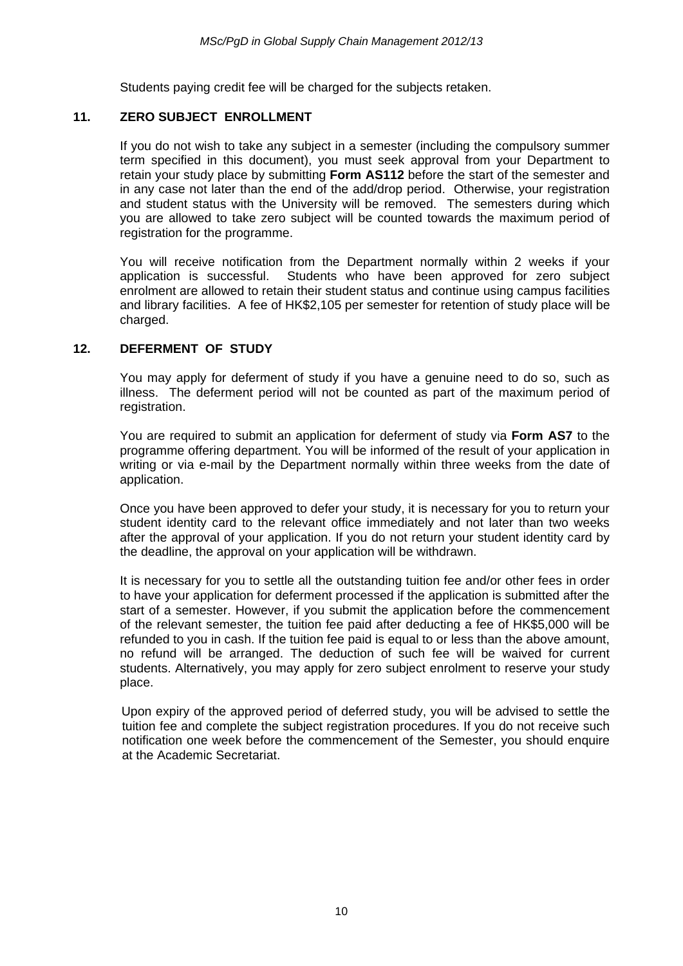Students paying credit fee will be charged for the subjects retaken.

#### **11. ZERO SUBJECT ENROLLMENT**

If you do not wish to take any subject in a semester (including the compulsory summer term specified in this document), you must seek approval from your Department to retain your study place by submitting **Form AS112** before the start of the semester and in any case not later than the end of the add/drop period. Otherwise, your registration and student status with the University will be removed. The semesters during which you are allowed to take zero subject will be counted towards the maximum period of registration for the programme.

You will receive notification from the Department normally within 2 weeks if your application is successful. Students who have been approved for zero subject enrolment are allowed to retain their student status and continue using campus facilities and library facilities. A fee of HK\$2,105 per semester for retention of study place will be charged.

#### **12. DEFERMENT OF STUDY**

You may apply for deferment of study if you have a genuine need to do so, such as illness. The deferment period will not be counted as part of the maximum period of registration.

You are required to submit an application for deferment of study via **Form AS7** to the programme offering department. You will be informed of the result of your application in writing or via e-mail by the Department normally within three weeks from the date of application.

Once you have been approved to defer your study, it is necessary for you to return your student identity card to the relevant office immediately and not later than two weeks after the approval of your application. If you do not return your student identity card by the deadline, the approval on your application will be withdrawn.

It is necessary for you to settle all the outstanding tuition fee and/or other fees in order to have your application for deferment processed if the application is submitted after the start of a semester. However, if you submit the application before the commencement of the relevant semester, the tuition fee paid after deducting a fee of HK\$5,000 will be refunded to you in cash. If the tuition fee paid is equal to or less than the above amount, no refund will be arranged. The deduction of such fee will be waived for current students. Alternatively, you may apply for zero subject enrolment to reserve your study place.

Upon expiry of the approved period of deferred study, you will be advised to settle the tuition fee and complete the subject registration procedures. If you do not receive such notification one week before the commencement of the Semester, you should enquire at the Academic Secretariat.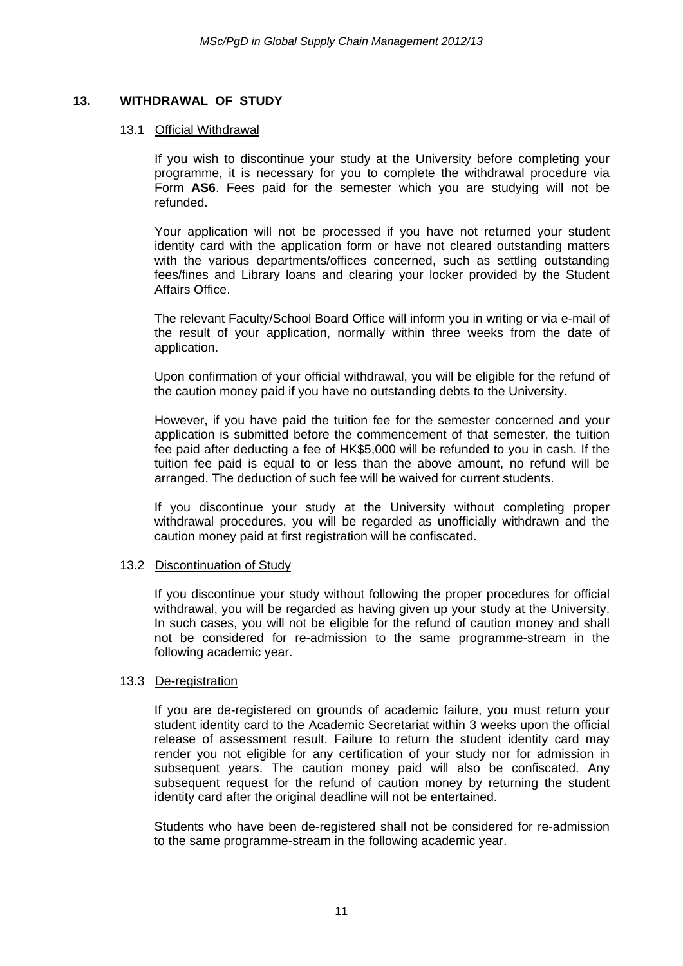#### **13. WITHDRAWAL OF STUDY**

#### 13.1 Official Withdrawal

If you wish to discontinue your study at the University before completing your programme, it is necessary for you to complete the withdrawal procedure via Form **AS6**. Fees paid for the semester which you are studying will not be refunded.

Your application will not be processed if you have not returned your student identity card with the application form or have not cleared outstanding matters with the various departments/offices concerned, such as settling outstanding fees/fines and Library loans and clearing your locker provided by the Student Affairs Office.

The relevant Faculty/School Board Office will inform you in writing or via e-mail of the result of your application, normally within three weeks from the date of application.

Upon confirmation of your official withdrawal, you will be eligible for the refund of the caution money paid if you have no outstanding debts to the University.

However, if you have paid the tuition fee for the semester concerned and your application is submitted before the commencement of that semester, the tuition fee paid after deducting a fee of HK\$5,000 will be refunded to you in cash. If the tuition fee paid is equal to or less than the above amount, no refund will be arranged. The deduction of such fee will be waived for current students.

If you discontinue your study at the University without completing proper withdrawal procedures, you will be regarded as unofficially withdrawn and the caution money paid at first registration will be confiscated.

#### 13.2 Discontinuation of Study

If you discontinue your study without following the proper procedures for official withdrawal, you will be regarded as having given up your study at the University. In such cases, you will not be eligible for the refund of caution money and shall not be considered for re-admission to the same programme-stream in the following academic year.

#### 13.3 De-registration

If you are de-registered on grounds of academic failure, you must return your student identity card to the Academic Secretariat within 3 weeks upon the official release of assessment result. Failure to return the student identity card may render you not eligible for any certification of your study nor for admission in subsequent years. The caution money paid will also be confiscated. Any subsequent request for the refund of caution money by returning the student identity card after the original deadline will not be entertained.

Students who have been de-registered shall not be considered for re-admission to the same programme-stream in the following academic year.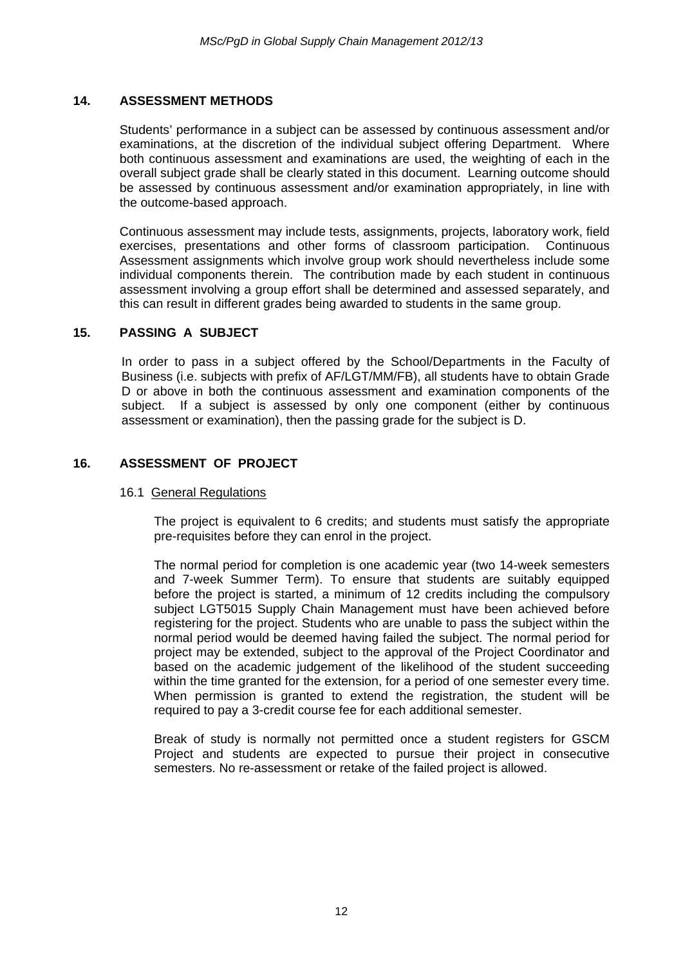#### **14. ASSESSMENT METHODS**

Students' performance in a subject can be assessed by continuous assessment and/or examinations, at the discretion of the individual subject offering Department. Where both continuous assessment and examinations are used, the weighting of each in the overall subject grade shall be clearly stated in this document. Learning outcome should be assessed by continuous assessment and/or examination appropriately, in line with the outcome-based approach.

Continuous assessment may include tests, assignments, projects, laboratory work, field exercises, presentations and other forms of classroom participation. Continuous Assessment assignments which involve group work should nevertheless include some individual components therein. The contribution made by each student in continuous assessment involving a group effort shall be determined and assessed separately, and this can result in different grades being awarded to students in the same group.

#### **15. PASSING A SUBJECT**

In order to pass in a subject offered by the School/Departments in the Faculty of Business (i.e. subjects with prefix of AF/LGT/MM/FB), all students have to obtain Grade D or above in both the continuous assessment and examination components of the subject. If a subject is assessed by only one component (either by continuous assessment or examination), then the passing grade for the subject is D.

#### **16. ASSESSMENT OF PROJECT**

#### 16.1 General Regulations

The project is equivalent to 6 credits; and students must satisfy the appropriate pre-requisites before they can enrol in the project.

The normal period for completion is one academic year (two 14-week semesters and 7-week Summer Term). To ensure that students are suitably equipped before the project is started, a minimum of 12 credits including the compulsory subject LGT5015 Supply Chain Management must have been achieved before registering for the project. Students who are unable to pass the subject within the normal period would be deemed having failed the subject. The normal period for project may be extended, subject to the approval of the Project Coordinator and based on the academic judgement of the likelihood of the student succeeding within the time granted for the extension, for a period of one semester every time. When permission is granted to extend the registration, the student will be required to pay a 3-credit course fee for each additional semester.

Break of study is normally not permitted once a student registers for GSCM Project and students are expected to pursue their project in consecutive semesters. No re-assessment or retake of the failed project is allowed.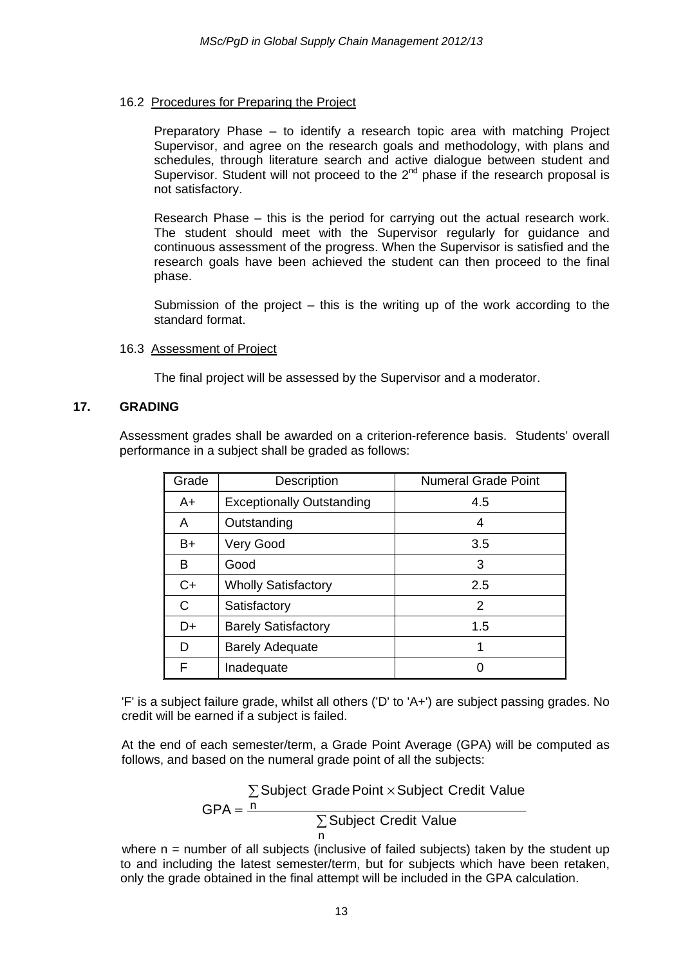#### 16.2 Procedures for Preparing the Project

Preparatory Phase – to identify a research topic area with matching Project Supervisor, and agree on the research goals and methodology, with plans and schedules, through literature search and active dialogue between student and Supervisor. Student will not proceed to the  $2<sup>nd</sup>$  phase if the research proposal is not satisfactory.

Research Phase – this is the period for carrying out the actual research work. The student should meet with the Supervisor regularly for guidance and continuous assessment of the progress. When the Supervisor is satisfied and the research goals have been achieved the student can then proceed to the final phase.

Submission of the project  $-$  this is the writing up of the work according to the standard format.

#### 16.3 Assessment of Project

The final project will be assessed by the Supervisor and a moderator.

#### **17. GRADING**

Assessment grades shall be awarded on a criterion-reference basis. Students' overall performance in a subject shall be graded as follows:

| Grade | Description                      | <b>Numeral Grade Point</b> |
|-------|----------------------------------|----------------------------|
| A+    | <b>Exceptionally Outstanding</b> | 4.5                        |
| A     | Outstanding                      | 4                          |
| B+    | Very Good                        | 3.5                        |
| в     | Good                             | 3                          |
| $C+$  | <b>Wholly Satisfactory</b>       | 2.5                        |
| C     | Satisfactory                     | 2                          |
| D+    | <b>Barely Satisfactory</b>       | 1.5                        |
| D     | <b>Barely Adequate</b>           |                            |
| F     | Inadequate                       |                            |

'F' is a subject failure grade, whilst all others ('D' to 'A+') are subject passing grades. No credit will be earned if a subject is failed.

At the end of each semester/term, a Grade Point Average (GPA) will be computed as follows, and based on the numeral grade point of all the subjects:

$$
GPA = \frac{D}{n}
$$
Subject Grade Point × Subject Credit Value  
or

where  $n =$  number of all subjects (inclusive of failed subjects) taken by the student up to and including the latest semester/term, but for subjects which have been retaken, only the grade obtained in the final attempt will be included in the GPA calculation.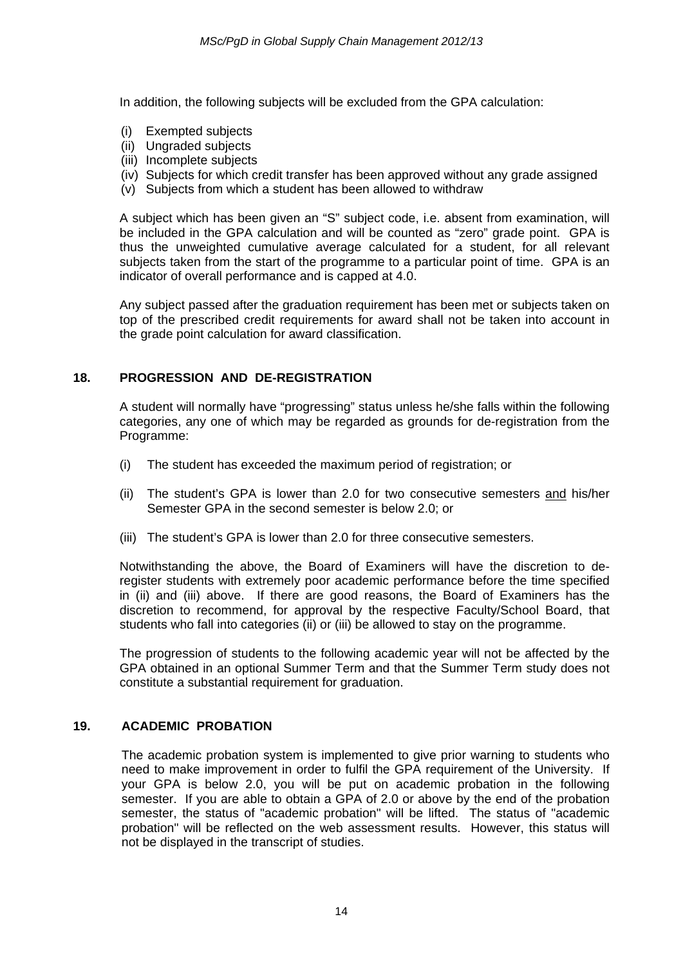In addition, the following subjects will be excluded from the GPA calculation:

- (i) Exempted subjects
- (ii) Ungraded subjects
- (iii) Incomplete subjects
- (iv) Subjects for which credit transfer has been approved without any grade assigned
- (v) Subjects from which a student has been allowed to withdraw

A subject which has been given an "S" subject code, i.e. absent from examination, will be included in the GPA calculation and will be counted as "zero" grade point. GPA is thus the unweighted cumulative average calculated for a student, for all relevant subjects taken from the start of the programme to a particular point of time. GPA is an indicator of overall performance and is capped at 4.0.

Any subject passed after the graduation requirement has been met or subjects taken on top of the prescribed credit requirements for award shall not be taken into account in the grade point calculation for award classification.

#### **18. PROGRESSION AND DE-REGISTRATION**

A student will normally have "progressing" status unless he/she falls within the following categories, any one of which may be regarded as grounds for de-registration from the Programme:

- (i) The student has exceeded the maximum period of registration; or
- (ii) The student's GPA is lower than 2.0 for two consecutive semesters and his/her Semester GPA in the second semester is below 2.0; or
- (iii) The student's GPA is lower than 2.0 for three consecutive semesters.

Notwithstanding the above, the Board of Examiners will have the discretion to deregister students with extremely poor academic performance before the time specified in (ii) and (iii) above. If there are good reasons, the Board of Examiners has the discretion to recommend, for approval by the respective Faculty/School Board, that students who fall into categories (ii) or (iii) be allowed to stay on the programme.

The progression of students to the following academic year will not be affected by the GPA obtained in an optional Summer Term and that the Summer Term study does not constitute a substantial requirement for graduation.

#### **19. ACADEMIC PROBATION**

The academic probation system is implemented to give prior warning to students who need to make improvement in order to fulfil the GPA requirement of the University. If your GPA is below 2.0, you will be put on academic probation in the following semester. If you are able to obtain a GPA of 2.0 or above by the end of the probation semester, the status of "academic probation" will be lifted. The status of "academic probation" will be reflected on the web assessment results. However, this status will not be displayed in the transcript of studies.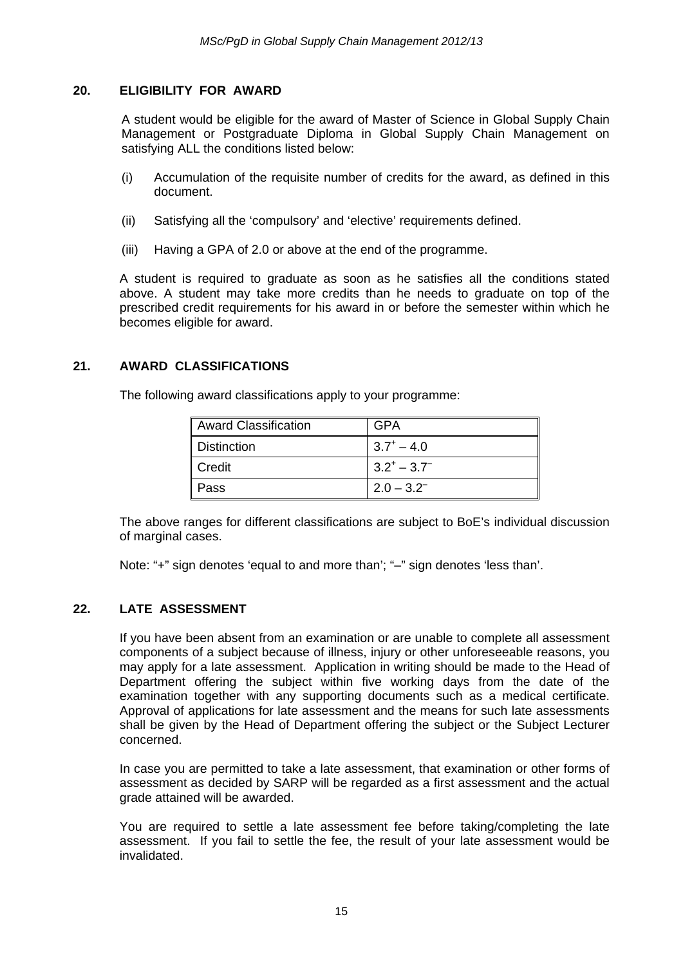#### **20. ELIGIBILITY FOR AWARD**

A student would be eligible for the award of Master of Science in Global Supply Chain Management or Postgraduate Diploma in Global Supply Chain Management on satisfying ALL the conditions listed below:

- (i) Accumulation of the requisite number of credits for the award, as defined in this document.
- (ii) Satisfying all the 'compulsory' and 'elective' requirements defined.
- (iii) Having a GPA of 2.0 or above at the end of the programme.

A student is required to graduate as soon as he satisfies all the conditions stated above. A student may take more credits than he needs to graduate on top of the prescribed credit requirements for his award in or before the semester within which he becomes eligible for award.

#### **21. AWARD CLASSIFICATIONS**

The following award classifications apply to your programme:

| Award Classification | GPA                 |
|----------------------|---------------------|
| Distinction          | $3.7^{\circ} - 4.0$ |
| Credit               | $3.2^{+} - 3.7^{-}$ |
| Pass                 | $2.0 - 3.2^{-}$     |

The above ranges for different classifications are subject to BoE's individual discussion of marginal cases.

Note: "+" sign denotes 'equal to and more than'; "–" sign denotes 'less than'.

#### **22. LATE ASSESSMENT**

If you have been absent from an examination or are unable to complete all assessment components of a subject because of illness, injury or other unforeseeable reasons, you may apply for a late assessment. Application in writing should be made to the Head of Department offering the subject within five working days from the date of the examination together with any supporting documents such as a medical certificate. Approval of applications for late assessment and the means for such late assessments shall be given by the Head of Department offering the subject or the Subject Lecturer concerned.

In case you are permitted to take a late assessment, that examination or other forms of assessment as decided by SARP will be regarded as a first assessment and the actual grade attained will be awarded.

You are required to settle a late assessment fee before taking/completing the late assessment. If you fail to settle the fee, the result of your late assessment would be invalidated.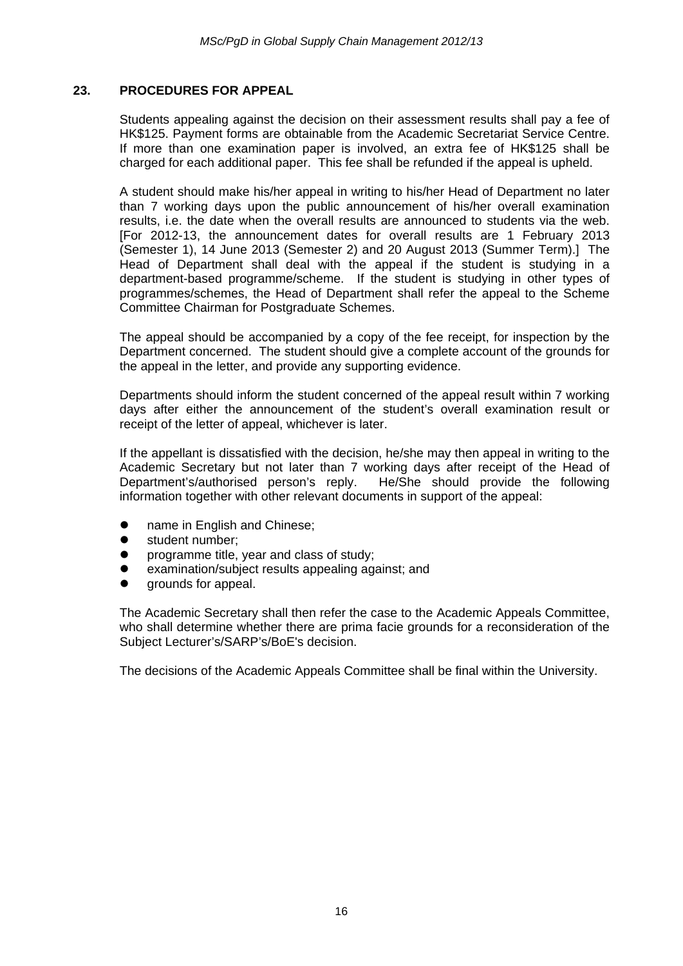#### **23. PROCEDURES FOR APPEAL**

Students appealing against the decision on their assessment results shall pay a fee of HK\$125. Payment forms are obtainable from the Academic Secretariat Service Centre. If more than one examination paper is involved, an extra fee of HK\$125 shall be charged for each additional paper. This fee shall be refunded if the appeal is upheld.

A student should make his/her appeal in writing to his/her Head of Department no later than 7 working days upon the public announcement of his/her overall examination results, i.e. the date when the overall results are announced to students via the web. [For 2012-13, the announcement dates for overall results are 1 February 2013 (Semester 1), 14 June 2013 (Semester 2) and 20 August 2013 (Summer Term).] The Head of Department shall deal with the appeal if the student is studying in a department-based programme/scheme. If the student is studying in other types of programmes/schemes, the Head of Department shall refer the appeal to the Scheme Committee Chairman for Postgraduate Schemes.

The appeal should be accompanied by a copy of the fee receipt, for inspection by the Department concerned. The student should give a complete account of the grounds for the appeal in the letter, and provide any supporting evidence.

Departments should inform the student concerned of the appeal result within 7 working days after either the announcement of the student's overall examination result or receipt of the letter of appeal, whichever is later.

If the appellant is dissatisfied with the decision, he/she may then appeal in writing to the Academic Secretary but not later than 7 working days after receipt of the Head of Department's/authorised person's reply. He/She should provide the following information together with other relevant documents in support of the appeal:

- **•** name in English and Chinese;
- student number:
- **•** programme title, year and class of study;
- examination/subject results appealing against; and
- grounds for appeal.

The Academic Secretary shall then refer the case to the Academic Appeals Committee, who shall determine whether there are prima facie grounds for a reconsideration of the Subject Lecturer's/SARP's/BoE's decision.

The decisions of the Academic Appeals Committee shall be final within the University.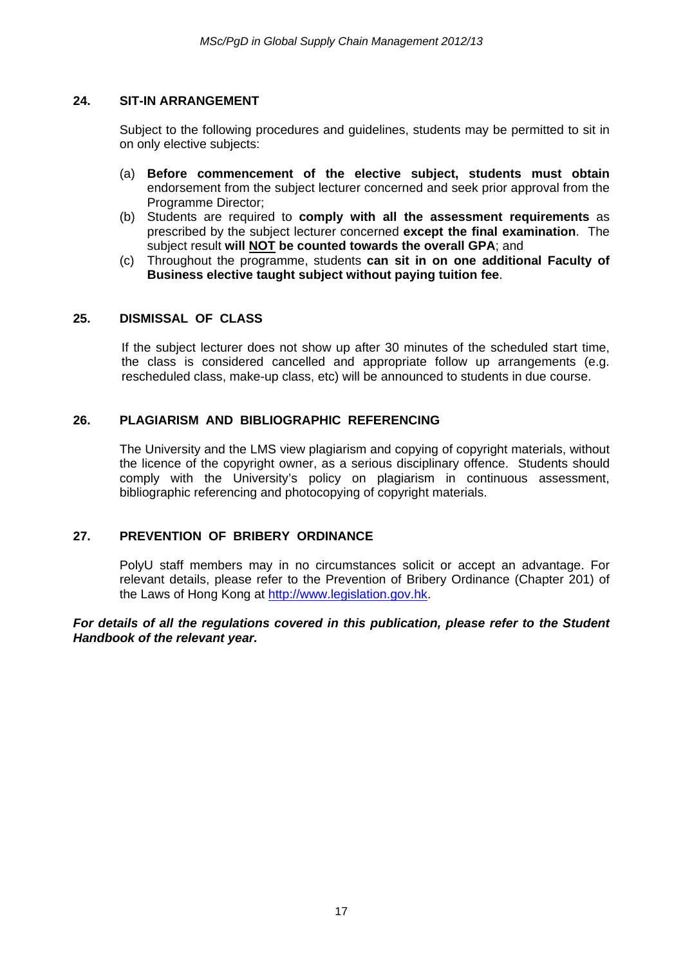#### **24. SIT-IN ARRANGEMENT**

Subject to the following procedures and guidelines, students may be permitted to sit in on only elective subjects:

- (a) **Before commencement of the elective subject, students must obtain** endorsement from the subject lecturer concerned and seek prior approval from the Programme Director;
- (b) Students are required to **comply with all the assessment requirements** as prescribed by the subject lecturer concerned **except the final examination**. The subject result **will NOT be counted towards the overall GPA**; and
- (c) Throughout the programme, students **can sit in on one additional Faculty of Business elective taught subject without paying tuition fee**.

#### **25. DISMISSAL OF CLASS**

If the subject lecturer does not show up after 30 minutes of the scheduled start time, the class is considered cancelled and appropriate follow up arrangements (e.g. rescheduled class, make-up class, etc) will be announced to students in due course.

#### **26. PLAGIARISM AND BIBLIOGRAPHIC REFERENCING**

The University and the LMS view plagiarism and copying of copyright materials, without the licence of the copyright owner, as a serious disciplinary offence. Students should comply with the University's policy on plagiarism in continuous assessment, bibliographic referencing and photocopying of copyright materials.

#### **27. PREVENTION OF BRIBERY ORDINANCE**

PolyU staff members may in no circumstances solicit or accept an advantage. For relevant details, please refer to the Prevention of Bribery Ordinance (Chapter 201) of the Laws of Hong Kong at http://www.legislation.gov.hk.

#### *For details of all the regulations covered in this publication, please refer to the Student Handbook of the relevant year.*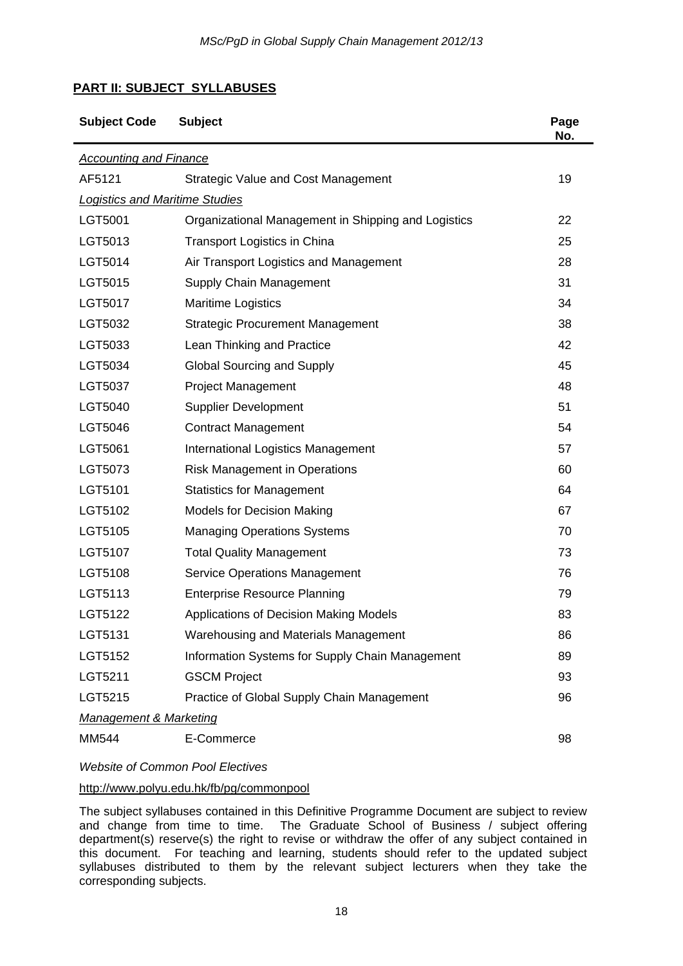# **PART II: SUBJECT SYLLABUSES**

| <b>Subject Code</b>                   | <b>Subject</b>                                      | Page<br>No. |
|---------------------------------------|-----------------------------------------------------|-------------|
| <b>Accounting and Finance</b>         |                                                     |             |
| AF5121                                | <b>Strategic Value and Cost Management</b>          | 19          |
| <b>Logistics and Maritime Studies</b> |                                                     |             |
| LGT5001                               | Organizational Management in Shipping and Logistics | 22          |
| LGT5013                               | Transport Logistics in China                        | 25          |
| LGT5014                               | Air Transport Logistics and Management              | 28          |
| LGT5015                               | Supply Chain Management                             | 31          |
| LGT5017                               | <b>Maritime Logistics</b>                           | 34          |
| LGT5032                               | <b>Strategic Procurement Management</b>             | 38          |
| LGT5033                               | Lean Thinking and Practice                          | 42          |
| LGT5034                               | Global Sourcing and Supply                          | 45          |
| LGT5037                               | <b>Project Management</b>                           | 48          |
| LGT5040                               | <b>Supplier Development</b>                         | 51          |
| LGT5046                               | <b>Contract Management</b>                          | 54          |
| LGT5061                               | <b>International Logistics Management</b>           | 57          |
| LGT5073                               | <b>Risk Management in Operations</b>                | 60          |
| LGT5101                               | <b>Statistics for Management</b>                    | 64          |
| LGT5102                               | <b>Models for Decision Making</b>                   | 67          |
| LGT5105                               | <b>Managing Operations Systems</b>                  | 70          |
| LGT5107                               | <b>Total Quality Management</b>                     | 73          |
| LGT5108                               | <b>Service Operations Management</b>                | 76          |
| LGT5113                               | <b>Enterprise Resource Planning</b>                 | 79          |
| LGT5122                               | Applications of Decision Making Models              | 83          |
| LGT5131                               | Warehousing and Materials Management                | 86          |
| LGT5152                               | Information Systems for Supply Chain Management     | 89          |
| LGT5211                               | <b>GSCM Project</b>                                 | 93          |
| LGT5215                               | Practice of Global Supply Chain Management          | 96          |
| <b>Management &amp; Marketing</b>     |                                                     |             |
| MM544                                 | E-Commerce                                          | 98          |

*Website of Common Pool Electives* 

#### http://www.polyu.edu.hk/fb/pg/commonpool

The subject syllabuses contained in this Definitive Programme Document are subject to review and change from time to time. The Graduate School of Business / subject offering department(s) reserve(s) the right to revise or withdraw the offer of any subject contained in this document. For teaching and learning, students should refer to the updated subject syllabuses distributed to them by the relevant subject lecturers when they take the corresponding subjects.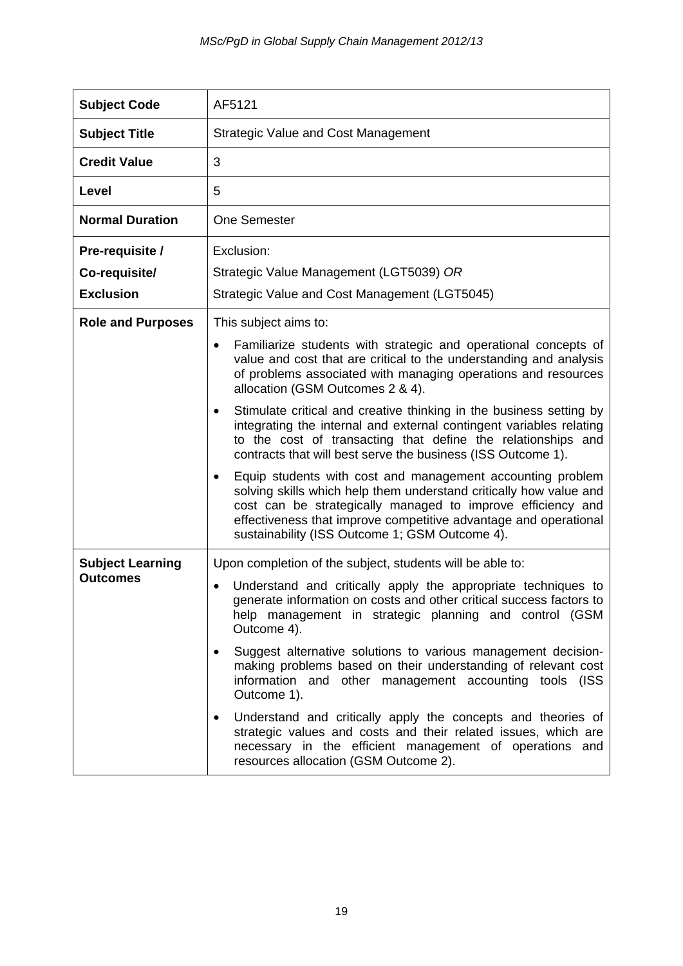| <b>Subject Code</b>      | AF5121                                                                                                                                                                                                                                                                                                                             |  |  |  |  |
|--------------------------|------------------------------------------------------------------------------------------------------------------------------------------------------------------------------------------------------------------------------------------------------------------------------------------------------------------------------------|--|--|--|--|
| <b>Subject Title</b>     | <b>Strategic Value and Cost Management</b>                                                                                                                                                                                                                                                                                         |  |  |  |  |
| <b>Credit Value</b>      | 3                                                                                                                                                                                                                                                                                                                                  |  |  |  |  |
| Level                    | 5                                                                                                                                                                                                                                                                                                                                  |  |  |  |  |
| <b>Normal Duration</b>   | <b>One Semester</b>                                                                                                                                                                                                                                                                                                                |  |  |  |  |
| Pre-requisite /          | Exclusion:                                                                                                                                                                                                                                                                                                                         |  |  |  |  |
| Co-requisite/            | Strategic Value Management (LGT5039) OR                                                                                                                                                                                                                                                                                            |  |  |  |  |
| <b>Exclusion</b>         | Strategic Value and Cost Management (LGT5045)                                                                                                                                                                                                                                                                                      |  |  |  |  |
| <b>Role and Purposes</b> | This subject aims to:                                                                                                                                                                                                                                                                                                              |  |  |  |  |
|                          | Familiarize students with strategic and operational concepts of<br>$\bullet$<br>value and cost that are critical to the understanding and analysis<br>of problems associated with managing operations and resources<br>allocation (GSM Outcomes 2 & 4).                                                                            |  |  |  |  |
|                          | Stimulate critical and creative thinking in the business setting by<br>integrating the internal and external contingent variables relating<br>to the cost of transacting that define the relationships and<br>contracts that will best serve the business (ISS Outcome 1).                                                         |  |  |  |  |
|                          | Equip students with cost and management accounting problem<br>$\bullet$<br>solving skills which help them understand critically how value and<br>cost can be strategically managed to improve efficiency and<br>effectiveness that improve competitive advantage and operational<br>sustainability (ISS Outcome 1; GSM Outcome 4). |  |  |  |  |
| <b>Subject Learning</b>  | Upon completion of the subject, students will be able to:                                                                                                                                                                                                                                                                          |  |  |  |  |
| <b>Outcomes</b>          | Understand and critically apply the appropriate techniques to<br>generate information on costs and other critical success factors to<br>help management in strategic planning and control (GSM<br>Outcome 4).                                                                                                                      |  |  |  |  |
|                          | Suggest alternative solutions to various management decision-<br>making problems based on their understanding of relevant cost<br>information and other management accounting tools (ISS<br>Outcome 1).                                                                                                                            |  |  |  |  |
|                          | Understand and critically apply the concepts and theories of<br>strategic values and costs and their related issues, which are<br>necessary in the efficient management of operations and<br>resources allocation (GSM Outcome 2).                                                                                                 |  |  |  |  |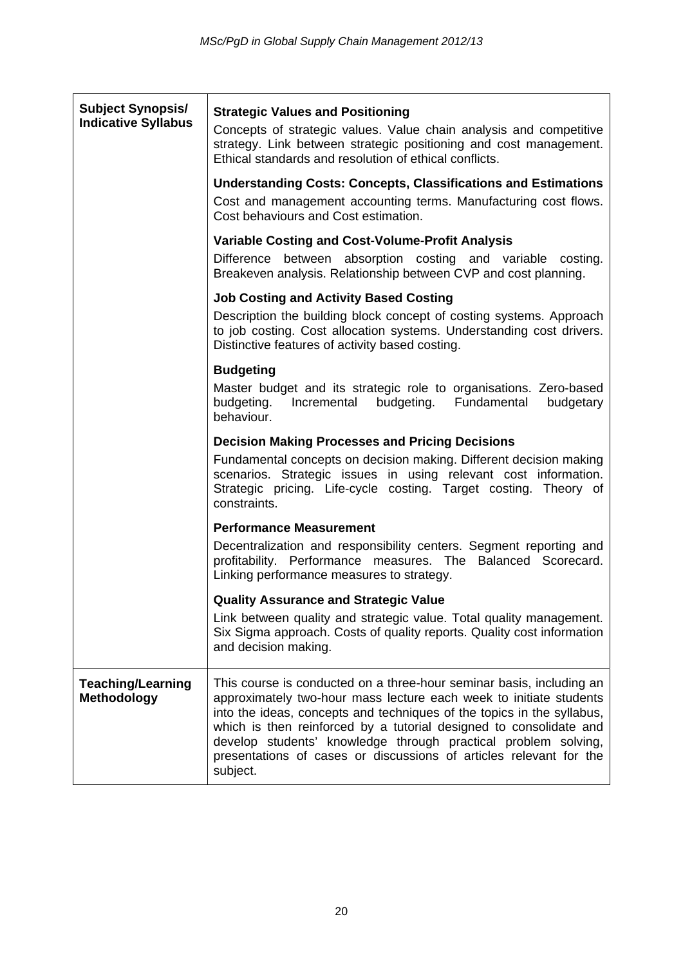| <b>Subject Synopsis/</b><br><b>Indicative Syllabus</b> | <b>Strategic Values and Positioning</b><br>Concepts of strategic values. Value chain analysis and competitive<br>strategy. Link between strategic positioning and cost management.<br>Ethical standards and resolution of ethical conflicts.                                                                                                                                                                                                   |
|--------------------------------------------------------|------------------------------------------------------------------------------------------------------------------------------------------------------------------------------------------------------------------------------------------------------------------------------------------------------------------------------------------------------------------------------------------------------------------------------------------------|
|                                                        | <b>Understanding Costs: Concepts, Classifications and Estimations</b><br>Cost and management accounting terms. Manufacturing cost flows.<br>Cost behaviours and Cost estimation.                                                                                                                                                                                                                                                               |
|                                                        | <b>Variable Costing and Cost-Volume-Profit Analysis</b><br>Difference between absorption costing and variable costing.<br>Breakeven analysis. Relationship between CVP and cost planning.                                                                                                                                                                                                                                                      |
|                                                        | <b>Job Costing and Activity Based Costing</b><br>Description the building block concept of costing systems. Approach<br>to job costing. Cost allocation systems. Understanding cost drivers.<br>Distinctive features of activity based costing.                                                                                                                                                                                                |
|                                                        | <b>Budgeting</b><br>Master budget and its strategic role to organisations. Zero-based<br>budgeting. Incremental<br>budgeting. Fundamental<br>budgetary<br>behaviour.                                                                                                                                                                                                                                                                           |
|                                                        | <b>Decision Making Processes and Pricing Decisions</b><br>Fundamental concepts on decision making. Different decision making<br>scenarios. Strategic issues in using relevant cost information.<br>Strategic pricing. Life-cycle costing. Target costing. Theory of<br>constraints.                                                                                                                                                            |
|                                                        | <b>Performance Measurement</b>                                                                                                                                                                                                                                                                                                                                                                                                                 |
|                                                        | Decentralization and responsibility centers. Segment reporting and<br>profitability. Performance measures. The Balanced Scorecard.<br>Linking performance measures to strategy.                                                                                                                                                                                                                                                                |
|                                                        | <b>Quality Assurance and Strategic Value</b><br>Link between quality and strategic value. Total quality management.<br>Six Sigma approach. Costs of quality reports. Quality cost information<br>and decision making.                                                                                                                                                                                                                          |
| <b>Teaching/Learning</b><br><b>Methodology</b>         | This course is conducted on a three-hour seminar basis, including an<br>approximately two-hour mass lecture each week to initiate students<br>into the ideas, concepts and techniques of the topics in the syllabus,<br>which is then reinforced by a tutorial designed to consolidate and<br>develop students' knowledge through practical problem solving,<br>presentations of cases or discussions of articles relevant for the<br>subject. |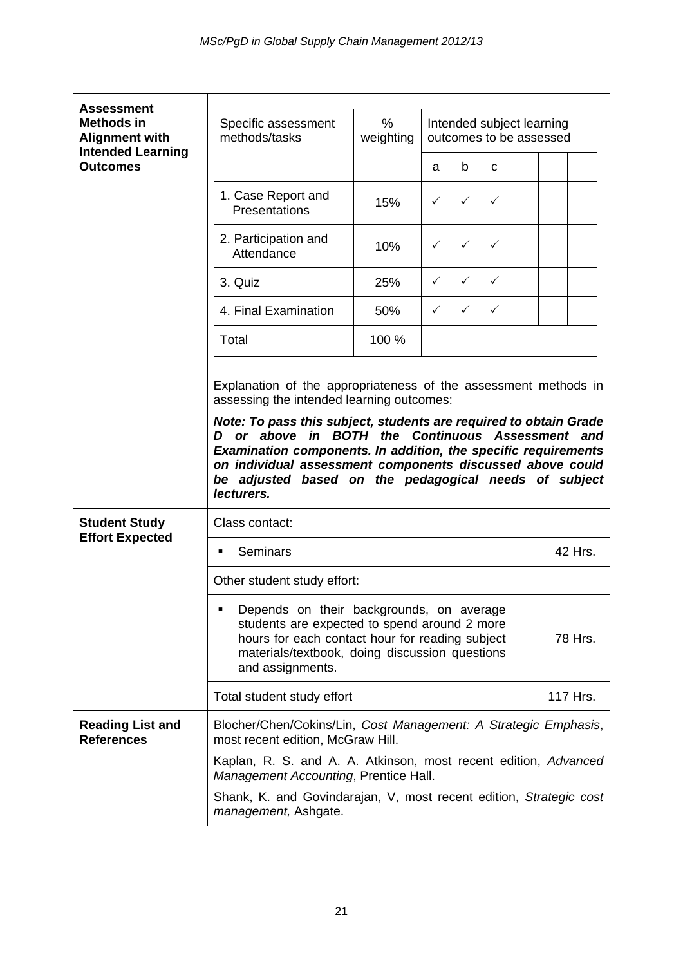| <b>Assessment</b>                                                                                                                                                                                                 |                                                                                                                                                                                                                                                                                                                                                                          |       |              |              |              |  |          |  |  |
|-------------------------------------------------------------------------------------------------------------------------------------------------------------------------------------------------------------------|--------------------------------------------------------------------------------------------------------------------------------------------------------------------------------------------------------------------------------------------------------------------------------------------------------------------------------------------------------------------------|-------|--------------|--------------|--------------|--|----------|--|--|
| <b>Methods in</b><br><b>Alignment with</b><br><b>Intended Learning</b>                                                                                                                                            | %<br>Specific assessment<br>Intended subject learning<br>methods/tasks<br>weighting<br>outcomes to be assessed                                                                                                                                                                                                                                                           |       |              |              |              |  |          |  |  |
| <b>Outcomes</b>                                                                                                                                                                                                   |                                                                                                                                                                                                                                                                                                                                                                          |       | a            | b            | C            |  |          |  |  |
|                                                                                                                                                                                                                   | 1. Case Report and<br>Presentations                                                                                                                                                                                                                                                                                                                                      | 15%   | ✓            | ✓            | $\checkmark$ |  |          |  |  |
|                                                                                                                                                                                                                   | 2. Participation and<br>Attendance                                                                                                                                                                                                                                                                                                                                       | 10%   | ✓            | $\checkmark$ | $\checkmark$ |  |          |  |  |
|                                                                                                                                                                                                                   | 3. Quiz                                                                                                                                                                                                                                                                                                                                                                  | 25%   | $\checkmark$ | ✓            | ✓            |  |          |  |  |
|                                                                                                                                                                                                                   | 4. Final Examination                                                                                                                                                                                                                                                                                                                                                     | 50%   | $\checkmark$ | $\checkmark$ | $\checkmark$ |  |          |  |  |
|                                                                                                                                                                                                                   | Total                                                                                                                                                                                                                                                                                                                                                                    | 100 % |              |              |              |  |          |  |  |
|                                                                                                                                                                                                                   | assessing the intended learning outcomes:<br>Note: To pass this subject, students are required to obtain Grade<br>D or above in BOTH the Continuous Assessment and<br>Examination components. In addition, the specific requirements<br>on individual assessment components discussed above could<br>be adjusted based on the pedagogical needs of subject<br>lecturers. |       |              |              |              |  |          |  |  |
| <b>Student Study</b><br><b>Effort Expected</b>                                                                                                                                                                    | Class contact:                                                                                                                                                                                                                                                                                                                                                           |       |              |              |              |  |          |  |  |
|                                                                                                                                                                                                                   | Seminars<br>٠                                                                                                                                                                                                                                                                                                                                                            |       | 42 Hrs.      |              |              |  |          |  |  |
|                                                                                                                                                                                                                   | Other student study effort:                                                                                                                                                                                                                                                                                                                                              |       |              |              |              |  |          |  |  |
| Depends on their backgrounds, on average<br>students are expected to spend around 2 more<br>hours for each contact hour for reading subject<br>materials/textbook, doing discussion questions<br>and assignments. |                                                                                                                                                                                                                                                                                                                                                                          |       |              |              |              |  | 78 Hrs.  |  |  |
|                                                                                                                                                                                                                   | Total student study effort                                                                                                                                                                                                                                                                                                                                               |       |              |              |              |  | 117 Hrs. |  |  |
| <b>Reading List and</b><br><b>References</b>                                                                                                                                                                      | Blocher/Chen/Cokins/Lin, Cost Management: A Strategic Emphasis,<br>most recent edition, McGraw Hill.                                                                                                                                                                                                                                                                     |       |              |              |              |  |          |  |  |
|                                                                                                                                                                                                                   | Kaplan, R. S. and A. A. Atkinson, most recent edition, Advanced<br>Management Accounting, Prentice Hall.                                                                                                                                                                                                                                                                 |       |              |              |              |  |          |  |  |
|                                                                                                                                                                                                                   | Shank, K. and Govindarajan, V, most recent edition, Strategic cost<br>management, Ashgate.                                                                                                                                                                                                                                                                               |       |              |              |              |  |          |  |  |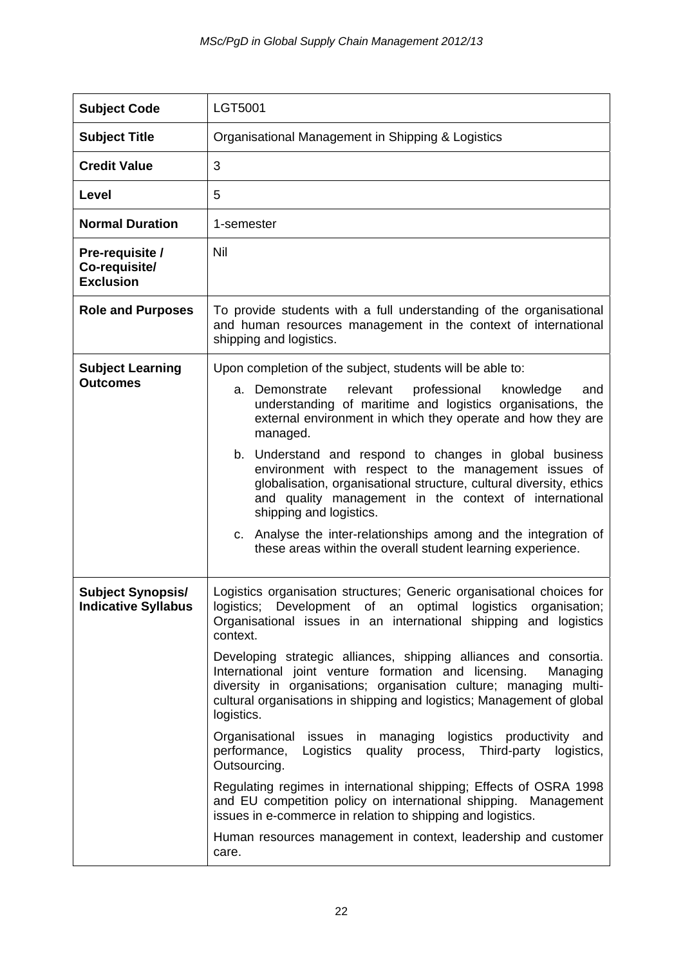| <b>Subject Code</b>                                    | LGT5001                                                                                                                                                                                                                                                                                            |
|--------------------------------------------------------|----------------------------------------------------------------------------------------------------------------------------------------------------------------------------------------------------------------------------------------------------------------------------------------------------|
| <b>Subject Title</b>                                   | Organisational Management in Shipping & Logistics                                                                                                                                                                                                                                                  |
| <b>Credit Value</b>                                    | 3                                                                                                                                                                                                                                                                                                  |
| Level                                                  | 5                                                                                                                                                                                                                                                                                                  |
| <b>Normal Duration</b>                                 | 1-semester                                                                                                                                                                                                                                                                                         |
| Pre-requisite /<br>Co-requisite/<br><b>Exclusion</b>   | Nil                                                                                                                                                                                                                                                                                                |
| <b>Role and Purposes</b>                               | To provide students with a full understanding of the organisational<br>and human resources management in the context of international<br>shipping and logistics.                                                                                                                                   |
| <b>Subject Learning</b>                                | Upon completion of the subject, students will be able to:                                                                                                                                                                                                                                          |
| <b>Outcomes</b>                                        | professional<br>a. Demonstrate<br>relevant<br>knowledge<br>and<br>understanding of maritime and logistics organisations, the<br>external environment in which they operate and how they are<br>managed.                                                                                            |
|                                                        | b. Understand and respond to changes in global business<br>environment with respect to the management issues of<br>globalisation, organisational structure, cultural diversity, ethics<br>and quality management in the context of international<br>shipping and logistics.                        |
|                                                        | c. Analyse the inter-relationships among and the integration of<br>these areas within the overall student learning experience.                                                                                                                                                                     |
| <b>Subject Synopsis/</b><br><b>Indicative Syllabus</b> | Logistics organisation structures; Generic organisational choices for<br>logistics; Development of an optimal logistics organisation;<br>Organisational issues in an international shipping and logistics<br>context.                                                                              |
|                                                        | Developing strategic alliances, shipping alliances and consortia.<br>International joint venture formation and licensing.<br>Managing<br>diversity in organisations; organisation culture; managing multi-<br>cultural organisations in shipping and logistics; Management of global<br>logistics. |
|                                                        | Organisational issues in managing logistics productivity and<br>performance,<br>Logistics quality process, Third-party logistics,<br>Outsourcing.                                                                                                                                                  |
|                                                        | Regulating regimes in international shipping; Effects of OSRA 1998<br>and EU competition policy on international shipping. Management<br>issues in e-commerce in relation to shipping and logistics.                                                                                               |
|                                                        | Human resources management in context, leadership and customer<br>care.                                                                                                                                                                                                                            |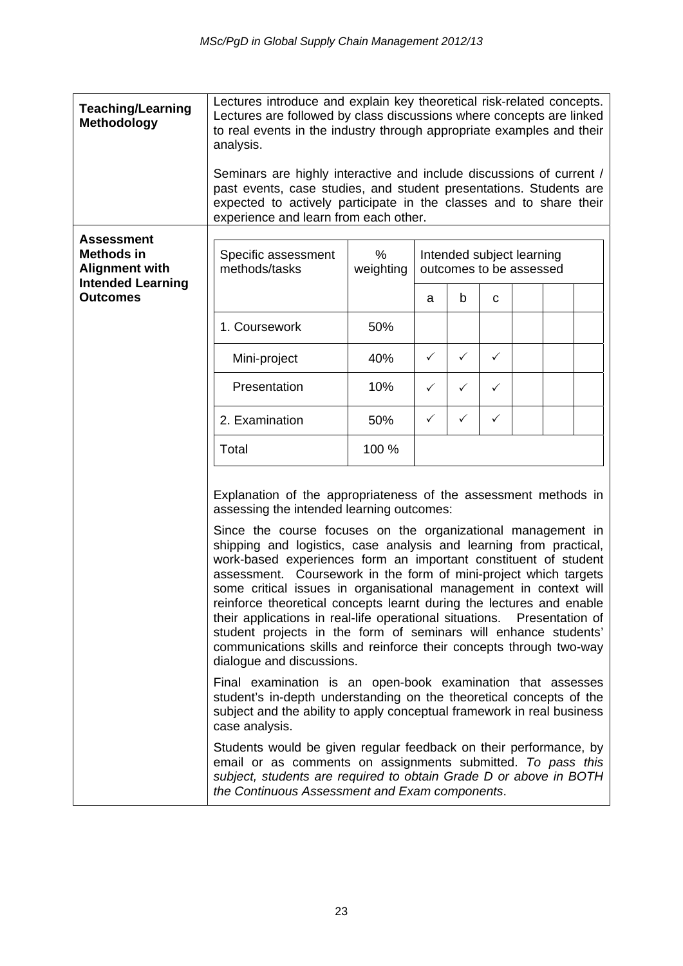| <b>Teaching/Learning</b><br><b>Methodology</b>                                              | Lectures introduce and explain key theoretical risk-related concepts.<br>Lectures are followed by class discussions where concepts are linked<br>to real events in the industry through appropriate examples and their<br>analysis.<br>Seminars are highly interactive and include discussions of current /<br>past events, case studies, and student presentations. Students are<br>expected to actively participate in the classes and to share their                                                                                                                                                                                                                                                                                                                                                                                                                                                                                                                                                                                                                                                                                                                                                                                                                              |       |              |                                                      |              |  |  |
|---------------------------------------------------------------------------------------------|--------------------------------------------------------------------------------------------------------------------------------------------------------------------------------------------------------------------------------------------------------------------------------------------------------------------------------------------------------------------------------------------------------------------------------------------------------------------------------------------------------------------------------------------------------------------------------------------------------------------------------------------------------------------------------------------------------------------------------------------------------------------------------------------------------------------------------------------------------------------------------------------------------------------------------------------------------------------------------------------------------------------------------------------------------------------------------------------------------------------------------------------------------------------------------------------------------------------------------------------------------------------------------------|-------|--------------|------------------------------------------------------|--------------|--|--|
|                                                                                             | experience and learn from each other.                                                                                                                                                                                                                                                                                                                                                                                                                                                                                                                                                                                                                                                                                                                                                                                                                                                                                                                                                                                                                                                                                                                                                                                                                                                |       |              |                                                      |              |  |  |
| <b>Assessment</b><br><b>Methods in</b><br><b>Alignment with</b><br><b>Intended Learning</b> | %<br>Specific assessment<br>methods/tasks<br>weighting                                                                                                                                                                                                                                                                                                                                                                                                                                                                                                                                                                                                                                                                                                                                                                                                                                                                                                                                                                                                                                                                                                                                                                                                                               |       |              | Intended subject learning<br>outcomes to be assessed |              |  |  |
| <b>Outcomes</b>                                                                             |                                                                                                                                                                                                                                                                                                                                                                                                                                                                                                                                                                                                                                                                                                                                                                                                                                                                                                                                                                                                                                                                                                                                                                                                                                                                                      |       | a            | b                                                    | $\mathbf C$  |  |  |
|                                                                                             | 1. Coursework                                                                                                                                                                                                                                                                                                                                                                                                                                                                                                                                                                                                                                                                                                                                                                                                                                                                                                                                                                                                                                                                                                                                                                                                                                                                        | 50%   |              |                                                      |              |  |  |
|                                                                                             | Mini-project                                                                                                                                                                                                                                                                                                                                                                                                                                                                                                                                                                                                                                                                                                                                                                                                                                                                                                                                                                                                                                                                                                                                                                                                                                                                         | 40%   | $\checkmark$ | $\checkmark$                                         | $\checkmark$ |  |  |
|                                                                                             | Presentation                                                                                                                                                                                                                                                                                                                                                                                                                                                                                                                                                                                                                                                                                                                                                                                                                                                                                                                                                                                                                                                                                                                                                                                                                                                                         | 10%   | $\checkmark$ | ✓                                                    | ✓            |  |  |
|                                                                                             | 2. Examination                                                                                                                                                                                                                                                                                                                                                                                                                                                                                                                                                                                                                                                                                                                                                                                                                                                                                                                                                                                                                                                                                                                                                                                                                                                                       | 50%   | $\checkmark$ | $\checkmark$                                         | $\checkmark$ |  |  |
|                                                                                             | Total                                                                                                                                                                                                                                                                                                                                                                                                                                                                                                                                                                                                                                                                                                                                                                                                                                                                                                                                                                                                                                                                                                                                                                                                                                                                                | 100 % |              |                                                      |              |  |  |
|                                                                                             | Explanation of the appropriateness of the assessment methods in<br>assessing the intended learning outcomes:<br>Since the course focuses on the organizational management in<br>shipping and logistics, case analysis and learning from practical,<br>work-based experiences form an important constituent of student<br>assessment. Coursework in the form of mini-project which targets<br>some critical issues in organisational management in context will<br>reinforce theoretical concepts learnt during the lectures and enable<br>their applications in real-life operational situations. Presentation of<br>student projects in the form of seminars will enhance students'<br>communications skills and reinforce their concepts through two-way<br>dialogue and discussions.<br>Final examination is an open-book examination that assesses<br>student's in-depth understanding on the theoretical concepts of the<br>subject and the ability to apply conceptual framework in real business<br>case analysis.<br>Students would be given regular feedback on their performance, by<br>email or as comments on assignments submitted. To pass this<br>subject, students are required to obtain Grade D or above in BOTH<br>the Continuous Assessment and Exam components. |       |              |                                                      |              |  |  |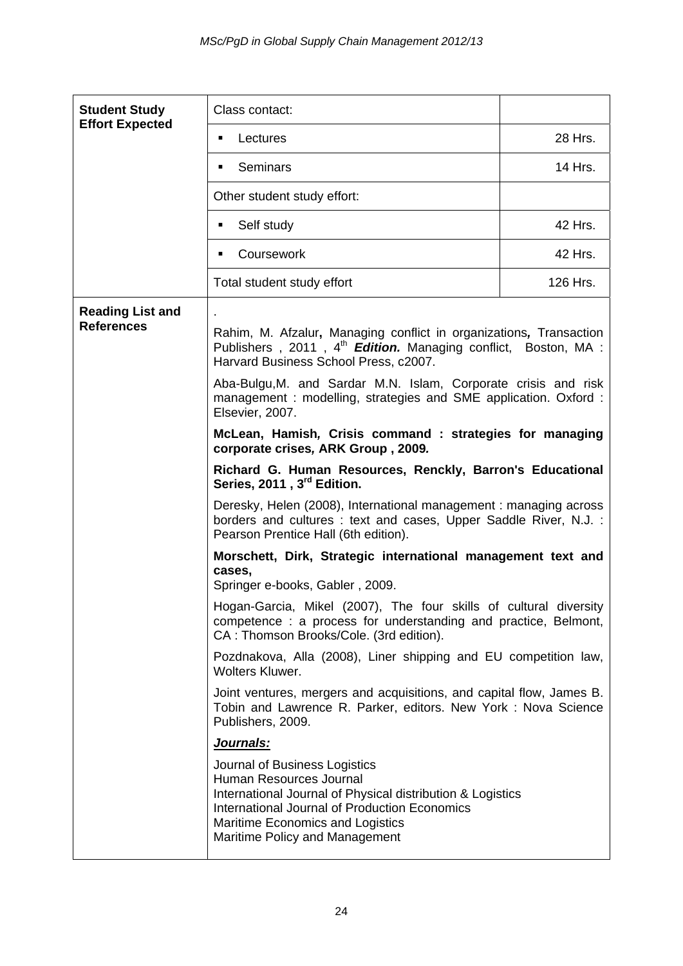| <b>Student Study</b>                         | Class contact:                                                                                                                                                                                                                                             |          |  |  |  |
|----------------------------------------------|------------------------------------------------------------------------------------------------------------------------------------------------------------------------------------------------------------------------------------------------------------|----------|--|--|--|
| <b>Effort Expected</b>                       | Lectures<br>٠                                                                                                                                                                                                                                              | 28 Hrs.  |  |  |  |
|                                              | Seminars<br>٠                                                                                                                                                                                                                                              | 14 Hrs.  |  |  |  |
|                                              | Other student study effort:                                                                                                                                                                                                                                |          |  |  |  |
|                                              | Self study<br>٠                                                                                                                                                                                                                                            | 42 Hrs.  |  |  |  |
|                                              | Coursework<br>٠                                                                                                                                                                                                                                            | 42 Hrs.  |  |  |  |
|                                              | Total student study effort                                                                                                                                                                                                                                 | 126 Hrs. |  |  |  |
| <b>Reading List and</b><br><b>References</b> | Rahim, M. Afzalur, Managing conflict in organizations, Transaction<br>Publishers, 2011, 4 <sup>th</sup> Edition. Managing conflict, Boston, MA:<br>Harvard Business School Press, c2007.<br>Aba-Bulgu, M. and Sardar M.N. Islam, Corporate crisis and risk |          |  |  |  |
|                                              | management: modelling, strategies and SME application. Oxford:<br>Elsevier, 2007.                                                                                                                                                                          |          |  |  |  |
|                                              | McLean, Hamish, Crisis command : strategies for managing<br>corporate crises, ARK Group, 2009.                                                                                                                                                             |          |  |  |  |
|                                              | Richard G. Human Resources, Renckly, Barron's Educational<br>Series, 2011, 3 <sup>rd</sup> Edition.                                                                                                                                                        |          |  |  |  |
|                                              | Deresky, Helen (2008), International management: managing across<br>borders and cultures : text and cases, Upper Saddle River, N.J. :<br>Pearson Prentice Hall (6th edition).                                                                              |          |  |  |  |
|                                              | Morschett, Dirk, Strategic international management text and<br>cases,<br>Springer e-books, Gabler, 2009.                                                                                                                                                  |          |  |  |  |
|                                              | Hogan-Garcia, Mikel (2007), The four skills of cultural diversity<br>competence: a process for understanding and practice, Belmont,<br>CA: Thomson Brooks/Cole. (3rd edition).                                                                             |          |  |  |  |
|                                              | Pozdnakova, Alla (2008), Liner shipping and EU competition law,<br>Wolters Kluwer.                                                                                                                                                                         |          |  |  |  |
|                                              | Joint ventures, mergers and acquisitions, and capital flow, James B.<br>Tobin and Lawrence R. Parker, editors. New York: Nova Science<br>Publishers, 2009.                                                                                                 |          |  |  |  |
|                                              | Journals:                                                                                                                                                                                                                                                  |          |  |  |  |
|                                              | Journal of Business Logistics<br>Human Resources Journal<br>International Journal of Physical distribution & Logistics<br>International Journal of Production Economics<br>Maritime Economics and Logistics<br>Maritime Policy and Management              |          |  |  |  |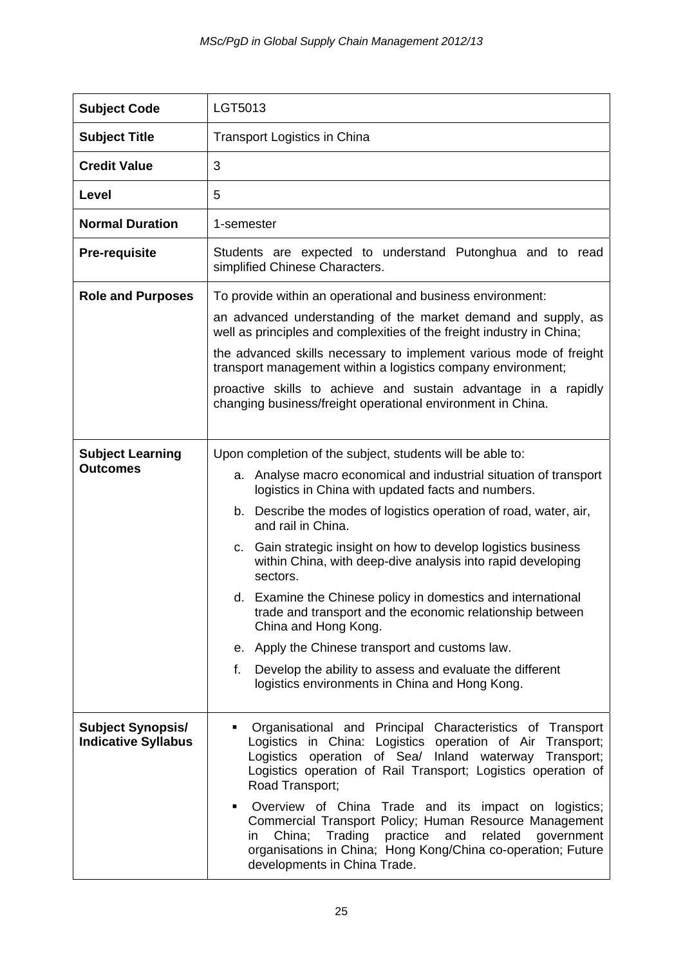| <b>Subject Code</b>                                    | LGT5013                                                                                                                                                                                                                                                                                  |
|--------------------------------------------------------|------------------------------------------------------------------------------------------------------------------------------------------------------------------------------------------------------------------------------------------------------------------------------------------|
| <b>Subject Title</b>                                   | <b>Transport Logistics in China</b>                                                                                                                                                                                                                                                      |
| <b>Credit Value</b>                                    | 3                                                                                                                                                                                                                                                                                        |
| Level                                                  | 5                                                                                                                                                                                                                                                                                        |
| <b>Normal Duration</b>                                 | 1-semester                                                                                                                                                                                                                                                                               |
| <b>Pre-requisite</b>                                   | Students are expected to understand Putonghua and to read<br>simplified Chinese Characters.                                                                                                                                                                                              |
| <b>Role and Purposes</b>                               | To provide within an operational and business environment:                                                                                                                                                                                                                               |
|                                                        | an advanced understanding of the market demand and supply, as<br>well as principles and complexities of the freight industry in China;                                                                                                                                                   |
|                                                        | the advanced skills necessary to implement various mode of freight<br>transport management within a logistics company environment;                                                                                                                                                       |
|                                                        | proactive skills to achieve and sustain advantage in a rapidly<br>changing business/freight operational environment in China.                                                                                                                                                            |
|                                                        |                                                                                                                                                                                                                                                                                          |
| <b>Subject Learning</b>                                | Upon completion of the subject, students will be able to:                                                                                                                                                                                                                                |
| <b>Outcomes</b>                                        | a. Analyse macro economical and industrial situation of transport<br>logistics in China with updated facts and numbers.                                                                                                                                                                  |
|                                                        | b. Describe the modes of logistics operation of road, water, air,<br>and rail in China.                                                                                                                                                                                                  |
|                                                        | c. Gain strategic insight on how to develop logistics business<br>within China, with deep-dive analysis into rapid developing<br>sectors.                                                                                                                                                |
|                                                        | d. Examine the Chinese policy in domestics and international<br>trade and transport and the economic relationship between<br>China and Hong Kong.                                                                                                                                        |
|                                                        | e. Apply the Chinese transport and customs law.                                                                                                                                                                                                                                          |
|                                                        | f.<br>Develop the ability to assess and evaluate the different<br>logistics environments in China and Hong Kong.                                                                                                                                                                         |
| <b>Subject Synopsis/</b><br><b>Indicative Syllabus</b> | Organisational and Principal Characteristics of Transport<br>٠<br>Logistics in China: Logistics operation of Air Transport;<br>Logistics operation of Sea/ Inland waterway Transport;<br>Logistics operation of Rail Transport; Logistics operation of<br>Road Transport;                |
|                                                        | Overview of China Trade and its impact on logistics;<br>٠<br>Commercial Transport Policy; Human Resource Management<br>China;<br>Trading<br>practice and<br>related<br>government<br>in.<br>organisations in China; Hong Kong/China co-operation; Future<br>developments in China Trade. |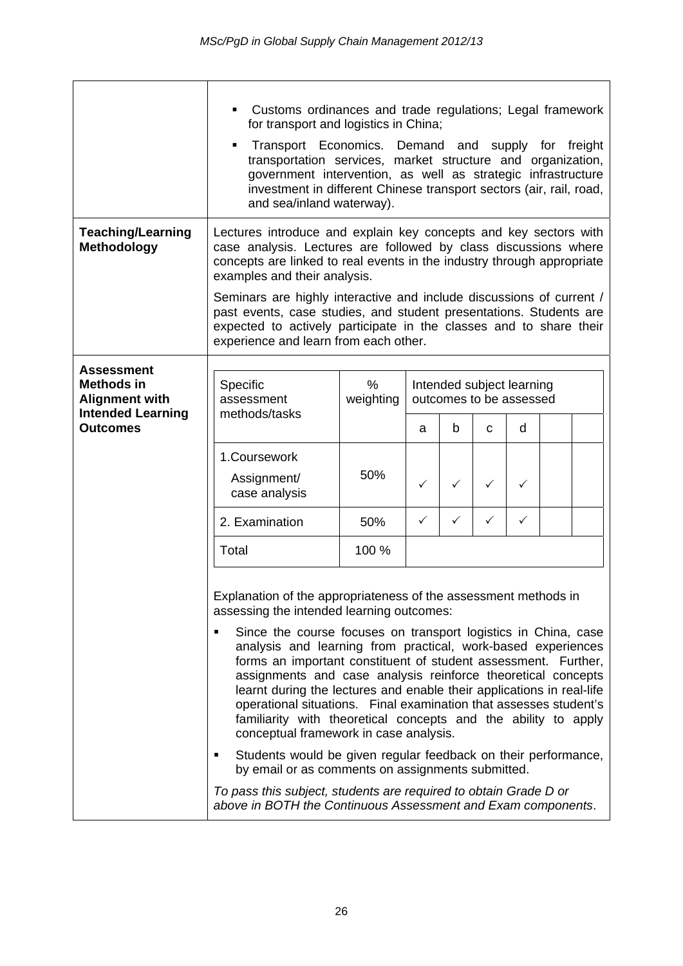|                                                                 | Customs ordinances and trade regulations; Legal framework<br>for transport and logistics in China;<br>Transport Economics. Demand and supply for freight<br>$\blacksquare$<br>transportation services, market structure and organization,<br>government intervention, as well as strategic infrastructure<br>investment in different Chinese transport sectors (air, rail, road,<br>and sea/inland waterway).                                                                                                                                                                                                                                                                                                                                                                                                                                                                                              |                            |                                                      |              |              |              |  |  |
|-----------------------------------------------------------------|------------------------------------------------------------------------------------------------------------------------------------------------------------------------------------------------------------------------------------------------------------------------------------------------------------------------------------------------------------------------------------------------------------------------------------------------------------------------------------------------------------------------------------------------------------------------------------------------------------------------------------------------------------------------------------------------------------------------------------------------------------------------------------------------------------------------------------------------------------------------------------------------------------|----------------------------|------------------------------------------------------|--------------|--------------|--------------|--|--|
| <b>Teaching/Learning</b><br><b>Methodology</b>                  | Lectures introduce and explain key concepts and key sectors with<br>case analysis. Lectures are followed by class discussions where<br>concepts are linked to real events in the industry through appropriate<br>examples and their analysis.<br>Seminars are highly interactive and include discussions of current /<br>past events, case studies, and student presentations. Students are<br>expected to actively participate in the classes and to share their<br>experience and learn from each other.                                                                                                                                                                                                                                                                                                                                                                                                 |                            |                                                      |              |              |              |  |  |
| <b>Assessment</b><br><b>Methods in</b><br><b>Alignment with</b> | Specific<br>assessment                                                                                                                                                                                                                                                                                                                                                                                                                                                                                                                                                                                                                                                                                                                                                                                                                                                                                     | $\frac{0}{0}$<br>weighting | Intended subject learning<br>outcomes to be assessed |              |              |              |  |  |
| <b>Intended Learning</b><br><b>Outcomes</b>                     | methods/tasks                                                                                                                                                                                                                                                                                                                                                                                                                                                                                                                                                                                                                                                                                                                                                                                                                                                                                              |                            | a                                                    | b            | C            | d            |  |  |
|                                                                 | 1.Coursework<br>Assignment/<br>case analysis                                                                                                                                                                                                                                                                                                                                                                                                                                                                                                                                                                                                                                                                                                                                                                                                                                                               | 50%                        | ✓                                                    | $\checkmark$ | $\checkmark$ | $\checkmark$ |  |  |
|                                                                 | 2. Examination                                                                                                                                                                                                                                                                                                                                                                                                                                                                                                                                                                                                                                                                                                                                                                                                                                                                                             | 50%                        | ✓                                                    | $\checkmark$ | $\checkmark$ | ✓            |  |  |
|                                                                 | Total                                                                                                                                                                                                                                                                                                                                                                                                                                                                                                                                                                                                                                                                                                                                                                                                                                                                                                      | 100 %                      |                                                      |              |              |              |  |  |
|                                                                 | Explanation of the appropriateness of the assessment methods in<br>assessing the intended learning outcomes:<br>Since the course focuses on transport logistics in China, case<br>analysis and learning from practical, work-based experiences<br>forms an important constituent of student assessment. Further,<br>assignments and case analysis reinforce theoretical concepts<br>learnt during the lectures and enable their applications in real-life<br>operational situations. Final examination that assesses student's<br>familiarity with theoretical concepts and the ability to apply<br>conceptual framework in case analysis.<br>Students would be given regular feedback on their performance,<br>٠<br>by email or as comments on assignments submitted.<br>To pass this subject, students are required to obtain Grade D or<br>above in BOTH the Continuous Assessment and Exam components. |                            |                                                      |              |              |              |  |  |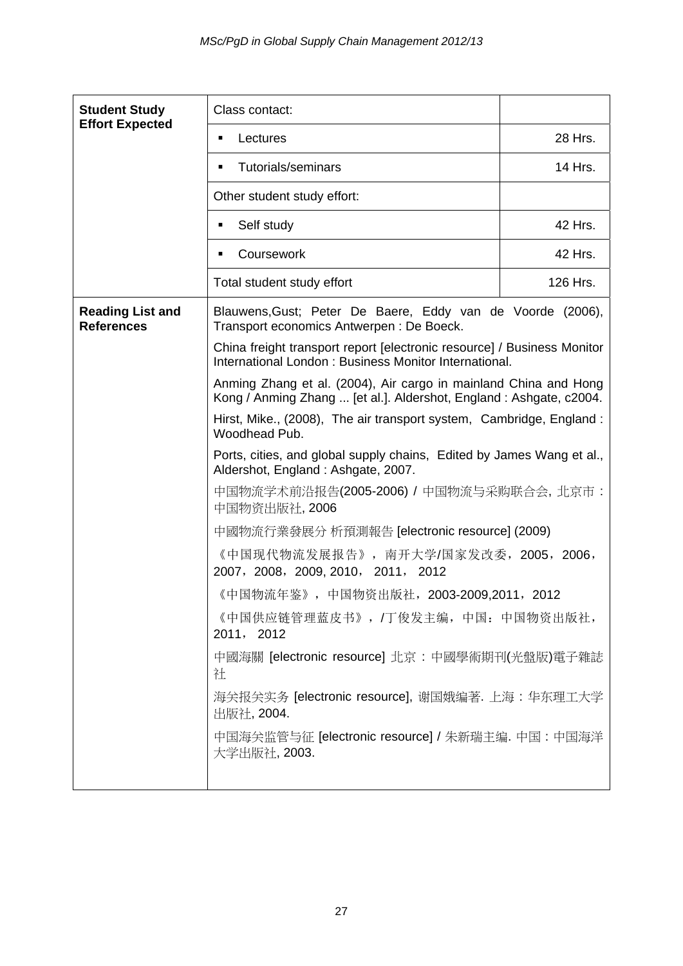| <b>Student Study</b>                         | Class contact:                                                                                                                          |          |  |  |  |  |
|----------------------------------------------|-----------------------------------------------------------------------------------------------------------------------------------------|----------|--|--|--|--|
| <b>Effort Expected</b>                       | Lectures<br>٠                                                                                                                           | 28 Hrs.  |  |  |  |  |
|                                              | <b>Tutorials/seminars</b><br>٠                                                                                                          | 14 Hrs.  |  |  |  |  |
|                                              | Other student study effort:                                                                                                             |          |  |  |  |  |
|                                              | Self study                                                                                                                              | 42 Hrs.  |  |  |  |  |
|                                              | Coursework<br>٠                                                                                                                         | 42 Hrs.  |  |  |  |  |
|                                              | Total student study effort                                                                                                              | 126 Hrs. |  |  |  |  |
| <b>Reading List and</b><br><b>References</b> | Blauwens, Gust; Peter De Baere, Eddy van de Voorde (2006),<br>Transport economics Antwerpen: De Boeck.                                  |          |  |  |  |  |
|                                              | China freight transport report [electronic resource] / Business Monitor<br>International London: Business Monitor International.        |          |  |  |  |  |
|                                              | Anming Zhang et al. (2004), Air cargo in mainland China and Hong<br>Kong / Anming Zhang  [et al.]. Aldershot, England : Ashgate, c2004. |          |  |  |  |  |
|                                              | Hirst, Mike., (2008), The air transport system, Cambridge, England:<br>Woodhead Pub.                                                    |          |  |  |  |  |
|                                              | Ports, cities, and global supply chains, Edited by James Wang et al.,<br>Aldershot, England: Ashgate, 2007.                             |          |  |  |  |  |
|                                              | 中国物流学术前沿报告(2005-2006) / 中国物流与采购联合会,北京市:<br>中国物资出版社, 2006                                                                                |          |  |  |  |  |
|                                              | 中國物流行業發展分 析預測報告 [electronic resource] (2009)                                                                                            |          |  |  |  |  |
|                                              | 《中国现代物流发展报告》, 南开大学/国家发改委, 2005, 2006,<br>2007, 2008, 2009, 2010, 2011, 2012                                                             |          |  |  |  |  |
|                                              | 《中国物流年鉴》,中国物资出版社,2003-2009,2011,2012                                                                                                    |          |  |  |  |  |
|                                              | 《中国供应链管理蓝皮书》, /丁俊发主编, 中国: 中国物资出版社,<br>2011, 2012                                                                                        |          |  |  |  |  |
|                                              | 中國海關 [electronic resource] 北京: 中國學術期刊(光盤版)電子雜誌<br>社                                                                                     |          |  |  |  |  |
|                                              | 海关报关实务 [electronic resource], 谢国娥编著. 上海: 华东理工大学<br>出版社, 2004.                                                                           |          |  |  |  |  |
|                                              | 中国海关监管与征 [electronic resource] / 朱新瑞主编. 中国:中国海洋<br>大学出版社, 2003.                                                                         |          |  |  |  |  |
|                                              |                                                                                                                                         |          |  |  |  |  |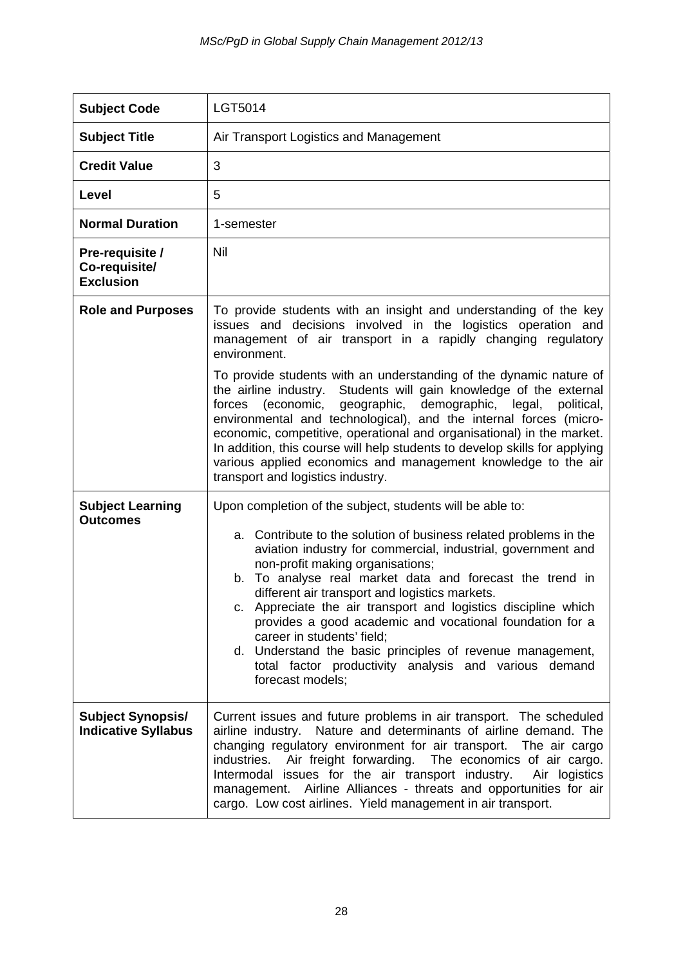| <b>Subject Code</b>                                    | LGT5014                                                                                                                                                                                                                                                                                                                                                                                                                                                                                                                                                                                                                                                |
|--------------------------------------------------------|--------------------------------------------------------------------------------------------------------------------------------------------------------------------------------------------------------------------------------------------------------------------------------------------------------------------------------------------------------------------------------------------------------------------------------------------------------------------------------------------------------------------------------------------------------------------------------------------------------------------------------------------------------|
| <b>Subject Title</b>                                   | Air Transport Logistics and Management                                                                                                                                                                                                                                                                                                                                                                                                                                                                                                                                                                                                                 |
| <b>Credit Value</b>                                    | 3                                                                                                                                                                                                                                                                                                                                                                                                                                                                                                                                                                                                                                                      |
| Level                                                  | 5                                                                                                                                                                                                                                                                                                                                                                                                                                                                                                                                                                                                                                                      |
| <b>Normal Duration</b>                                 | 1-semester                                                                                                                                                                                                                                                                                                                                                                                                                                                                                                                                                                                                                                             |
| Pre-requisite /<br>Co-requisite/<br><b>Exclusion</b>   | Nil                                                                                                                                                                                                                                                                                                                                                                                                                                                                                                                                                                                                                                                    |
| <b>Role and Purposes</b>                               | To provide students with an insight and understanding of the key<br>issues and decisions involved in the logistics operation and<br>management of air transport in a rapidly changing regulatory<br>environment.                                                                                                                                                                                                                                                                                                                                                                                                                                       |
|                                                        | To provide students with an understanding of the dynamic nature of<br>the airline industry. Students will gain knowledge of the external<br>(economic, geographic, demographic, legal,<br>forces<br>political,<br>environmental and technological), and the internal forces (micro-<br>economic, competitive, operational and organisational) in the market.<br>In addition, this course will help students to develop skills for applying<br>various applied economics and management knowledge to the air<br>transport and logistics industry.                                                                                                       |
| <b>Subject Learning</b><br><b>Outcomes</b>             | Upon completion of the subject, students will be able to:<br>a. Contribute to the solution of business related problems in the<br>aviation industry for commercial, industrial, government and<br>non-profit making organisations;<br>b. To analyse real market data and forecast the trend in<br>different air transport and logistics markets.<br>c. Appreciate the air transport and logistics discipline which<br>provides a good academic and vocational foundation for a<br>career in students' field;<br>d. Understand the basic principles of revenue management,<br>total factor productivity analysis and various demand<br>forecast models; |
| <b>Subject Synopsis/</b><br><b>Indicative Syllabus</b> | Current issues and future problems in air transport. The scheduled<br>airline industry. Nature and determinants of airline demand. The<br>changing regulatory environment for air transport. The air cargo<br>Air freight forwarding. The economics of air cargo.<br>industries.<br>Intermodal issues for the air transport industry.<br>Air logistics<br>Airline Alliances - threats and opportunities for air<br>management.<br>cargo. Low cost airlines. Yield management in air transport.                                                                                                                                                         |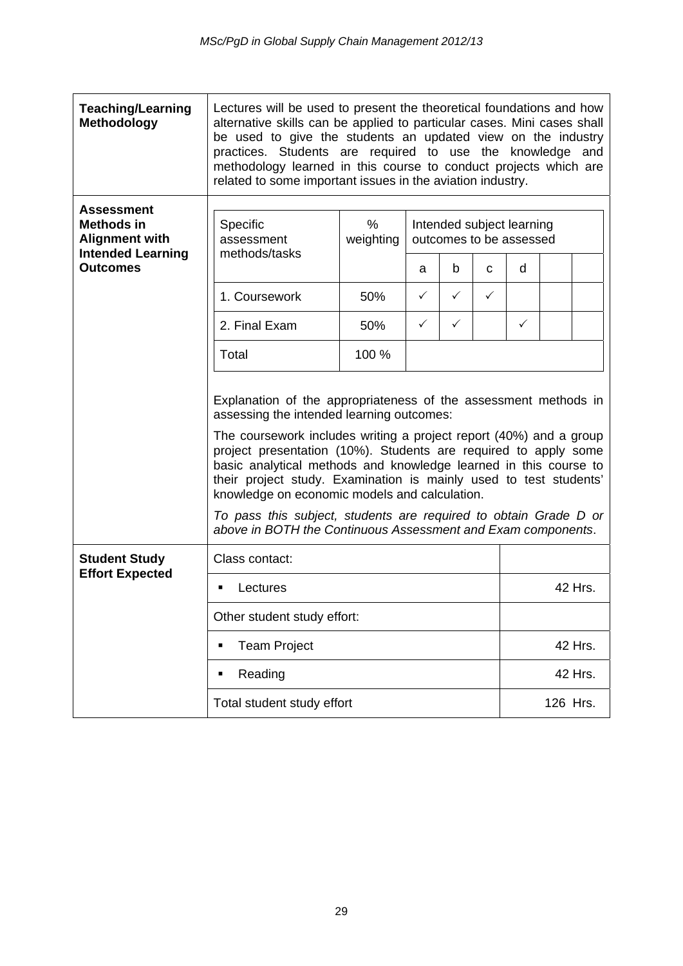| <b>Teaching/Learning</b><br><b>Methodology</b>           | Lectures will be used to present the theoretical foundations and how<br>alternative skills can be applied to particular cases. Mini cases shall<br>be used to give the students an updated view on the industry<br>practices. Students are required to use the knowledge and<br>methodology learned in this course to conduct projects which are<br>related to some important issues in the aviation industry.                                                                                                                                                                      |                |                                                      |              |              |                |         |  |
|----------------------------------------------------------|-------------------------------------------------------------------------------------------------------------------------------------------------------------------------------------------------------------------------------------------------------------------------------------------------------------------------------------------------------------------------------------------------------------------------------------------------------------------------------------------------------------------------------------------------------------------------------------|----------------|------------------------------------------------------|--------------|--------------|----------------|---------|--|
| Assessment<br><b>Methods in</b><br><b>Alignment with</b> | Specific<br>assessment                                                                                                                                                                                                                                                                                                                                                                                                                                                                                                                                                              | %<br>weighting | Intended subject learning<br>outcomes to be assessed |              |              |                |         |  |
| <b>Intended Learning</b><br><b>Outcomes</b>              | methods/tasks                                                                                                                                                                                                                                                                                                                                                                                                                                                                                                                                                                       |                | a                                                    | b            | C            | d              |         |  |
|                                                          | 1. Coursework                                                                                                                                                                                                                                                                                                                                                                                                                                                                                                                                                                       | 50%            | ✓                                                    | $\checkmark$ | $\checkmark$ |                |         |  |
|                                                          | 2. Final Exam                                                                                                                                                                                                                                                                                                                                                                                                                                                                                                                                                                       | 50%            | $\checkmark$                                         | $\checkmark$ |              | $\checkmark$   |         |  |
|                                                          | Total                                                                                                                                                                                                                                                                                                                                                                                                                                                                                                                                                                               | 100 %          |                                                      |              |              |                |         |  |
|                                                          | Explanation of the appropriateness of the assessment methods in<br>assessing the intended learning outcomes:<br>The coursework includes writing a project report (40%) and a group<br>project presentation (10%). Students are required to apply some<br>basic analytical methods and knowledge learned in this course to<br>their project study. Examination is mainly used to test students'<br>knowledge on economic models and calculation.<br>To pass this subject, students are required to obtain Grade D or<br>above in BOTH the Continuous Assessment and Exam components. |                |                                                      |              |              |                |         |  |
| <b>Student Study</b>                                     | Class contact:                                                                                                                                                                                                                                                                                                                                                                                                                                                                                                                                                                      |                |                                                      |              |              |                |         |  |
| <b>Effort Expected</b>                                   | Lectures                                                                                                                                                                                                                                                                                                                                                                                                                                                                                                                                                                            |                |                                                      |              |              | <b>42 Hrs.</b> |         |  |
|                                                          | Other student study effort:                                                                                                                                                                                                                                                                                                                                                                                                                                                                                                                                                         |                |                                                      |              |              |                |         |  |
|                                                          | <b>Team Project</b><br>٠                                                                                                                                                                                                                                                                                                                                                                                                                                                                                                                                                            |                |                                                      |              | 42 Hrs.      |                |         |  |
|                                                          | Reading<br>п                                                                                                                                                                                                                                                                                                                                                                                                                                                                                                                                                                        |                |                                                      |              |              |                | 42 Hrs. |  |
|                                                          | Total student study effort                                                                                                                                                                                                                                                                                                                                                                                                                                                                                                                                                          |                |                                                      | 126 Hrs.     |              |                |         |  |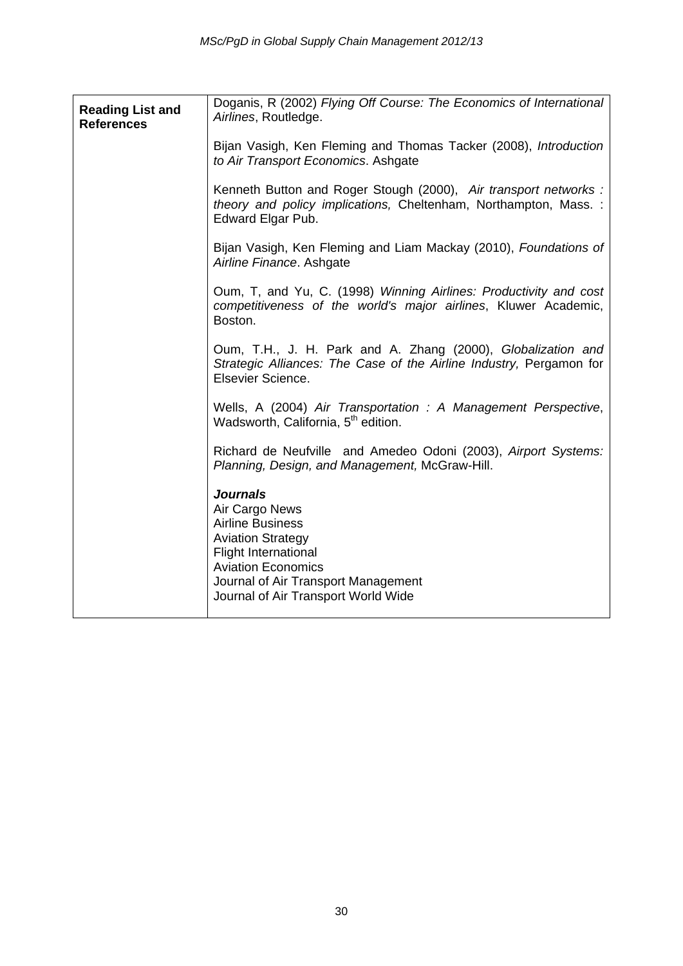| <b>Reading List and</b><br><b>References</b> | Doganis, R (2002) Flying Off Course: The Economics of International<br>Airlines, Routledge.                                                                                                                                        |
|----------------------------------------------|------------------------------------------------------------------------------------------------------------------------------------------------------------------------------------------------------------------------------------|
|                                              | Bijan Vasigh, Ken Fleming and Thomas Tacker (2008), Introduction<br>to Air Transport Economics. Ashgate                                                                                                                            |
|                                              | Kenneth Button and Roger Stough (2000), Air transport networks :<br>theory and policy implications, Cheltenham, Northampton, Mass. :<br>Edward Elgar Pub.                                                                          |
|                                              | Bijan Vasigh, Ken Fleming and Liam Mackay (2010), Foundations of<br>Airline Finance. Ashgate                                                                                                                                       |
|                                              | Oum, T, and Yu, C. (1998) Winning Airlines: Productivity and cost<br>competitiveness of the world's major airlines, Kluwer Academic,<br>Boston.                                                                                    |
|                                              | Oum, T.H., J. H. Park and A. Zhang (2000), Globalization and<br>Strategic Alliances: The Case of the Airline Industry, Pergamon for<br>Elsevier Science.                                                                           |
|                                              | Wells, A (2004) Air Transportation : A Management Perspective,<br>Wadsworth, California, 5 <sup>th</sup> edition.                                                                                                                  |
|                                              | Richard de Neufville and Amedeo Odoni (2003), Airport Systems:<br>Planning, Design, and Management, McGraw-Hill.                                                                                                                   |
|                                              | <b>Journals</b><br>Air Cargo News<br><b>Airline Business</b><br><b>Aviation Strategy</b><br><b>Flight International</b><br><b>Aviation Economics</b><br>Journal of Air Transport Management<br>Journal of Air Transport World Wide |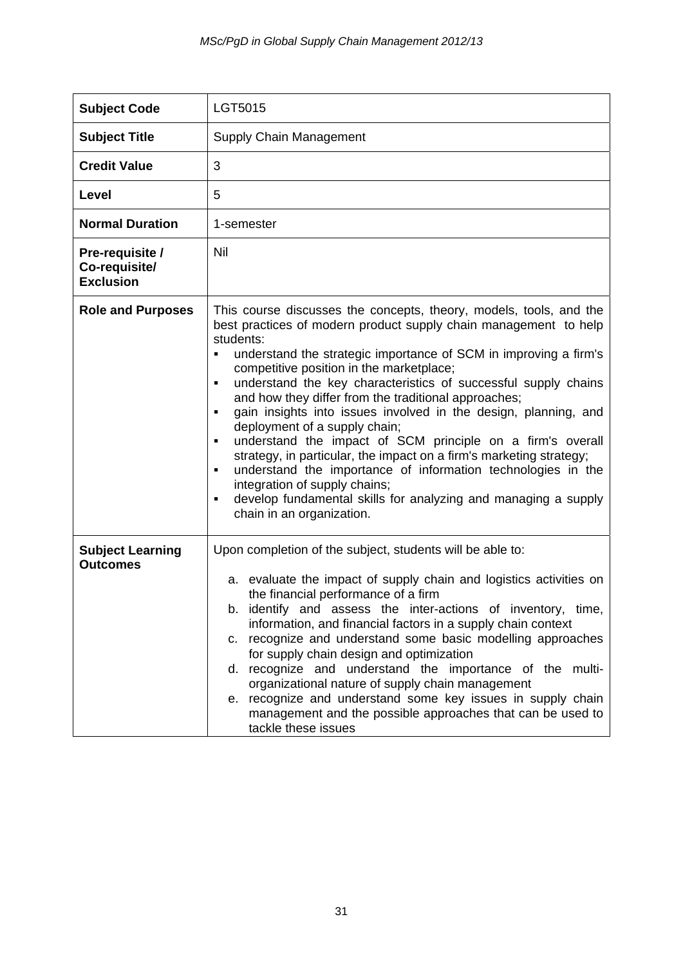| <b>Subject Code</b>                                  | LGT5015                                                                                                                                                                                                                                                                                                                                                                                                                                                                                                                                                                                                                                                                                                                                                                                                                                                                         |
|------------------------------------------------------|---------------------------------------------------------------------------------------------------------------------------------------------------------------------------------------------------------------------------------------------------------------------------------------------------------------------------------------------------------------------------------------------------------------------------------------------------------------------------------------------------------------------------------------------------------------------------------------------------------------------------------------------------------------------------------------------------------------------------------------------------------------------------------------------------------------------------------------------------------------------------------|
| <b>Subject Title</b>                                 | Supply Chain Management                                                                                                                                                                                                                                                                                                                                                                                                                                                                                                                                                                                                                                                                                                                                                                                                                                                         |
| <b>Credit Value</b>                                  | 3                                                                                                                                                                                                                                                                                                                                                                                                                                                                                                                                                                                                                                                                                                                                                                                                                                                                               |
| Level                                                | 5                                                                                                                                                                                                                                                                                                                                                                                                                                                                                                                                                                                                                                                                                                                                                                                                                                                                               |
| <b>Normal Duration</b>                               | 1-semester                                                                                                                                                                                                                                                                                                                                                                                                                                                                                                                                                                                                                                                                                                                                                                                                                                                                      |
| Pre-requisite /<br>Co-requisite/<br><b>Exclusion</b> | Nil                                                                                                                                                                                                                                                                                                                                                                                                                                                                                                                                                                                                                                                                                                                                                                                                                                                                             |
| <b>Role and Purposes</b>                             | This course discusses the concepts, theory, models, tools, and the<br>best practices of modern product supply chain management to help<br>students:<br>understand the strategic importance of SCM in improving a firm's<br>competitive position in the marketplace;<br>understand the key characteristics of successful supply chains<br>$\blacksquare$<br>and how they differ from the traditional approaches;<br>gain insights into issues involved in the design, planning, and<br>$\blacksquare$<br>deployment of a supply chain;<br>understand the impact of SCM principle on a firm's overall<br>٠<br>strategy, in particular, the impact on a firm's marketing strategy;<br>understand the importance of information technologies in the<br>integration of supply chains;<br>develop fundamental skills for analyzing and managing a supply<br>chain in an organization. |
| <b>Subject Learning</b><br><b>Outcomes</b>           | Upon completion of the subject, students will be able to:<br>a. evaluate the impact of supply chain and logistics activities on<br>the financial performance of a firm<br>b. identify and assess the inter-actions of inventory, time,<br>information, and financial factors in a supply chain context<br>recognize and understand some basic modelling approaches<br>C.<br>for supply chain design and optimization<br>d. recognize and understand the importance of the multi-<br>organizational nature of supply chain management<br>recognize and understand some key issues in supply chain<br>е.<br>management and the possible approaches that can be used to<br>tackle these issues                                                                                                                                                                                     |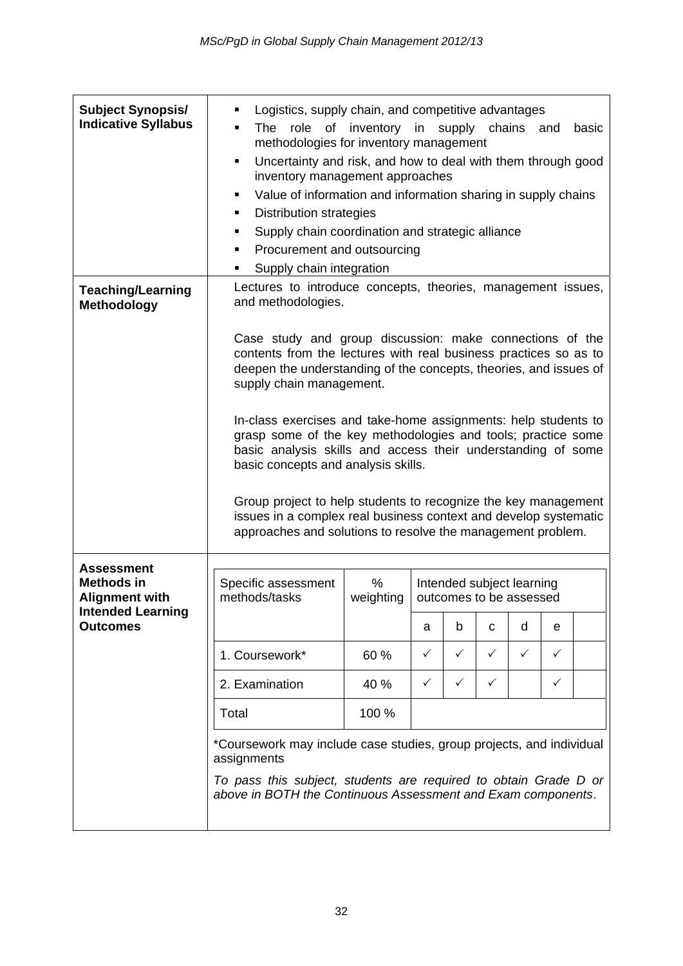| <b>Subject Synopsis/</b><br><b>Indicative Syllabus</b>          | Logistics, supply chain, and competitive advantages<br>role of inventory<br>in supply chains<br>The<br>and<br>basic<br>methodologies for inventory management<br>Uncertainty and risk, and how to deal with them through good<br>inventory management approaches<br>Value of information and information sharing in supply chains<br>п<br><b>Distribution strategies</b><br>٠<br>Supply chain coordination and strategic alliance<br>Procurement and outsourcing<br>п<br>Supply chain integration |                                                                        |              |              |              |              |              |  |  |
|-----------------------------------------------------------------|---------------------------------------------------------------------------------------------------------------------------------------------------------------------------------------------------------------------------------------------------------------------------------------------------------------------------------------------------------------------------------------------------------------------------------------------------------------------------------------------------|------------------------------------------------------------------------|--------------|--------------|--------------|--------------|--------------|--|--|
| <b>Teaching/Learning</b><br><b>Methodology</b>                  | Lectures to introduce concepts, theories, management issues,<br>and methodologies.<br>Case study and group discussion: make connections of the                                                                                                                                                                                                                                                                                                                                                    |                                                                        |              |              |              |              |              |  |  |
|                                                                 | contents from the lectures with real business practices so as to<br>deepen the understanding of the concepts, theories, and issues of<br>supply chain management.                                                                                                                                                                                                                                                                                                                                 |                                                                        |              |              |              |              |              |  |  |
|                                                                 | In-class exercises and take-home assignments: help students to<br>grasp some of the key methodologies and tools; practice some<br>basic analysis skills and access their understanding of some<br>basic concepts and analysis skills.<br>Group project to help students to recognize the key management<br>issues in a complex real business context and develop systematic<br>approaches and solutions to resolve the management problem.                                                        |                                                                        |              |              |              |              |              |  |  |
| <b>Assessment</b><br><b>Methods in</b><br><b>Alignment with</b> | Specific assessment<br>methods/tasks                                                                                                                                                                                                                                                                                                                                                                                                                                                              | %<br>Intended subject learning<br>weighting<br>outcomes to be assessed |              |              |              |              |              |  |  |
| <b>Intended Learning</b><br><b>Outcomes</b>                     |                                                                                                                                                                                                                                                                                                                                                                                                                                                                                                   |                                                                        | а            | b            | C            | d            | e            |  |  |
|                                                                 | 1. Coursework*                                                                                                                                                                                                                                                                                                                                                                                                                                                                                    | 60 %                                                                   | $\checkmark$ | $\checkmark$ | $\checkmark$ | $\checkmark$ | $\checkmark$ |  |  |
|                                                                 | 2. Examination                                                                                                                                                                                                                                                                                                                                                                                                                                                                                    | 40 %                                                                   | $\checkmark$ | $\checkmark$ | $\checkmark$ |              | $\checkmark$ |  |  |
|                                                                 | Total                                                                                                                                                                                                                                                                                                                                                                                                                                                                                             | 100 %                                                                  |              |              |              |              |              |  |  |
|                                                                 | *Coursework may include case studies, group projects, and individual<br>assignments                                                                                                                                                                                                                                                                                                                                                                                                               |                                                                        |              |              |              |              |              |  |  |
|                                                                 | To pass this subject, students are required to obtain Grade D or<br>above in BOTH the Continuous Assessment and Exam components.                                                                                                                                                                                                                                                                                                                                                                  |                                                                        |              |              |              |              |              |  |  |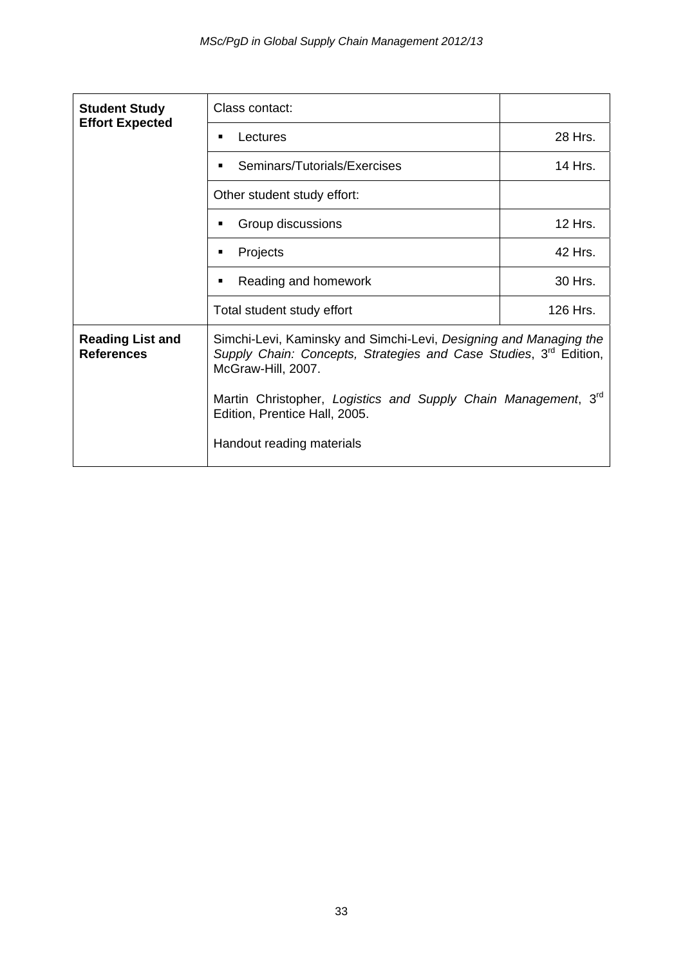| <b>Student Study</b><br><b>Effort Expected</b> | Class contact:                                                                                                                                               |          |  |  |  |  |
|------------------------------------------------|--------------------------------------------------------------------------------------------------------------------------------------------------------------|----------|--|--|--|--|
|                                                | Lectures<br>٠                                                                                                                                                | 28 Hrs.  |  |  |  |  |
|                                                | Seminars/Tutorials/Exercises<br>٠                                                                                                                            |          |  |  |  |  |
|                                                | Other student study effort:                                                                                                                                  |          |  |  |  |  |
|                                                | Group discussions<br>$\blacksquare$                                                                                                                          | 12 Hrs.  |  |  |  |  |
|                                                | Projects<br>٠                                                                                                                                                | 42 Hrs.  |  |  |  |  |
|                                                | Reading and homework<br>٠                                                                                                                                    | 30 Hrs.  |  |  |  |  |
|                                                | Total student study effort                                                                                                                                   | 126 Hrs. |  |  |  |  |
| <b>Reading List and</b><br><b>References</b>   | Simchi-Levi, Kaminsky and Simchi-Levi, Designing and Managing the<br>Supply Chain: Concepts, Strategies and Case Studies, 3rd Edition,<br>McGraw-Hill, 2007. |          |  |  |  |  |
|                                                | Martin Christopher, Logistics and Supply Chain Management, 3 <sup>rd</sup><br>Edition, Prentice Hall, 2005.                                                  |          |  |  |  |  |
|                                                | Handout reading materials                                                                                                                                    |          |  |  |  |  |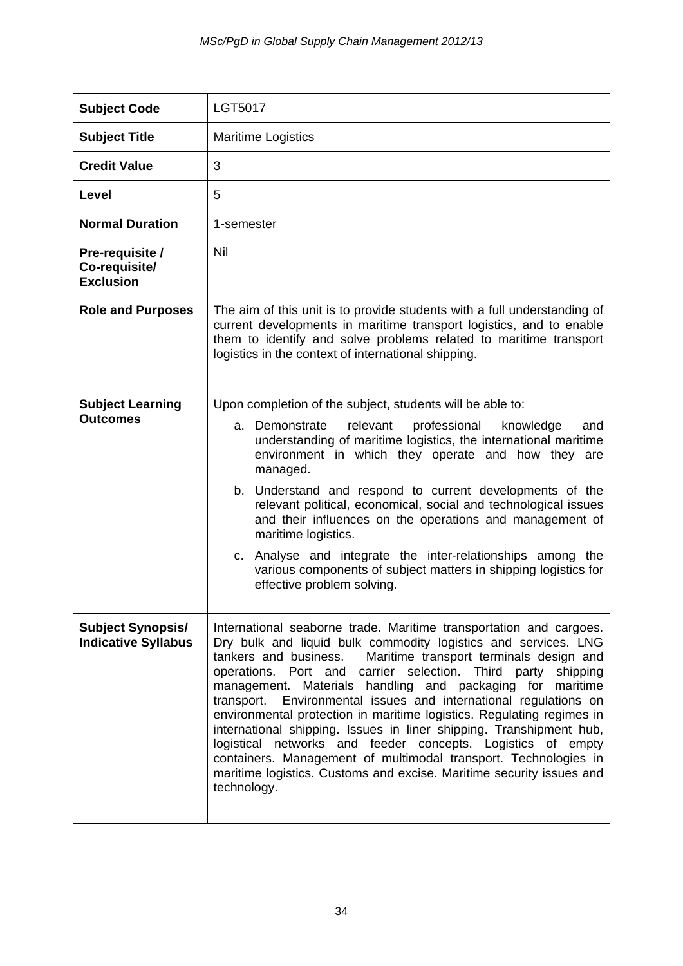| <b>Subject Code</b>                                    | <b>LGT5017</b>                                                                                                                                                                                                                                                                                                                                                                                                                                                                                                                                                                                                                                                                                                                                                                        |
|--------------------------------------------------------|---------------------------------------------------------------------------------------------------------------------------------------------------------------------------------------------------------------------------------------------------------------------------------------------------------------------------------------------------------------------------------------------------------------------------------------------------------------------------------------------------------------------------------------------------------------------------------------------------------------------------------------------------------------------------------------------------------------------------------------------------------------------------------------|
| <b>Subject Title</b>                                   | <b>Maritime Logistics</b>                                                                                                                                                                                                                                                                                                                                                                                                                                                                                                                                                                                                                                                                                                                                                             |
| <b>Credit Value</b>                                    | 3                                                                                                                                                                                                                                                                                                                                                                                                                                                                                                                                                                                                                                                                                                                                                                                     |
| Level                                                  | 5                                                                                                                                                                                                                                                                                                                                                                                                                                                                                                                                                                                                                                                                                                                                                                                     |
| <b>Normal Duration</b>                                 | 1-semester                                                                                                                                                                                                                                                                                                                                                                                                                                                                                                                                                                                                                                                                                                                                                                            |
| Pre-requisite /<br>Co-requisite/<br><b>Exclusion</b>   | Nil                                                                                                                                                                                                                                                                                                                                                                                                                                                                                                                                                                                                                                                                                                                                                                                   |
| <b>Role and Purposes</b>                               | The aim of this unit is to provide students with a full understanding of<br>current developments in maritime transport logistics, and to enable<br>them to identify and solve problems related to maritime transport<br>logistics in the context of international shipping.                                                                                                                                                                                                                                                                                                                                                                                                                                                                                                           |
| <b>Subject Learning</b><br><b>Outcomes</b>             | Upon completion of the subject, students will be able to:<br>relevant<br>professional<br>a. Demonstrate<br>knowledge<br>and<br>understanding of maritime logistics, the international maritime<br>environment in which they operate and how they are<br>managed.<br>b. Understand and respond to current developments of the<br>relevant political, economical, social and technological issues<br>and their influences on the operations and management of<br>maritime logistics.<br>c. Analyse and integrate the inter-relationships among the<br>various components of subject matters in shipping logistics for<br>effective problem solving.                                                                                                                                     |
| <b>Subject Synopsis/</b><br><b>Indicative Syllabus</b> | International seaborne trade. Maritime transportation and cargoes.<br>Dry bulk and liquid bulk commodity logistics and services. LNG<br>tankers and business.<br>Maritime transport terminals design and<br>operations. Port and carrier selection. Third party<br>shipping<br>management. Materials handling and packaging for maritime<br>transport. Environmental issues and international regulations on<br>environmental protection in maritime logistics. Regulating regimes in<br>international shipping. Issues in liner shipping. Transhipment hub,<br>logistical networks and feeder concepts. Logistics of empty<br>containers. Management of multimodal transport. Technologies in<br>maritime logistics. Customs and excise. Maritime security issues and<br>technology. |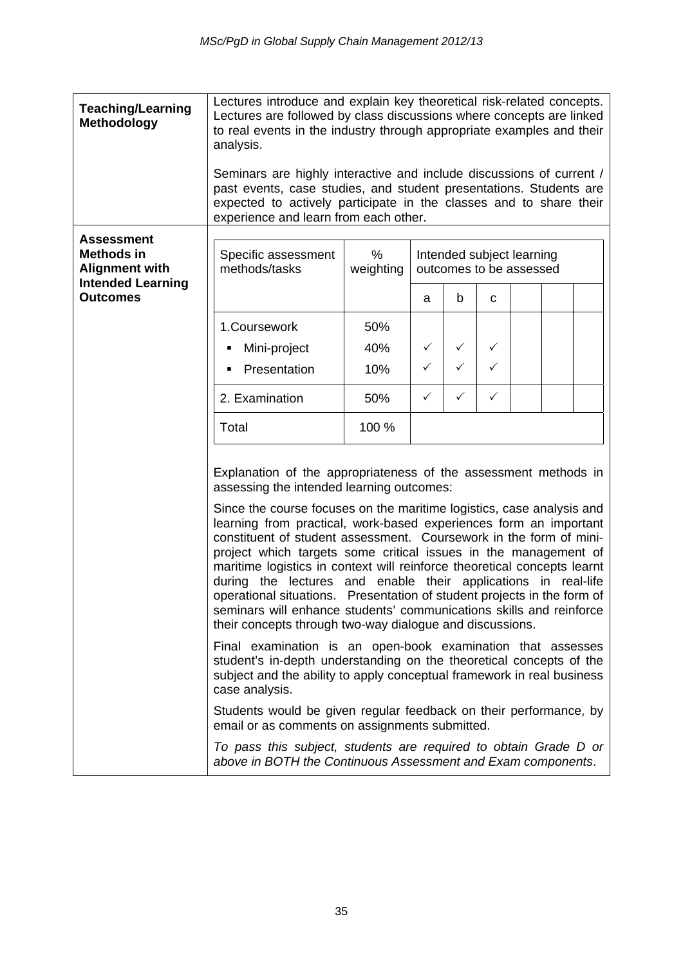| <b>Teaching/Learning</b><br><b>Methodology</b>                                              | Lectures introduce and explain key theoretical risk-related concepts.<br>Lectures are followed by class discussions where concepts are linked<br>to real events in the industry through appropriate examples and their<br>analysis.                                                                                                                                                                                                                                                                                                                                                                                                                                                                                                                             |                   |                                                      |              |              |  |  |  |
|---------------------------------------------------------------------------------------------|-----------------------------------------------------------------------------------------------------------------------------------------------------------------------------------------------------------------------------------------------------------------------------------------------------------------------------------------------------------------------------------------------------------------------------------------------------------------------------------------------------------------------------------------------------------------------------------------------------------------------------------------------------------------------------------------------------------------------------------------------------------------|-------------------|------------------------------------------------------|--------------|--------------|--|--|--|
|                                                                                             | Seminars are highly interactive and include discussions of current /<br>past events, case studies, and student presentations. Students are<br>expected to actively participate in the classes and to share their<br>experience and learn from each other.                                                                                                                                                                                                                                                                                                                                                                                                                                                                                                       |                   |                                                      |              |              |  |  |  |
| <b>Assessment</b><br><b>Methods in</b><br><b>Alignment with</b><br><b>Intended Learning</b> | Specific assessment<br>methods/tasks                                                                                                                                                                                                                                                                                                                                                                                                                                                                                                                                                                                                                                                                                                                            | $\%$<br>weighting | Intended subject learning<br>outcomes to be assessed |              |              |  |  |  |
| <b>Outcomes</b>                                                                             |                                                                                                                                                                                                                                                                                                                                                                                                                                                                                                                                                                                                                                                                                                                                                                 |                   | a                                                    | b            | C            |  |  |  |
|                                                                                             | 1.Coursework                                                                                                                                                                                                                                                                                                                                                                                                                                                                                                                                                                                                                                                                                                                                                    | 50%               |                                                      |              |              |  |  |  |
|                                                                                             | Mini-project                                                                                                                                                                                                                                                                                                                                                                                                                                                                                                                                                                                                                                                                                                                                                    | 40%               | $\checkmark$                                         | $\checkmark$ | $\checkmark$ |  |  |  |
|                                                                                             | Presentation                                                                                                                                                                                                                                                                                                                                                                                                                                                                                                                                                                                                                                                                                                                                                    | 10%               | $\checkmark$                                         | $\checkmark$ | $\checkmark$ |  |  |  |
|                                                                                             | 2. Examination                                                                                                                                                                                                                                                                                                                                                                                                                                                                                                                                                                                                                                                                                                                                                  | 50%               | $\checkmark$                                         | $\checkmark$ | $\checkmark$ |  |  |  |
|                                                                                             | Total                                                                                                                                                                                                                                                                                                                                                                                                                                                                                                                                                                                                                                                                                                                                                           | 100 %             |                                                      |              |              |  |  |  |
|                                                                                             | Explanation of the appropriateness of the assessment methods in<br>assessing the intended learning outcomes:<br>Since the course focuses on the maritime logistics, case analysis and<br>learning from practical, work-based experiences form an important<br>constituent of student assessment. Coursework in the form of mini-<br>project which targets some critical issues in the management of<br>maritime logistics in context will reinforce theoretical concepts learnt<br>during the lectures and enable their applications in real-life<br>operational situations. Presentation of student projects in the form of<br>seminars will enhance students' communications skills and reinforce<br>their concepts through two-way dialogue and discussions. |                   |                                                      |              |              |  |  |  |
|                                                                                             | Final examination is an open-book examination that assesses<br>student's in-depth understanding on the theoretical concepts of the<br>subject and the ability to apply conceptual framework in real business<br>case analysis.                                                                                                                                                                                                                                                                                                                                                                                                                                                                                                                                  |                   |                                                      |              |              |  |  |  |
|                                                                                             | Students would be given regular feedback on their performance, by<br>email or as comments on assignments submitted.                                                                                                                                                                                                                                                                                                                                                                                                                                                                                                                                                                                                                                             |                   |                                                      |              |              |  |  |  |
|                                                                                             | To pass this subject, students are required to obtain Grade D or<br>above in BOTH the Continuous Assessment and Exam components.                                                                                                                                                                                                                                                                                                                                                                                                                                                                                                                                                                                                                                |                   |                                                      |              |              |  |  |  |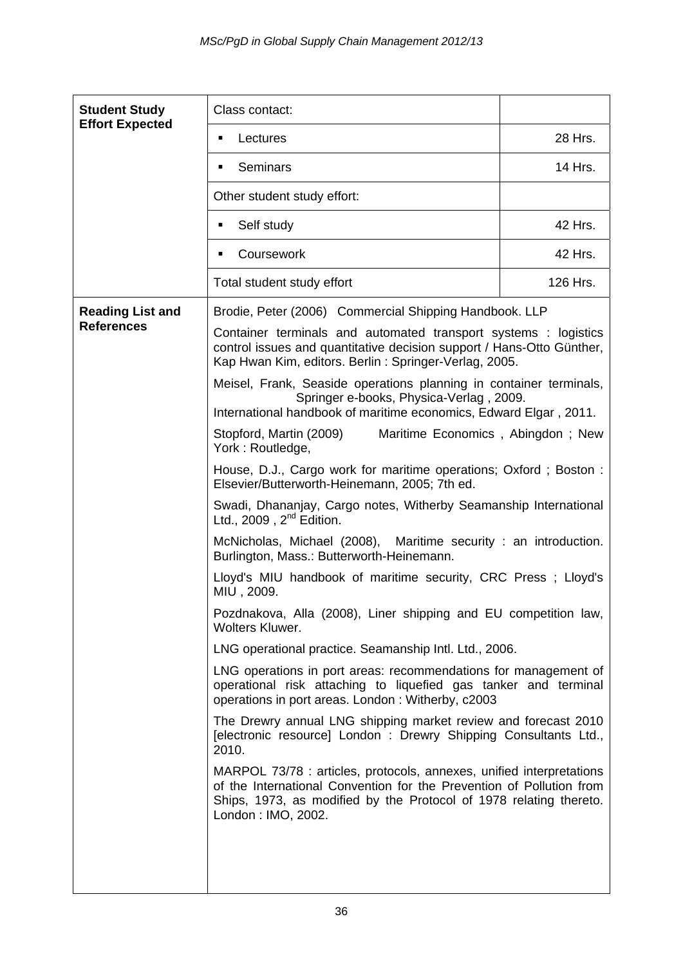| <b>Student Study</b>    | Class contact:                                                                                                                                                                                                                           |          |  |  |  |
|-------------------------|------------------------------------------------------------------------------------------------------------------------------------------------------------------------------------------------------------------------------------------|----------|--|--|--|
| <b>Effort Expected</b>  | Lectures<br>٠                                                                                                                                                                                                                            | 28 Hrs.  |  |  |  |
|                         | Seminars<br>٠                                                                                                                                                                                                                            | 14 Hrs.  |  |  |  |
|                         | Other student study effort:                                                                                                                                                                                                              |          |  |  |  |
|                         | Self study<br>٠                                                                                                                                                                                                                          | 42 Hrs.  |  |  |  |
|                         | Coursework<br>٠                                                                                                                                                                                                                          | 42 Hrs.  |  |  |  |
|                         | Total student study effort                                                                                                                                                                                                               | 126 Hrs. |  |  |  |
| <b>Reading List and</b> | Brodie, Peter (2006) Commercial Shipping Handbook. LLP                                                                                                                                                                                   |          |  |  |  |
| <b>References</b>       | Container terminals and automated transport systems : logistics<br>control issues and quantitative decision support / Hans-Otto Günther,<br>Kap Hwan Kim, editors. Berlin: Springer-Verlag, 2005.                                        |          |  |  |  |
|                         | Meisel, Frank, Seaside operations planning in container terminals,<br>Springer e-books, Physica-Verlag, 2009.<br>International handbook of maritime economics, Edward Elgar, 2011.                                                       |          |  |  |  |
|                         | Stopford, Martin (2009)<br>Maritime Economics, Abingdon; New<br>York: Routledge,                                                                                                                                                         |          |  |  |  |
|                         | House, D.J., Cargo work for maritime operations; Oxford; Boston:<br>Elsevier/Butterworth-Heinemann, 2005; 7th ed.                                                                                                                        |          |  |  |  |
|                         | Swadi, Dhananjay, Cargo notes, Witherby Seamanship International<br>Ltd., 2009, $2^{nd}$ Edition.                                                                                                                                        |          |  |  |  |
|                         | McNicholas, Michael (2008), Maritime security : an introduction.<br>Burlington, Mass.: Butterworth-Heinemann.                                                                                                                            |          |  |  |  |
|                         | Lloyd's MIU handbook of maritime security, CRC Press; Lloyd's<br>MIU, 2009.                                                                                                                                                              |          |  |  |  |
|                         | Pozdnakova, Alla (2008), Liner shipping and EU competition law,<br><b>Wolters Kluwer.</b>                                                                                                                                                |          |  |  |  |
|                         | LNG operational practice. Seamanship Intl. Ltd., 2006.                                                                                                                                                                                   |          |  |  |  |
|                         | LNG operations in port areas: recommendations for management of<br>operational risk attaching to liquefied gas tanker and terminal<br>operations in port areas. London: Witherby, c2003                                                  |          |  |  |  |
|                         | The Drewry annual LNG shipping market review and forecast 2010<br>[electronic resource] London : Drewry Shipping Consultants Ltd.,<br>2010.                                                                                              |          |  |  |  |
|                         | MARPOL 73/78 : articles, protocols, annexes, unified interpretations<br>of the International Convention for the Prevention of Pollution from<br>Ships, 1973, as modified by the Protocol of 1978 relating thereto.<br>London: IMO, 2002. |          |  |  |  |
|                         |                                                                                                                                                                                                                                          |          |  |  |  |
|                         |                                                                                                                                                                                                                                          |          |  |  |  |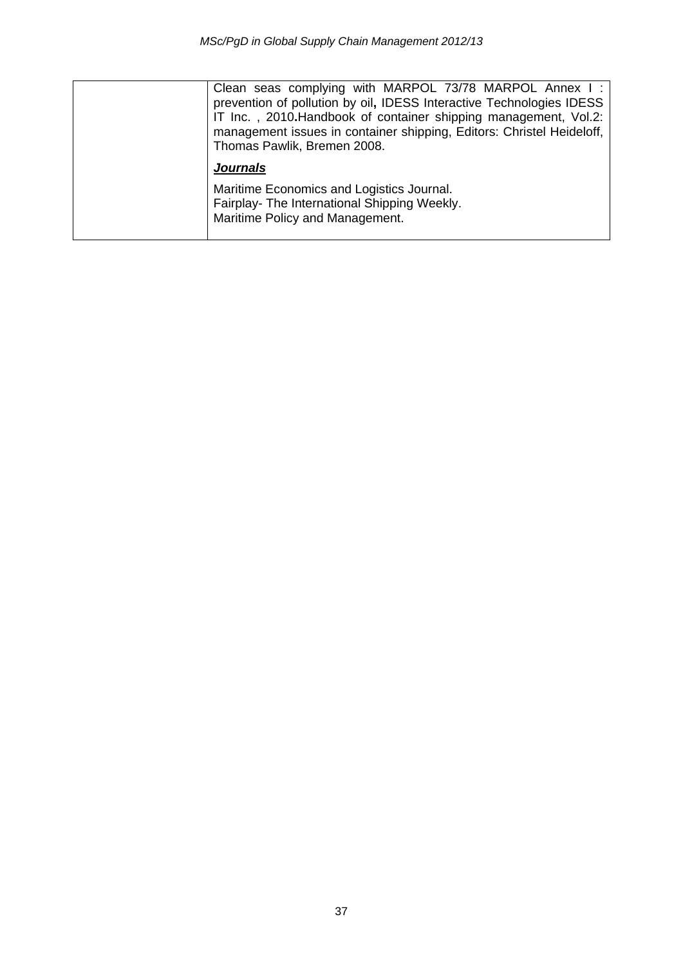| Clean seas complying with MARPOL 73/78 MARPOL Annex I:<br>prevention of pollution by oil, IDESS Interactive Technologies IDESS<br>IT Inc., 2010. Handbook of container shipping management, Vol.2:<br>management issues in container shipping, Editors: Christel Heideloff,<br>Thomas Pawlik, Bremen 2008. |
|------------------------------------------------------------------------------------------------------------------------------------------------------------------------------------------------------------------------------------------------------------------------------------------------------------|
| <b>Journals</b>                                                                                                                                                                                                                                                                                            |
| Maritime Economics and Logistics Journal.<br>Fairplay- The International Shipping Weekly.<br>Maritime Policy and Management.                                                                                                                                                                               |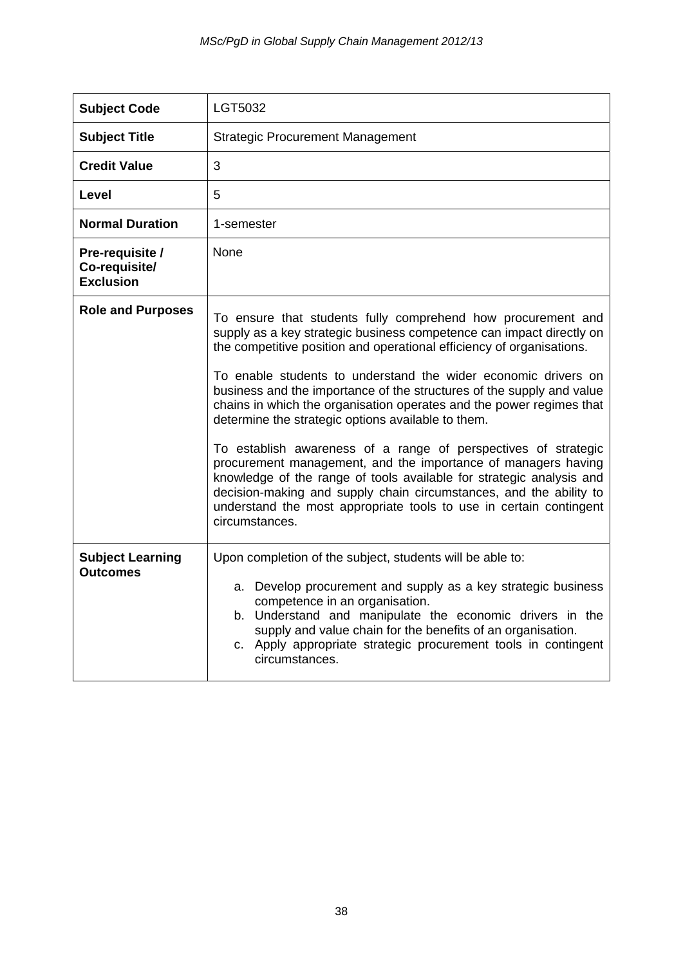| <b>Subject Code</b>                                  | LGT5032                                                                                                                                                                                                                                                                                                                                                                     |
|------------------------------------------------------|-----------------------------------------------------------------------------------------------------------------------------------------------------------------------------------------------------------------------------------------------------------------------------------------------------------------------------------------------------------------------------|
| <b>Subject Title</b>                                 | <b>Strategic Procurement Management</b>                                                                                                                                                                                                                                                                                                                                     |
| <b>Credit Value</b>                                  | 3                                                                                                                                                                                                                                                                                                                                                                           |
| <b>Level</b>                                         | 5                                                                                                                                                                                                                                                                                                                                                                           |
| <b>Normal Duration</b>                               | 1-semester                                                                                                                                                                                                                                                                                                                                                                  |
| Pre-requisite /<br>Co-requisite/<br><b>Exclusion</b> | None                                                                                                                                                                                                                                                                                                                                                                        |
| <b>Role and Purposes</b>                             | To ensure that students fully comprehend how procurement and<br>supply as a key strategic business competence can impact directly on<br>the competitive position and operational efficiency of organisations.                                                                                                                                                               |
|                                                      | To enable students to understand the wider economic drivers on<br>business and the importance of the structures of the supply and value<br>chains in which the organisation operates and the power regimes that<br>determine the strategic options available to them.                                                                                                       |
|                                                      | To establish awareness of a range of perspectives of strategic<br>procurement management, and the importance of managers having<br>knowledge of the range of tools available for strategic analysis and<br>decision-making and supply chain circumstances, and the ability to<br>understand the most appropriate tools to use in certain contingent<br>circumstances.       |
| <b>Subject Learning</b><br><b>Outcomes</b>           | Upon completion of the subject, students will be able to:<br>a. Develop procurement and supply as a key strategic business<br>competence in an organisation.<br>b. Understand and manipulate the economic drivers in the<br>supply and value chain for the benefits of an organisation.<br>c. Apply appropriate strategic procurement tools in contingent<br>circumstances. |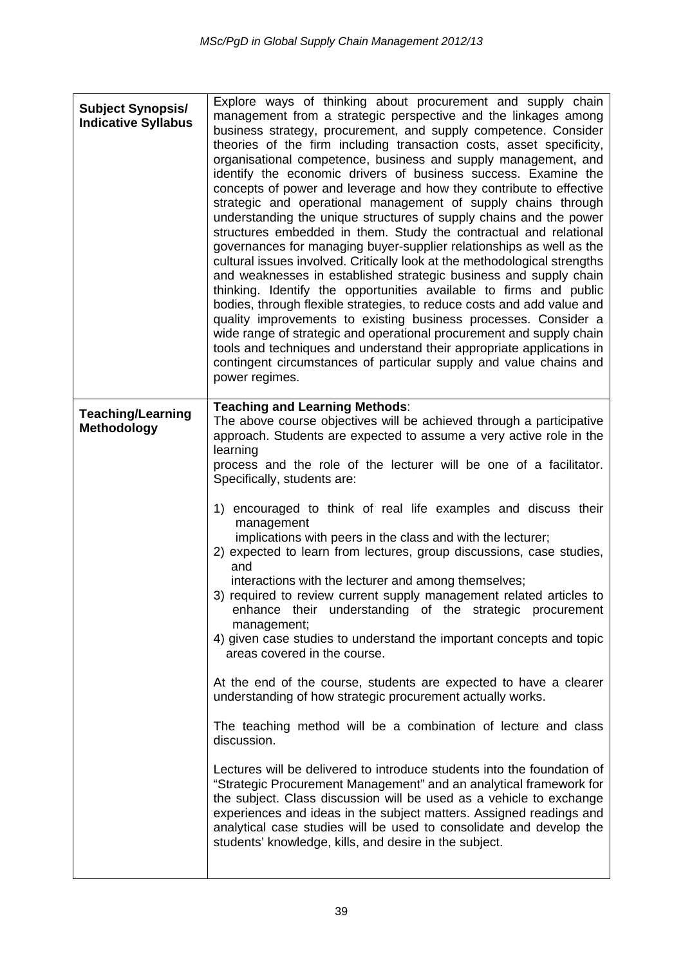| <b>Subject Synopsis/</b><br><b>Indicative Syllabus</b> | Explore ways of thinking about procurement and supply chain<br>management from a strategic perspective and the linkages among<br>business strategy, procurement, and supply competence. Consider<br>theories of the firm including transaction costs, asset specificity,<br>organisational competence, business and supply management, and<br>identify the economic drivers of business success. Examine the<br>concepts of power and leverage and how they contribute to effective<br>strategic and operational management of supply chains through<br>understanding the unique structures of supply chains and the power<br>structures embedded in them. Study the contractual and relational<br>governances for managing buyer-supplier relationships as well as the<br>cultural issues involved. Critically look at the methodological strengths<br>and weaknesses in established strategic business and supply chain<br>thinking. Identify the opportunities available to firms and public<br>bodies, through flexible strategies, to reduce costs and add value and<br>quality improvements to existing business processes. Consider a<br>wide range of strategic and operational procurement and supply chain<br>tools and techniques and understand their appropriate applications in<br>contingent circumstances of particular supply and value chains and<br>power regimes. |
|--------------------------------------------------------|---------------------------------------------------------------------------------------------------------------------------------------------------------------------------------------------------------------------------------------------------------------------------------------------------------------------------------------------------------------------------------------------------------------------------------------------------------------------------------------------------------------------------------------------------------------------------------------------------------------------------------------------------------------------------------------------------------------------------------------------------------------------------------------------------------------------------------------------------------------------------------------------------------------------------------------------------------------------------------------------------------------------------------------------------------------------------------------------------------------------------------------------------------------------------------------------------------------------------------------------------------------------------------------------------------------------------------------------------------------------------------------|
| <b>Teaching/Learning</b><br><b>Methodology</b>         | <b>Teaching and Learning Methods:</b><br>The above course objectives will be achieved through a participative<br>approach. Students are expected to assume a very active role in the<br>learning<br>process and the role of the lecturer will be one of a facilitator.<br>Specifically, students are:<br>1) encouraged to think of real life examples and discuss their<br>management<br>implications with peers in the class and with the lecturer;<br>2) expected to learn from lectures, group discussions, case studies,<br>and<br>interactions with the lecturer and among themselves;<br>3) required to review current supply management related articles to<br>enhance their understanding of the strategic procurement<br>management;<br>4) given case studies to understand the important concepts and topic<br>areas covered in the course.<br>At the end of the course, students are expected to have a clearer<br>understanding of how strategic procurement actually works.                                                                                                                                                                                                                                                                                                                                                                                              |
|                                                        | The teaching method will be a combination of lecture and class<br>discussion.<br>Lectures will be delivered to introduce students into the foundation of<br>"Strategic Procurement Management" and an analytical framework for<br>the subject. Class discussion will be used as a vehicle to exchange<br>experiences and ideas in the subject matters. Assigned readings and<br>analytical case studies will be used to consolidate and develop the<br>students' knowledge, kills, and desire in the subject.                                                                                                                                                                                                                                                                                                                                                                                                                                                                                                                                                                                                                                                                                                                                                                                                                                                                         |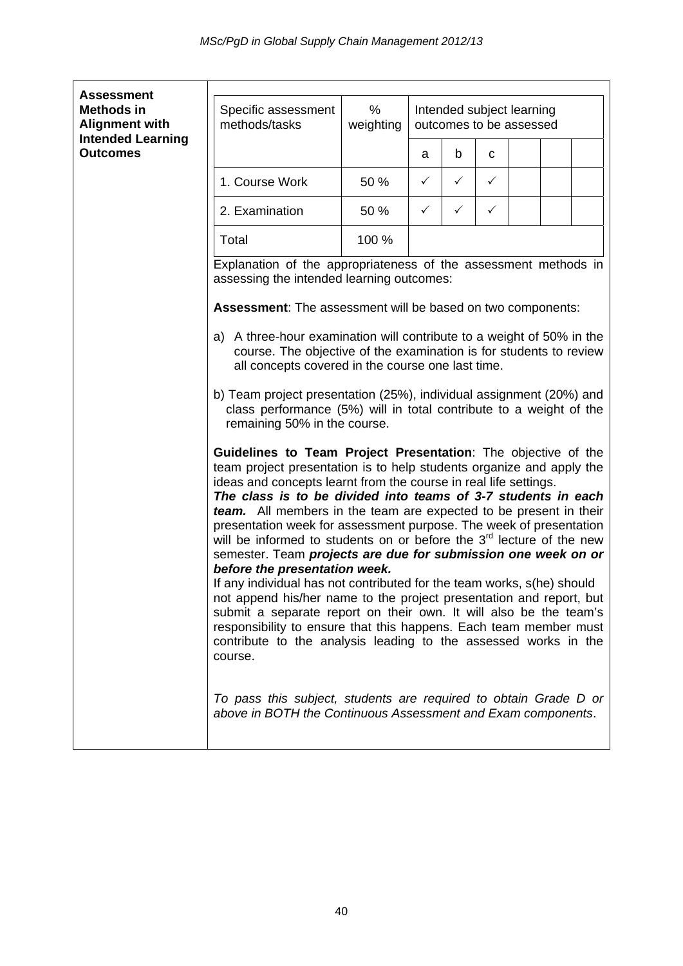| <b>Assessment</b>                                                                                                                                                                                |                                                                                                                                                                           |                                                                                                                                                                                                                                                                                                                                                                                                                                                                                                                                                                                                                                                                                                                                                                                                                                                                                                                                                                           |              |              |              |  |  |  |  |  |
|--------------------------------------------------------------------------------------------------------------------------------------------------------------------------------------------------|---------------------------------------------------------------------------------------------------------------------------------------------------------------------------|---------------------------------------------------------------------------------------------------------------------------------------------------------------------------------------------------------------------------------------------------------------------------------------------------------------------------------------------------------------------------------------------------------------------------------------------------------------------------------------------------------------------------------------------------------------------------------------------------------------------------------------------------------------------------------------------------------------------------------------------------------------------------------------------------------------------------------------------------------------------------------------------------------------------------------------------------------------------------|--------------|--------------|--------------|--|--|--|--|--|
| <b>Methods in</b><br><b>Alignment with</b><br><b>Intended Learning</b>                                                                                                                           | Specific assessment<br>methods/tasks                                                                                                                                      | $\%$<br>Intended subject learning<br>weighting<br>outcomes to be assessed                                                                                                                                                                                                                                                                                                                                                                                                                                                                                                                                                                                                                                                                                                                                                                                                                                                                                                 |              |              |              |  |  |  |  |  |
| <b>Outcomes</b>                                                                                                                                                                                  |                                                                                                                                                                           |                                                                                                                                                                                                                                                                                                                                                                                                                                                                                                                                                                                                                                                                                                                                                                                                                                                                                                                                                                           | a            | b            | C            |  |  |  |  |  |
|                                                                                                                                                                                                  | 1. Course Work                                                                                                                                                            | 50 %                                                                                                                                                                                                                                                                                                                                                                                                                                                                                                                                                                                                                                                                                                                                                                                                                                                                                                                                                                      | $\checkmark$ | ✓            | $\checkmark$ |  |  |  |  |  |
|                                                                                                                                                                                                  | 2. Examination                                                                                                                                                            | 50 %                                                                                                                                                                                                                                                                                                                                                                                                                                                                                                                                                                                                                                                                                                                                                                                                                                                                                                                                                                      | $\checkmark$ | $\checkmark$ | $\checkmark$ |  |  |  |  |  |
|                                                                                                                                                                                                  | Total                                                                                                                                                                     | 100 %                                                                                                                                                                                                                                                                                                                                                                                                                                                                                                                                                                                                                                                                                                                                                                                                                                                                                                                                                                     |              |              |              |  |  |  |  |  |
|                                                                                                                                                                                                  | Explanation of the appropriateness of the assessment methods in<br>assessing the intended learning outcomes:                                                              |                                                                                                                                                                                                                                                                                                                                                                                                                                                                                                                                                                                                                                                                                                                                                                                                                                                                                                                                                                           |              |              |              |  |  |  |  |  |
|                                                                                                                                                                                                  | <b>Assessment:</b> The assessment will be based on two components:                                                                                                        |                                                                                                                                                                                                                                                                                                                                                                                                                                                                                                                                                                                                                                                                                                                                                                                                                                                                                                                                                                           |              |              |              |  |  |  |  |  |
| a) A three-hour examination will contribute to a weight of 50% in the<br>course. The objective of the examination is for students to review<br>all concepts covered in the course one last time. |                                                                                                                                                                           |                                                                                                                                                                                                                                                                                                                                                                                                                                                                                                                                                                                                                                                                                                                                                                                                                                                                                                                                                                           |              |              |              |  |  |  |  |  |
|                                                                                                                                                                                                  | b) Team project presentation (25%), individual assignment (20%) and<br>class performance (5%) will in total contribute to a weight of the<br>remaining 50% in the course. |                                                                                                                                                                                                                                                                                                                                                                                                                                                                                                                                                                                                                                                                                                                                                                                                                                                                                                                                                                           |              |              |              |  |  |  |  |  |
|                                                                                                                                                                                                  | course.                                                                                                                                                                   | Guidelines to Team Project Presentation: The objective of the<br>team project presentation is to help students organize and apply the<br>ideas and concepts learnt from the course in real life settings.<br>The class is to be divided into teams of 3-7 students in each<br>team. All members in the team are expected to be present in their<br>presentation week for assessment purpose. The week of presentation<br>will be informed to students on or before the 3 <sup>rd</sup> lecture of the new<br>semester. Team projects are due for submission one week on or<br>before the presentation week.<br>If any individual has not contributed for the team works, s(he) should<br>not append his/her name to the project presentation and report, but<br>submit a separate report on their own. It will also be the team's<br>responsibility to ensure that this happens. Each team member must<br>contribute to the analysis leading to the assessed works in the |              |              |              |  |  |  |  |  |
|                                                                                                                                                                                                  | To pass this subject, students are required to obtain Grade D or<br>above in BOTH the Continuous Assessment and Exam components.                                          |                                                                                                                                                                                                                                                                                                                                                                                                                                                                                                                                                                                                                                                                                                                                                                                                                                                                                                                                                                           |              |              |              |  |  |  |  |  |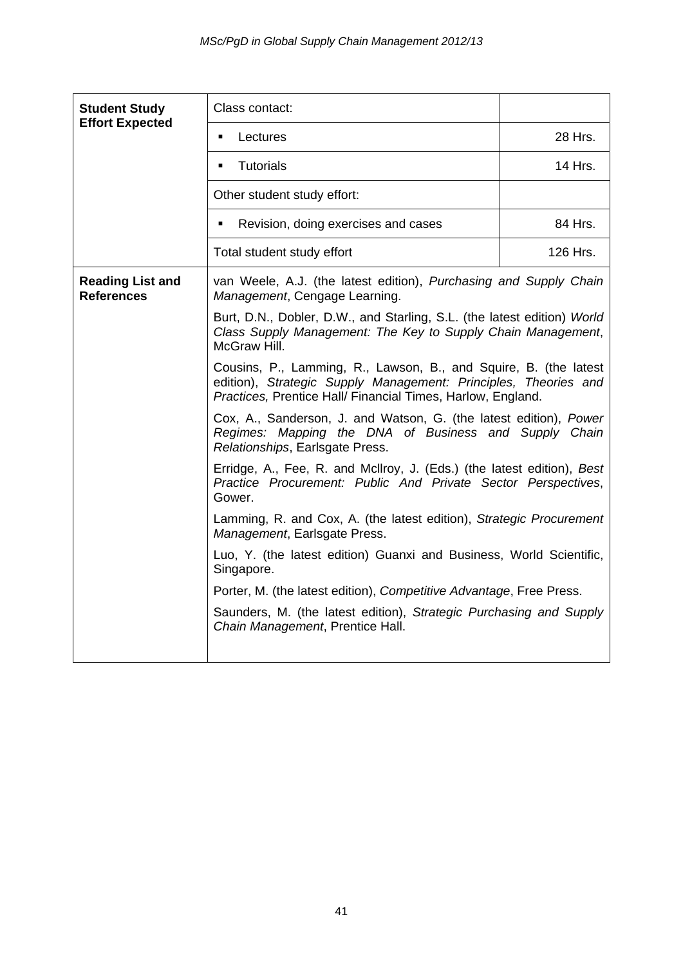| <b>Student Study</b>                         | Class contact:                                                                                                                                                                                     |          |  |  |  |  |
|----------------------------------------------|----------------------------------------------------------------------------------------------------------------------------------------------------------------------------------------------------|----------|--|--|--|--|
| <b>Effort Expected</b>                       | Lectures<br>٠                                                                                                                                                                                      | 28 Hrs.  |  |  |  |  |
|                                              | <b>Tutorials</b><br>п                                                                                                                                                                              | 14 Hrs.  |  |  |  |  |
|                                              | Other student study effort:                                                                                                                                                                        |          |  |  |  |  |
|                                              | Revision, doing exercises and cases                                                                                                                                                                | 84 Hrs.  |  |  |  |  |
|                                              | Total student study effort                                                                                                                                                                         | 126 Hrs. |  |  |  |  |
| <b>Reading List and</b><br><b>References</b> | van Weele, A.J. (the latest edition), Purchasing and Supply Chain<br>Management, Cengage Learning.                                                                                                 |          |  |  |  |  |
|                                              | Burt, D.N., Dobler, D.W., and Starling, S.L. (the latest edition) World<br>Class Supply Management: The Key to Supply Chain Management,<br>McGraw Hill.                                            |          |  |  |  |  |
|                                              | Cousins, P., Lamming, R., Lawson, B., and Squire, B. (the latest<br>edition), Strategic Supply Management: Principles, Theories and<br>Practices, Prentice Hall/ Financial Times, Harlow, England. |          |  |  |  |  |
|                                              | Cox, A., Sanderson, J. and Watson, G. (the latest edition), Power<br>Regimes: Mapping the DNA of Business and Supply Chain<br>Relationships, Earlsgate Press.                                      |          |  |  |  |  |
|                                              | Erridge, A., Fee, R. and McIlroy, J. (Eds.) (the latest edition), Best<br>Practice Procurement: Public And Private Sector Perspectives,<br>Gower.                                                  |          |  |  |  |  |
|                                              | Lamming, R. and Cox, A. (the latest edition), Strategic Procurement<br>Management, Earlsgate Press.                                                                                                |          |  |  |  |  |
|                                              | Luo, Y. (the latest edition) Guanxi and Business, World Scientific,<br>Singapore.                                                                                                                  |          |  |  |  |  |
|                                              | Porter, M. (the latest edition), Competitive Advantage, Free Press.                                                                                                                                |          |  |  |  |  |
|                                              | Saunders, M. (the latest edition), Strategic Purchasing and Supply<br>Chain Management, Prentice Hall.                                                                                             |          |  |  |  |  |
|                                              |                                                                                                                                                                                                    |          |  |  |  |  |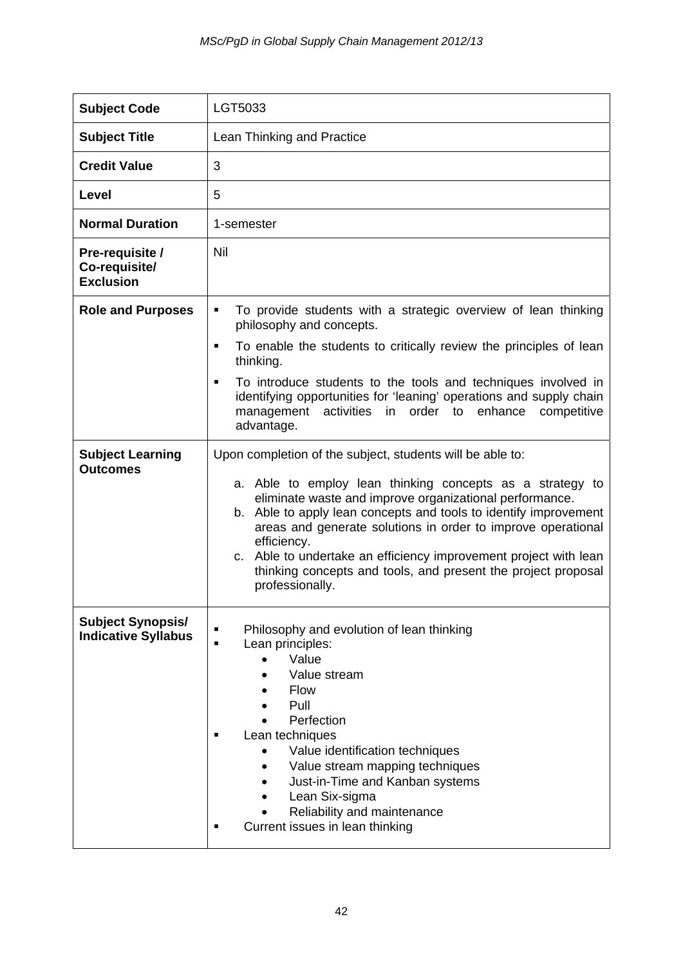| <b>Subject Code</b>                                    | LGT5033                                                                                                                                                                                                                                                                                                                                                                                                                                                                                      |
|--------------------------------------------------------|----------------------------------------------------------------------------------------------------------------------------------------------------------------------------------------------------------------------------------------------------------------------------------------------------------------------------------------------------------------------------------------------------------------------------------------------------------------------------------------------|
| <b>Subject Title</b>                                   | Lean Thinking and Practice                                                                                                                                                                                                                                                                                                                                                                                                                                                                   |
| <b>Credit Value</b>                                    | 3                                                                                                                                                                                                                                                                                                                                                                                                                                                                                            |
| Level                                                  | 5                                                                                                                                                                                                                                                                                                                                                                                                                                                                                            |
| <b>Normal Duration</b>                                 | 1-semester                                                                                                                                                                                                                                                                                                                                                                                                                                                                                   |
| Pre-requisite /<br>Co-requisite/<br><b>Exclusion</b>   | Nil                                                                                                                                                                                                                                                                                                                                                                                                                                                                                          |
| <b>Role and Purposes</b>                               | To provide students with a strategic overview of lean thinking<br>٠<br>philosophy and concepts.                                                                                                                                                                                                                                                                                                                                                                                              |
|                                                        | To enable the students to critically review the principles of lean<br>٠<br>thinking.                                                                                                                                                                                                                                                                                                                                                                                                         |
|                                                        | To introduce students to the tools and techniques involved in<br>٠<br>identifying opportunities for 'leaning' operations and supply chain<br>management<br>order to<br>enhance<br>activities<br>competitive<br>in<br>advantage.                                                                                                                                                                                                                                                              |
| <b>Subject Learning</b><br><b>Outcomes</b>             | Upon completion of the subject, students will be able to:<br>a. Able to employ lean thinking concepts as a strategy to<br>eliminate waste and improve organizational performance.<br>b. Able to apply lean concepts and tools to identify improvement<br>areas and generate solutions in order to improve operational<br>efficiency.<br>c. Able to undertake an efficiency improvement project with lean<br>thinking concepts and tools, and present the project proposal<br>professionally. |
| <b>Subject Synopsis/</b><br><b>Indicative Syllabus</b> | Philosophy and evolution of lean thinking<br>Lean principles:<br>$\blacksquare$<br>Value<br>Value stream<br><b>Flow</b><br>Pull<br>Perfection<br>Lean techniques<br>٠<br>Value identification techniques<br>٠<br>Value stream mapping techniques<br>Just-in-Time and Kanban systems<br>Lean Six-sigma<br>Reliability and maintenance<br>Current issues in lean thinking                                                                                                                      |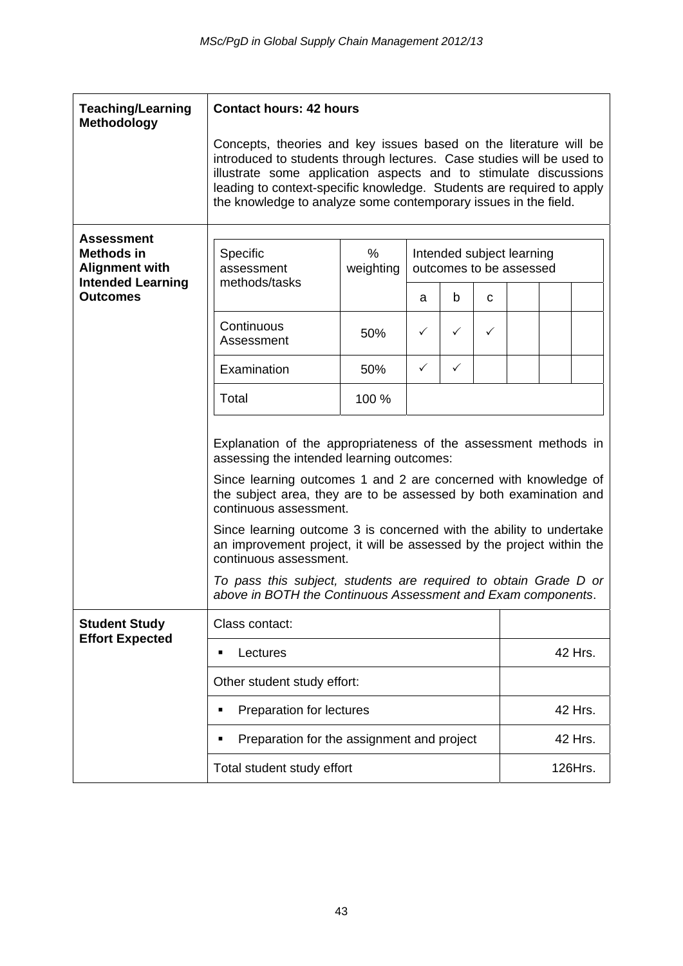| <b>Teaching/Learning</b><br><b>Methodology</b>                  | <b>Contact hours: 42 hours</b>                                                                                                                                                                                                                                                                                                                                                                                                                                                                                                                                                               |                |                                                      |              |   |  |  |         |  |
|-----------------------------------------------------------------|----------------------------------------------------------------------------------------------------------------------------------------------------------------------------------------------------------------------------------------------------------------------------------------------------------------------------------------------------------------------------------------------------------------------------------------------------------------------------------------------------------------------------------------------------------------------------------------------|----------------|------------------------------------------------------|--------------|---|--|--|---------|--|
|                                                                 | Concepts, theories and key issues based on the literature will be<br>introduced to students through lectures. Case studies will be used to<br>illustrate some application aspects and to stimulate discussions<br>leading to context-specific knowledge. Students are required to apply<br>the knowledge to analyze some contemporary issues in the field.                                                                                                                                                                                                                                   |                |                                                      |              |   |  |  |         |  |
| <b>Assessment</b><br><b>Methods in</b><br><b>Alignment with</b> | Specific<br>assessment                                                                                                                                                                                                                                                                                                                                                                                                                                                                                                                                                                       | %<br>weighting | Intended subject learning<br>outcomes to be assessed |              |   |  |  |         |  |
| <b>Intended Learning</b><br><b>Outcomes</b>                     | methods/tasks                                                                                                                                                                                                                                                                                                                                                                                                                                                                                                                                                                                |                | a                                                    | b            | C |  |  |         |  |
|                                                                 | Continuous<br>Assessment                                                                                                                                                                                                                                                                                                                                                                                                                                                                                                                                                                     | 50%            | $\checkmark$                                         | $\checkmark$ | ✓ |  |  |         |  |
|                                                                 | Examination                                                                                                                                                                                                                                                                                                                                                                                                                                                                                                                                                                                  | 50%            | $\checkmark$                                         | $\checkmark$ |   |  |  |         |  |
|                                                                 | Total                                                                                                                                                                                                                                                                                                                                                                                                                                                                                                                                                                                        | 100 %          |                                                      |              |   |  |  |         |  |
|                                                                 | Explanation of the appropriateness of the assessment methods in<br>assessing the intended learning outcomes:<br>Since learning outcomes 1 and 2 are concerned with knowledge of<br>the subject area, they are to be assessed by both examination and<br>continuous assessment.<br>Since learning outcome 3 is concerned with the ability to undertake<br>an improvement project, it will be assessed by the project within the<br>continuous assessment.<br>To pass this subject, students are required to obtain Grade D or<br>above in BOTH the Continuous Assessment and Exam components. |                |                                                      |              |   |  |  |         |  |
| <b>Student Study</b><br><b>Effort Expected</b>                  | Class contact:                                                                                                                                                                                                                                                                                                                                                                                                                                                                                                                                                                               |                |                                                      |              |   |  |  |         |  |
|                                                                 | Lectures<br>$\blacksquare$                                                                                                                                                                                                                                                                                                                                                                                                                                                                                                                                                                   |                |                                                      |              |   |  |  | 42 Hrs. |  |
|                                                                 | Other student study effort:                                                                                                                                                                                                                                                                                                                                                                                                                                                                                                                                                                  |                |                                                      |              |   |  |  |         |  |
|                                                                 | Preparation for lectures<br>٠                                                                                                                                                                                                                                                                                                                                                                                                                                                                                                                                                                |                |                                                      |              |   |  |  | 42 Hrs. |  |
|                                                                 | Preparation for the assignment and project<br>$\blacksquare$                                                                                                                                                                                                                                                                                                                                                                                                                                                                                                                                 |                |                                                      |              |   |  |  | 42 Hrs. |  |
|                                                                 | Total student study effort<br>126Hrs.                                                                                                                                                                                                                                                                                                                                                                                                                                                                                                                                                        |                |                                                      |              |   |  |  |         |  |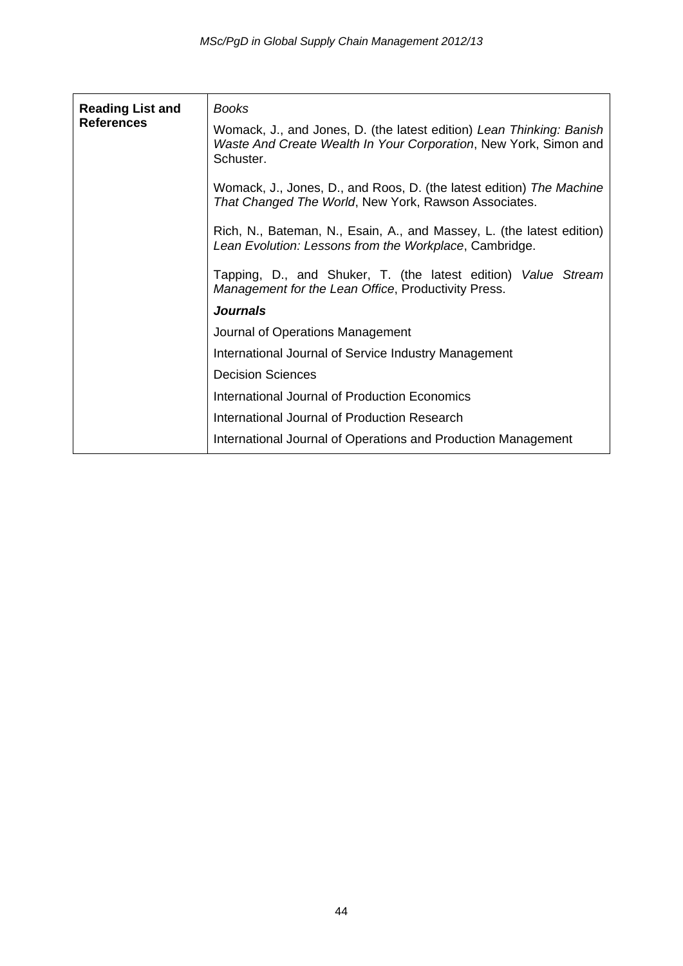| <b>Reading List and</b><br><b>References</b> | <b>Books</b>                                                                                                                                          |  |  |  |  |  |
|----------------------------------------------|-------------------------------------------------------------------------------------------------------------------------------------------------------|--|--|--|--|--|
|                                              | Womack, J., and Jones, D. (the latest edition) Lean Thinking: Banish<br>Waste And Create Wealth In Your Corporation, New York, Simon and<br>Schuster. |  |  |  |  |  |
|                                              | Womack, J., Jones, D., and Roos, D. (the latest edition) The Machine<br>That Changed The World, New York, Rawson Associates.                          |  |  |  |  |  |
|                                              | Rich, N., Bateman, N., Esain, A., and Massey, L. (the latest edition)<br>Lean Evolution: Lessons from the Workplace, Cambridge.                       |  |  |  |  |  |
|                                              | Tapping, D., and Shuker, T. (the latest edition) Value Stream<br>Management for the Lean Office, Productivity Press.                                  |  |  |  |  |  |
|                                              | <b>Journals</b>                                                                                                                                       |  |  |  |  |  |
|                                              | Journal of Operations Management                                                                                                                      |  |  |  |  |  |
|                                              | International Journal of Service Industry Management                                                                                                  |  |  |  |  |  |
|                                              | <b>Decision Sciences</b>                                                                                                                              |  |  |  |  |  |
|                                              | International Journal of Production Economics                                                                                                         |  |  |  |  |  |
|                                              | International Journal of Production Research                                                                                                          |  |  |  |  |  |
|                                              | International Journal of Operations and Production Management                                                                                         |  |  |  |  |  |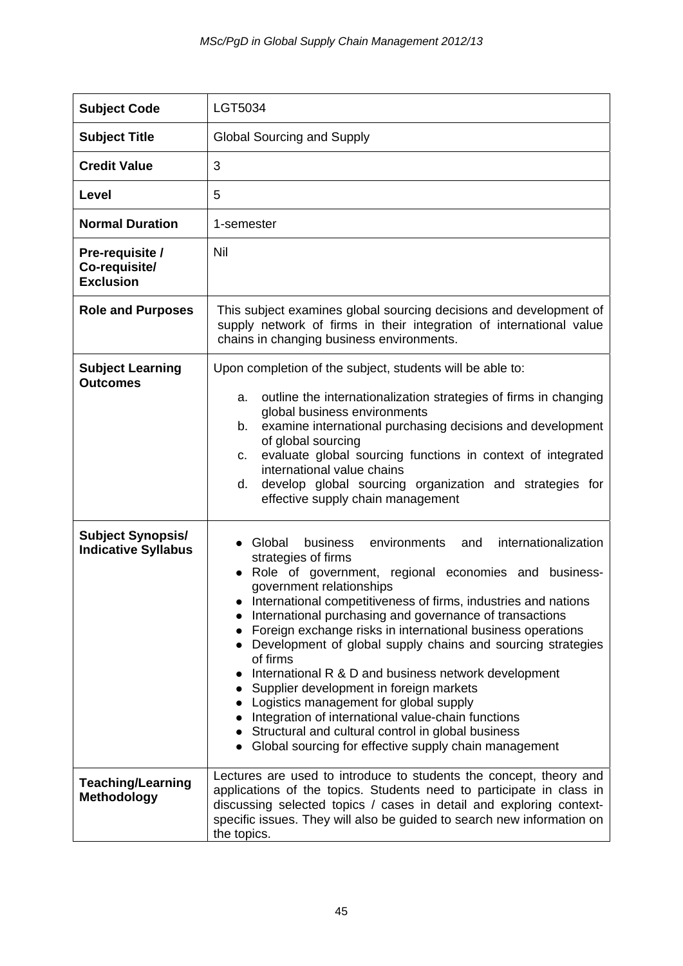| <b>Subject Code</b>                                    | LGT5034                                                                                                                                                                                                                                                                                                                                                                                                                                                                                                                                                                                                                                                                                                                                                                  |
|--------------------------------------------------------|--------------------------------------------------------------------------------------------------------------------------------------------------------------------------------------------------------------------------------------------------------------------------------------------------------------------------------------------------------------------------------------------------------------------------------------------------------------------------------------------------------------------------------------------------------------------------------------------------------------------------------------------------------------------------------------------------------------------------------------------------------------------------|
| <b>Subject Title</b>                                   | <b>Global Sourcing and Supply</b>                                                                                                                                                                                                                                                                                                                                                                                                                                                                                                                                                                                                                                                                                                                                        |
| <b>Credit Value</b>                                    | 3                                                                                                                                                                                                                                                                                                                                                                                                                                                                                                                                                                                                                                                                                                                                                                        |
| Level                                                  | 5                                                                                                                                                                                                                                                                                                                                                                                                                                                                                                                                                                                                                                                                                                                                                                        |
| <b>Normal Duration</b>                                 | 1-semester                                                                                                                                                                                                                                                                                                                                                                                                                                                                                                                                                                                                                                                                                                                                                               |
| Pre-requisite /<br>Co-requisite/<br><b>Exclusion</b>   | Nil                                                                                                                                                                                                                                                                                                                                                                                                                                                                                                                                                                                                                                                                                                                                                                      |
| <b>Role and Purposes</b>                               | This subject examines global sourcing decisions and development of<br>supply network of firms in their integration of international value<br>chains in changing business environments.                                                                                                                                                                                                                                                                                                                                                                                                                                                                                                                                                                                   |
| <b>Subject Learning</b><br><b>Outcomes</b>             | Upon completion of the subject, students will be able to:<br>outline the internationalization strategies of firms in changing<br>a.<br>global business environments<br>examine international purchasing decisions and development<br>b.<br>of global sourcing<br>evaluate global sourcing functions in context of integrated<br>c.<br>international value chains<br>develop global sourcing organization and strategies for<br>d.<br>effective supply chain management                                                                                                                                                                                                                                                                                                   |
| <b>Subject Synopsis/</b><br><b>Indicative Syllabus</b> | internationalization<br>business<br>environments and<br>Global<br>strategies of firms<br>Role of government, regional economies and business-<br>government relationships<br>International competitiveness of firms, industries and nations<br>International purchasing and governance of transactions<br>Foreign exchange risks in international business operations<br>Development of global supply chains and sourcing strategies<br>of firms<br>International R & D and business network development<br>Supplier development in foreign markets<br>• Logistics management for global supply<br>• Integration of international value-chain functions<br>• Structural and cultural control in global business<br>Global sourcing for effective supply chain management |
| <b>Teaching/Learning</b><br>Methodology                | Lectures are used to introduce to students the concept, theory and<br>applications of the topics. Students need to participate in class in<br>discussing selected topics / cases in detail and exploring context-<br>specific issues. They will also be guided to search new information on<br>the topics.                                                                                                                                                                                                                                                                                                                                                                                                                                                               |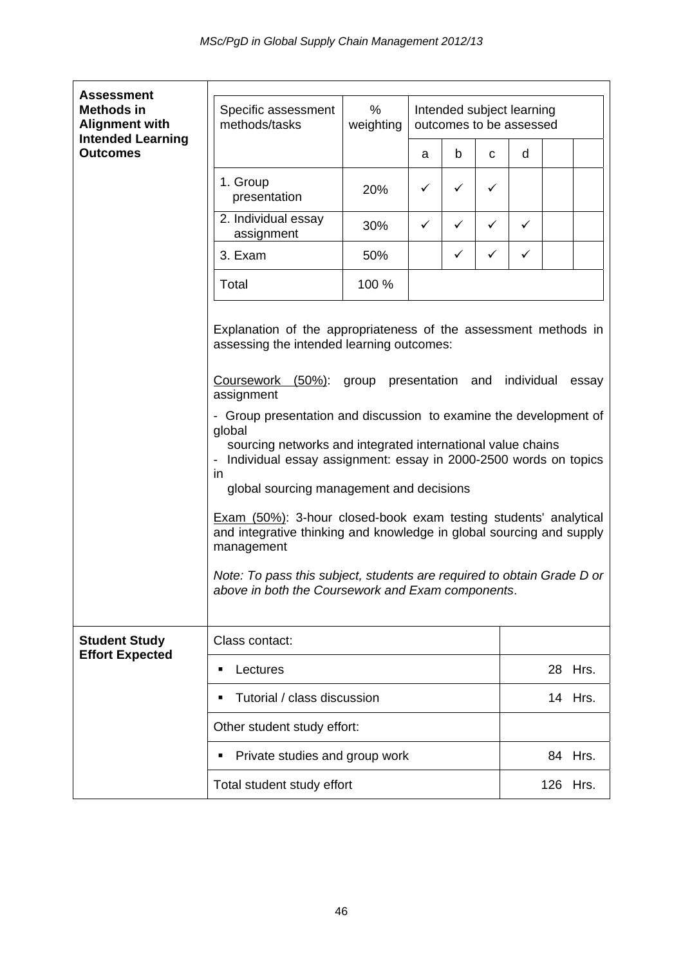| <b>Assessment</b>                                                      |                                                                                                                                                                                                                                                                           |                |              |              |              |                                                      |  |          |  |  |  |  |
|------------------------------------------------------------------------|---------------------------------------------------------------------------------------------------------------------------------------------------------------------------------------------------------------------------------------------------------------------------|----------------|--------------|--------------|--------------|------------------------------------------------------|--|----------|--|--|--|--|
| <b>Methods in</b><br><b>Alignment with</b><br><b>Intended Learning</b> | Specific assessment<br>methods/tasks                                                                                                                                                                                                                                      | %<br>weighting |              |              |              | Intended subject learning<br>outcomes to be assessed |  |          |  |  |  |  |
| <b>Outcomes</b>                                                        |                                                                                                                                                                                                                                                                           |                | a            | b            | C            | d                                                    |  |          |  |  |  |  |
|                                                                        | 1. Group<br>presentation                                                                                                                                                                                                                                                  | 20%            | ✓            | ✓            | $\checkmark$ |                                                      |  |          |  |  |  |  |
|                                                                        | 2. Individual essay<br>assignment                                                                                                                                                                                                                                         | 30%            | $\checkmark$ | $\checkmark$ | $\checkmark$ | $\checkmark$                                         |  |          |  |  |  |  |
|                                                                        | 3. Exam                                                                                                                                                                                                                                                                   | 50%            |              | $\checkmark$ | $\checkmark$ | ✓                                                    |  |          |  |  |  |  |
|                                                                        | Total                                                                                                                                                                                                                                                                     | 100 %          |              |              |              |                                                      |  |          |  |  |  |  |
|                                                                        | Explanation of the appropriateness of the assessment methods in<br>assessing the intended learning outcomes:<br>$(50\%)$ : group presentation and<br>individual<br>Coursework<br>essay<br>assignment<br>- Group presentation and discussion to examine the development of |                |              |              |              |                                                      |  |          |  |  |  |  |
|                                                                        | global<br>sourcing networks and integrated international value chains<br>Individual essay assignment: essay in 2000-2500 words on topics<br>in.<br>global sourcing management and decisions                                                                               |                |              |              |              |                                                      |  |          |  |  |  |  |
|                                                                        | <b>Exam (50%): 3-hour closed-book exam testing students' analytical</b><br>and integrative thinking and knowledge in global sourcing and supply<br>management                                                                                                             |                |              |              |              |                                                      |  |          |  |  |  |  |
|                                                                        | Note: To pass this subject, students are required to obtain Grade D or<br>above in both the Coursework and Exam components.                                                                                                                                               |                |              |              |              |                                                      |  |          |  |  |  |  |
| <b>Student Study</b>                                                   | Class contact:                                                                                                                                                                                                                                                            |                |              |              |              |                                                      |  |          |  |  |  |  |
| <b>Effort Expected</b>                                                 | Lectures<br>٠                                                                                                                                                                                                                                                             |                |              |              |              |                                                      |  | 28 Hrs.  |  |  |  |  |
|                                                                        | Tutorial / class discussion<br>п                                                                                                                                                                                                                                          |                |              |              |              |                                                      |  | 14 Hrs.  |  |  |  |  |
|                                                                        | Other student study effort:                                                                                                                                                                                                                                               |                |              |              |              |                                                      |  |          |  |  |  |  |
|                                                                        | Private studies and group work<br>$\blacksquare$                                                                                                                                                                                                                          |                |              |              |              |                                                      |  | 84 Hrs.  |  |  |  |  |
|                                                                        | Total student study effort                                                                                                                                                                                                                                                |                |              |              |              |                                                      |  | 126 Hrs. |  |  |  |  |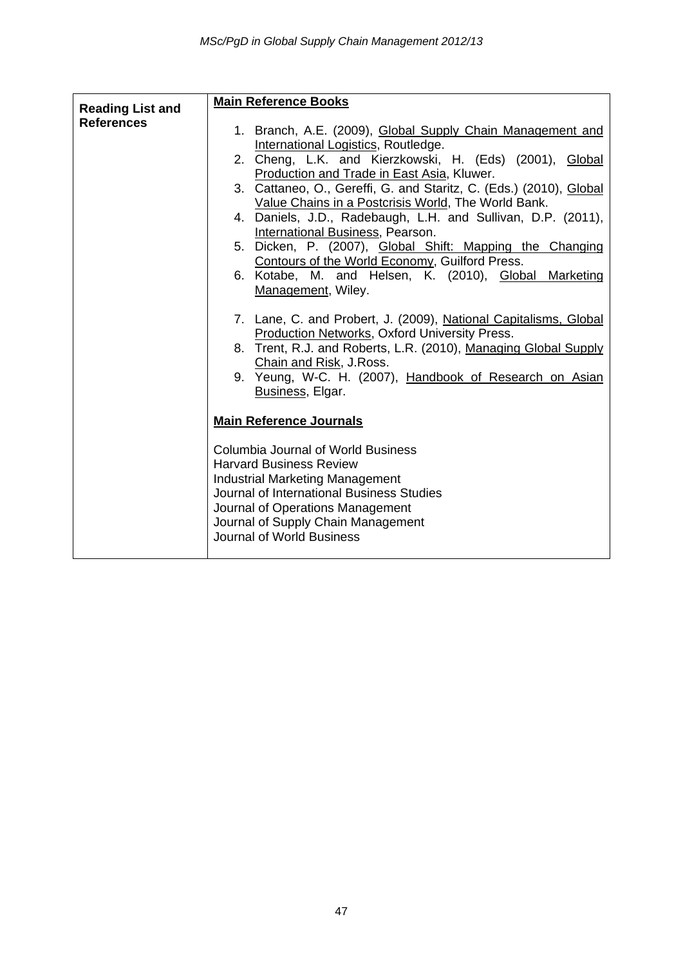|                         | <b>Main Reference Books</b>                                                                                                                                                                                                                                                                                                                                                                                                                                                                                                                               |  |  |  |  |  |
|-------------------------|-----------------------------------------------------------------------------------------------------------------------------------------------------------------------------------------------------------------------------------------------------------------------------------------------------------------------------------------------------------------------------------------------------------------------------------------------------------------------------------------------------------------------------------------------------------|--|--|--|--|--|
| <b>Reading List and</b> |                                                                                                                                                                                                                                                                                                                                                                                                                                                                                                                                                           |  |  |  |  |  |
| <b>References</b>       | 1. Branch, A.E. (2009), Global Supply Chain Management and<br>International Logistics, Routledge.<br>2. Cheng, L.K. and Kierzkowski, H. (Eds) (2001), Global<br>Production and Trade in East Asia, Kluwer.<br>3. Cattaneo, O., Gereffi, G. and Staritz, C. (Eds.) (2010), Global<br>Value Chains in a Postcrisis World, The World Bank.<br>4. Daniels, J.D., Radebaugh, L.H. and Sullivan, D.P. (2011),<br>International Business, Pearson.<br>5. Dicken, P. (2007), Global Shift: Mapping the Changing<br>Contours of the World Economy, Guilford Press. |  |  |  |  |  |
|                         | 6. Kotabe, M. and Helsen, K. (2010), Global Marketing<br>Management, Wiley.                                                                                                                                                                                                                                                                                                                                                                                                                                                                               |  |  |  |  |  |
|                         | 7. Lane, C. and Probert, J. (2009), National Capitalisms, Global<br><b>Production Networks, Oxford University Press.</b><br>8. Trent, R.J. and Roberts, L.R. (2010), Managing Global Supply<br>Chain and Risk, J.Ross.<br>9. Yeung, W-C. H. (2007), Handbook of Research on Asian<br>Business, Elgar.                                                                                                                                                                                                                                                     |  |  |  |  |  |
|                         | <b>Main Reference Journals</b>                                                                                                                                                                                                                                                                                                                                                                                                                                                                                                                            |  |  |  |  |  |
|                         | <b>Columbia Journal of World Business</b><br><b>Harvard Business Review</b><br><b>Industrial Marketing Management</b><br>Journal of International Business Studies<br>Journal of Operations Management<br>Journal of Supply Chain Management<br>Journal of World Business                                                                                                                                                                                                                                                                                 |  |  |  |  |  |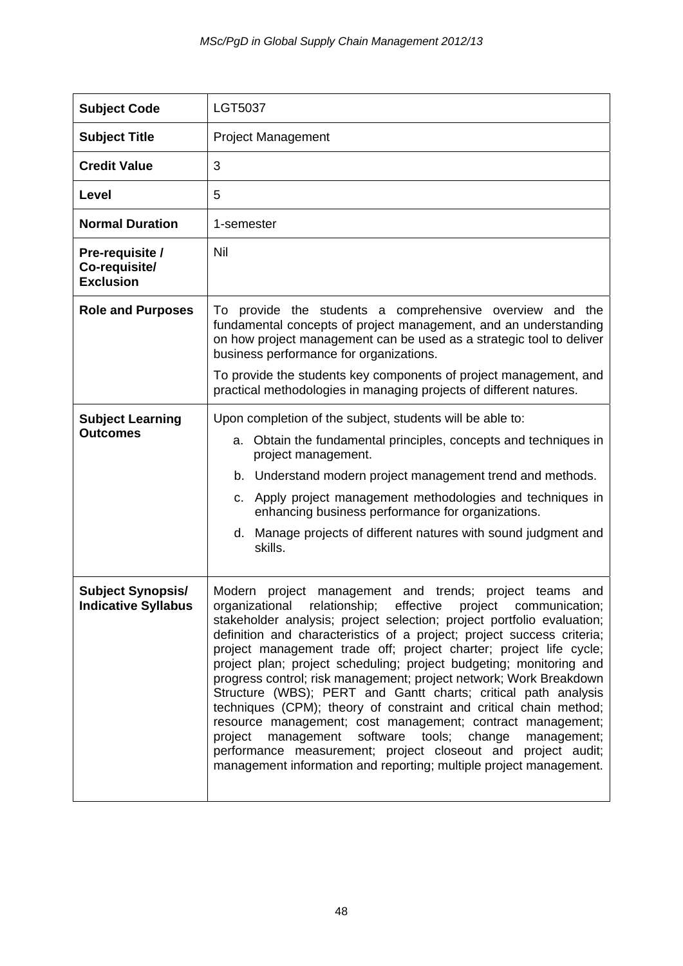| <b>Subject Code</b>                                    | <b>LGT5037</b>                                                                                                                                                                                                                                                                                                                                                                                                                                                                                                                                                                                                                                                                                                                                                                                                                                                                                         |
|--------------------------------------------------------|--------------------------------------------------------------------------------------------------------------------------------------------------------------------------------------------------------------------------------------------------------------------------------------------------------------------------------------------------------------------------------------------------------------------------------------------------------------------------------------------------------------------------------------------------------------------------------------------------------------------------------------------------------------------------------------------------------------------------------------------------------------------------------------------------------------------------------------------------------------------------------------------------------|
| <b>Subject Title</b>                                   | <b>Project Management</b>                                                                                                                                                                                                                                                                                                                                                                                                                                                                                                                                                                                                                                                                                                                                                                                                                                                                              |
| <b>Credit Value</b>                                    | 3                                                                                                                                                                                                                                                                                                                                                                                                                                                                                                                                                                                                                                                                                                                                                                                                                                                                                                      |
| Level                                                  | 5                                                                                                                                                                                                                                                                                                                                                                                                                                                                                                                                                                                                                                                                                                                                                                                                                                                                                                      |
| <b>Normal Duration</b>                                 | 1-semester                                                                                                                                                                                                                                                                                                                                                                                                                                                                                                                                                                                                                                                                                                                                                                                                                                                                                             |
| Pre-requisite /<br>Co-requisite/<br><b>Exclusion</b>   | Nil                                                                                                                                                                                                                                                                                                                                                                                                                                                                                                                                                                                                                                                                                                                                                                                                                                                                                                    |
| <b>Role and Purposes</b>                               | To provide the students a comprehensive overview and the<br>fundamental concepts of project management, and an understanding<br>on how project management can be used as a strategic tool to deliver<br>business performance for organizations.                                                                                                                                                                                                                                                                                                                                                                                                                                                                                                                                                                                                                                                        |
|                                                        | To provide the students key components of project management, and<br>practical methodologies in managing projects of different natures.                                                                                                                                                                                                                                                                                                                                                                                                                                                                                                                                                                                                                                                                                                                                                                |
| <b>Subject Learning</b><br><b>Outcomes</b>             | Upon completion of the subject, students will be able to:<br>a. Obtain the fundamental principles, concepts and techniques in<br>project management.<br>b. Understand modern project management trend and methods.<br>c. Apply project management methodologies and techniques in<br>enhancing business performance for organizations.<br>d. Manage projects of different natures with sound judgment and<br>skills.                                                                                                                                                                                                                                                                                                                                                                                                                                                                                   |
| <b>Subject Synopsis/</b><br><b>Indicative Syllabus</b> | Modern project management and trends; project teams and<br>organizational relationship; effective project communication;<br>stakeholder analysis; project selection; project portfolio evaluation;<br>definition and characteristics of a project; project success criteria;<br>project management trade off; project charter; project life cycle;<br>project plan; project scheduling; project budgeting; monitoring and<br>progress control; risk management; project network; Work Breakdown<br>Structure (WBS); PERT and Gantt charts; critical path analysis<br>techniques (CPM); theory of constraint and critical chain method;<br>resource management; cost management; contract management;<br>project management software tools; change<br>management;<br>performance measurement; project closeout and project audit;<br>management information and reporting; multiple project management. |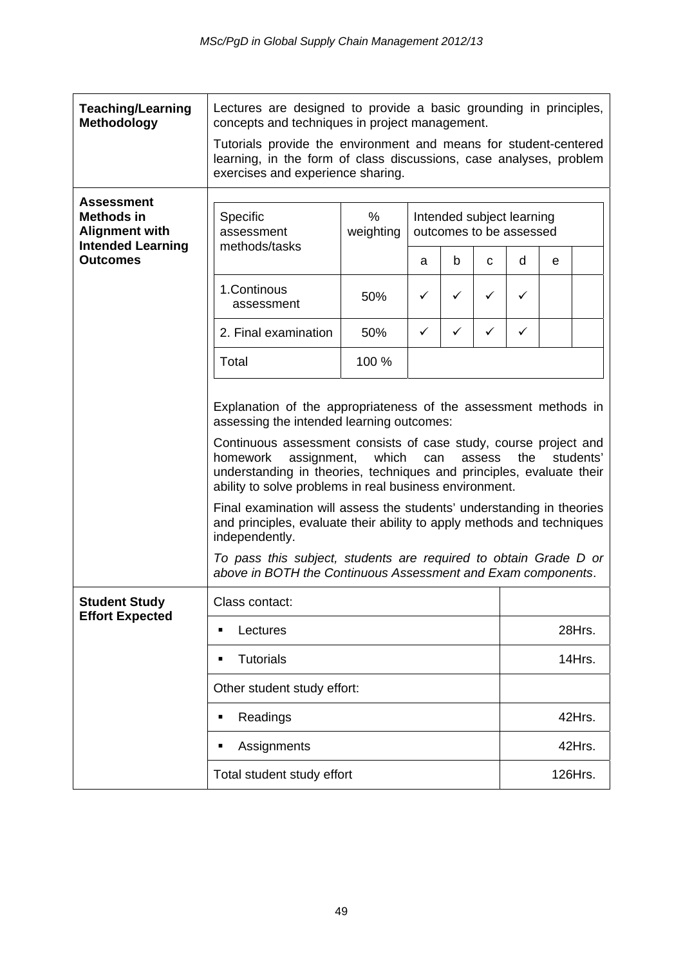| <b>Teaching/Learning</b><br><b>Methodology</b>                  | Lectures are designed to provide a basic grounding in principles,<br>concepts and techniques in project management.<br>Tutorials provide the environment and means for student-centered<br>learning, in the form of class discussions, case analyses, problem<br>exercises and experience sharing.                                                                                                                                                                                                                                                                                                                                                                                                    |                   |                                                      |   |   |         |   |        |  |  |  |
|-----------------------------------------------------------------|-------------------------------------------------------------------------------------------------------------------------------------------------------------------------------------------------------------------------------------------------------------------------------------------------------------------------------------------------------------------------------------------------------------------------------------------------------------------------------------------------------------------------------------------------------------------------------------------------------------------------------------------------------------------------------------------------------|-------------------|------------------------------------------------------|---|---|---------|---|--------|--|--|--|
| <b>Assessment</b><br><b>Methods in</b><br><b>Alignment with</b> | Specific<br>assessment                                                                                                                                                                                                                                                                                                                                                                                                                                                                                                                                                                                                                                                                                | $\%$<br>weighting | Intended subject learning<br>outcomes to be assessed |   |   |         |   |        |  |  |  |
| <b>Intended Learning</b><br><b>Outcomes</b>                     | methods/tasks                                                                                                                                                                                                                                                                                                                                                                                                                                                                                                                                                                                                                                                                                         |                   | a                                                    | b | c | d       | е |        |  |  |  |
|                                                                 | 1.Continous<br>assessment                                                                                                                                                                                                                                                                                                                                                                                                                                                                                                                                                                                                                                                                             | 50%               | ✓                                                    | ✓ | ✓ | ✓       |   |        |  |  |  |
|                                                                 | 2. Final examination                                                                                                                                                                                                                                                                                                                                                                                                                                                                                                                                                                                                                                                                                  | 50%               | ✓                                                    | ✓ | ✓ | ✓       |   |        |  |  |  |
|                                                                 | Total                                                                                                                                                                                                                                                                                                                                                                                                                                                                                                                                                                                                                                                                                                 | 100 %             |                                                      |   |   |         |   |        |  |  |  |
|                                                                 | Explanation of the appropriateness of the assessment methods in<br>assessing the intended learning outcomes:<br>Continuous assessment consists of case study, course project and<br>which<br>the<br>students'<br>homework<br>assignment,<br>can<br>assess<br>understanding in theories, techniques and principles, evaluate their<br>ability to solve problems in real business environment.<br>Final examination will assess the students' understanding in theories<br>and principles, evaluate their ability to apply methods and techniques<br>independently.<br>To pass this subject, students are required to obtain Grade D or<br>above in BOTH the Continuous Assessment and Exam components. |                   |                                                      |   |   |         |   |        |  |  |  |
| <b>Student Study</b><br><b>Effort Expected</b>                  | Class contact:                                                                                                                                                                                                                                                                                                                                                                                                                                                                                                                                                                                                                                                                                        |                   |                                                      |   |   |         |   |        |  |  |  |
|                                                                 | Lectures<br>٠                                                                                                                                                                                                                                                                                                                                                                                                                                                                                                                                                                                                                                                                                         |                   |                                                      |   |   | 28Hrs.  |   |        |  |  |  |
|                                                                 | <b>Tutorials</b><br>$\blacksquare$                                                                                                                                                                                                                                                                                                                                                                                                                                                                                                                                                                                                                                                                    |                   |                                                      |   |   |         |   | 14Hrs. |  |  |  |
|                                                                 | Other student study effort:                                                                                                                                                                                                                                                                                                                                                                                                                                                                                                                                                                                                                                                                           |                   |                                                      |   |   |         |   |        |  |  |  |
|                                                                 | Readings<br>٠                                                                                                                                                                                                                                                                                                                                                                                                                                                                                                                                                                                                                                                                                         |                   |                                                      |   |   |         |   | 42Hrs. |  |  |  |
|                                                                 | Assignments<br>٠                                                                                                                                                                                                                                                                                                                                                                                                                                                                                                                                                                                                                                                                                      |                   |                                                      |   |   |         |   | 42Hrs. |  |  |  |
|                                                                 | Total student study effort                                                                                                                                                                                                                                                                                                                                                                                                                                                                                                                                                                                                                                                                            |                   |                                                      |   |   | 126Hrs. |   |        |  |  |  |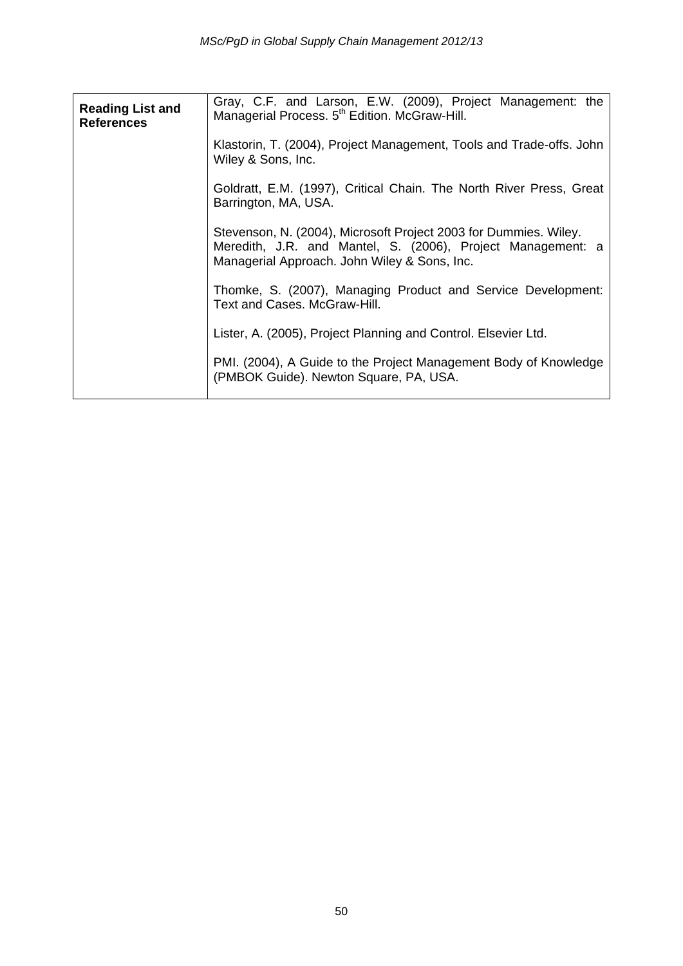| <b>Reading List and</b><br><b>References</b> | Gray, C.F. and Larson, E.W. (2009), Project Management: the<br>Managerial Process. 5 <sup>th</sup> Edition. McGraw-Hill.                                                        |
|----------------------------------------------|---------------------------------------------------------------------------------------------------------------------------------------------------------------------------------|
|                                              | Klastorin, T. (2004), Project Management, Tools and Trade-offs. John<br>Wiley & Sons, Inc.                                                                                      |
|                                              | Goldratt, E.M. (1997), Critical Chain. The North River Press, Great<br>Barrington, MA, USA.                                                                                     |
|                                              | Stevenson, N. (2004), Microsoft Project 2003 for Dummies. Wiley.<br>Meredith, J.R. and Mantel, S. (2006), Project Management: a<br>Managerial Approach. John Wiley & Sons, Inc. |
|                                              | Thomke, S. (2007), Managing Product and Service Development:<br>Text and Cases. McGraw-Hill.                                                                                    |
|                                              | Lister, A. (2005), Project Planning and Control. Elsevier Ltd.                                                                                                                  |
|                                              | PMI. (2004), A Guide to the Project Management Body of Knowledge<br>(PMBOK Guide). Newton Square, PA, USA.                                                                      |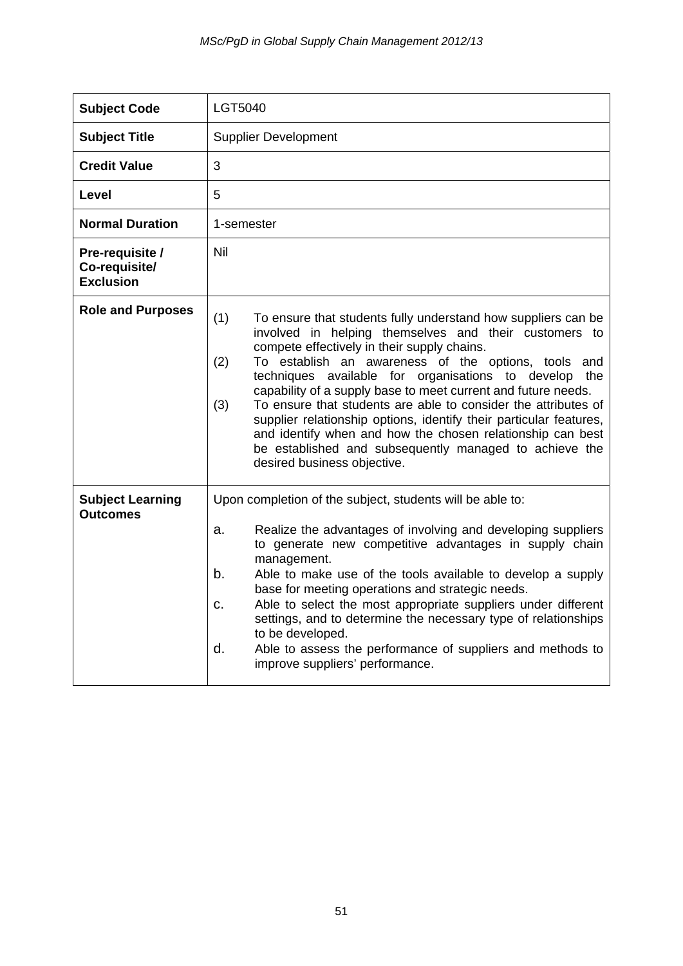| <b>Subject Code</b>                                  | LGT5040                                                                                                                                                                                                                                                                                                                                                                                                                                                                                                                                                                                                                                                                    |
|------------------------------------------------------|----------------------------------------------------------------------------------------------------------------------------------------------------------------------------------------------------------------------------------------------------------------------------------------------------------------------------------------------------------------------------------------------------------------------------------------------------------------------------------------------------------------------------------------------------------------------------------------------------------------------------------------------------------------------------|
| <b>Subject Title</b>                                 | <b>Supplier Development</b>                                                                                                                                                                                                                                                                                                                                                                                                                                                                                                                                                                                                                                                |
| <b>Credit Value</b>                                  | 3                                                                                                                                                                                                                                                                                                                                                                                                                                                                                                                                                                                                                                                                          |
| Level                                                | 5                                                                                                                                                                                                                                                                                                                                                                                                                                                                                                                                                                                                                                                                          |
| <b>Normal Duration</b>                               | 1-semester                                                                                                                                                                                                                                                                                                                                                                                                                                                                                                                                                                                                                                                                 |
| Pre-requisite /<br>Co-requisite/<br><b>Exclusion</b> | <b>Nil</b>                                                                                                                                                                                                                                                                                                                                                                                                                                                                                                                                                                                                                                                                 |
| <b>Role and Purposes</b>                             | (1)<br>To ensure that students fully understand how suppliers can be<br>involved in helping themselves and their customers to<br>compete effectively in their supply chains.<br>(2)<br>To establish an awareness of the options, tools and<br>techniques available for organisations to develop the<br>capability of a supply base to meet current and future needs.<br>To ensure that students are able to consider the attributes of<br>(3)<br>supplier relationship options, identify their particular features,<br>and identify when and how the chosen relationship can best<br>be established and subsequently managed to achieve the<br>desired business objective. |
| <b>Subject Learning</b><br><b>Outcomes</b>           | Upon completion of the subject, students will be able to:<br>Realize the advantages of involving and developing suppliers<br>a.<br>to generate new competitive advantages in supply chain<br>management.<br>Able to make use of the tools available to develop a supply<br>b.<br>base for meeting operations and strategic needs.<br>Able to select the most appropriate suppliers under different<br>c.<br>settings, and to determine the necessary type of relationships<br>to be developed.<br>d.<br>Able to assess the performance of suppliers and methods to<br>improve suppliers' performance.                                                                      |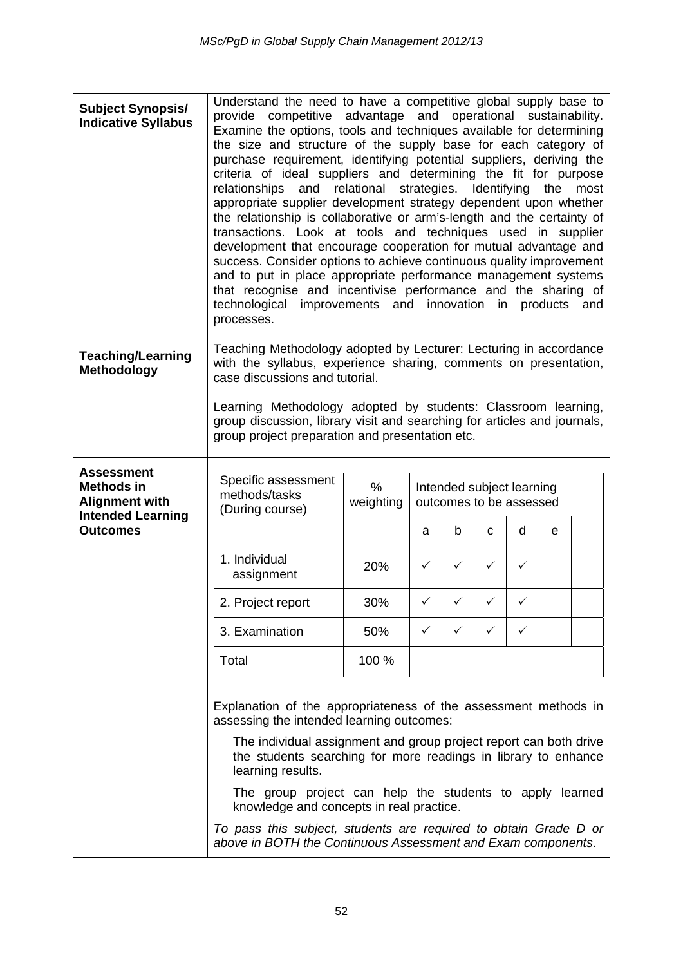| <b>Subject Synopsis/</b><br><b>Indicative Syllabus</b>                                      | Understand the need to have a competitive global supply base to<br>provide competitive advantage and operational sustainability.<br>Examine the options, tools and techniques available for determining<br>the size and structure of the supply base for each category of<br>purchase requirement, identifying potential suppliers, deriving the<br>criteria of ideal suppliers and determining the fit for purpose<br>relational<br>strategies.<br>Identifying<br>relationships<br>and<br>the<br>most<br>appropriate supplier development strategy dependent upon whether<br>the relationship is collaborative or arm's-length and the certainty of<br>transactions. Look at tools and techniques used in supplier<br>development that encourage cooperation for mutual advantage and<br>success. Consider options to achieve continuous quality improvement<br>and to put in place appropriate performance management systems<br>that recognise and incentivise performance and the sharing of<br>technological improvements and innovation in products and<br>processes. |       |              |                                                      |              |              |  |  |  |  |  |
|---------------------------------------------------------------------------------------------|-----------------------------------------------------------------------------------------------------------------------------------------------------------------------------------------------------------------------------------------------------------------------------------------------------------------------------------------------------------------------------------------------------------------------------------------------------------------------------------------------------------------------------------------------------------------------------------------------------------------------------------------------------------------------------------------------------------------------------------------------------------------------------------------------------------------------------------------------------------------------------------------------------------------------------------------------------------------------------------------------------------------------------------------------------------------------------|-------|--------------|------------------------------------------------------|--------------|--------------|--|--|--|--|--|
| <b>Teaching/Learning</b><br>Methodology                                                     | Teaching Methodology adopted by Lecturer: Lecturing in accordance<br>with the syllabus, experience sharing, comments on presentation,<br>case discussions and tutorial.<br>Learning Methodology adopted by students: Classroom learning,<br>group discussion, library visit and searching for articles and journals,<br>group project preparation and presentation etc.                                                                                                                                                                                                                                                                                                                                                                                                                                                                                                                                                                                                                                                                                                     |       |              |                                                      |              |              |  |  |  |  |  |
| <b>Assessment</b><br><b>Methods in</b><br><b>Alignment with</b><br><b>Intended Learning</b> | Specific assessment<br>$\%$<br>methods/tasks<br>weighting<br>(During course)                                                                                                                                                                                                                                                                                                                                                                                                                                                                                                                                                                                                                                                                                                                                                                                                                                                                                                                                                                                                |       |              | Intended subject learning<br>outcomes to be assessed |              |              |  |  |  |  |  |
| <b>Outcomes</b>                                                                             |                                                                                                                                                                                                                                                                                                                                                                                                                                                                                                                                                                                                                                                                                                                                                                                                                                                                                                                                                                                                                                                                             | a     | b            | C                                                    | d            | e            |  |  |  |  |  |
|                                                                                             | 1. Individual<br>assignment                                                                                                                                                                                                                                                                                                                                                                                                                                                                                                                                                                                                                                                                                                                                                                                                                                                                                                                                                                                                                                                 | 20%   | ✓            | $\checkmark$                                         | $\checkmark$ | ✓            |  |  |  |  |  |
|                                                                                             | 2. Project report                                                                                                                                                                                                                                                                                                                                                                                                                                                                                                                                                                                                                                                                                                                                                                                                                                                                                                                                                                                                                                                           | 30%   | $\checkmark$ | $\checkmark$                                         | $\checkmark$ | ✓            |  |  |  |  |  |
|                                                                                             | 3. Examination                                                                                                                                                                                                                                                                                                                                                                                                                                                                                                                                                                                                                                                                                                                                                                                                                                                                                                                                                                                                                                                              | 50%   | $\checkmark$ | ✓                                                    | ✓            | $\checkmark$ |  |  |  |  |  |
|                                                                                             | Total                                                                                                                                                                                                                                                                                                                                                                                                                                                                                                                                                                                                                                                                                                                                                                                                                                                                                                                                                                                                                                                                       | 100 % |              |                                                      |              |              |  |  |  |  |  |
|                                                                                             | Explanation of the appropriateness of the assessment methods in<br>assessing the intended learning outcomes:<br>The individual assignment and group project report can both drive<br>the students searching for more readings in library to enhance<br>learning results.<br>The group project can help the students to apply learned<br>knowledge and concepts in real practice.<br>To pass this subject, students are required to obtain Grade D or<br>above in BOTH the Continuous Assessment and Exam components.                                                                                                                                                                                                                                                                                                                                                                                                                                                                                                                                                        |       |              |                                                      |              |              |  |  |  |  |  |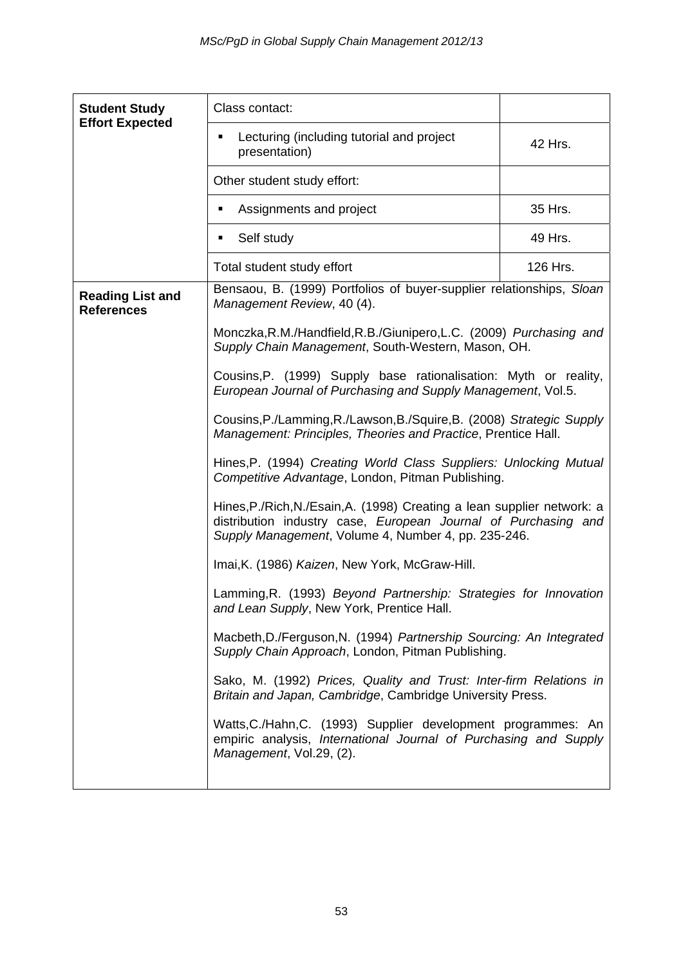| <b>Student Study</b>                         | Class contact:                                                                                                                                                                                   |          |  |  |  |  |
|----------------------------------------------|--------------------------------------------------------------------------------------------------------------------------------------------------------------------------------------------------|----------|--|--|--|--|
| <b>Effort Expected</b>                       | Lecturing (including tutorial and project<br>٠<br>42 Hrs.<br>presentation)                                                                                                                       |          |  |  |  |  |
|                                              | Other student study effort:                                                                                                                                                                      |          |  |  |  |  |
|                                              | Assignments and project<br>٠                                                                                                                                                                     | 35 Hrs.  |  |  |  |  |
|                                              | Self study<br>٠                                                                                                                                                                                  | 49 Hrs.  |  |  |  |  |
|                                              | Total student study effort                                                                                                                                                                       | 126 Hrs. |  |  |  |  |
| <b>Reading List and</b><br><b>References</b> | Bensaou, B. (1999) Portfolios of buyer-supplier relationships, Sloan<br>Management Review, 40 (4).                                                                                               |          |  |  |  |  |
|                                              | Monczka, R.M./Handfield, R.B./Giunipero, L.C. (2009) Purchasing and<br>Supply Chain Management, South-Western, Mason, OH.                                                                        |          |  |  |  |  |
|                                              | Cousins, P. (1999) Supply base rationalisation: Myth or reality,<br>European Journal of Purchasing and Supply Management, Vol.5.                                                                 |          |  |  |  |  |
|                                              | Cousins, P./Lamming, R./Lawson, B./Squire, B. (2008) Strategic Supply<br>Management: Principles, Theories and Practice, Prentice Hall.                                                           |          |  |  |  |  |
|                                              | Hines, P. (1994) Creating World Class Suppliers: Unlocking Mutual<br>Competitive Advantage, London, Pitman Publishing.                                                                           |          |  |  |  |  |
|                                              | Hines, P./Rich, N./Esain, A. (1998) Creating a lean supplier network: a<br>distribution industry case, European Journal of Purchasing and<br>Supply Management, Volume 4, Number 4, pp. 235-246. |          |  |  |  |  |
|                                              | Imai, K. (1986) Kaizen, New York, McGraw-Hill.                                                                                                                                                   |          |  |  |  |  |
|                                              | Lamming, R. (1993) Beyond Partnership: Strategies for Innovation<br>and Lean Supply, New York, Prentice Hall.                                                                                    |          |  |  |  |  |
|                                              | Macbeth, D./Ferguson, N. (1994) Partnership Sourcing: An Integrated<br>Supply Chain Approach, London, Pitman Publishing.                                                                         |          |  |  |  |  |
|                                              | Sako, M. (1992) Prices, Quality and Trust: Inter-firm Relations in<br>Britain and Japan, Cambridge, Cambridge University Press.                                                                  |          |  |  |  |  |
|                                              | Watts, C./Hahn, C. (1993) Supplier development programmes: An<br>empiric analysis, International Journal of Purchasing and Supply<br>Management, Vol.29, (2).                                    |          |  |  |  |  |
|                                              |                                                                                                                                                                                                  |          |  |  |  |  |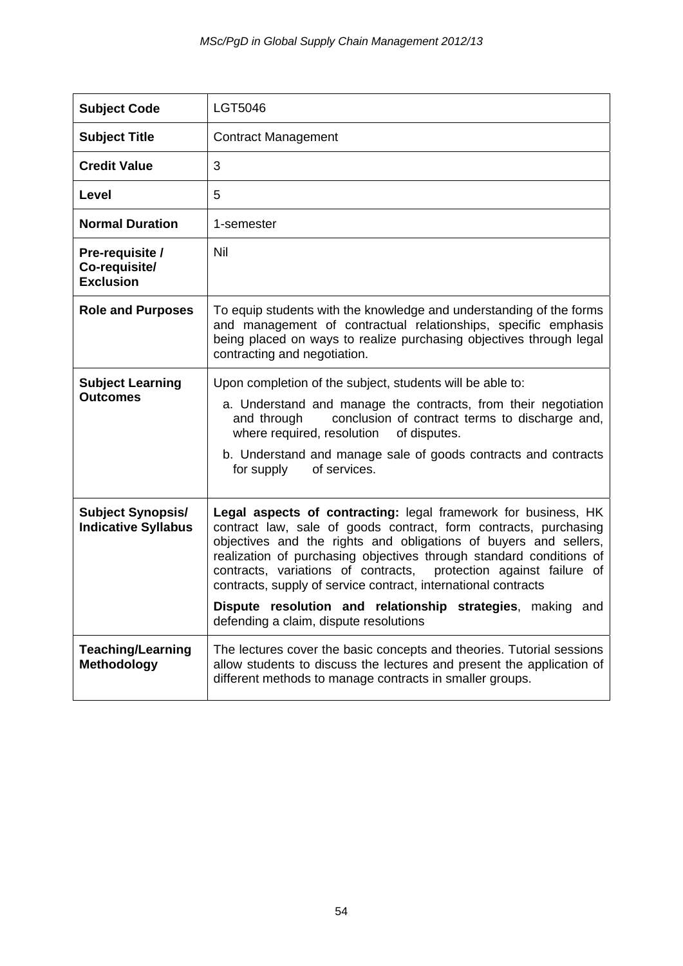| <b>Subject Code</b>                                    | <b>LGT5046</b>                                                                                                                                                                                                                                                                                                                                                                                                                                                                                                               |
|--------------------------------------------------------|------------------------------------------------------------------------------------------------------------------------------------------------------------------------------------------------------------------------------------------------------------------------------------------------------------------------------------------------------------------------------------------------------------------------------------------------------------------------------------------------------------------------------|
| <b>Subject Title</b>                                   | <b>Contract Management</b>                                                                                                                                                                                                                                                                                                                                                                                                                                                                                                   |
| <b>Credit Value</b>                                    | 3                                                                                                                                                                                                                                                                                                                                                                                                                                                                                                                            |
| Level                                                  | 5                                                                                                                                                                                                                                                                                                                                                                                                                                                                                                                            |
| <b>Normal Duration</b>                                 | 1-semester                                                                                                                                                                                                                                                                                                                                                                                                                                                                                                                   |
| Pre-requisite /<br>Co-requisite/<br><b>Exclusion</b>   | <b>Nil</b>                                                                                                                                                                                                                                                                                                                                                                                                                                                                                                                   |
| <b>Role and Purposes</b>                               | To equip students with the knowledge and understanding of the forms<br>and management of contractual relationships, specific emphasis<br>being placed on ways to realize purchasing objectives through legal<br>contracting and negotiation.                                                                                                                                                                                                                                                                                 |
| <b>Subject Learning</b><br><b>Outcomes</b>             | Upon completion of the subject, students will be able to:<br>a. Understand and manage the contracts, from their negotiation<br>conclusion of contract terms to discharge and,<br>and through<br>where required, resolution of disputes.<br>b. Understand and manage sale of goods contracts and contracts<br>of services.<br>for supply                                                                                                                                                                                      |
| <b>Subject Synopsis/</b><br><b>Indicative Syllabus</b> | Legal aspects of contracting: legal framework for business, HK<br>contract law, sale of goods contract, form contracts, purchasing<br>objectives and the rights and obligations of buyers and sellers,<br>realization of purchasing objectives through standard conditions of<br>contracts, variations of contracts, protection against failure of<br>contracts, supply of service contract, international contracts<br>Dispute resolution and relationship strategies, making and<br>defending a claim, dispute resolutions |
| <b>Teaching/Learning</b><br>Methodology                | The lectures cover the basic concepts and theories. Tutorial sessions<br>allow students to discuss the lectures and present the application of<br>different methods to manage contracts in smaller groups.                                                                                                                                                                                                                                                                                                                   |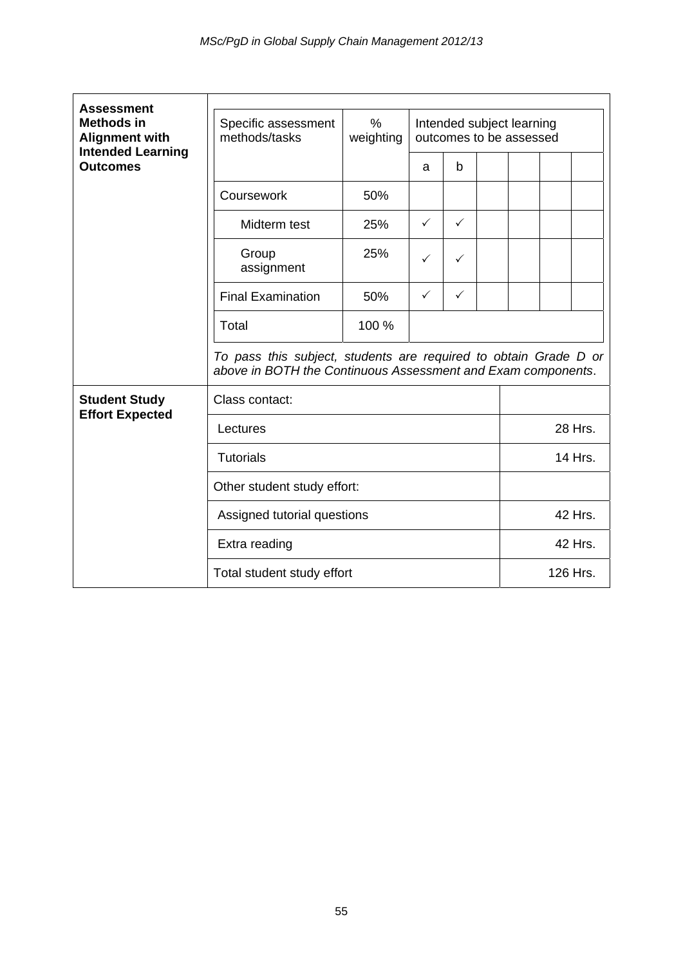| <b>Assessment</b>                                                      |                                                                                                                                  |                   |              |                                                      |  |         |         |  |  |
|------------------------------------------------------------------------|----------------------------------------------------------------------------------------------------------------------------------|-------------------|--------------|------------------------------------------------------|--|---------|---------|--|--|
| <b>Methods in</b><br><b>Alignment with</b><br><b>Intended Learning</b> | Specific assessment<br>methods/tasks                                                                                             | $\%$<br>weighting |              | Intended subject learning<br>outcomes to be assessed |  |         |         |  |  |
| <b>Outcomes</b>                                                        |                                                                                                                                  |                   | a            | b                                                    |  |         |         |  |  |
|                                                                        | Coursework                                                                                                                       | 50%               |              |                                                      |  |         |         |  |  |
|                                                                        | Midterm test                                                                                                                     | 25%               | $\checkmark$ | $\checkmark$                                         |  |         |         |  |  |
|                                                                        | Group<br>assignment                                                                                                              | 25%               | ✓            | $\checkmark$                                         |  |         |         |  |  |
|                                                                        | <b>Final Examination</b>                                                                                                         | 50%               | $\checkmark$ | $\checkmark$                                         |  |         |         |  |  |
|                                                                        | Total                                                                                                                            | 100 %             |              |                                                      |  |         |         |  |  |
|                                                                        | To pass this subject, students are required to obtain Grade D or<br>above in BOTH the Continuous Assessment and Exam components. |                   |              |                                                      |  |         |         |  |  |
| <b>Student Study</b>                                                   | Class contact:                                                                                                                   |                   |              |                                                      |  |         |         |  |  |
| <b>Effort Expected</b>                                                 | Lectures                                                                                                                         |                   |              |                                                      |  |         | 28 Hrs. |  |  |
|                                                                        | <b>Tutorials</b>                                                                                                                 |                   |              |                                                      |  |         | 14 Hrs. |  |  |
|                                                                        | Other student study effort:                                                                                                      |                   |              |                                                      |  |         |         |  |  |
|                                                                        | Assigned tutorial questions                                                                                                      |                   |              |                                                      |  | 42 Hrs. |         |  |  |
|                                                                        | Extra reading                                                                                                                    |                   |              |                                                      |  | 42 Hrs. |         |  |  |
|                                                                        | Total student study effort                                                                                                       |                   | 126 Hrs.     |                                                      |  |         |         |  |  |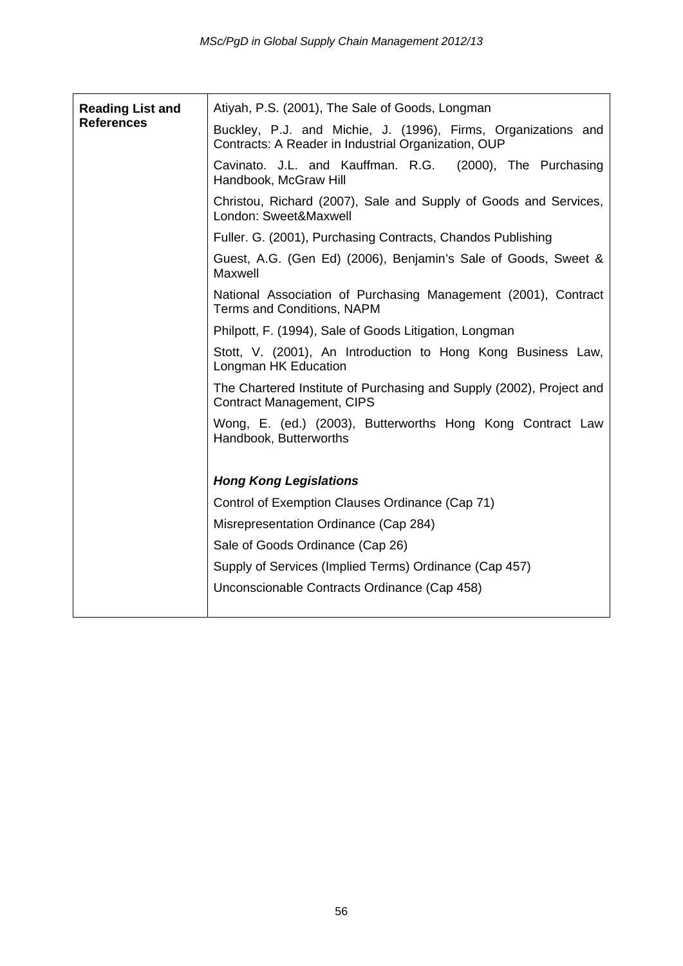| <b>Reading List and</b><br><b>References</b> | Atiyah, P.S. (2001), The Sale of Goods, Longman                                                                      |  |  |  |  |
|----------------------------------------------|----------------------------------------------------------------------------------------------------------------------|--|--|--|--|
|                                              | Buckley, P.J. and Michie, J. (1996), Firms, Organizations and<br>Contracts: A Reader in Industrial Organization, OUP |  |  |  |  |
|                                              | Cavinato. J.L. and Kauffman. R.G. (2000), The Purchasing<br>Handbook, McGraw Hill                                    |  |  |  |  |
|                                              | Christou, Richard (2007), Sale and Supply of Goods and Services,<br>London: Sweet&Maxwell                            |  |  |  |  |
|                                              | Fuller. G. (2001), Purchasing Contracts, Chandos Publishing                                                          |  |  |  |  |
|                                              | Guest, A.G. (Gen Ed) (2006), Benjamin's Sale of Goods, Sweet &<br>Maxwell                                            |  |  |  |  |
|                                              | National Association of Purchasing Management (2001), Contract<br>Terms and Conditions, NAPM                         |  |  |  |  |
|                                              | Philpott, F. (1994), Sale of Goods Litigation, Longman                                                               |  |  |  |  |
|                                              | Stott, V. (2001), An Introduction to Hong Kong Business Law,<br>Longman HK Education                                 |  |  |  |  |
|                                              | The Chartered Institute of Purchasing and Supply (2002), Project and<br><b>Contract Management, CIPS</b>             |  |  |  |  |
|                                              | Wong, E. (ed.) (2003), Butterworths Hong Kong Contract Law<br>Handbook, Butterworths                                 |  |  |  |  |
|                                              | <b>Hong Kong Legislations</b>                                                                                        |  |  |  |  |
|                                              | Control of Exemption Clauses Ordinance (Cap 71)                                                                      |  |  |  |  |
|                                              | Misrepresentation Ordinance (Cap 284)                                                                                |  |  |  |  |
|                                              | Sale of Goods Ordinance (Cap 26)                                                                                     |  |  |  |  |
|                                              | Supply of Services (Implied Terms) Ordinance (Cap 457)                                                               |  |  |  |  |
|                                              | Unconscionable Contracts Ordinance (Cap 458)                                                                         |  |  |  |  |
|                                              |                                                                                                                      |  |  |  |  |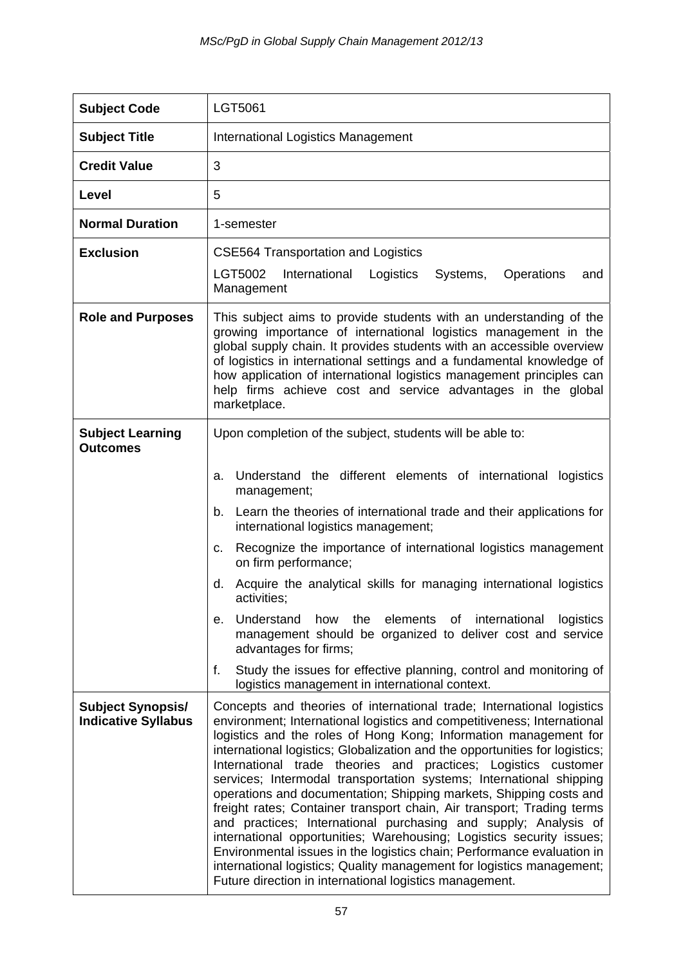| <b>Subject Code</b>                                    | LGT5061                                                                                                                                                                                                                                                                                                                                                                                                                                                                                                                                                                                                                                                                                                                                                                                                                                                                                                                                               |
|--------------------------------------------------------|-------------------------------------------------------------------------------------------------------------------------------------------------------------------------------------------------------------------------------------------------------------------------------------------------------------------------------------------------------------------------------------------------------------------------------------------------------------------------------------------------------------------------------------------------------------------------------------------------------------------------------------------------------------------------------------------------------------------------------------------------------------------------------------------------------------------------------------------------------------------------------------------------------------------------------------------------------|
| <b>Subject Title</b>                                   | <b>International Logistics Management</b>                                                                                                                                                                                                                                                                                                                                                                                                                                                                                                                                                                                                                                                                                                                                                                                                                                                                                                             |
| <b>Credit Value</b>                                    | 3                                                                                                                                                                                                                                                                                                                                                                                                                                                                                                                                                                                                                                                                                                                                                                                                                                                                                                                                                     |
| Level                                                  | 5                                                                                                                                                                                                                                                                                                                                                                                                                                                                                                                                                                                                                                                                                                                                                                                                                                                                                                                                                     |
| <b>Normal Duration</b>                                 | 1-semester                                                                                                                                                                                                                                                                                                                                                                                                                                                                                                                                                                                                                                                                                                                                                                                                                                                                                                                                            |
| <b>Exclusion</b>                                       | <b>CSE564 Transportation and Logistics</b>                                                                                                                                                                                                                                                                                                                                                                                                                                                                                                                                                                                                                                                                                                                                                                                                                                                                                                            |
|                                                        | LGT5002<br>International<br>Operations<br>Logistics<br>Systems,<br>and<br>Management                                                                                                                                                                                                                                                                                                                                                                                                                                                                                                                                                                                                                                                                                                                                                                                                                                                                  |
| <b>Role and Purposes</b>                               | This subject aims to provide students with an understanding of the<br>growing importance of international logistics management in the<br>global supply chain. It provides students with an accessible overview<br>of logistics in international settings and a fundamental knowledge of<br>how application of international logistics management principles can<br>help firms achieve cost and service advantages in the global<br>marketplace.                                                                                                                                                                                                                                                                                                                                                                                                                                                                                                       |
| <b>Subject Learning</b><br><b>Outcomes</b>             | Upon completion of the subject, students will be able to:                                                                                                                                                                                                                                                                                                                                                                                                                                                                                                                                                                                                                                                                                                                                                                                                                                                                                             |
|                                                        | Understand the different elements of international logistics<br>a.<br>management;                                                                                                                                                                                                                                                                                                                                                                                                                                                                                                                                                                                                                                                                                                                                                                                                                                                                     |
|                                                        | Learn the theories of international trade and their applications for<br>b.<br>international logistics management;                                                                                                                                                                                                                                                                                                                                                                                                                                                                                                                                                                                                                                                                                                                                                                                                                                     |
|                                                        | Recognize the importance of international logistics management<br>C.<br>on firm performance;                                                                                                                                                                                                                                                                                                                                                                                                                                                                                                                                                                                                                                                                                                                                                                                                                                                          |
|                                                        | Acquire the analytical skills for managing international logistics<br>d.<br>activities;                                                                                                                                                                                                                                                                                                                                                                                                                                                                                                                                                                                                                                                                                                                                                                                                                                                               |
|                                                        | Understand<br>how the elements of international<br>logistics<br>е.<br>management should be organized to deliver cost and service<br>advantages for firms;                                                                                                                                                                                                                                                                                                                                                                                                                                                                                                                                                                                                                                                                                                                                                                                             |
|                                                        | f.<br>Study the issues for effective planning, control and monitoring of<br>logistics management in international context.                                                                                                                                                                                                                                                                                                                                                                                                                                                                                                                                                                                                                                                                                                                                                                                                                            |
| <b>Subject Synopsis/</b><br><b>Indicative Syllabus</b> | Concepts and theories of international trade; International logistics<br>environment; International logistics and competitiveness; International<br>logistics and the roles of Hong Kong; Information management for<br>international logistics; Globalization and the opportunities for logistics;<br>International trade theories and practices; Logistics customer<br>services; Intermodal transportation systems; International shipping<br>operations and documentation; Shipping markets, Shipping costs and<br>freight rates; Container transport chain, Air transport; Trading terms<br>and practices; International purchasing and supply; Analysis of<br>international opportunities; Warehousing; Logistics security issues;<br>Environmental issues in the logistics chain; Performance evaluation in<br>international logistics; Quality management for logistics management;<br>Future direction in international logistics management. |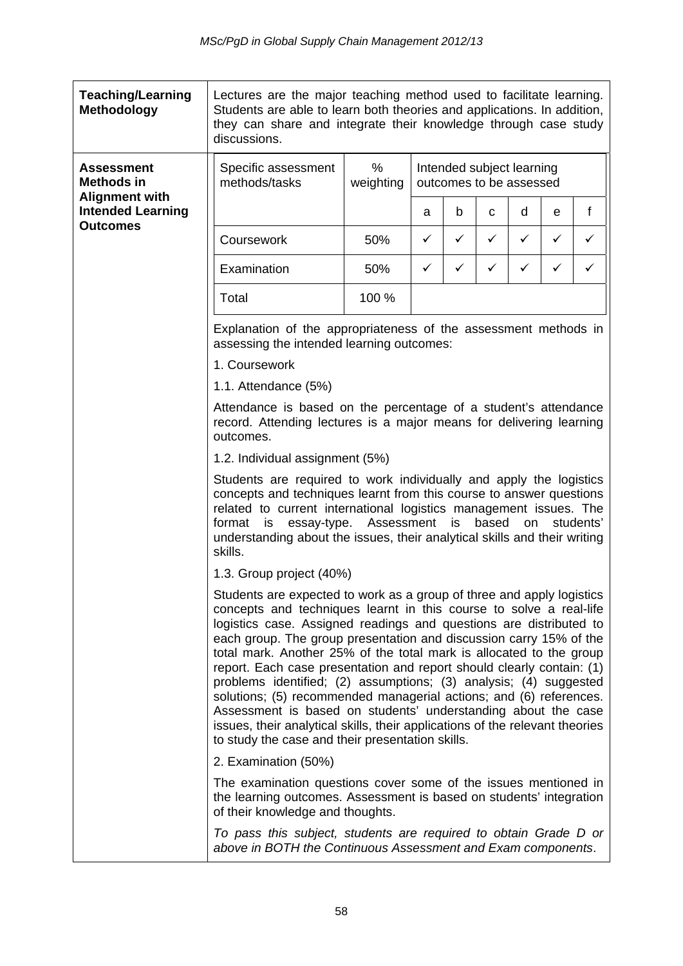| <b>Teaching/Learning</b><br><b>Methodology</b>    | Lectures are the major teaching method used to facilitate learning.<br>Students are able to learn both theories and applications. In addition,<br>they can share and integrate their knowledge through case study<br>discussions.                                                                                                                                                                                                                                                                                                                                                                                                                                                                                                                                                       |                   |                                                      |              |                                                                                                                                        |              |   |              |  |
|---------------------------------------------------|-----------------------------------------------------------------------------------------------------------------------------------------------------------------------------------------------------------------------------------------------------------------------------------------------------------------------------------------------------------------------------------------------------------------------------------------------------------------------------------------------------------------------------------------------------------------------------------------------------------------------------------------------------------------------------------------------------------------------------------------------------------------------------------------|-------------------|------------------------------------------------------|--------------|----------------------------------------------------------------------------------------------------------------------------------------|--------------|---|--------------|--|
| <b>Assessment</b><br><b>Methods in</b>            | Specific assessment<br>methods/tasks                                                                                                                                                                                                                                                                                                                                                                                                                                                                                                                                                                                                                                                                                                                                                    | $\%$<br>weighting | Intended subject learning<br>outcomes to be assessed |              |                                                                                                                                        |              |   |              |  |
| <b>Alignment with</b><br><b>Intended Learning</b> |                                                                                                                                                                                                                                                                                                                                                                                                                                                                                                                                                                                                                                                                                                                                                                                         |                   | a                                                    | b            | C                                                                                                                                      | d            | e | $\mathsf{f}$ |  |
| <b>Outcomes</b>                                   | Coursework                                                                                                                                                                                                                                                                                                                                                                                                                                                                                                                                                                                                                                                                                                                                                                              | 50%               | $\checkmark$                                         | $\checkmark$ | $\checkmark$                                                                                                                           | $\checkmark$ | ✓ | $\checkmark$ |  |
|                                                   | Examination                                                                                                                                                                                                                                                                                                                                                                                                                                                                                                                                                                                                                                                                                                                                                                             | 50%               | ✓                                                    | $\checkmark$ | $\checkmark$                                                                                                                           | ✓            | ✓ | $\checkmark$ |  |
|                                                   | Total                                                                                                                                                                                                                                                                                                                                                                                                                                                                                                                                                                                                                                                                                                                                                                                   | 100 %             |                                                      |              |                                                                                                                                        |              |   |              |  |
|                                                   | Explanation of the appropriateness of the assessment methods in<br>assessing the intended learning outcomes:                                                                                                                                                                                                                                                                                                                                                                                                                                                                                                                                                                                                                                                                            |                   |                                                      |              |                                                                                                                                        |              |   |              |  |
|                                                   | 1. Coursework                                                                                                                                                                                                                                                                                                                                                                                                                                                                                                                                                                                                                                                                                                                                                                           |                   |                                                      |              |                                                                                                                                        |              |   |              |  |
|                                                   | 1.1. Attendance (5%)                                                                                                                                                                                                                                                                                                                                                                                                                                                                                                                                                                                                                                                                                                                                                                    |                   |                                                      |              |                                                                                                                                        |              |   |              |  |
|                                                   | outcomes.                                                                                                                                                                                                                                                                                                                                                                                                                                                                                                                                                                                                                                                                                                                                                                               |                   |                                                      |              | Attendance is based on the percentage of a student's attendance<br>record. Attending lectures is a major means for delivering learning |              |   |              |  |
|                                                   | 1.2. Individual assignment (5%)                                                                                                                                                                                                                                                                                                                                                                                                                                                                                                                                                                                                                                                                                                                                                         |                   |                                                      |              |                                                                                                                                        |              |   |              |  |
|                                                   | Students are required to work individually and apply the logistics<br>concepts and techniques learnt from this course to answer questions<br>related to current international logistics management issues. The<br>is essay-type. Assessment is<br>based<br>format<br>on<br>students'<br>understanding about the issues, their analytical skills and their writing<br>skills.                                                                                                                                                                                                                                                                                                                                                                                                            |                   |                                                      |              |                                                                                                                                        |              |   |              |  |
|                                                   | 1.3. Group project (40%)                                                                                                                                                                                                                                                                                                                                                                                                                                                                                                                                                                                                                                                                                                                                                                |                   |                                                      |              |                                                                                                                                        |              |   |              |  |
|                                                   | Students are expected to work as a group of three and apply logistics<br>concepts and techniques learnt in this course to solve a real-life<br>logistics case. Assigned readings and questions are distributed to<br>each group. The group presentation and discussion carry 15% of the<br>total mark. Another 25% of the total mark is allocated to the group<br>report. Each case presentation and report should clearly contain: (1)<br>problems identified; (2) assumptions; (3) analysis; (4) suggested<br>solutions; (5) recommended managerial actions; and (6) references.<br>Assessment is based on students' understanding about the case<br>issues, their analytical skills, their applications of the relevant theories<br>to study the case and their presentation skills. |                   |                                                      |              |                                                                                                                                        |              |   |              |  |
|                                                   | 2. Examination (50%)                                                                                                                                                                                                                                                                                                                                                                                                                                                                                                                                                                                                                                                                                                                                                                    |                   |                                                      |              |                                                                                                                                        |              |   |              |  |
|                                                   | The examination questions cover some of the issues mentioned in<br>the learning outcomes. Assessment is based on students' integration<br>of their knowledge and thoughts.                                                                                                                                                                                                                                                                                                                                                                                                                                                                                                                                                                                                              |                   |                                                      |              |                                                                                                                                        |              |   |              |  |
|                                                   | To pass this subject, students are required to obtain Grade D or<br>above in BOTH the Continuous Assessment and Exam components.                                                                                                                                                                                                                                                                                                                                                                                                                                                                                                                                                                                                                                                        |                   |                                                      |              |                                                                                                                                        |              |   |              |  |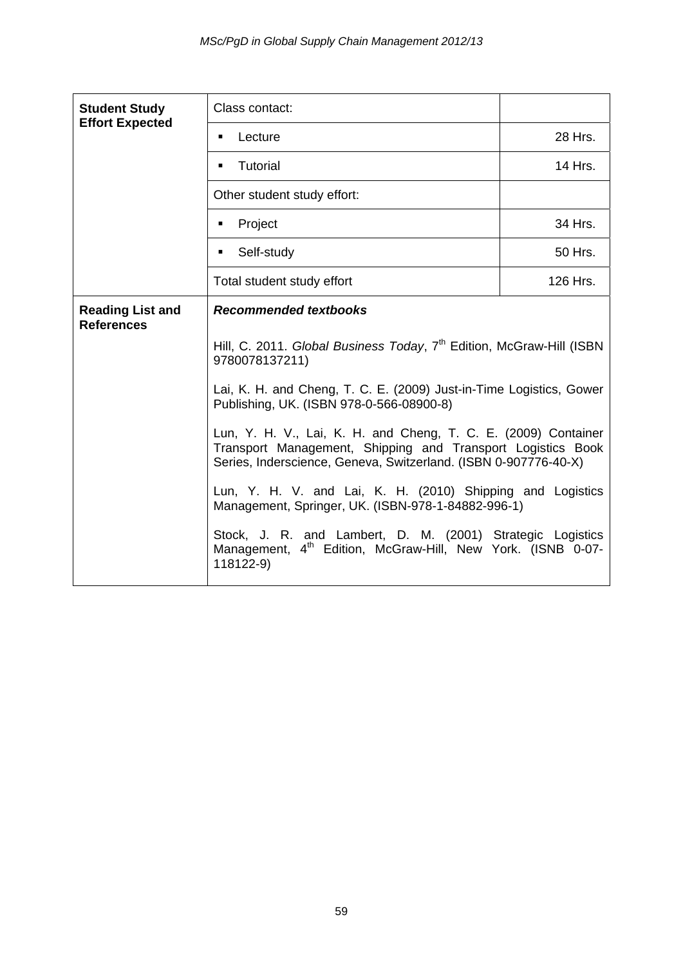| <b>Student Study</b>                         | Class contact:                                                                                                                                                                                   |          |  |  |
|----------------------------------------------|--------------------------------------------------------------------------------------------------------------------------------------------------------------------------------------------------|----------|--|--|
| <b>Effort Expected</b>                       | Lecture<br>٠                                                                                                                                                                                     | 28 Hrs.  |  |  |
|                                              | Tutorial<br>٠                                                                                                                                                                                    | 14 Hrs.  |  |  |
|                                              | Other student study effort:                                                                                                                                                                      |          |  |  |
|                                              | Project<br>٠                                                                                                                                                                                     | 34 Hrs.  |  |  |
|                                              | Self-study<br>٠                                                                                                                                                                                  | 50 Hrs.  |  |  |
|                                              | Total student study effort                                                                                                                                                                       | 126 Hrs. |  |  |
| <b>Reading List and</b><br><b>References</b> | <b>Recommended textbooks</b>                                                                                                                                                                     |          |  |  |
|                                              | Hill, C. 2011. Global Business Today, 7 <sup>th</sup> Edition, McGraw-Hill (ISBN<br>9780078137211)                                                                                               |          |  |  |
|                                              | Lai, K. H. and Cheng, T. C. E. (2009) Just-in-Time Logistics, Gower<br>Publishing, UK. (ISBN 978-0-566-08900-8)                                                                                  |          |  |  |
|                                              | Lun, Y. H. V., Lai, K. H. and Cheng, T. C. E. (2009) Container<br>Transport Management, Shipping and Transport Logistics Book<br>Series, Inderscience, Geneva, Switzerland. (ISBN 0-907776-40-X) |          |  |  |
|                                              | Lun, Y. H. V. and Lai, K. H. (2010) Shipping and Logistics<br>Management, Springer, UK. (ISBN-978-1-84882-996-1)                                                                                 |          |  |  |
|                                              | Stock, J. R. and Lambert, D. M. (2001) Strategic Logistics<br>Management, 4 <sup>th</sup> Edition, McGraw-Hill, New York. (ISNB 0-07-<br>118122-9)                                               |          |  |  |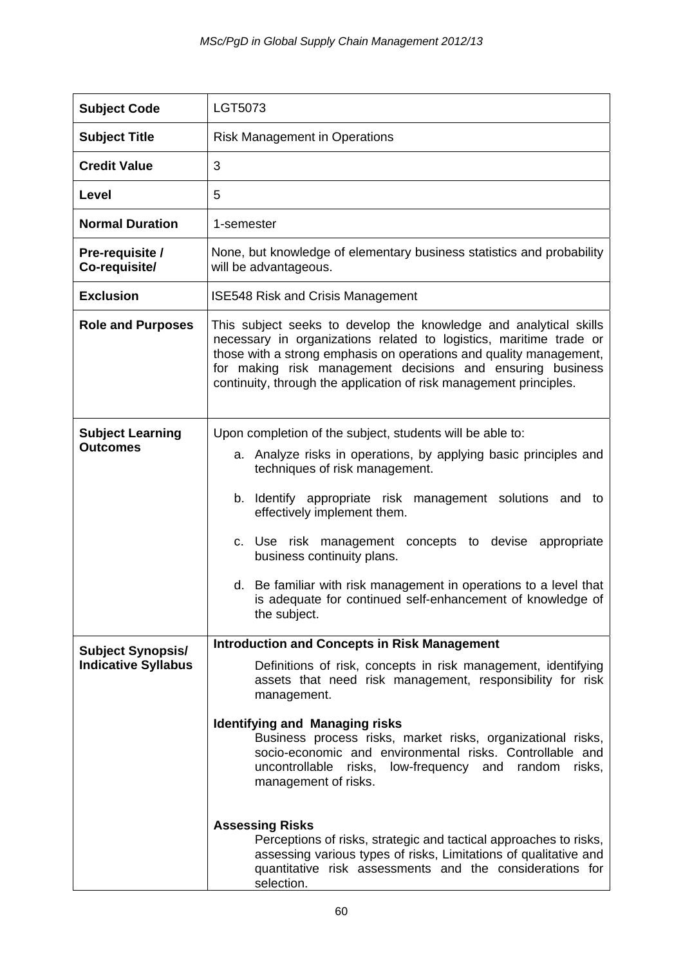| <b>Subject Code</b>                                    | LGT5073                                                                                                                                                                                                                                                                                                                                                                                                                                                                                                                                                                                                                                                                                                     |
|--------------------------------------------------------|-------------------------------------------------------------------------------------------------------------------------------------------------------------------------------------------------------------------------------------------------------------------------------------------------------------------------------------------------------------------------------------------------------------------------------------------------------------------------------------------------------------------------------------------------------------------------------------------------------------------------------------------------------------------------------------------------------------|
| <b>Subject Title</b>                                   | <b>Risk Management in Operations</b>                                                                                                                                                                                                                                                                                                                                                                                                                                                                                                                                                                                                                                                                        |
| <b>Credit Value</b>                                    | 3                                                                                                                                                                                                                                                                                                                                                                                                                                                                                                                                                                                                                                                                                                           |
| Level                                                  | 5                                                                                                                                                                                                                                                                                                                                                                                                                                                                                                                                                                                                                                                                                                           |
| <b>Normal Duration</b>                                 | 1-semester                                                                                                                                                                                                                                                                                                                                                                                                                                                                                                                                                                                                                                                                                                  |
| Pre-requisite /<br>Co-requisite/                       | None, but knowledge of elementary business statistics and probability<br>will be advantageous.                                                                                                                                                                                                                                                                                                                                                                                                                                                                                                                                                                                                              |
| <b>Exclusion</b>                                       | <b>ISE548 Risk and Crisis Management</b>                                                                                                                                                                                                                                                                                                                                                                                                                                                                                                                                                                                                                                                                    |
| <b>Role and Purposes</b>                               | This subject seeks to develop the knowledge and analytical skills<br>necessary in organizations related to logistics, maritime trade or<br>those with a strong emphasis on operations and quality management,<br>for making risk management decisions and ensuring business<br>continuity, through the application of risk management principles.                                                                                                                                                                                                                                                                                                                                                           |
| <b>Subject Learning</b><br><b>Outcomes</b>             | Upon completion of the subject, students will be able to:<br>a. Analyze risks in operations, by applying basic principles and<br>techniques of risk management.<br>b. Identify appropriate risk management solutions and to<br>effectively implement them.<br>c. Use risk management concepts to devise<br>appropriate<br>business continuity plans.<br>d. Be familiar with risk management in operations to a level that<br>is adequate for continued self-enhancement of knowledge of<br>the subject.                                                                                                                                                                                                     |
| <b>Subject Synopsis/</b><br><b>Indicative Syllabus</b> | <b>Introduction and Concepts in Risk Management</b><br>Definitions of risk, concepts in risk management, identifying<br>assets that need risk management, responsibility for risk<br>management.<br><b>Identifying and Managing risks</b><br>Business process risks, market risks, organizational risks,<br>socio-economic and environmental risks. Controllable and<br>uncontrollable risks,<br>low-frequency and<br>random<br>risks,<br>management of risks.<br><b>Assessing Risks</b><br>Perceptions of risks, strategic and tactical approaches to risks,<br>assessing various types of risks, Limitations of qualitative and<br>quantitative risk assessments and the considerations for<br>selection. |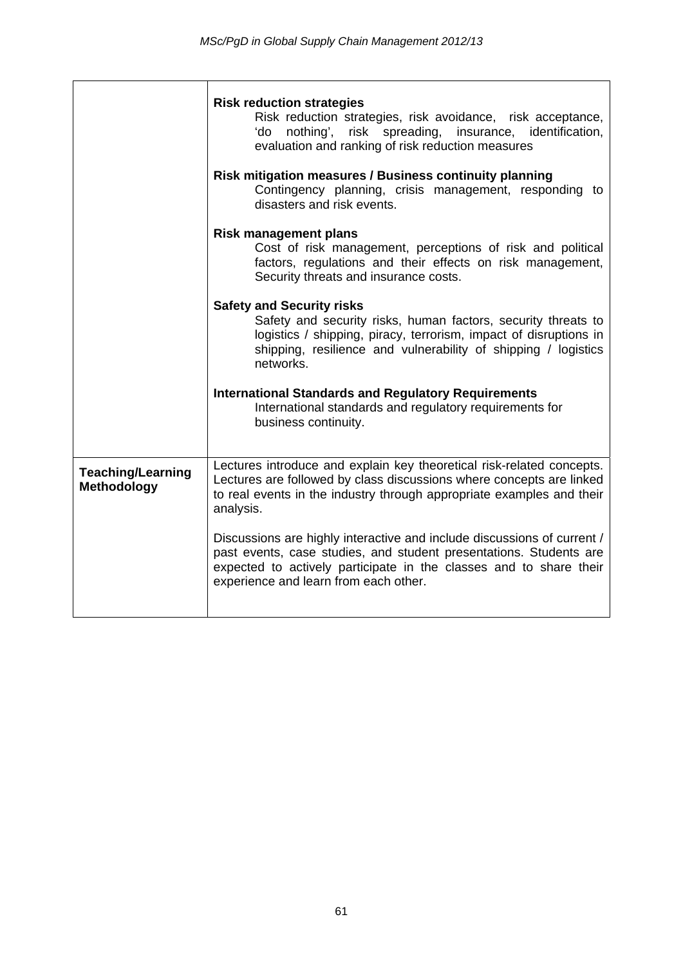|                                                | <b>Risk reduction strategies</b><br>Risk reduction strategies, risk avoidance, risk acceptance,<br>'do nothing', risk spreading, insurance, identification,<br>evaluation and ranking of risk reduction measures<br>Risk mitigation measures / Business continuity planning<br>Contingency planning, crisis management, responding to<br>disasters and risk events.<br><b>Risk management plans</b><br>Cost of risk management, perceptions of risk and political |
|------------------------------------------------|-------------------------------------------------------------------------------------------------------------------------------------------------------------------------------------------------------------------------------------------------------------------------------------------------------------------------------------------------------------------------------------------------------------------------------------------------------------------|
|                                                | factors, regulations and their effects on risk management,<br>Security threats and insurance costs.                                                                                                                                                                                                                                                                                                                                                               |
|                                                | <b>Safety and Security risks</b><br>Safety and security risks, human factors, security threats to<br>logistics / shipping, piracy, terrorism, impact of disruptions in<br>shipping, resilience and vulnerability of shipping / logistics<br>networks.                                                                                                                                                                                                             |
|                                                | <b>International Standards and Regulatory Requirements</b><br>International standards and regulatory requirements for<br>business continuity.                                                                                                                                                                                                                                                                                                                     |
| <b>Teaching/Learning</b><br><b>Methodology</b> | Lectures introduce and explain key theoretical risk-related concepts.<br>Lectures are followed by class discussions where concepts are linked<br>to real events in the industry through appropriate examples and their<br>analysis.                                                                                                                                                                                                                               |
|                                                | Discussions are highly interactive and include discussions of current /<br>past events, case studies, and student presentations. Students are<br>expected to actively participate in the classes and to share their<br>experience and learn from each other.                                                                                                                                                                                                      |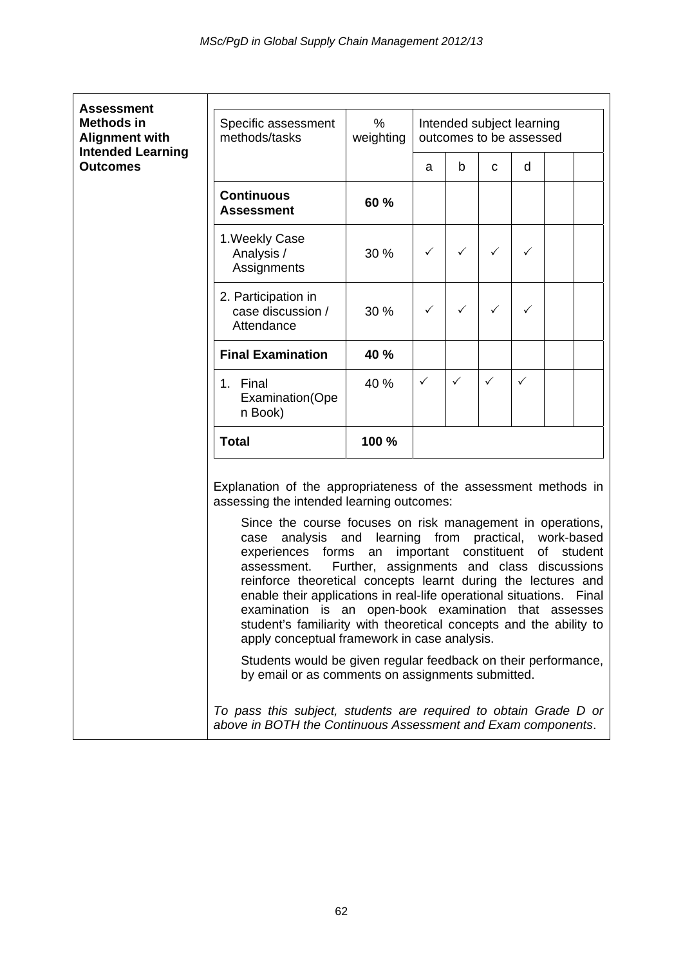| <b>Assessment</b>                                                                         |                                                                                                                                                                                                                                                                                                                                                                                                                                                                                                                                                                                                                                                                                                                                              |                                                                                                      |                                                      |              |   |   |    |         |
|-------------------------------------------------------------------------------------------|----------------------------------------------------------------------------------------------------------------------------------------------------------------------------------------------------------------------------------------------------------------------------------------------------------------------------------------------------------------------------------------------------------------------------------------------------------------------------------------------------------------------------------------------------------------------------------------------------------------------------------------------------------------------------------------------------------------------------------------------|------------------------------------------------------------------------------------------------------|------------------------------------------------------|--------------|---|---|----|---------|
| <b>Methods in</b><br><b>Alignment with</b><br><b>Intended Learning</b><br><b>Outcomes</b> | Specific assessment<br>methods/tasks                                                                                                                                                                                                                                                                                                                                                                                                                                                                                                                                                                                                                                                                                                         | $\%$<br>weighting                                                                                    | Intended subject learning<br>outcomes to be assessed |              |   |   |    |         |
|                                                                                           |                                                                                                                                                                                                                                                                                                                                                                                                                                                                                                                                                                                                                                                                                                                                              |                                                                                                      | a                                                    | b            | C | d |    |         |
|                                                                                           | <b>Continuous</b><br><b>Assessment</b>                                                                                                                                                                                                                                                                                                                                                                                                                                                                                                                                                                                                                                                                                                       | 60 %                                                                                                 |                                                      |              |   |   |    |         |
|                                                                                           | 1. Weekly Case<br>Analysis /<br>Assignments                                                                                                                                                                                                                                                                                                                                                                                                                                                                                                                                                                                                                                                                                                  | 30 %                                                                                                 | $\checkmark$                                         | $\checkmark$ | ✓ | ✓ |    |         |
|                                                                                           | 2. Participation in<br>case discussion /<br>Attendance                                                                                                                                                                                                                                                                                                                                                                                                                                                                                                                                                                                                                                                                                       | 30 %                                                                                                 | $\checkmark$                                         | $\checkmark$ | ✓ | ✓ |    |         |
|                                                                                           | <b>Final Examination</b>                                                                                                                                                                                                                                                                                                                                                                                                                                                                                                                                                                                                                                                                                                                     | 40 %                                                                                                 |                                                      |              |   |   |    |         |
|                                                                                           | 1. Final<br>Examination(Ope<br>n Book)                                                                                                                                                                                                                                                                                                                                                                                                                                                                                                                                                                                                                                                                                                       | 40 %                                                                                                 | $\checkmark$                                         | $\checkmark$ | ✓ | ✓ |    |         |
|                                                                                           | <b>Total</b>                                                                                                                                                                                                                                                                                                                                                                                                                                                                                                                                                                                                                                                                                                                                 | 100 %                                                                                                |                                                      |              |   |   |    |         |
|                                                                                           | Explanation of the appropriateness of the assessment methods in<br>assessing the intended learning outcomes:<br>Since the course focuses on risk management in operations,<br>case<br>experiences<br>forms<br>assessment.<br>reinforce theoretical concepts learnt during the lectures and<br>enable their applications in real-life operational situations. Final<br>examination is an open-book examination that assesses<br>student's familiarity with theoretical concepts and the ability to<br>apply conceptual framework in case analysis.<br>Students would be given regular feedback on their performance,<br>by email or as comments on assignments submitted.<br>To pass this subject, students are required to obtain Grade D or | analysis and learning from practical, work-based<br>an<br>Further, assignments and class discussions | important constituent                                |              |   |   | of | student |
|                                                                                           | above in BOTH the Continuous Assessment and Exam components.                                                                                                                                                                                                                                                                                                                                                                                                                                                                                                                                                                                                                                                                                 |                                                                                                      |                                                      |              |   |   |    |         |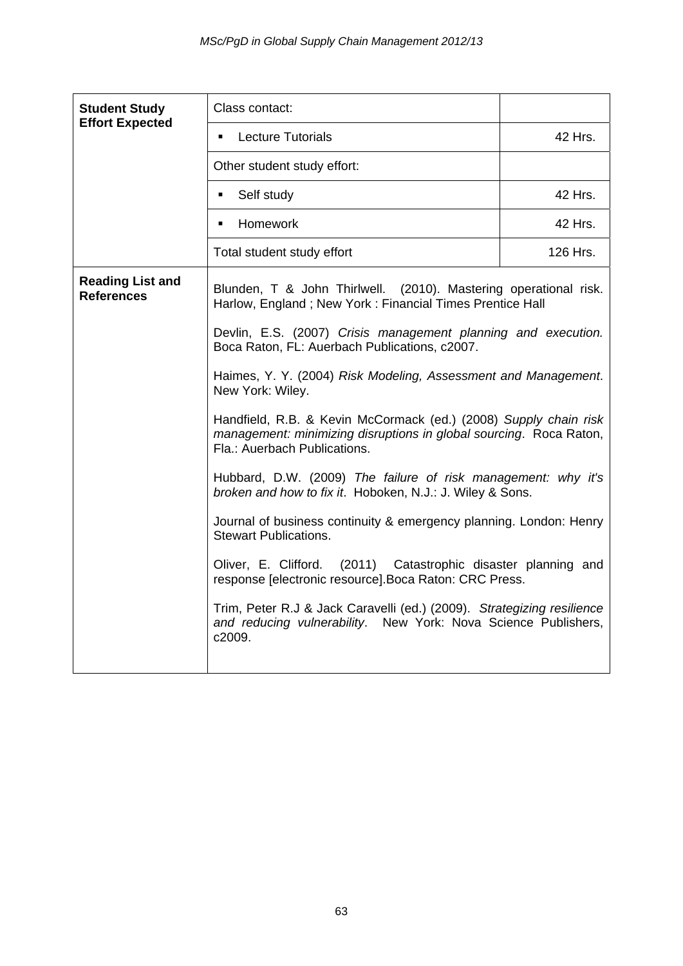| <b>Student Study</b>                         | Class contact:                                                                                                                                                                                                                   |          |  |  |
|----------------------------------------------|----------------------------------------------------------------------------------------------------------------------------------------------------------------------------------------------------------------------------------|----------|--|--|
| <b>Effort Expected</b>                       | <b>Lecture Tutorials</b><br>×,                                                                                                                                                                                                   | 42 Hrs.  |  |  |
|                                              | Other student study effort:                                                                                                                                                                                                      |          |  |  |
|                                              | Self study<br>Ξ                                                                                                                                                                                                                  | 42 Hrs.  |  |  |
|                                              | <b>Homework</b><br>٠                                                                                                                                                                                                             | 42 Hrs.  |  |  |
|                                              | Total student study effort                                                                                                                                                                                                       | 126 Hrs. |  |  |
| <b>Reading List and</b><br><b>References</b> | Blunden, T & John Thirlwell. (2010). Mastering operational risk.<br>Harlow, England; New York: Financial Times Prentice Hall                                                                                                     |          |  |  |
|                                              | Devlin, E.S. (2007) Crisis management planning and execution.<br>Boca Raton, FL: Auerbach Publications, c2007.                                                                                                                   |          |  |  |
|                                              | Haimes, Y. Y. (2004) Risk Modeling, Assessment and Management.<br>New York: Wiley.                                                                                                                                               |          |  |  |
|                                              | Handfield, R.B. & Kevin McCormack (ed.) (2008) Supply chain risk<br>management: minimizing disruptions in global sourcing. Roca Raton,<br>Fla.: Auerbach Publications.                                                           |          |  |  |
|                                              | Hubbard, D.W. (2009) The failure of risk management: why it's<br>broken and how to fix it. Hoboken, N.J.: J. Wiley & Sons.<br>Journal of business continuity & emergency planning. London: Henry<br><b>Stewart Publications.</b> |          |  |  |
|                                              |                                                                                                                                                                                                                                  |          |  |  |
|                                              | Oliver, E. Clifford. (2011) Catastrophic disaster planning and<br>response [electronic resource]. Boca Raton: CRC Press.                                                                                                         |          |  |  |
|                                              | Trim, Peter R.J & Jack Caravelli (ed.) (2009). Strategizing resilience<br>and reducing vulnerability. New York: Nova Science Publishers,<br>c2009.                                                                               |          |  |  |
|                                              |                                                                                                                                                                                                                                  |          |  |  |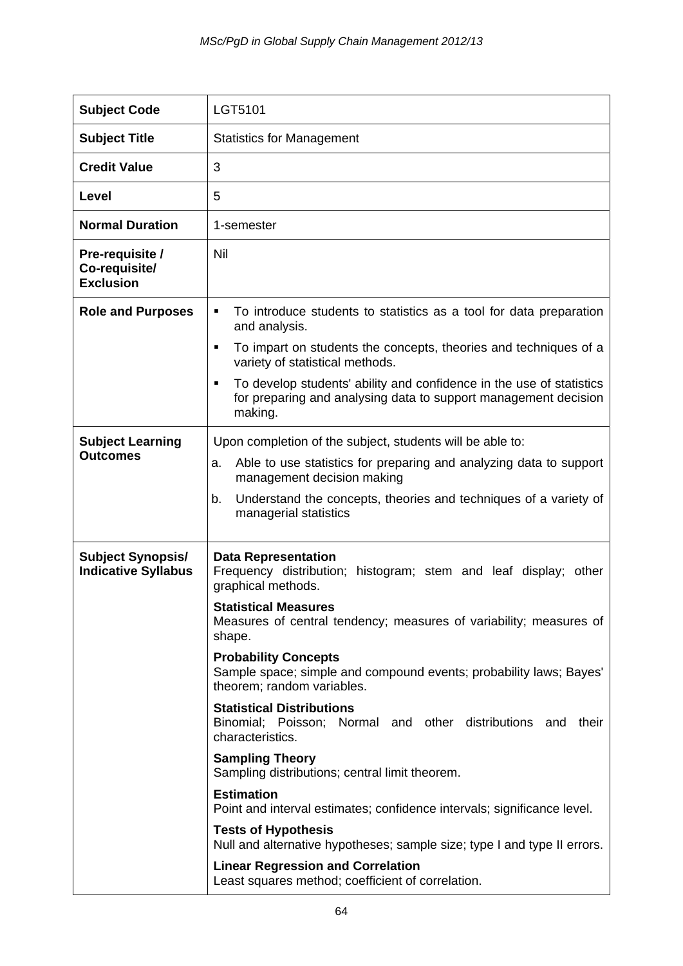| <b>Subject Code</b>                                    | LGT5101                                                                                                                                                                                                                                                                                                                                                                                                                                                                                                                                                                                                                                                                                                                                                                                                                                                                                |
|--------------------------------------------------------|----------------------------------------------------------------------------------------------------------------------------------------------------------------------------------------------------------------------------------------------------------------------------------------------------------------------------------------------------------------------------------------------------------------------------------------------------------------------------------------------------------------------------------------------------------------------------------------------------------------------------------------------------------------------------------------------------------------------------------------------------------------------------------------------------------------------------------------------------------------------------------------|
| <b>Subject Title</b>                                   | <b>Statistics for Management</b>                                                                                                                                                                                                                                                                                                                                                                                                                                                                                                                                                                                                                                                                                                                                                                                                                                                       |
| <b>Credit Value</b>                                    | 3                                                                                                                                                                                                                                                                                                                                                                                                                                                                                                                                                                                                                                                                                                                                                                                                                                                                                      |
| Level                                                  | 5                                                                                                                                                                                                                                                                                                                                                                                                                                                                                                                                                                                                                                                                                                                                                                                                                                                                                      |
| <b>Normal Duration</b>                                 | 1-semester                                                                                                                                                                                                                                                                                                                                                                                                                                                                                                                                                                                                                                                                                                                                                                                                                                                                             |
| Pre-requisite /<br>Co-requisite/<br><b>Exclusion</b>   | Nil                                                                                                                                                                                                                                                                                                                                                                                                                                                                                                                                                                                                                                                                                                                                                                                                                                                                                    |
| <b>Role and Purposes</b>                               | To introduce students to statistics as a tool for data preparation<br>٠<br>and analysis.<br>To impart on students the concepts, theories and techniques of a<br>٠                                                                                                                                                                                                                                                                                                                                                                                                                                                                                                                                                                                                                                                                                                                      |
|                                                        | variety of statistical methods.<br>To develop students' ability and confidence in the use of statistics<br>٠<br>for preparing and analysing data to support management decision<br>making.                                                                                                                                                                                                                                                                                                                                                                                                                                                                                                                                                                                                                                                                                             |
| <b>Subject Learning</b><br><b>Outcomes</b>             | Upon completion of the subject, students will be able to:<br>Able to use statistics for preparing and analyzing data to support<br>a.<br>management decision making<br>Understand the concepts, theories and techniques of a variety of<br>b.<br>managerial statistics                                                                                                                                                                                                                                                                                                                                                                                                                                                                                                                                                                                                                 |
| <b>Subject Synopsis/</b><br><b>Indicative Syllabus</b> | <b>Data Representation</b><br>Frequency distribution; histogram; stem and leaf display; other<br>graphical methods.<br><b>Statistical Measures</b><br>Measures of central tendency; measures of variability; measures of<br>shape.<br><b>Probability Concepts</b><br>Sample space; simple and compound events; probability laws; Bayes'<br>theorem; random variables.<br><b>Statistical Distributions</b><br>Binomial; Poisson; Normal and other distributions and<br>their<br>characteristics.<br><b>Sampling Theory</b><br>Sampling distributions; central limit theorem.<br><b>Estimation</b><br>Point and interval estimates; confidence intervals; significance level.<br><b>Tests of Hypothesis</b><br>Null and alternative hypotheses; sample size; type I and type II errors.<br><b>Linear Regression and Correlation</b><br>Least squares method; coefficient of correlation. |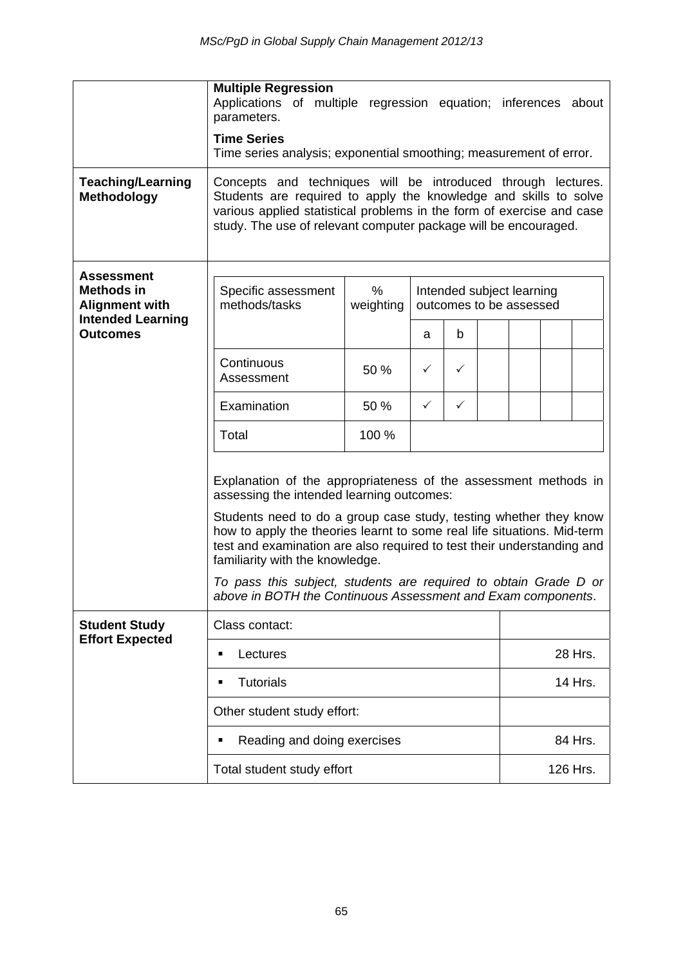|                                                   | <b>Multiple Regression</b><br>Applications of multiple regression equation; inferences about<br>parameters.                                                                                                                                                                                                                                                                                                                                                                                                   |           |                         |              |  |                           |  |         |  |
|---------------------------------------------------|---------------------------------------------------------------------------------------------------------------------------------------------------------------------------------------------------------------------------------------------------------------------------------------------------------------------------------------------------------------------------------------------------------------------------------------------------------------------------------------------------------------|-----------|-------------------------|--------------|--|---------------------------|--|---------|--|
|                                                   | <b>Time Series</b><br>Time series analysis; exponential smoothing; measurement of error.                                                                                                                                                                                                                                                                                                                                                                                                                      |           |                         |              |  |                           |  |         |  |
| <b>Teaching/Learning</b><br><b>Methodology</b>    | Concepts and techniques will be introduced through lectures.<br>Students are required to apply the knowledge and skills to solve<br>various applied statistical problems in the form of exercise and case<br>study. The use of relevant computer package will be encouraged.                                                                                                                                                                                                                                  |           |                         |              |  |                           |  |         |  |
| <b>Assessment</b><br><b>Methods in</b>            | Specific assessment                                                                                                                                                                                                                                                                                                                                                                                                                                                                                           | %         |                         |              |  | Intended subject learning |  |         |  |
| <b>Alignment with</b><br><b>Intended Learning</b> | methods/tasks                                                                                                                                                                                                                                                                                                                                                                                                                                                                                                 | weighting | outcomes to be assessed |              |  |                           |  |         |  |
| <b>Outcomes</b>                                   |                                                                                                                                                                                                                                                                                                                                                                                                                                                                                                               |           | a                       | b            |  |                           |  |         |  |
|                                                   | Continuous<br>Assessment                                                                                                                                                                                                                                                                                                                                                                                                                                                                                      | 50 %      | ✓                       | ✓            |  |                           |  |         |  |
|                                                   | Examination                                                                                                                                                                                                                                                                                                                                                                                                                                                                                                   | 50 %      | $\checkmark$            | $\checkmark$ |  |                           |  |         |  |
|                                                   | Total                                                                                                                                                                                                                                                                                                                                                                                                                                                                                                         | 100 %     |                         |              |  |                           |  |         |  |
|                                                   | Explanation of the appropriateness of the assessment methods in<br>assessing the intended learning outcomes:<br>Students need to do a group case study, testing whether they know<br>how to apply the theories learnt to some real life situations. Mid-term<br>test and examination are also required to test their understanding and<br>familiarity with the knowledge.<br>To pass this subject, students are required to obtain Grade D or<br>above in BOTH the Continuous Assessment and Exam components. |           |                         |              |  |                           |  |         |  |
| <b>Student Study</b>                              | Class contact:                                                                                                                                                                                                                                                                                                                                                                                                                                                                                                |           |                         |              |  |                           |  |         |  |
| <b>Effort Expected</b>                            | Lectures<br>٠                                                                                                                                                                                                                                                                                                                                                                                                                                                                                                 |           |                         |              |  | 28 Hrs.                   |  |         |  |
|                                                   | <b>Tutorials</b><br>$\blacksquare$                                                                                                                                                                                                                                                                                                                                                                                                                                                                            |           |                         |              |  | 14 Hrs.                   |  |         |  |
|                                                   | Other student study effort:                                                                                                                                                                                                                                                                                                                                                                                                                                                                                   |           |                         |              |  |                           |  |         |  |
|                                                   | Reading and doing exercises<br>Ξ                                                                                                                                                                                                                                                                                                                                                                                                                                                                              |           |                         |              |  |                           |  | 84 Hrs. |  |
|                                                   | Total student study effort                                                                                                                                                                                                                                                                                                                                                                                                                                                                                    |           |                         |              |  | 126 Hrs.                  |  |         |  |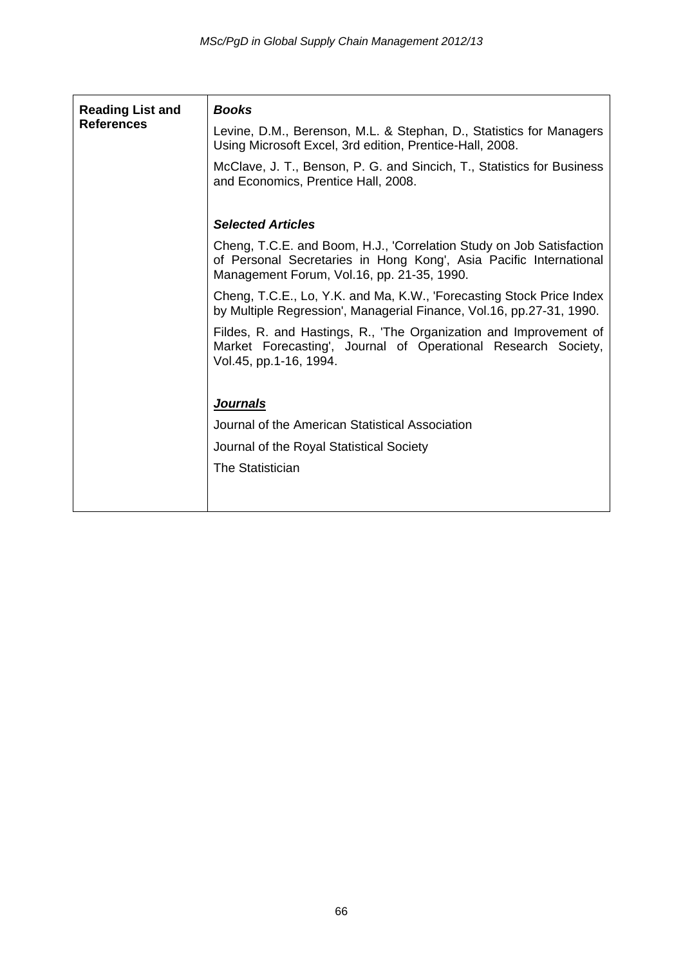| <b>Reading List and</b><br><b>References</b>                                                                                                                                            | <b>Books</b><br>Levine, D.M., Berenson, M.L. & Stephan, D., Statistics for Managers<br>Using Microsoft Excel, 3rd edition, Prentice-Hall, 2008.<br>McClave, J. T., Benson, P. G. and Sincich, T., Statistics for Business<br>and Economics, Prentice Hall, 2008. |  |  |  |  |
|-----------------------------------------------------------------------------------------------------------------------------------------------------------------------------------------|------------------------------------------------------------------------------------------------------------------------------------------------------------------------------------------------------------------------------------------------------------------|--|--|--|--|
|                                                                                                                                                                                         | <b>Selected Articles</b>                                                                                                                                                                                                                                         |  |  |  |  |
| Cheng, T.C.E. and Boom, H.J., 'Correlation Study on Job Satisfaction<br>of Personal Secretaries in Hong Kong', Asia Pacific International<br>Management Forum, Vol.16, pp. 21-35, 1990. |                                                                                                                                                                                                                                                                  |  |  |  |  |
|                                                                                                                                                                                         | Cheng, T.C.E., Lo, Y.K. and Ma, K.W., 'Forecasting Stock Price Index<br>by Multiple Regression', Managerial Finance, Vol.16, pp.27-31, 1990.                                                                                                                     |  |  |  |  |
|                                                                                                                                                                                         | Fildes, R. and Hastings, R., 'The Organization and Improvement of<br>Market Forecasting', Journal of Operational Research Society,<br>Vol.45, pp.1-16, 1994.                                                                                                     |  |  |  |  |
|                                                                                                                                                                                         | <b>Journals</b>                                                                                                                                                                                                                                                  |  |  |  |  |
|                                                                                                                                                                                         | Journal of the American Statistical Association                                                                                                                                                                                                                  |  |  |  |  |
|                                                                                                                                                                                         | Journal of the Royal Statistical Society                                                                                                                                                                                                                         |  |  |  |  |
|                                                                                                                                                                                         | The Statistician                                                                                                                                                                                                                                                 |  |  |  |  |
|                                                                                                                                                                                         |                                                                                                                                                                                                                                                                  |  |  |  |  |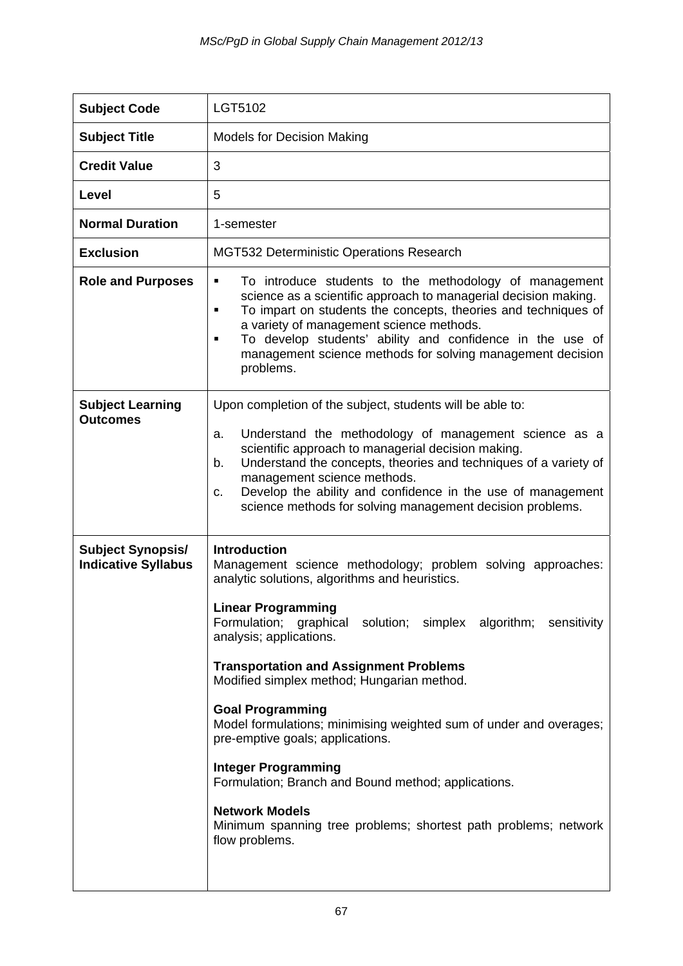| <b>Subject Code</b>                                    | LGT5102                                                                                                                                                                                                                                                                                                                                                                                                                                                                                                                                                                                                                                                                                                |
|--------------------------------------------------------|--------------------------------------------------------------------------------------------------------------------------------------------------------------------------------------------------------------------------------------------------------------------------------------------------------------------------------------------------------------------------------------------------------------------------------------------------------------------------------------------------------------------------------------------------------------------------------------------------------------------------------------------------------------------------------------------------------|
| <b>Subject Title</b>                                   | <b>Models for Decision Making</b>                                                                                                                                                                                                                                                                                                                                                                                                                                                                                                                                                                                                                                                                      |
| <b>Credit Value</b>                                    | 3                                                                                                                                                                                                                                                                                                                                                                                                                                                                                                                                                                                                                                                                                                      |
| Level                                                  | 5                                                                                                                                                                                                                                                                                                                                                                                                                                                                                                                                                                                                                                                                                                      |
| <b>Normal Duration</b>                                 | 1-semester                                                                                                                                                                                                                                                                                                                                                                                                                                                                                                                                                                                                                                                                                             |
| <b>Exclusion</b>                                       | <b>MGT532 Deterministic Operations Research</b>                                                                                                                                                                                                                                                                                                                                                                                                                                                                                                                                                                                                                                                        |
| <b>Role and Purposes</b>                               | To introduce students to the methodology of management<br>٠<br>science as a scientific approach to managerial decision making.<br>To impart on students the concepts, theories and techniques of<br>$\blacksquare$<br>a variety of management science methods.<br>To develop students' ability and confidence in the use of<br>٠<br>management science methods for solving management decision<br>problems.                                                                                                                                                                                                                                                                                            |
| <b>Subject Learning</b><br><b>Outcomes</b>             | Upon completion of the subject, students will be able to:<br>Understand the methodology of management science as a<br>a.<br>scientific approach to managerial decision making.<br>Understand the concepts, theories and techniques of a variety of<br>b.<br>management science methods.<br>Develop the ability and confidence in the use of management<br>$C_{\cdot}$<br>science methods for solving management decision problems.                                                                                                                                                                                                                                                                     |
| <b>Subject Synopsis/</b><br><b>Indicative Syllabus</b> | <b>Introduction</b><br>Management science methodology; problem solving approaches:<br>analytic solutions, algorithms and heuristics.<br><b>Linear Programming</b><br>Formulation; graphical solution; simplex algorithm; sensitivity<br>analysis; applications.<br><b>Transportation and Assignment Problems</b><br>Modified simplex method; Hungarian method.<br><b>Goal Programming</b><br>Model formulations; minimising weighted sum of under and overages;<br>pre-emptive goals; applications.<br><b>Integer Programming</b><br>Formulation; Branch and Bound method; applications.<br><b>Network Models</b><br>Minimum spanning tree problems; shortest path problems; network<br>flow problems. |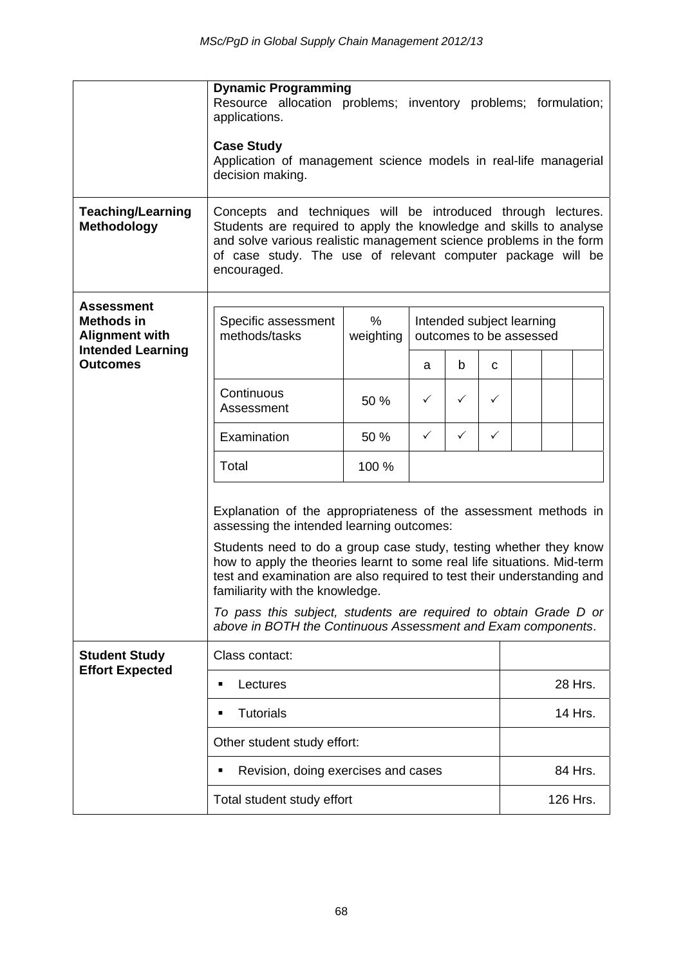|                                                                                             | <b>Dynamic Programming</b><br>Resource allocation problems; inventory problems; formulation;<br>applications.<br><b>Case Study</b><br>Application of management science models in real-life managerial<br>decision making.                                                                                                                                                                                                                                                                                    |                                                                           |              |              |   |  |          |
|---------------------------------------------------------------------------------------------|---------------------------------------------------------------------------------------------------------------------------------------------------------------------------------------------------------------------------------------------------------------------------------------------------------------------------------------------------------------------------------------------------------------------------------------------------------------------------------------------------------------|---------------------------------------------------------------------------|--------------|--------------|---|--|----------|
| <b>Teaching/Learning</b><br>Methodology                                                     | Concepts and techniques will be introduced through lectures.<br>Students are required to apply the knowledge and skills to analyse<br>and solve various realistic management science problems in the form<br>of case study. The use of relevant computer package will be<br>encouraged.                                                                                                                                                                                                                       |                                                                           |              |              |   |  |          |
| <b>Assessment</b><br><b>Methods in</b><br><b>Alignment with</b><br><b>Intended Learning</b> | Specific assessment<br>methods/tasks                                                                                                                                                                                                                                                                                                                                                                                                                                                                          | $\%$<br>Intended subject learning<br>weighting<br>outcomes to be assessed |              |              |   |  |          |
| <b>Outcomes</b>                                                                             |                                                                                                                                                                                                                                                                                                                                                                                                                                                                                                               |                                                                           | a            | b            | C |  |          |
|                                                                                             | Continuous<br>Assessment                                                                                                                                                                                                                                                                                                                                                                                                                                                                                      | 50 %                                                                      | $\checkmark$ | $\checkmark$ | ✓ |  |          |
|                                                                                             | Examination                                                                                                                                                                                                                                                                                                                                                                                                                                                                                                   | 50 %                                                                      | $\checkmark$ | $\checkmark$ | ✓ |  |          |
|                                                                                             | Total                                                                                                                                                                                                                                                                                                                                                                                                                                                                                                         | 100 %                                                                     |              |              |   |  |          |
|                                                                                             | Explanation of the appropriateness of the assessment methods in<br>assessing the intended learning outcomes:<br>Students need to do a group case study, testing whether they know<br>how to apply the theories learnt to some real life situations. Mid-term<br>test and examination are also required to test their understanding and<br>familiarity with the knowledge.<br>To pass this subject, students are required to obtain Grade D or<br>above in BOTH the Continuous Assessment and Exam components. |                                                                           |              |              |   |  |          |
| <b>Student Study</b><br><b>Effort Expected</b>                                              | Class contact:                                                                                                                                                                                                                                                                                                                                                                                                                                                                                                |                                                                           |              |              |   |  |          |
|                                                                                             | Lectures<br>п                                                                                                                                                                                                                                                                                                                                                                                                                                                                                                 |                                                                           |              |              |   |  | 28 Hrs.  |
|                                                                                             | <b>Tutorials</b><br>П                                                                                                                                                                                                                                                                                                                                                                                                                                                                                         |                                                                           |              |              |   |  | 14 Hrs.  |
|                                                                                             | Other student study effort:                                                                                                                                                                                                                                                                                                                                                                                                                                                                                   |                                                                           |              |              |   |  |          |
|                                                                                             | Revision, doing exercises and cases<br>п                                                                                                                                                                                                                                                                                                                                                                                                                                                                      |                                                                           |              |              |   |  | 84 Hrs.  |
|                                                                                             | Total student study effort                                                                                                                                                                                                                                                                                                                                                                                                                                                                                    |                                                                           |              |              |   |  | 126 Hrs. |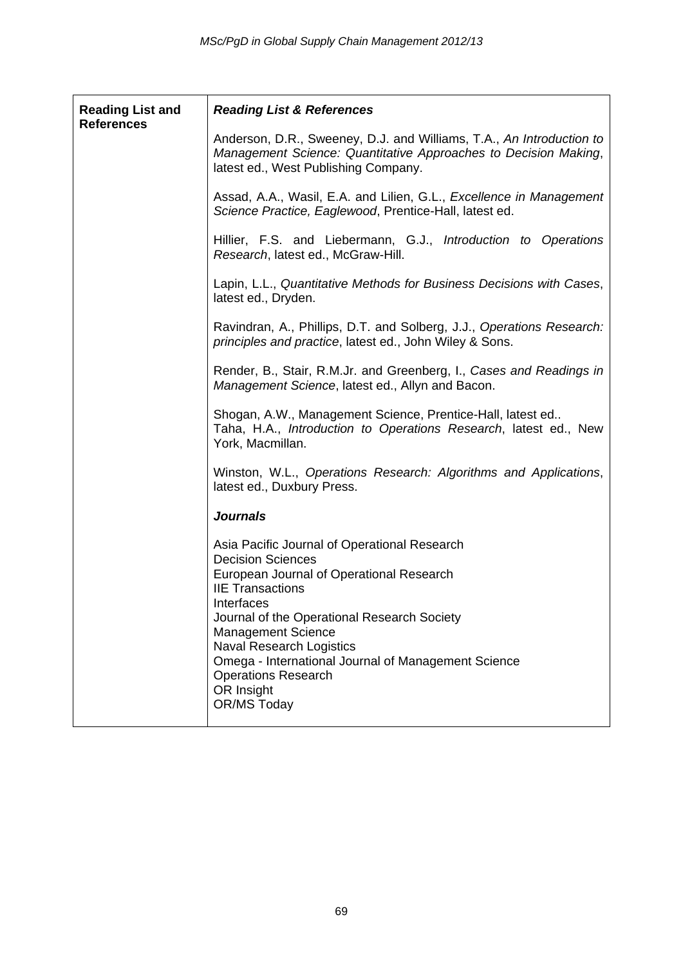| <b>Reading List and</b><br><b>References</b> | <b>Reading List &amp; References</b>                                                                                                                                                                                                                                                                                                                                                           |
|----------------------------------------------|------------------------------------------------------------------------------------------------------------------------------------------------------------------------------------------------------------------------------------------------------------------------------------------------------------------------------------------------------------------------------------------------|
|                                              | Anderson, D.R., Sweeney, D.J. and Williams, T.A., An Introduction to<br>Management Science: Quantitative Approaches to Decision Making,<br>latest ed., West Publishing Company.                                                                                                                                                                                                                |
|                                              | Assad, A.A., Wasil, E.A. and Lilien, G.L., Excellence in Management<br>Science Practice, Eaglewood, Prentice-Hall, latest ed.                                                                                                                                                                                                                                                                  |
|                                              | Hillier, F.S. and Liebermann, G.J., Introduction to Operations<br>Research, latest ed., McGraw-Hill.                                                                                                                                                                                                                                                                                           |
|                                              | Lapin, L.L., Quantitative Methods for Business Decisions with Cases,<br>latest ed., Dryden.                                                                                                                                                                                                                                                                                                    |
|                                              | Ravindran, A., Phillips, D.T. and Solberg, J.J., Operations Research:<br>principles and practice, latest ed., John Wiley & Sons.                                                                                                                                                                                                                                                               |
|                                              | Render, B., Stair, R.M.Jr. and Greenberg, I., Cases and Readings in<br>Management Science, latest ed., Allyn and Bacon.                                                                                                                                                                                                                                                                        |
|                                              | Shogan, A.W., Management Science, Prentice-Hall, latest ed<br>Taha, H.A., Introduction to Operations Research, latest ed., New<br>York, Macmillan.                                                                                                                                                                                                                                             |
|                                              | Winston, W.L., Operations Research: Algorithms and Applications,<br>latest ed., Duxbury Press.                                                                                                                                                                                                                                                                                                 |
|                                              | <b>Journals</b>                                                                                                                                                                                                                                                                                                                                                                                |
|                                              | Asia Pacific Journal of Operational Research<br><b>Decision Sciences</b><br>European Journal of Operational Research<br><b>IIE Transactions</b><br>Interfaces<br>Journal of the Operational Research Society<br><b>Management Science</b><br><b>Naval Research Logistics</b><br>Omega - International Journal of Management Science<br><b>Operations Research</b><br>OR Insight<br>OR/MS Today |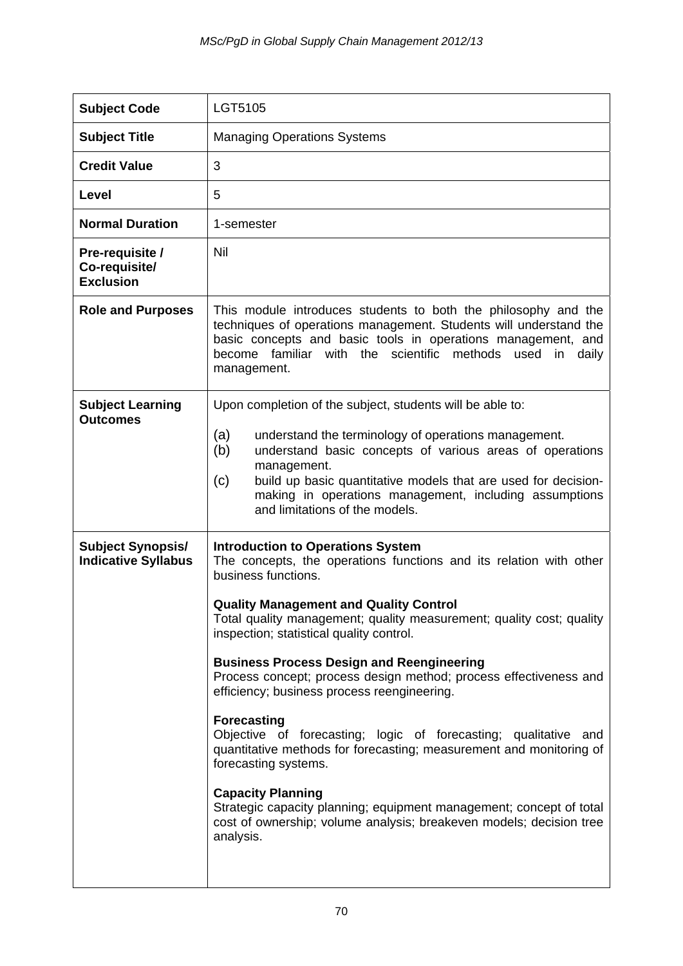| <b>Subject Code</b>                                    | LGT5105                                                                                                                                                                                                                                                                                                                                                                                                                                                                                                                                                                                                                                                                                                                                                                                                                                                              |
|--------------------------------------------------------|----------------------------------------------------------------------------------------------------------------------------------------------------------------------------------------------------------------------------------------------------------------------------------------------------------------------------------------------------------------------------------------------------------------------------------------------------------------------------------------------------------------------------------------------------------------------------------------------------------------------------------------------------------------------------------------------------------------------------------------------------------------------------------------------------------------------------------------------------------------------|
| <b>Subject Title</b>                                   | <b>Managing Operations Systems</b>                                                                                                                                                                                                                                                                                                                                                                                                                                                                                                                                                                                                                                                                                                                                                                                                                                   |
| <b>Credit Value</b>                                    | 3                                                                                                                                                                                                                                                                                                                                                                                                                                                                                                                                                                                                                                                                                                                                                                                                                                                                    |
| Level                                                  | 5                                                                                                                                                                                                                                                                                                                                                                                                                                                                                                                                                                                                                                                                                                                                                                                                                                                                    |
| <b>Normal Duration</b>                                 | 1-semester                                                                                                                                                                                                                                                                                                                                                                                                                                                                                                                                                                                                                                                                                                                                                                                                                                                           |
| Pre-requisite /<br>Co-requisite/<br><b>Exclusion</b>   | Nil                                                                                                                                                                                                                                                                                                                                                                                                                                                                                                                                                                                                                                                                                                                                                                                                                                                                  |
| <b>Role and Purposes</b>                               | This module introduces students to both the philosophy and the<br>techniques of operations management. Students will understand the<br>basic concepts and basic tools in operations management, and<br>familiar with the scientific methods used<br>become<br>in<br>daily<br>management.                                                                                                                                                                                                                                                                                                                                                                                                                                                                                                                                                                             |
| <b>Subject Learning</b><br><b>Outcomes</b>             | Upon completion of the subject, students will be able to:<br>(a)<br>understand the terminology of operations management.<br>(b)<br>understand basic concepts of various areas of operations<br>management.<br>(c)<br>build up basic quantitative models that are used for decision-<br>making in operations management, including assumptions<br>and limitations of the models.                                                                                                                                                                                                                                                                                                                                                                                                                                                                                      |
| <b>Subject Synopsis/</b><br><b>Indicative Syllabus</b> | <b>Introduction to Operations System</b><br>The concepts, the operations functions and its relation with other<br>business functions.<br><b>Quality Management and Quality Control</b><br>Total quality management; quality measurement; quality cost; quality<br>inspection; statistical quality control.<br><b>Business Process Design and Reengineering</b><br>Process concept; process design method; process effectiveness and<br>efficiency; business process reengineering.<br><b>Forecasting</b><br>Objective of forecasting; logic of forecasting; qualitative<br>and<br>quantitative methods for forecasting; measurement and monitoring of<br>forecasting systems.<br><b>Capacity Planning</b><br>Strategic capacity planning; equipment management; concept of total<br>cost of ownership; volume analysis; breakeven models; decision tree<br>analysis. |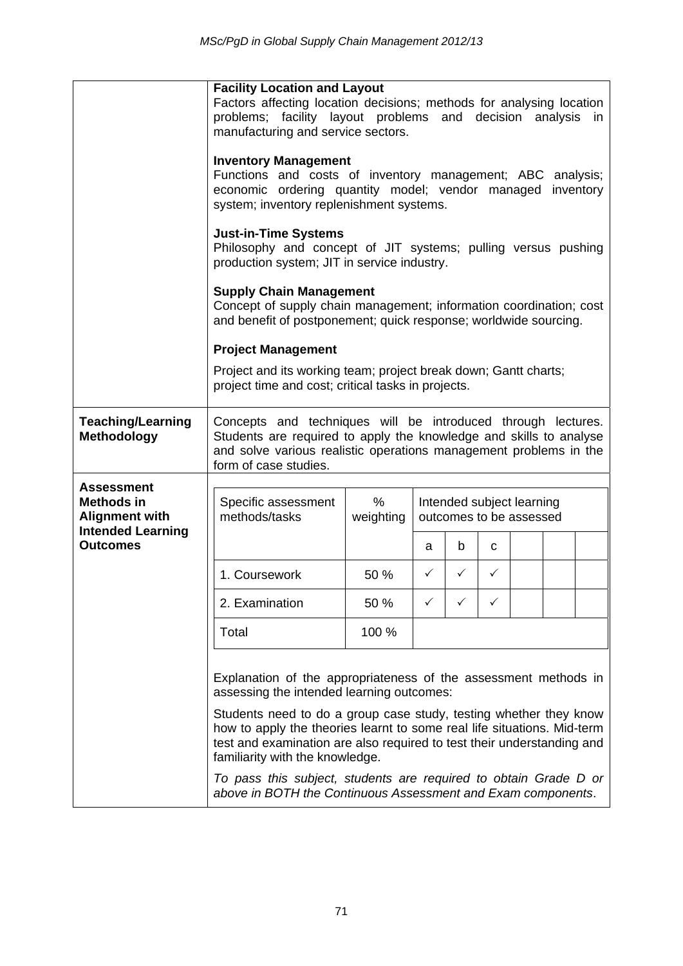|                                                                 | <b>Facility Location and Layout</b><br>Factors affecting location decisions; methods for analysing location<br>problems; facility layout problems and decision analysis<br>manufacturing and service sectors.                                             |       |              |              |   |  | in.       |
|-----------------------------------------------------------------|-----------------------------------------------------------------------------------------------------------------------------------------------------------------------------------------------------------------------------------------------------------|-------|--------------|--------------|---|--|-----------|
|                                                                 | <b>Inventory Management</b><br>Functions and costs of inventory management; ABC analysis;<br>economic ordering quantity model; vendor managed<br>system; inventory replenishment systems.                                                                 |       |              |              |   |  | inventory |
|                                                                 | <b>Just-in-Time Systems</b><br>Philosophy and concept of JIT systems; pulling versus pushing<br>production system; JIT in service industry.                                                                                                               |       |              |              |   |  |           |
|                                                                 | <b>Supply Chain Management</b><br>Concept of supply chain management; information coordination; cost<br>and benefit of postponement; quick response; worldwide sourcing.                                                                                  |       |              |              |   |  |           |
|                                                                 | <b>Project Management</b>                                                                                                                                                                                                                                 |       |              |              |   |  |           |
|                                                                 | Project and its working team; project break down; Gantt charts;<br>project time and cost; critical tasks in projects.                                                                                                                                     |       |              |              |   |  |           |
| <b>Teaching/Learning</b><br><b>Methodology</b>                  | Concepts and techniques will be introduced through lectures.<br>Students are required to apply the knowledge and skills to analyse<br>and solve various realistic operations management problems in the<br>form of case studies.                          |       |              |              |   |  |           |
| <b>Assessment</b><br><b>Methods in</b><br><b>Alignment with</b> | $\%$<br>Specific assessment<br>Intended subject learning<br>methods/tasks<br>weighting<br>outcomes to be assessed                                                                                                                                         |       |              |              |   |  |           |
| <b>Intended Learning</b><br><b>Outcomes</b>                     |                                                                                                                                                                                                                                                           |       | a            | b            | C |  |           |
|                                                                 | 1. Coursework                                                                                                                                                                                                                                             | 50 %  | $\checkmark$ | $\checkmark$ | ✓ |  |           |
|                                                                 | 2. Examination                                                                                                                                                                                                                                            | 50 %  | ✓            | ✓            | ✓ |  |           |
|                                                                 | Total                                                                                                                                                                                                                                                     | 100 % |              |              |   |  |           |
|                                                                 | Explanation of the appropriateness of the assessment methods in<br>assessing the intended learning outcomes:                                                                                                                                              |       |              |              |   |  |           |
|                                                                 | Students need to do a group case study, testing whether they know<br>how to apply the theories learnt to some real life situations. Mid-term<br>test and examination are also required to test their understanding and<br>familiarity with the knowledge. |       |              |              |   |  |           |
|                                                                 | To pass this subject, students are required to obtain Grade D or<br>above in BOTH the Continuous Assessment and Exam components.                                                                                                                          |       |              |              |   |  |           |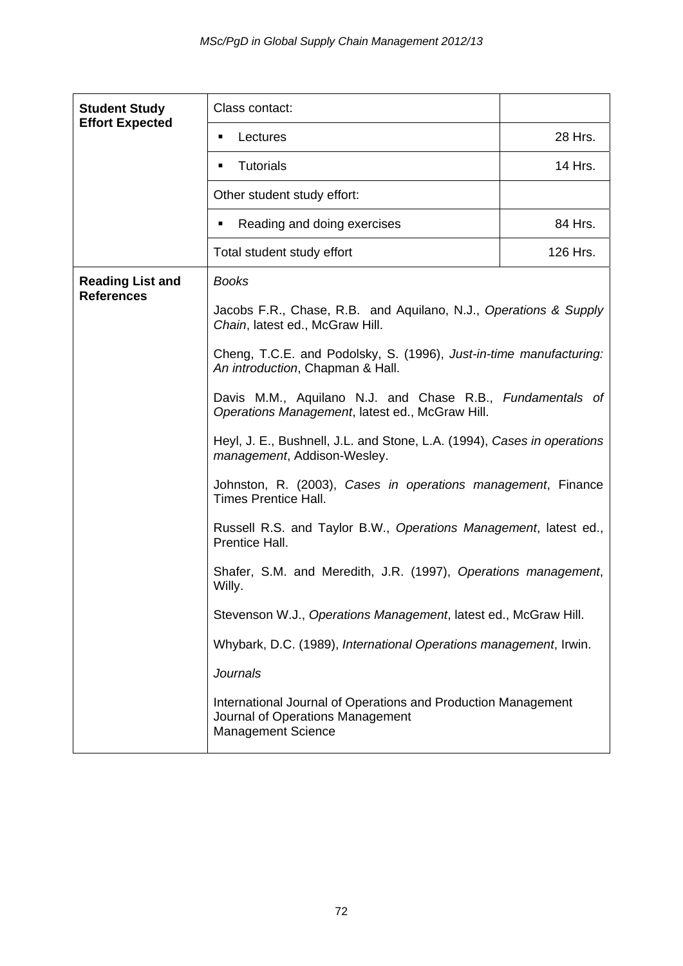| <b>Student Study</b>                         | Class contact:                                                                                                                                                 |          |  |  |  |  |
|----------------------------------------------|----------------------------------------------------------------------------------------------------------------------------------------------------------------|----------|--|--|--|--|
| <b>Effort Expected</b>                       | Lectures<br>٠                                                                                                                                                  | 28 Hrs.  |  |  |  |  |
|                                              | 14 Hrs.<br><b>Tutorials</b><br>٠                                                                                                                               |          |  |  |  |  |
|                                              | Other student study effort:                                                                                                                                    |          |  |  |  |  |
|                                              | Reading and doing exercises<br>٠                                                                                                                               | 84 Hrs.  |  |  |  |  |
|                                              | Total student study effort                                                                                                                                     | 126 Hrs. |  |  |  |  |
| <b>Reading List and</b><br><b>References</b> | <b>Books</b>                                                                                                                                                   |          |  |  |  |  |
|                                              | Jacobs F.R., Chase, R.B. and Aquilano, N.J., Operations & Supply<br>Chain, latest ed., McGraw Hill.                                                            |          |  |  |  |  |
|                                              | Cheng, T.C.E. and Podolsky, S. (1996), Just-in-time manufacturing:<br>An introduction, Chapman & Hall.                                                         |          |  |  |  |  |
|                                              | Davis M.M., Aquilano N.J. and Chase R.B., Fundamentals of<br>Operations Management, latest ed., McGraw Hill.                                                   |          |  |  |  |  |
|                                              | Heyl, J. E., Bushnell, J.L. and Stone, L.A. (1994), Cases in operations<br>management, Addison-Wesley.                                                         |          |  |  |  |  |
|                                              | Johnston, R. (2003), Cases in operations management, Finance<br><b>Times Prentice Hall.</b>                                                                    |          |  |  |  |  |
|                                              | Russell R.S. and Taylor B.W., Operations Management, latest ed.,<br>Prentice Hall.<br>Shafer, S.M. and Meredith, J.R. (1997), Operations management,<br>Willy. |          |  |  |  |  |
|                                              |                                                                                                                                                                |          |  |  |  |  |
|                                              | Stevenson W.J., Operations Management, latest ed., McGraw Hill.                                                                                                |          |  |  |  |  |
|                                              | Whybark, D.C. (1989), International Operations management, Irwin.                                                                                              |          |  |  |  |  |
|                                              | <b>Journals</b>                                                                                                                                                |          |  |  |  |  |
|                                              | International Journal of Operations and Production Management<br>Journal of Operations Management<br><b>Management Science</b>                                 |          |  |  |  |  |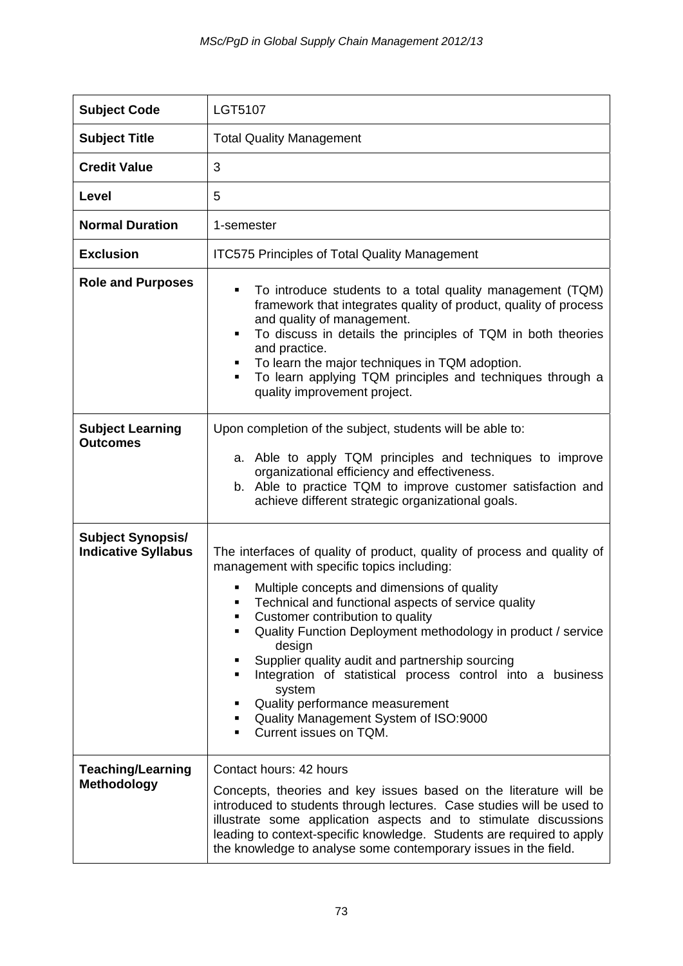| <b>Subject Code</b>                                    | LGT5107                                                                                                                                                                                                                                                                                                                                                                                                                                                                                                                                                                    |
|--------------------------------------------------------|----------------------------------------------------------------------------------------------------------------------------------------------------------------------------------------------------------------------------------------------------------------------------------------------------------------------------------------------------------------------------------------------------------------------------------------------------------------------------------------------------------------------------------------------------------------------------|
| <b>Subject Title</b>                                   | <b>Total Quality Management</b>                                                                                                                                                                                                                                                                                                                                                                                                                                                                                                                                            |
| <b>Credit Value</b>                                    | 3                                                                                                                                                                                                                                                                                                                                                                                                                                                                                                                                                                          |
| Level                                                  | 5                                                                                                                                                                                                                                                                                                                                                                                                                                                                                                                                                                          |
| <b>Normal Duration</b>                                 | 1-semester                                                                                                                                                                                                                                                                                                                                                                                                                                                                                                                                                                 |
| <b>Exclusion</b>                                       | <b>ITC575 Principles of Total Quality Management</b>                                                                                                                                                                                                                                                                                                                                                                                                                                                                                                                       |
| <b>Role and Purposes</b>                               | To introduce students to a total quality management (TQM)<br>framework that integrates quality of product, quality of process<br>and quality of management.<br>To discuss in details the principles of TQM in both theories<br>and practice.<br>To learn the major techniques in TQM adoption.<br>To learn applying TQM principles and techniques through a<br>quality improvement project.                                                                                                                                                                                |
| <b>Subject Learning</b><br><b>Outcomes</b>             | Upon completion of the subject, students will be able to:<br>a. Able to apply TQM principles and techniques to improve<br>organizational efficiency and effectiveness.<br>b. Able to practice TQM to improve customer satisfaction and<br>achieve different strategic organizational goals.                                                                                                                                                                                                                                                                                |
| <b>Subject Synopsis/</b><br><b>Indicative Syllabus</b> | The interfaces of quality of product, quality of process and quality of<br>management with specific topics including:<br>Multiple concepts and dimensions of quality<br>Technical and functional aspects of service quality<br>Customer contribution to quality<br>Quality Function Deployment methodology in product / service<br>design<br>Supplier quality audit and partnership sourcing<br>Integration of statistical process control into a business<br>system<br>Quality performance measurement<br>Quality Management System of ISO:9000<br>Current issues on TQM. |
| <b>Teaching/Learning</b><br><b>Methodology</b>         | Contact hours: 42 hours<br>Concepts, theories and key issues based on the literature will be<br>introduced to students through lectures. Case studies will be used to<br>illustrate some application aspects and to stimulate discussions<br>leading to context-specific knowledge. Students are required to apply<br>the knowledge to analyse some contemporary issues in the field.                                                                                                                                                                                      |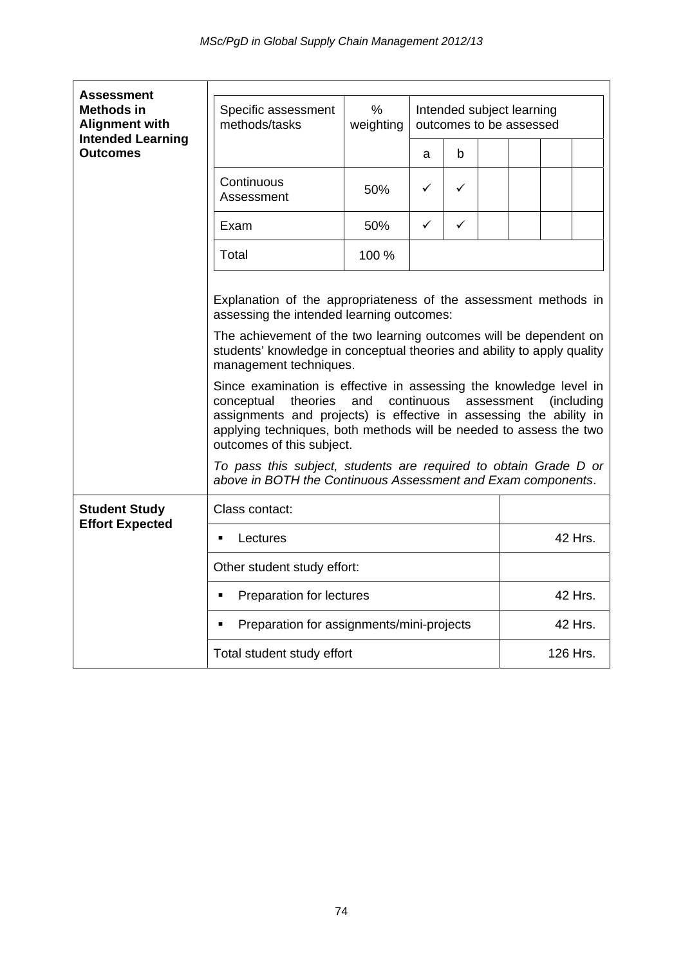| <b>Assessment</b>                                                      |                                                                                                                                                                                                                                                                                                                                                                                                                                                                                                               |                   |                                                                                                                                  |              |  |         |  |          |
|------------------------------------------------------------------------|---------------------------------------------------------------------------------------------------------------------------------------------------------------------------------------------------------------------------------------------------------------------------------------------------------------------------------------------------------------------------------------------------------------------------------------------------------------------------------------------------------------|-------------------|----------------------------------------------------------------------------------------------------------------------------------|--------------|--|---------|--|----------|
| <b>Methods in</b><br><b>Alignment with</b><br><b>Intended Learning</b> | Specific assessment<br>methods/tasks                                                                                                                                                                                                                                                                                                                                                                                                                                                                          | $\%$<br>weighting | Intended subject learning<br>outcomes to be assessed                                                                             |              |  |         |  |          |
| <b>Outcomes</b>                                                        |                                                                                                                                                                                                                                                                                                                                                                                                                                                                                                               |                   | a                                                                                                                                | b            |  |         |  |          |
|                                                                        | Continuous<br>Assessment                                                                                                                                                                                                                                                                                                                                                                                                                                                                                      | 50%               | ✓                                                                                                                                | $\checkmark$ |  |         |  |          |
|                                                                        | Exam                                                                                                                                                                                                                                                                                                                                                                                                                                                                                                          | 50%               | ✓                                                                                                                                | ✓            |  |         |  |          |
|                                                                        | Total                                                                                                                                                                                                                                                                                                                                                                                                                                                                                                         | 100 %             |                                                                                                                                  |              |  |         |  |          |
|                                                                        | Explanation of the appropriateness of the assessment methods in<br>assessing the intended learning outcomes:<br>The achievement of the two learning outcomes will be dependent on<br>students' knowledge in conceptual theories and ability to apply quality<br>management techniques.<br>Since examination is effective in assessing the knowledge level in<br>continuous<br>theories<br>and<br>assessment<br>(including<br>conceptual<br>assignments and projects) is effective in assessing the ability in |                   |                                                                                                                                  |              |  |         |  |          |
|                                                                        | applying techniques, both methods will be needed to assess the two<br>outcomes of this subject.                                                                                                                                                                                                                                                                                                                                                                                                               |                   |                                                                                                                                  |              |  |         |  |          |
|                                                                        |                                                                                                                                                                                                                                                                                                                                                                                                                                                                                                               |                   | To pass this subject, students are required to obtain Grade D or<br>above in BOTH the Continuous Assessment and Exam components. |              |  |         |  |          |
| <b>Student Study</b><br><b>Effort Expected</b>                         | Class contact:                                                                                                                                                                                                                                                                                                                                                                                                                                                                                                |                   |                                                                                                                                  |              |  |         |  |          |
|                                                                        | Lectures<br>٠                                                                                                                                                                                                                                                                                                                                                                                                                                                                                                 |                   |                                                                                                                                  |              |  |         |  | 42 Hrs.  |
|                                                                        | Other student study effort:                                                                                                                                                                                                                                                                                                                                                                                                                                                                                   |                   |                                                                                                                                  |              |  |         |  |          |
|                                                                        | Preparation for lectures<br>٠                                                                                                                                                                                                                                                                                                                                                                                                                                                                                 |                   |                                                                                                                                  |              |  |         |  | 42 Hrs.  |
|                                                                        | Preparation for assignments/mini-projects<br>$\blacksquare$                                                                                                                                                                                                                                                                                                                                                                                                                                                   |                   |                                                                                                                                  |              |  | 42 Hrs. |  |          |
|                                                                        | Total student study effort                                                                                                                                                                                                                                                                                                                                                                                                                                                                                    |                   |                                                                                                                                  |              |  |         |  | 126 Hrs. |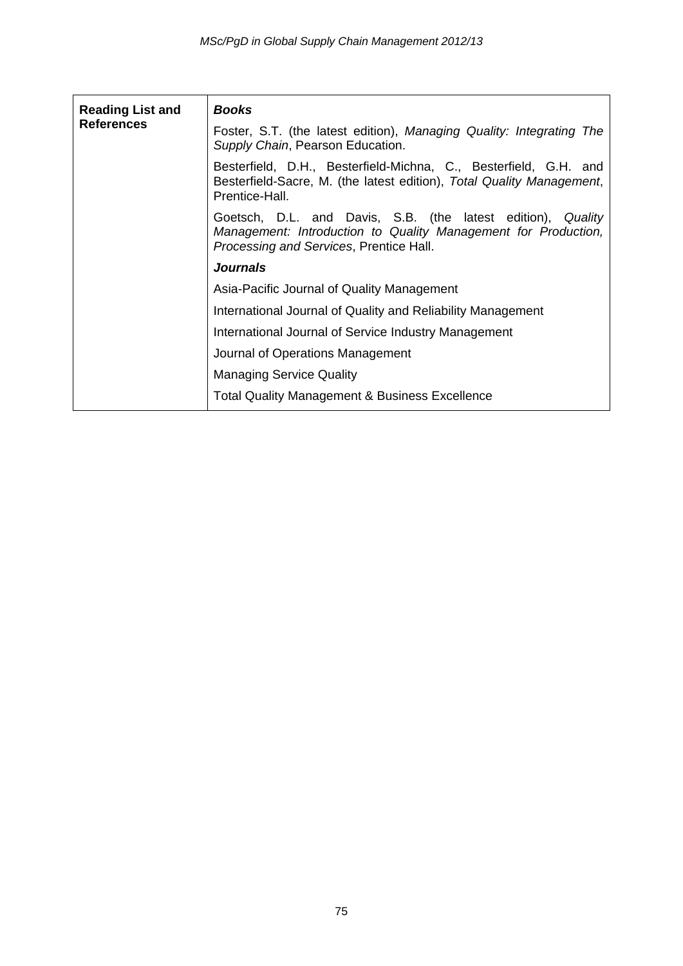| <b>Reading List and</b><br><b>References</b> | Books                                                                                                                                                                    |
|----------------------------------------------|--------------------------------------------------------------------------------------------------------------------------------------------------------------------------|
|                                              | Foster, S.T. (the latest edition), Managing Quality: Integrating The<br>Supply Chain, Pearson Education.                                                                 |
|                                              | Besterfield, D.H., Besterfield-Michna, C., Besterfield, G.H. and<br>Besterfield-Sacre, M. (the latest edition), Total Quality Management,<br>Prentice-Hall.              |
|                                              | Goetsch, D.L. and Davis, S.B. (the latest edition), Quality<br>Management: Introduction to Quality Management for Production,<br>Processing and Services, Prentice Hall. |
|                                              | <b>Journals</b>                                                                                                                                                          |
|                                              | Asia-Pacific Journal of Quality Management                                                                                                                               |
|                                              | International Journal of Quality and Reliability Management                                                                                                              |
|                                              | International Journal of Service Industry Management                                                                                                                     |
|                                              | Journal of Operations Management                                                                                                                                         |
|                                              | <b>Managing Service Quality</b>                                                                                                                                          |
|                                              | <b>Total Quality Management &amp; Business Excellence</b>                                                                                                                |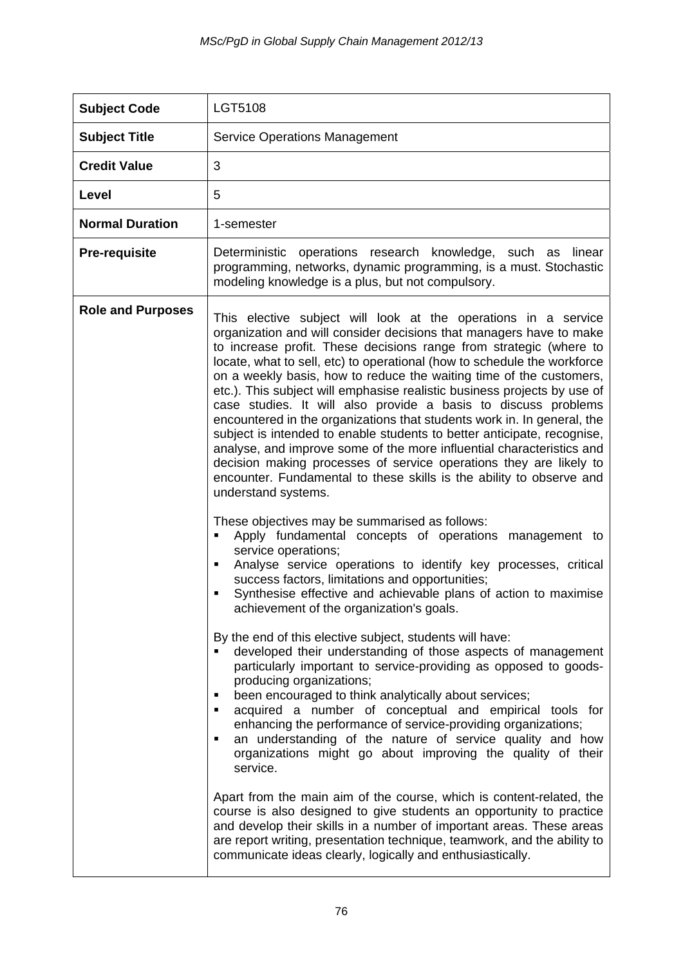| <b>Subject Code</b>      | LGT5108                                                                                                                                                                                                                                                                                                                                                                                                                                                                                                                                                                                                                                                                                                                                                                                                                                                                                                                                                                                                                                                                                                                                                                                                                                                                                            |
|--------------------------|----------------------------------------------------------------------------------------------------------------------------------------------------------------------------------------------------------------------------------------------------------------------------------------------------------------------------------------------------------------------------------------------------------------------------------------------------------------------------------------------------------------------------------------------------------------------------------------------------------------------------------------------------------------------------------------------------------------------------------------------------------------------------------------------------------------------------------------------------------------------------------------------------------------------------------------------------------------------------------------------------------------------------------------------------------------------------------------------------------------------------------------------------------------------------------------------------------------------------------------------------------------------------------------------------|
| <b>Subject Title</b>     | <b>Service Operations Management</b>                                                                                                                                                                                                                                                                                                                                                                                                                                                                                                                                                                                                                                                                                                                                                                                                                                                                                                                                                                                                                                                                                                                                                                                                                                                               |
| <b>Credit Value</b>      | 3                                                                                                                                                                                                                                                                                                                                                                                                                                                                                                                                                                                                                                                                                                                                                                                                                                                                                                                                                                                                                                                                                                                                                                                                                                                                                                  |
| Level                    | 5                                                                                                                                                                                                                                                                                                                                                                                                                                                                                                                                                                                                                                                                                                                                                                                                                                                                                                                                                                                                                                                                                                                                                                                                                                                                                                  |
| <b>Normal Duration</b>   | 1-semester                                                                                                                                                                                                                                                                                                                                                                                                                                                                                                                                                                                                                                                                                                                                                                                                                                                                                                                                                                                                                                                                                                                                                                                                                                                                                         |
| <b>Pre-requisite</b>     | Deterministic operations research knowledge, such as linear<br>programming, networks, dynamic programming, is a must. Stochastic<br>modeling knowledge is a plus, but not compulsory.                                                                                                                                                                                                                                                                                                                                                                                                                                                                                                                                                                                                                                                                                                                                                                                                                                                                                                                                                                                                                                                                                                              |
| <b>Role and Purposes</b> | This elective subject will look at the operations in a service<br>organization and will consider decisions that managers have to make<br>to increase profit. These decisions range from strategic (where to<br>locate, what to sell, etc) to operational (how to schedule the workforce<br>on a weekly basis, how to reduce the waiting time of the customers,<br>etc.). This subject will emphasise realistic business projects by use of<br>case studies. It will also provide a basis to discuss problems<br>encountered in the organizations that students work in. In general, the<br>subject is intended to enable students to better anticipate, recognise,<br>analyse, and improve some of the more influential characteristics and<br>decision making processes of service operations they are likely to<br>encounter. Fundamental to these skills is the ability to observe and<br>understand systems.                                                                                                                                                                                                                                                                                                                                                                                   |
|                          | These objectives may be summarised as follows:<br>Apply fundamental concepts of operations management to<br>service operations;<br>Analyse service operations to identify key processes, critical<br>success factors, limitations and opportunities;<br>Synthesise effective and achievable plans of action to maximise<br>achievement of the organization's goals.<br>By the end of this elective subject, students will have:<br>developed their understanding of those aspects of management<br>particularly important to service-providing as opposed to goods-<br>producing organizations;<br>been encouraged to think analytically about services;<br>acquired a number of conceptual and empirical tools for<br>٠<br>enhancing the performance of service-providing organizations;<br>an understanding of the nature of service quality and how<br>organizations might go about improving the quality of their<br>service.<br>Apart from the main aim of the course, which is content-related, the<br>course is also designed to give students an opportunity to practice<br>and develop their skills in a number of important areas. These areas<br>are report writing, presentation technique, teamwork, and the ability to<br>communicate ideas clearly, logically and enthusiastically. |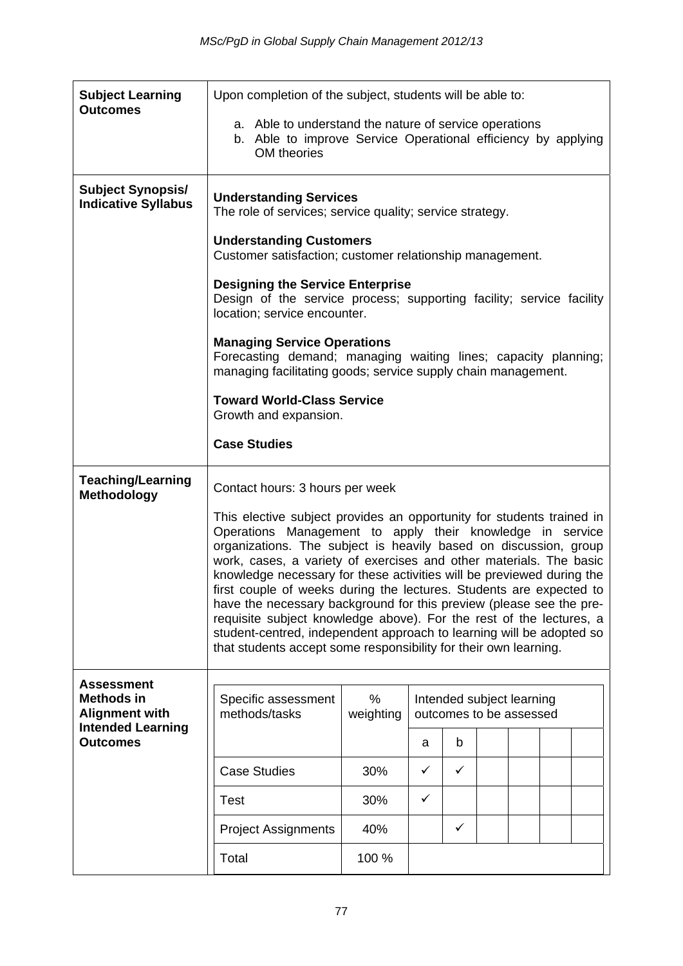| <b>Subject Learning</b><br><b>Outcomes</b>                           |                                                                                                                                                                                                                                                                                                                                                                                                                                                                                                                                                                                                                                                                                                                        |           | Upon completion of the subject, students will be able to: |                              |  |  |  |  |
|----------------------------------------------------------------------|------------------------------------------------------------------------------------------------------------------------------------------------------------------------------------------------------------------------------------------------------------------------------------------------------------------------------------------------------------------------------------------------------------------------------------------------------------------------------------------------------------------------------------------------------------------------------------------------------------------------------------------------------------------------------------------------------------------------|-----------|-----------------------------------------------------------|------------------------------|--|--|--|--|
|                                                                      | a. Able to understand the nature of service operations<br>b. Able to improve Service Operational efficiency by applying<br>OM theories                                                                                                                                                                                                                                                                                                                                                                                                                                                                                                                                                                                 |           |                                                           |                              |  |  |  |  |
| <b>Subject Synopsis/</b><br><b>Indicative Syllabus</b>               | <b>Understanding Services</b><br>The role of services; service quality; service strategy.                                                                                                                                                                                                                                                                                                                                                                                                                                                                                                                                                                                                                              |           |                                                           |                              |  |  |  |  |
|                                                                      | <b>Understanding Customers</b><br>Customer satisfaction; customer relationship management.                                                                                                                                                                                                                                                                                                                                                                                                                                                                                                                                                                                                                             |           |                                                           |                              |  |  |  |  |
|                                                                      | <b>Designing the Service Enterprise</b><br>Design of the service process; supporting facility; service facility<br>location; service encounter.                                                                                                                                                                                                                                                                                                                                                                                                                                                                                                                                                                        |           |                                                           |                              |  |  |  |  |
|                                                                      | <b>Managing Service Operations</b><br>Forecasting demand; managing waiting lines; capacity planning;<br>managing facilitating goods; service supply chain management.                                                                                                                                                                                                                                                                                                                                                                                                                                                                                                                                                  |           |                                                           |                              |  |  |  |  |
|                                                                      | <b>Toward World-Class Service</b><br>Growth and expansion.                                                                                                                                                                                                                                                                                                                                                                                                                                                                                                                                                                                                                                                             |           |                                                           |                              |  |  |  |  |
|                                                                      | <b>Case Studies</b>                                                                                                                                                                                                                                                                                                                                                                                                                                                                                                                                                                                                                                                                                                    |           |                                                           |                              |  |  |  |  |
| <b>Teaching/Learning</b><br><b>Methodology</b>                       | Contact hours: 3 hours per week                                                                                                                                                                                                                                                                                                                                                                                                                                                                                                                                                                                                                                                                                        |           |                                                           |                              |  |  |  |  |
|                                                                      | This elective subject provides an opportunity for students trained in<br>Operations Management to apply their knowledge in service<br>organizations. The subject is heavily based on discussion, group<br>work, cases, a variety of exercises and other materials. The basic<br>knowledge necessary for these activities will be previewed during the<br>first couple of weeks during the lectures. Students are expected to<br>have the necessary background for this preview (please see the pre-<br>requisite subject knowledge above). For the rest of the lectures, a<br>student-centred, independent approach to learning will be adopted so<br>that students accept some responsibility for their own learning. |           |                                                           |                              |  |  |  |  |
| <b>Assessment</b><br><b>Methods in</b>                               | Specific assessment                                                                                                                                                                                                                                                                                                                                                                                                                                                                                                                                                                                                                                                                                                    | $\%$      |                                                           | Intended subject learning    |  |  |  |  |
| <b>Alignment with</b><br><b>Intended Learning</b><br><b>Outcomes</b> | methods/tasks                                                                                                                                                                                                                                                                                                                                                                                                                                                                                                                                                                                                                                                                                                          | weighting | a                                                         | outcomes to be assessed<br>b |  |  |  |  |
|                                                                      | <b>Case Studies</b>                                                                                                                                                                                                                                                                                                                                                                                                                                                                                                                                                                                                                                                                                                    | 30%       | ✓                                                         | ✓                            |  |  |  |  |
|                                                                      | <b>Test</b>                                                                                                                                                                                                                                                                                                                                                                                                                                                                                                                                                                                                                                                                                                            | 30%       | ✓                                                         |                              |  |  |  |  |
|                                                                      | <b>Project Assignments</b>                                                                                                                                                                                                                                                                                                                                                                                                                                                                                                                                                                                                                                                                                             | 40%       |                                                           | $\checkmark$                 |  |  |  |  |
|                                                                      | Total                                                                                                                                                                                                                                                                                                                                                                                                                                                                                                                                                                                                                                                                                                                  | 100 %     |                                                           |                              |  |  |  |  |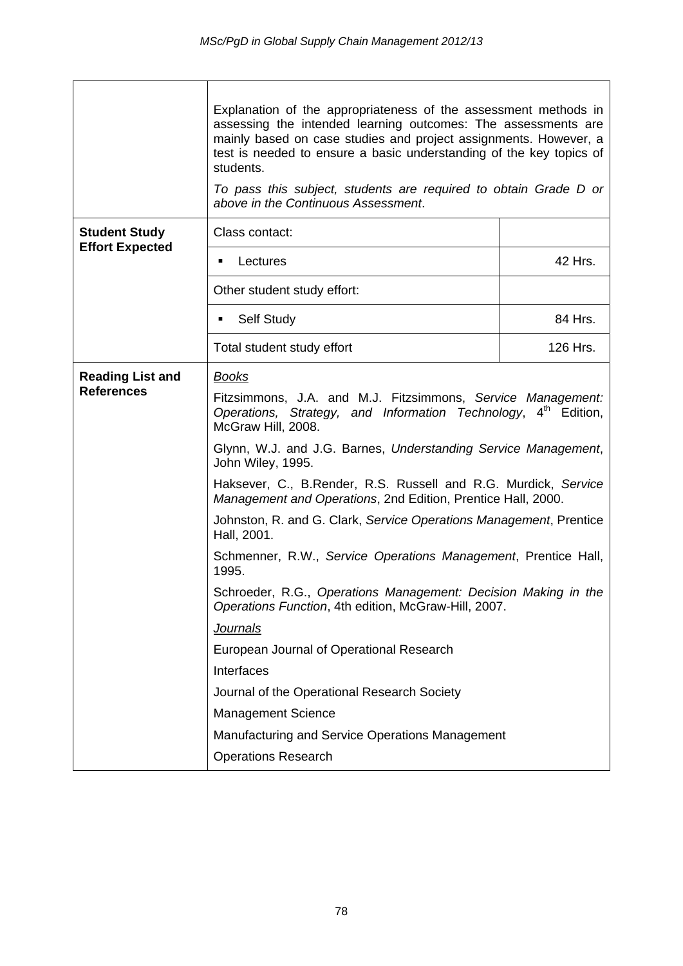|                                                | Explanation of the appropriateness of the assessment methods in<br>assessing the intended learning outcomes: The assessments are<br>mainly based on case studies and project assignments. However, a<br>test is needed to ensure a basic understanding of the key topics of<br>students.<br>To pass this subject, students are required to obtain Grade D or<br>above in the Continuous Assessment. |          |  |  |  |
|------------------------------------------------|-----------------------------------------------------------------------------------------------------------------------------------------------------------------------------------------------------------------------------------------------------------------------------------------------------------------------------------------------------------------------------------------------------|----------|--|--|--|
| <b>Student Study</b><br><b>Effort Expected</b> | Class contact:                                                                                                                                                                                                                                                                                                                                                                                      |          |  |  |  |
|                                                | Lectures<br>٠                                                                                                                                                                                                                                                                                                                                                                                       | 42 Hrs.  |  |  |  |
|                                                | Other student study effort:                                                                                                                                                                                                                                                                                                                                                                         |          |  |  |  |
|                                                | Self Study<br>٠                                                                                                                                                                                                                                                                                                                                                                                     | 84 Hrs.  |  |  |  |
|                                                | Total student study effort                                                                                                                                                                                                                                                                                                                                                                          | 126 Hrs. |  |  |  |
| <b>Reading List and</b>                        | <b>Books</b>                                                                                                                                                                                                                                                                                                                                                                                        |          |  |  |  |
| <b>References</b>                              | Fitzsimmons, J.A. and M.J. Fitzsimmons, Service Management:<br>Operations, Strategy, and Information Technology, 4 <sup>th</sup> Edition,<br>McGraw Hill, 2008.                                                                                                                                                                                                                                     |          |  |  |  |
|                                                | Glynn, W.J. and J.G. Barnes, Understanding Service Management,<br>John Wiley, 1995.                                                                                                                                                                                                                                                                                                                 |          |  |  |  |
|                                                | Haksever, C., B.Render, R.S. Russell and R.G. Murdick, Service<br>Management and Operations, 2nd Edition, Prentice Hall, 2000.                                                                                                                                                                                                                                                                      |          |  |  |  |
|                                                | Johnston, R. and G. Clark, Service Operations Management, Prentice<br>Hall, 2001.                                                                                                                                                                                                                                                                                                                   |          |  |  |  |
|                                                | Schmenner, R.W., Service Operations Management, Prentice Hall,<br>1995.                                                                                                                                                                                                                                                                                                                             |          |  |  |  |
|                                                | Schroeder, R.G., Operations Management: Decision Making in the<br>Operations Function, 4th edition, McGraw-Hill, 2007.                                                                                                                                                                                                                                                                              |          |  |  |  |
|                                                | <b>Journals</b>                                                                                                                                                                                                                                                                                                                                                                                     |          |  |  |  |
|                                                | European Journal of Operational Research                                                                                                                                                                                                                                                                                                                                                            |          |  |  |  |
|                                                | Interfaces                                                                                                                                                                                                                                                                                                                                                                                          |          |  |  |  |
|                                                | Journal of the Operational Research Society                                                                                                                                                                                                                                                                                                                                                         |          |  |  |  |
|                                                | <b>Management Science</b>                                                                                                                                                                                                                                                                                                                                                                           |          |  |  |  |
|                                                | Manufacturing and Service Operations Management                                                                                                                                                                                                                                                                                                                                                     |          |  |  |  |
|                                                | <b>Operations Research</b>                                                                                                                                                                                                                                                                                                                                                                          |          |  |  |  |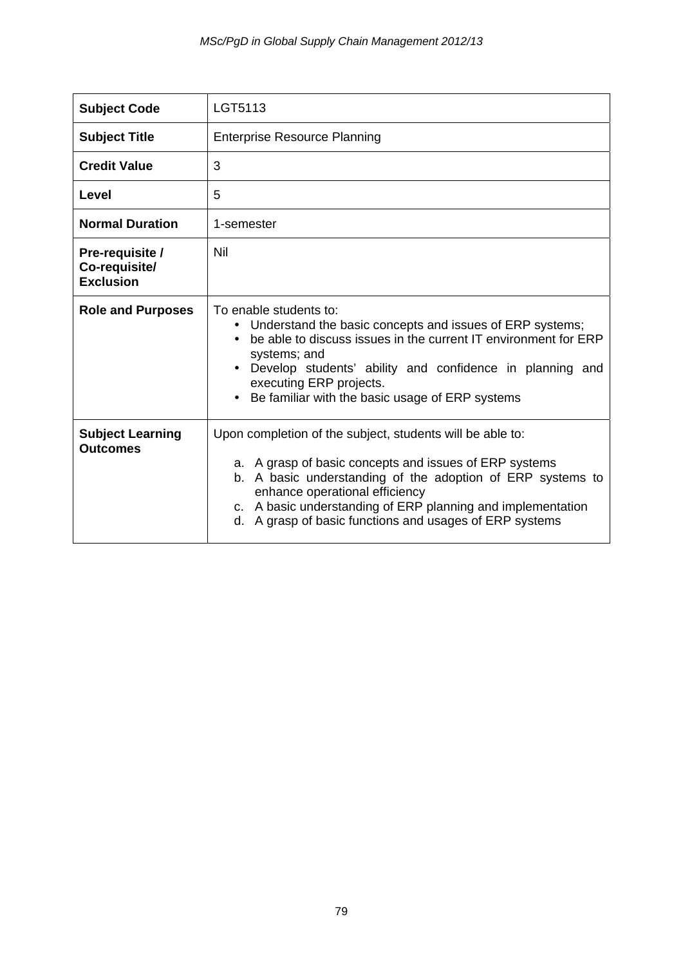| <b>Subject Code</b>                                  | LGT5113                                                                                                                                                                                                                                                                                                                                       |
|------------------------------------------------------|-----------------------------------------------------------------------------------------------------------------------------------------------------------------------------------------------------------------------------------------------------------------------------------------------------------------------------------------------|
| <b>Subject Title</b>                                 | <b>Enterprise Resource Planning</b>                                                                                                                                                                                                                                                                                                           |
| <b>Credit Value</b>                                  | 3                                                                                                                                                                                                                                                                                                                                             |
| Level                                                | 5                                                                                                                                                                                                                                                                                                                                             |
| <b>Normal Duration</b>                               | 1-semester                                                                                                                                                                                                                                                                                                                                    |
| Pre-requisite /<br>Co-requisite/<br><b>Exclusion</b> | Nil                                                                                                                                                                                                                                                                                                                                           |
| <b>Role and Purposes</b>                             | To enable students to:<br>Understand the basic concepts and issues of ERP systems;<br>be able to discuss issues in the current IT environment for ERP<br>systems; and<br>• Develop students' ability and confidence in planning and<br>executing ERP projects.<br>Be familiar with the basic usage of ERP systems                             |
| <b>Subject Learning</b><br><b>Outcomes</b>           | Upon completion of the subject, students will be able to:<br>a. A grasp of basic concepts and issues of ERP systems<br>b. A basic understanding of the adoption of ERP systems to<br>enhance operational efficiency<br>c. A basic understanding of ERP planning and implementation<br>d. A grasp of basic functions and usages of ERP systems |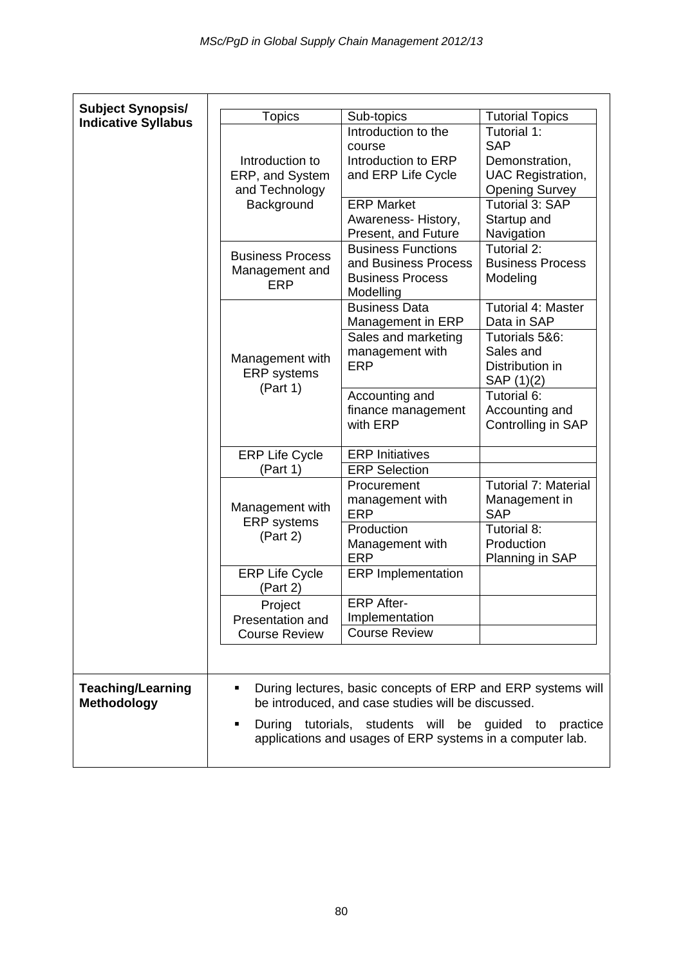| <b>Subject Synopsis/</b>                       |                                   |                                                                                                                   |                             |  |  |  |  |  |
|------------------------------------------------|-----------------------------------|-------------------------------------------------------------------------------------------------------------------|-----------------------------|--|--|--|--|--|
| <b>Indicative Syllabus</b>                     | Topics                            | Sub-topics                                                                                                        | <b>Tutorial Topics</b>      |  |  |  |  |  |
|                                                |                                   | Introduction to the                                                                                               | Tutorial 1:                 |  |  |  |  |  |
|                                                |                                   | course                                                                                                            | <b>SAP</b>                  |  |  |  |  |  |
|                                                | Introduction to                   | Introduction to ERP                                                                                               | Demonstration,              |  |  |  |  |  |
|                                                | ERP, and System                   | and ERP Life Cycle                                                                                                | <b>UAC Registration,</b>    |  |  |  |  |  |
|                                                | and Technology                    |                                                                                                                   | <b>Opening Survey</b>       |  |  |  |  |  |
|                                                | Background                        | <b>ERP Market</b>                                                                                                 | Tutorial 3: SAP             |  |  |  |  |  |
|                                                |                                   | Awareness-History,                                                                                                | Startup and                 |  |  |  |  |  |
|                                                |                                   | Present, and Future                                                                                               | Navigation<br>Tutorial 2:   |  |  |  |  |  |
|                                                | <b>Business Process</b>           | <b>Business Functions</b><br>and Business Process                                                                 | <b>Business Process</b>     |  |  |  |  |  |
|                                                | Management and                    | <b>Business Process</b>                                                                                           | Modeling                    |  |  |  |  |  |
|                                                | <b>ERP</b>                        | Modelling                                                                                                         |                             |  |  |  |  |  |
|                                                |                                   | <b>Business Data</b>                                                                                              | Tutorial 4: Master          |  |  |  |  |  |
|                                                |                                   | Management in ERP                                                                                                 | Data in SAP                 |  |  |  |  |  |
|                                                |                                   | Sales and marketing                                                                                               | Tutorials 5&6:              |  |  |  |  |  |
|                                                | Management with                   | management with                                                                                                   | Sales and                   |  |  |  |  |  |
|                                                | <b>ERP</b> systems                | <b>ERP</b>                                                                                                        | Distribution in             |  |  |  |  |  |
|                                                | (Part 1)                          |                                                                                                                   | SAP (1)(2)                  |  |  |  |  |  |
|                                                |                                   | Accounting and                                                                                                    | Tutorial 6:                 |  |  |  |  |  |
|                                                |                                   | finance management<br>with ERP                                                                                    | Accounting and              |  |  |  |  |  |
|                                                |                                   |                                                                                                                   | Controlling in SAP          |  |  |  |  |  |
|                                                | <b>ERP Life Cycle</b><br>(Part 1) | <b>ERP</b> Initiatives                                                                                            |                             |  |  |  |  |  |
|                                                |                                   | <b>ERP Selection</b>                                                                                              |                             |  |  |  |  |  |
|                                                |                                   | Procurement                                                                                                       | <b>Tutorial 7: Material</b> |  |  |  |  |  |
|                                                | Management with                   | Management in                                                                                                     |                             |  |  |  |  |  |
|                                                | <b>ERP</b> systems                | <b>ERP</b>                                                                                                        | <b>SAP</b>                  |  |  |  |  |  |
|                                                | (Part 2)                          | Production                                                                                                        | Tutorial 8:                 |  |  |  |  |  |
|                                                |                                   | Management with                                                                                                   | Production                  |  |  |  |  |  |
|                                                |                                   | <b>ERP</b>                                                                                                        | Planning in SAP             |  |  |  |  |  |
|                                                | <b>ERP Life Cycle</b><br>(Part 2) | <b>ERP</b> Implementation                                                                                         |                             |  |  |  |  |  |
|                                                | Project                           | <b>ERP After-</b>                                                                                                 |                             |  |  |  |  |  |
|                                                | Presentation and                  | Implementation                                                                                                    |                             |  |  |  |  |  |
|                                                | <b>Course Review</b>              | <b>Course Review</b>                                                                                              |                             |  |  |  |  |  |
|                                                |                                   |                                                                                                                   |                             |  |  |  |  |  |
|                                                |                                   |                                                                                                                   |                             |  |  |  |  |  |
| <b>Teaching/Learning</b><br><b>Methodology</b> |                                   | During lectures, basic concepts of ERP and ERP systems will<br>be introduced, and case studies will be discussed. |                             |  |  |  |  |  |
|                                                | During<br>٠                       | tutorials, students will be guided to practice                                                                    |                             |  |  |  |  |  |
|                                                |                                   | applications and usages of ERP systems in a computer lab.                                                         |                             |  |  |  |  |  |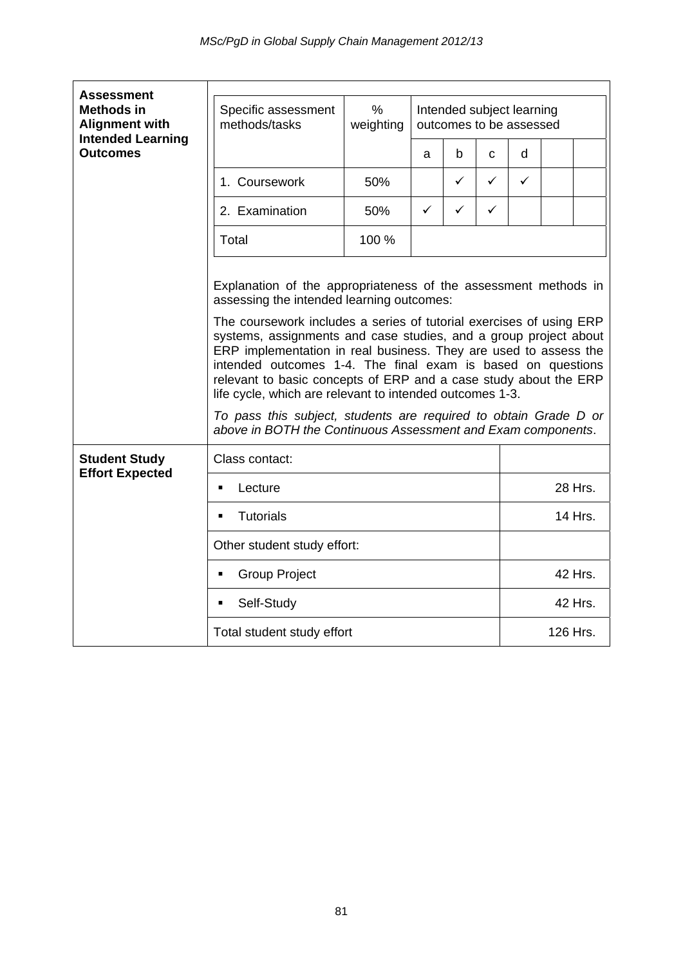| <b>Assessment</b>                                                      |                                                                                                                                                                                                                                                                                                                                                                                                            |                   |   |                                                      |              |              |  |  |  |
|------------------------------------------------------------------------|------------------------------------------------------------------------------------------------------------------------------------------------------------------------------------------------------------------------------------------------------------------------------------------------------------------------------------------------------------------------------------------------------------|-------------------|---|------------------------------------------------------|--------------|--------------|--|--|--|
| <b>Methods in</b><br><b>Alignment with</b><br><b>Intended Learning</b> | Specific assessment<br>methods/tasks                                                                                                                                                                                                                                                                                                                                                                       | $\%$<br>weighting |   | Intended subject learning<br>outcomes to be assessed |              |              |  |  |  |
| <b>Outcomes</b>                                                        |                                                                                                                                                                                                                                                                                                                                                                                                            |                   | a | b                                                    | C            | d            |  |  |  |
|                                                                        | 1. Coursework                                                                                                                                                                                                                                                                                                                                                                                              | 50%               |   | ✓                                                    | ✓            | $\checkmark$ |  |  |  |
|                                                                        | 2. Examination                                                                                                                                                                                                                                                                                                                                                                                             | 50%               | ✓ | $\checkmark$                                         | $\checkmark$ |              |  |  |  |
|                                                                        | Total                                                                                                                                                                                                                                                                                                                                                                                                      | 100 %             |   |                                                      |              |              |  |  |  |
|                                                                        | Explanation of the appropriateness of the assessment methods in<br>assessing the intended learning outcomes:                                                                                                                                                                                                                                                                                               |                   |   |                                                      |              |              |  |  |  |
|                                                                        | The coursework includes a series of tutorial exercises of using ERP<br>systems, assignments and case studies, and a group project about<br>ERP implementation in real business. They are used to assess the<br>intended outcomes 1-4. The final exam is based on questions<br>relevant to basic concepts of ERP and a case study about the ERP<br>life cycle, which are relevant to intended outcomes 1-3. |                   |   |                                                      |              |              |  |  |  |
|                                                                        | To pass this subject, students are required to obtain Grade D or<br>above in BOTH the Continuous Assessment and Exam components.                                                                                                                                                                                                                                                                           |                   |   |                                                      |              |              |  |  |  |
| <b>Student Study</b><br><b>Effort Expected</b>                         | Class contact:                                                                                                                                                                                                                                                                                                                                                                                             |                   |   |                                                      |              |              |  |  |  |
|                                                                        | Lecture<br>٠                                                                                                                                                                                                                                                                                                                                                                                               |                   |   |                                                      |              | 28 Hrs.      |  |  |  |
|                                                                        | <b>Tutorials</b><br>٠                                                                                                                                                                                                                                                                                                                                                                                      |                   |   |                                                      |              | 14 Hrs.      |  |  |  |
|                                                                        | Other student study effort:                                                                                                                                                                                                                                                                                                                                                                                |                   |   |                                                      |              |              |  |  |  |
|                                                                        | <b>Group Project</b><br>٠                                                                                                                                                                                                                                                                                                                                                                                  |                   |   |                                                      |              | 42 Hrs.      |  |  |  |
|                                                                        | Self-Study<br>$\blacksquare$                                                                                                                                                                                                                                                                                                                                                                               |                   |   |                                                      |              | 42 Hrs.      |  |  |  |
|                                                                        | Total student study effort                                                                                                                                                                                                                                                                                                                                                                                 |                   |   |                                                      |              | 126 Hrs.     |  |  |  |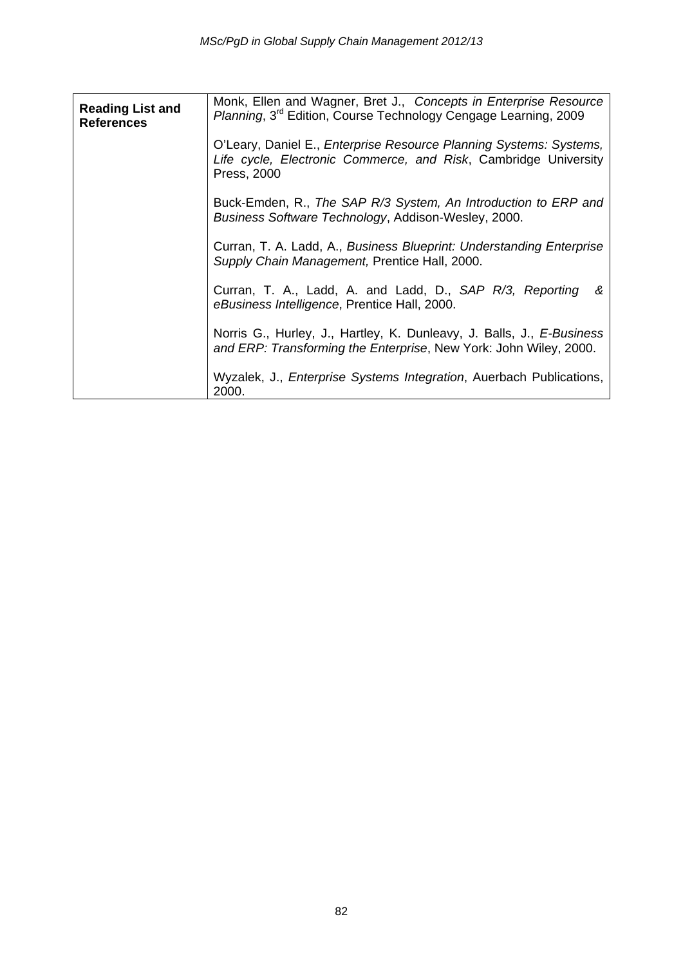| <b>Reading List and</b><br><b>References</b> | Monk, Ellen and Wagner, Bret J., Concepts in Enterprise Resource<br>Planning, 3 <sup>rd</sup> Edition, Course Technology Cengage Learning, 2009              |
|----------------------------------------------|--------------------------------------------------------------------------------------------------------------------------------------------------------------|
|                                              | O'Leary, Daniel E., <i>Enterprise Resource Planning Systems: Systems</i> ,<br>Life cycle, Electronic Commerce, and Risk, Cambridge University<br>Press, 2000 |
|                                              | Buck-Emden, R., The SAP R/3 System, An Introduction to ERP and<br>Business Software Technology, Addison-Wesley, 2000.                                        |
|                                              | Curran, T. A. Ladd, A., Business Blueprint: Understanding Enterprise<br>Supply Chain Management, Prentice Hall, 2000.                                        |
|                                              | Curran, T. A., Ladd, A. and Ladd, D., SAP R/3, Reporting<br>&<br>eBusiness Intelligence, Prentice Hall, 2000.                                                |
|                                              | Norris G., Hurley, J., Hartley, K. Dunleavy, J. Balls, J., E-Business<br>and ERP: Transforming the Enterprise, New York: John Wiley, 2000.                   |
|                                              | Wyzalek, J., Enterprise Systems Integration, Auerbach Publications,<br>2000.                                                                                 |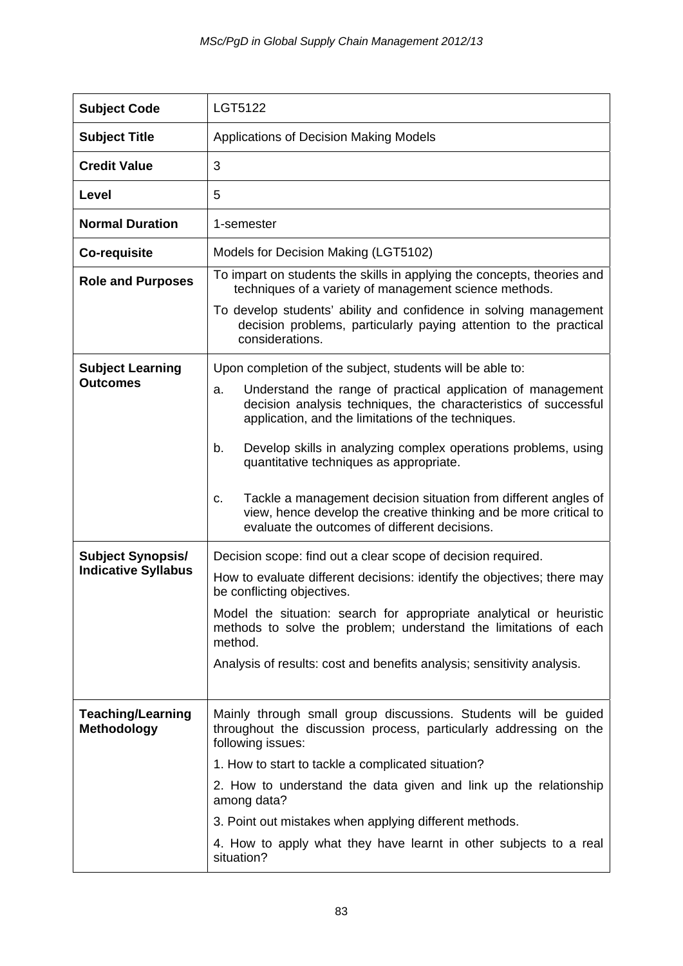| <b>Subject Code</b>                            | LGT5122                                                                                                                                                                                     |
|------------------------------------------------|---------------------------------------------------------------------------------------------------------------------------------------------------------------------------------------------|
| <b>Subject Title</b>                           | Applications of Decision Making Models                                                                                                                                                      |
| <b>Credit Value</b>                            | 3                                                                                                                                                                                           |
| Level                                          | 5                                                                                                                                                                                           |
| <b>Normal Duration</b>                         | 1-semester                                                                                                                                                                                  |
| <b>Co-requisite</b>                            | Models for Decision Making (LGT5102)                                                                                                                                                        |
| <b>Role and Purposes</b>                       | To impart on students the skills in applying the concepts, theories and<br>techniques of a variety of management science methods.                                                           |
|                                                | To develop students' ability and confidence in solving management<br>decision problems, particularly paying attention to the practical<br>considerations.                                   |
| <b>Subject Learning</b>                        | Upon completion of the subject, students will be able to:                                                                                                                                   |
| <b>Outcomes</b>                                | Understand the range of practical application of management<br>a.<br>decision analysis techniques, the characteristics of successful<br>application, and the limitations of the techniques. |
|                                                | Develop skills in analyzing complex operations problems, using<br>b.<br>quantitative techniques as appropriate.                                                                             |
|                                                | Tackle a management decision situation from different angles of<br>C.<br>view, hence develop the creative thinking and be more critical to<br>evaluate the outcomes of different decisions. |
| <b>Subject Synopsis/</b>                       | Decision scope: find out a clear scope of decision required.                                                                                                                                |
| <b>Indicative Syllabus</b>                     | How to evaluate different decisions: identify the objectives; there may<br>be conflicting objectives.                                                                                       |
|                                                | Model the situation: search for appropriate analytical or heuristic<br>methods to solve the problem; understand the limitations of each<br>method.                                          |
|                                                | Analysis of results: cost and benefits analysis; sensitivity analysis.                                                                                                                      |
| <b>Teaching/Learning</b><br><b>Methodology</b> | Mainly through small group discussions. Students will be guided<br>throughout the discussion process, particularly addressing on the<br>following issues:                                   |
|                                                | 1. How to start to tackle a complicated situation?                                                                                                                                          |
|                                                | 2. How to understand the data given and link up the relationship<br>among data?                                                                                                             |
|                                                | 3. Point out mistakes when applying different methods.                                                                                                                                      |
|                                                | 4. How to apply what they have learnt in other subjects to a real<br>situation?                                                                                                             |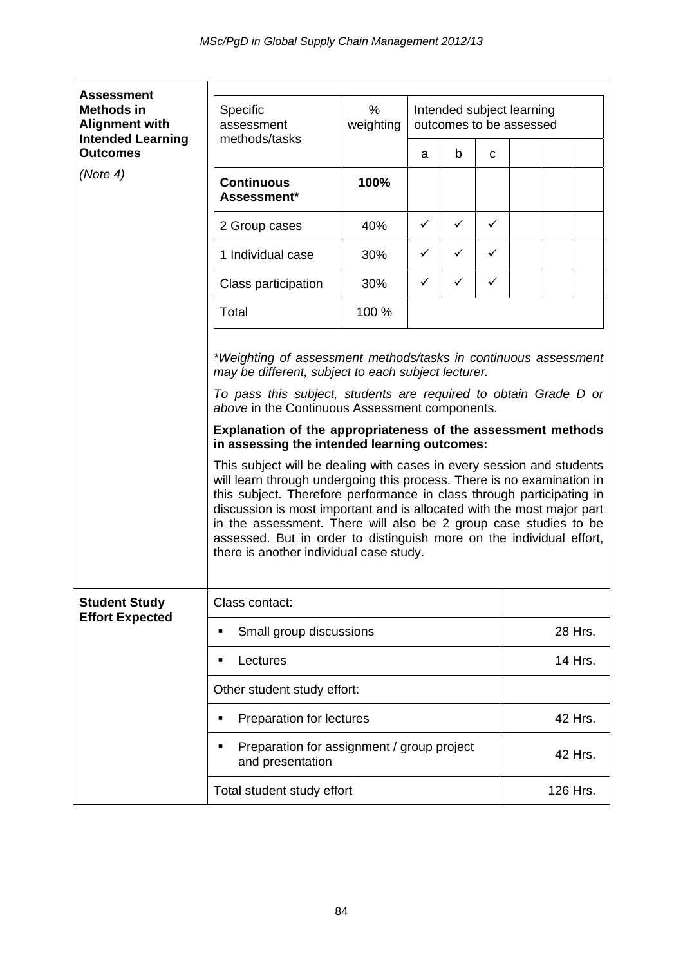| <b>Assessment</b>                                                      |                                                                                                                                                                                                                                                                                                                                                                                                                                                                                                                                                                                                                                                                                                                                                                                                                                                           |                   |                                                      |              |         |          |  |         |  |
|------------------------------------------------------------------------|-----------------------------------------------------------------------------------------------------------------------------------------------------------------------------------------------------------------------------------------------------------------------------------------------------------------------------------------------------------------------------------------------------------------------------------------------------------------------------------------------------------------------------------------------------------------------------------------------------------------------------------------------------------------------------------------------------------------------------------------------------------------------------------------------------------------------------------------------------------|-------------------|------------------------------------------------------|--------------|---------|----------|--|---------|--|
| <b>Methods in</b><br><b>Alignment with</b><br><b>Intended Learning</b> | Specific<br>assessment<br>methods/tasks                                                                                                                                                                                                                                                                                                                                                                                                                                                                                                                                                                                                                                                                                                                                                                                                                   | $\%$<br>weighting | Intended subject learning<br>outcomes to be assessed |              |         |          |  |         |  |
| <b>Outcomes</b>                                                        |                                                                                                                                                                                                                                                                                                                                                                                                                                                                                                                                                                                                                                                                                                                                                                                                                                                           |                   | a                                                    | b            | C       |          |  |         |  |
| (Note 4)                                                               | <b>Continuous</b><br>Assessment*                                                                                                                                                                                                                                                                                                                                                                                                                                                                                                                                                                                                                                                                                                                                                                                                                          | 100%              |                                                      |              |         |          |  |         |  |
|                                                                        | 2 Group cases                                                                                                                                                                                                                                                                                                                                                                                                                                                                                                                                                                                                                                                                                                                                                                                                                                             | 40%               | ✓                                                    | $\checkmark$ | ✓       |          |  |         |  |
|                                                                        | 1 Individual case                                                                                                                                                                                                                                                                                                                                                                                                                                                                                                                                                                                                                                                                                                                                                                                                                                         | 30%               | ✓                                                    | ✓            | ✓       |          |  |         |  |
|                                                                        | Class participation                                                                                                                                                                                                                                                                                                                                                                                                                                                                                                                                                                                                                                                                                                                                                                                                                                       | 30%               | ✓                                                    | ✓            | ✓       |          |  |         |  |
|                                                                        | Total                                                                                                                                                                                                                                                                                                                                                                                                                                                                                                                                                                                                                                                                                                                                                                                                                                                     | 100 %             |                                                      |              |         |          |  |         |  |
|                                                                        | *Weighting of assessment methods/tasks in continuous assessment<br>may be different, subject to each subject lecturer.<br>To pass this subject, students are required to obtain Grade D or<br>above in the Continuous Assessment components.<br>Explanation of the appropriateness of the assessment methods<br>in assessing the intended learning outcomes:<br>This subject will be dealing with cases in every session and students<br>will learn through undergoing this process. There is no examination in<br>this subject. Therefore performance in class through participating in<br>discussion is most important and is allocated with the most major part<br>in the assessment. There will also be 2 group case studies to be<br>assessed. But in order to distinguish more on the individual effort,<br>there is another individual case study. |                   |                                                      |              |         |          |  |         |  |
| <b>Student Study</b><br><b>Effort Expected</b>                         | Class contact:                                                                                                                                                                                                                                                                                                                                                                                                                                                                                                                                                                                                                                                                                                                                                                                                                                            |                   |                                                      |              |         |          |  |         |  |
|                                                                        | Small group discussions<br>Е                                                                                                                                                                                                                                                                                                                                                                                                                                                                                                                                                                                                                                                                                                                                                                                                                              |                   |                                                      |              | 28 Hrs. |          |  |         |  |
|                                                                        | Lectures<br>П                                                                                                                                                                                                                                                                                                                                                                                                                                                                                                                                                                                                                                                                                                                                                                                                                                             |                   |                                                      |              |         |          |  | 14 Hrs. |  |
|                                                                        | Other student study effort:                                                                                                                                                                                                                                                                                                                                                                                                                                                                                                                                                                                                                                                                                                                                                                                                                               |                   |                                                      |              |         |          |  |         |  |
|                                                                        | Preparation for lectures<br>٠                                                                                                                                                                                                                                                                                                                                                                                                                                                                                                                                                                                                                                                                                                                                                                                                                             |                   |                                                      |              |         |          |  | 42 Hrs. |  |
|                                                                        | Preparation for assignment / group project<br>п<br>and presentation                                                                                                                                                                                                                                                                                                                                                                                                                                                                                                                                                                                                                                                                                                                                                                                       |                   |                                                      |              |         | 42 Hrs.  |  |         |  |
|                                                                        | Total student study effort                                                                                                                                                                                                                                                                                                                                                                                                                                                                                                                                                                                                                                                                                                                                                                                                                                |                   |                                                      |              |         | 126 Hrs. |  |         |  |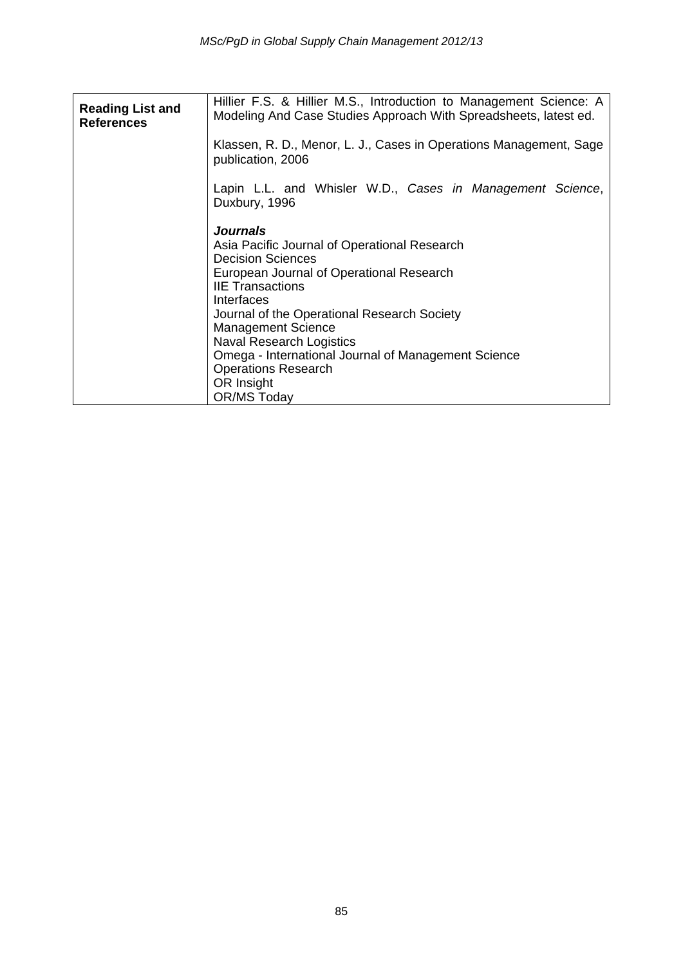| <b>Reading List and</b><br><b>References</b> | Hillier F.S. & Hillier M.S., Introduction to Management Science: A<br>Modeling And Case Studies Approach With Spreadsheets, latest ed.                                                                                                                                                                                                                                                                                   |  |  |  |  |  |  |  |  |  |
|----------------------------------------------|--------------------------------------------------------------------------------------------------------------------------------------------------------------------------------------------------------------------------------------------------------------------------------------------------------------------------------------------------------------------------------------------------------------------------|--|--|--|--|--|--|--|--|--|
|                                              | Klassen, R. D., Menor, L. J., Cases in Operations Management, Sage<br>publication, 2006                                                                                                                                                                                                                                                                                                                                  |  |  |  |  |  |  |  |  |  |
|                                              | Lapin L.L. and Whisler W.D., Cases in Management Science,<br>Duxbury, 1996                                                                                                                                                                                                                                                                                                                                               |  |  |  |  |  |  |  |  |  |
|                                              | <b>Journals</b><br>Asia Pacific Journal of Operational Research<br><b>Decision Sciences</b><br>European Journal of Operational Research<br><b>IIE Transactions</b><br>Interfaces<br>Journal of the Operational Research Society<br><b>Management Science</b><br><b>Naval Research Logistics</b><br>Omega - International Journal of Management Science<br><b>Operations Research</b><br>OR Insight<br><b>OR/MS Today</b> |  |  |  |  |  |  |  |  |  |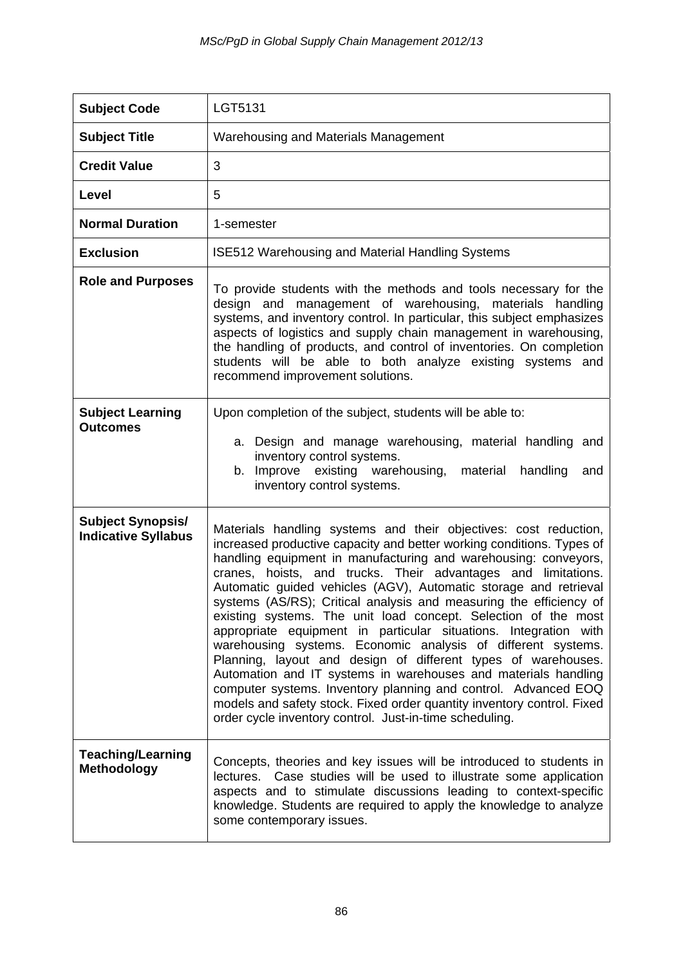| <b>Subject Code</b>                                    | LGT5131                                                                                                                                                                                                                                                                                                                                                                                                                                                                                                                                                                                                                                                                                                                                                                                                                                                                                                                                                                 |
|--------------------------------------------------------|-------------------------------------------------------------------------------------------------------------------------------------------------------------------------------------------------------------------------------------------------------------------------------------------------------------------------------------------------------------------------------------------------------------------------------------------------------------------------------------------------------------------------------------------------------------------------------------------------------------------------------------------------------------------------------------------------------------------------------------------------------------------------------------------------------------------------------------------------------------------------------------------------------------------------------------------------------------------------|
| <b>Subject Title</b>                                   | Warehousing and Materials Management                                                                                                                                                                                                                                                                                                                                                                                                                                                                                                                                                                                                                                                                                                                                                                                                                                                                                                                                    |
| <b>Credit Value</b>                                    | 3                                                                                                                                                                                                                                                                                                                                                                                                                                                                                                                                                                                                                                                                                                                                                                                                                                                                                                                                                                       |
| Level                                                  | 5                                                                                                                                                                                                                                                                                                                                                                                                                                                                                                                                                                                                                                                                                                                                                                                                                                                                                                                                                                       |
| <b>Normal Duration</b>                                 | 1-semester                                                                                                                                                                                                                                                                                                                                                                                                                                                                                                                                                                                                                                                                                                                                                                                                                                                                                                                                                              |
| <b>Exclusion</b>                                       | <b>ISE512 Warehousing and Material Handling Systems</b>                                                                                                                                                                                                                                                                                                                                                                                                                                                                                                                                                                                                                                                                                                                                                                                                                                                                                                                 |
| <b>Role and Purposes</b>                               | To provide students with the methods and tools necessary for the<br>design and management of warehousing, materials handling<br>systems, and inventory control. In particular, this subject emphasizes<br>aspects of logistics and supply chain management in warehousing,<br>the handling of products, and control of inventories. On completion<br>students will be able to both analyze existing systems and<br>recommend improvement solutions.                                                                                                                                                                                                                                                                                                                                                                                                                                                                                                                     |
| <b>Subject Learning</b><br><b>Outcomes</b>             | Upon completion of the subject, students will be able to:<br>a. Design and manage warehousing, material handling and<br>inventory control systems.<br>b. Improve existing warehousing,<br>material<br>handling<br>and<br>inventory control systems.                                                                                                                                                                                                                                                                                                                                                                                                                                                                                                                                                                                                                                                                                                                     |
| <b>Subject Synopsis/</b><br><b>Indicative Syllabus</b> | Materials handling systems and their objectives: cost reduction,<br>increased productive capacity and better working conditions. Types of<br>handling equipment in manufacturing and warehousing: conveyors,<br>cranes, hoists, and trucks. Their advantages and limitations.<br>Automatic guided vehicles (AGV), Automatic storage and retrieval<br>systems (AS/RS); Critical analysis and measuring the efficiency of<br>existing systems. The unit load concept. Selection of the most<br>appropriate equipment in particular situations. Integration with<br>warehousing systems. Economic analysis of different systems.<br>Planning, layout and design of different types of warehouses.<br>Automation and IT systems in warehouses and materials handling<br>computer systems. Inventory planning and control. Advanced EOQ<br>models and safety stock. Fixed order quantity inventory control. Fixed<br>order cycle inventory control. Just-in-time scheduling. |
| <b>Teaching/Learning</b><br><b>Methodology</b>         | Concepts, theories and key issues will be introduced to students in<br>lectures. Case studies will be used to illustrate some application<br>aspects and to stimulate discussions leading to context-specific<br>knowledge. Students are required to apply the knowledge to analyze<br>some contemporary issues.                                                                                                                                                                                                                                                                                                                                                                                                                                                                                                                                                                                                                                                        |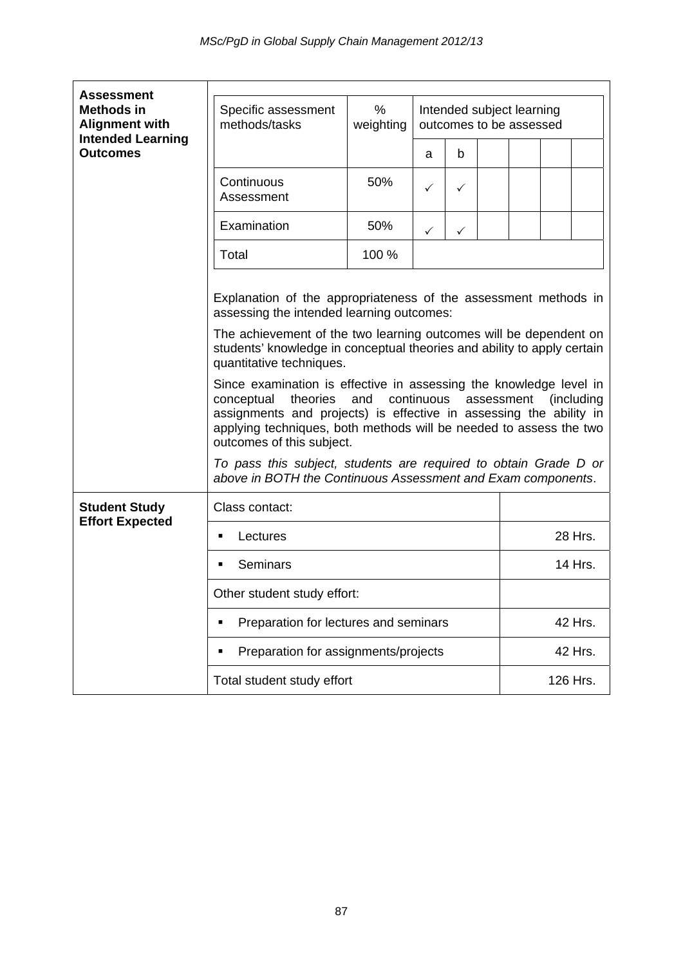| <b>Assessment</b>                           |                                                                                                                                                                                                                                                                                                                        |                                                                        |              |   |  |          |  |         |  |
|---------------------------------------------|------------------------------------------------------------------------------------------------------------------------------------------------------------------------------------------------------------------------------------------------------------------------------------------------------------------------|------------------------------------------------------------------------|--------------|---|--|----------|--|---------|--|
| <b>Methods in</b><br><b>Alignment with</b>  | Specific assessment<br>methods/tasks                                                                                                                                                                                                                                                                                   | %<br>Intended subject learning<br>weighting<br>outcomes to be assessed |              |   |  |          |  |         |  |
| <b>Intended Learning</b><br><b>Outcomes</b> |                                                                                                                                                                                                                                                                                                                        |                                                                        | a            | b |  |          |  |         |  |
|                                             | Continuous<br>Assessment                                                                                                                                                                                                                                                                                               | 50%                                                                    | $\checkmark$ | ✓ |  |          |  |         |  |
|                                             | Examination                                                                                                                                                                                                                                                                                                            | 50%                                                                    | $\checkmark$ | ✓ |  |          |  |         |  |
|                                             | Total                                                                                                                                                                                                                                                                                                                  | 100 %                                                                  |              |   |  |          |  |         |  |
|                                             | Explanation of the appropriateness of the assessment methods in<br>assessing the intended learning outcomes:                                                                                                                                                                                                           |                                                                        |              |   |  |          |  |         |  |
|                                             | The achievement of the two learning outcomes will be dependent on<br>students' knowledge in conceptual theories and ability to apply certain<br>quantitative techniques.                                                                                                                                               |                                                                        |              |   |  |          |  |         |  |
|                                             | Since examination is effective in assessing the knowledge level in<br>theories<br>and<br>continuous<br>conceptual<br>assessment<br>(including<br>assignments and projects) is effective in assessing the ability in<br>applying techniques, both methods will be needed to assess the two<br>outcomes of this subject. |                                                                        |              |   |  |          |  |         |  |
|                                             | To pass this subject, students are required to obtain Grade D or<br>above in BOTH the Continuous Assessment and Exam components.                                                                                                                                                                                       |                                                                        |              |   |  |          |  |         |  |
| <b>Student Study</b>                        | Class contact:                                                                                                                                                                                                                                                                                                         |                                                                        |              |   |  |          |  |         |  |
| <b>Effort Expected</b>                      | Lectures<br>٠                                                                                                                                                                                                                                                                                                          |                                                                        |              |   |  | 28 Hrs.  |  |         |  |
|                                             | Seminars<br>$\blacksquare$                                                                                                                                                                                                                                                                                             |                                                                        |              |   |  |          |  | 14 Hrs. |  |
|                                             | Other student study effort:                                                                                                                                                                                                                                                                                            |                                                                        |              |   |  |          |  |         |  |
|                                             | Preparation for lectures and seminars<br>٠                                                                                                                                                                                                                                                                             |                                                                        |              |   |  | 42 Hrs.  |  |         |  |
|                                             | Preparation for assignments/projects<br>٠                                                                                                                                                                                                                                                                              |                                                                        |              |   |  | 42 Hrs.  |  |         |  |
|                                             | Total student study effort                                                                                                                                                                                                                                                                                             |                                                                        |              |   |  | 126 Hrs. |  |         |  |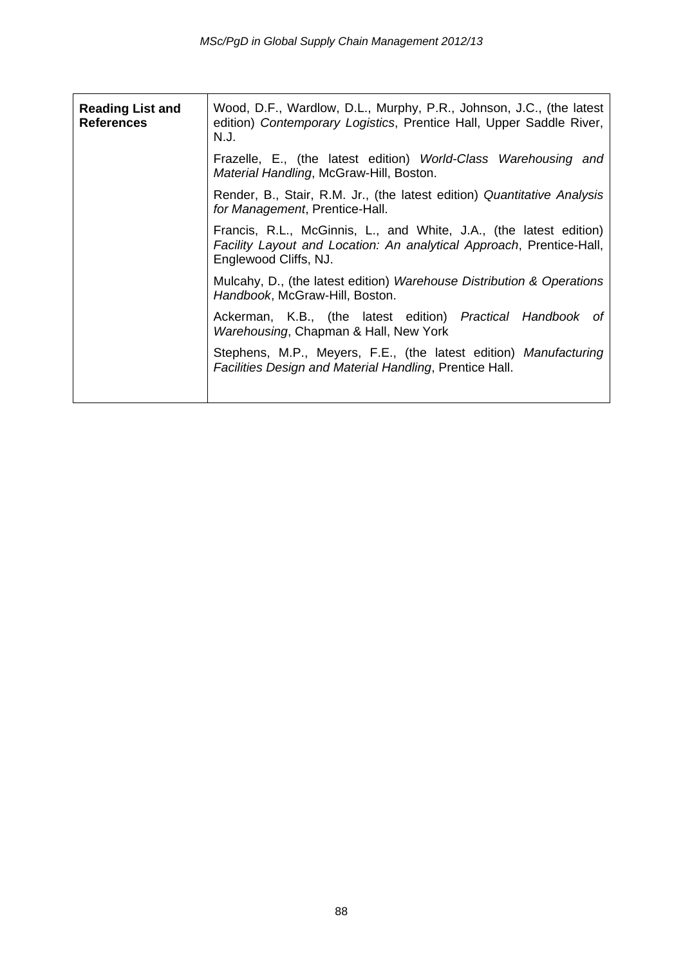| <b>Reading List and</b><br><b>References</b> | Wood, D.F., Wardlow, D.L., Murphy, P.R., Johnson, J.C., (the latest<br>edition) Contemporary Logistics, Prentice Hall, Upper Saddle River,<br>N.J.                  |  |  |  |  |  |
|----------------------------------------------|---------------------------------------------------------------------------------------------------------------------------------------------------------------------|--|--|--|--|--|
|                                              | Frazelle, E., (the latest edition) World-Class Warehousing and<br>Material Handling, McGraw-Hill, Boston.                                                           |  |  |  |  |  |
|                                              | Render, B., Stair, R.M. Jr., (the latest edition) Quantitative Analysis<br>for Management, Prentice-Hall.                                                           |  |  |  |  |  |
|                                              | Francis, R.L., McGinnis, L., and White, J.A., (the latest edition)<br>Facility Layout and Location: An analytical Approach, Prentice-Hall,<br>Englewood Cliffs, NJ. |  |  |  |  |  |
|                                              | Mulcahy, D., (the latest edition) Warehouse Distribution & Operations<br>Handbook, McGraw-Hill, Boston.                                                             |  |  |  |  |  |
|                                              | Ackerman, K.B., (the latest edition) Practical Handbook of<br>Warehousing, Chapman & Hall, New York                                                                 |  |  |  |  |  |
|                                              | Stephens, M.P., Meyers, F.E., (the latest edition) Manufacturing<br>Facilities Design and Material Handling, Prentice Hall.                                         |  |  |  |  |  |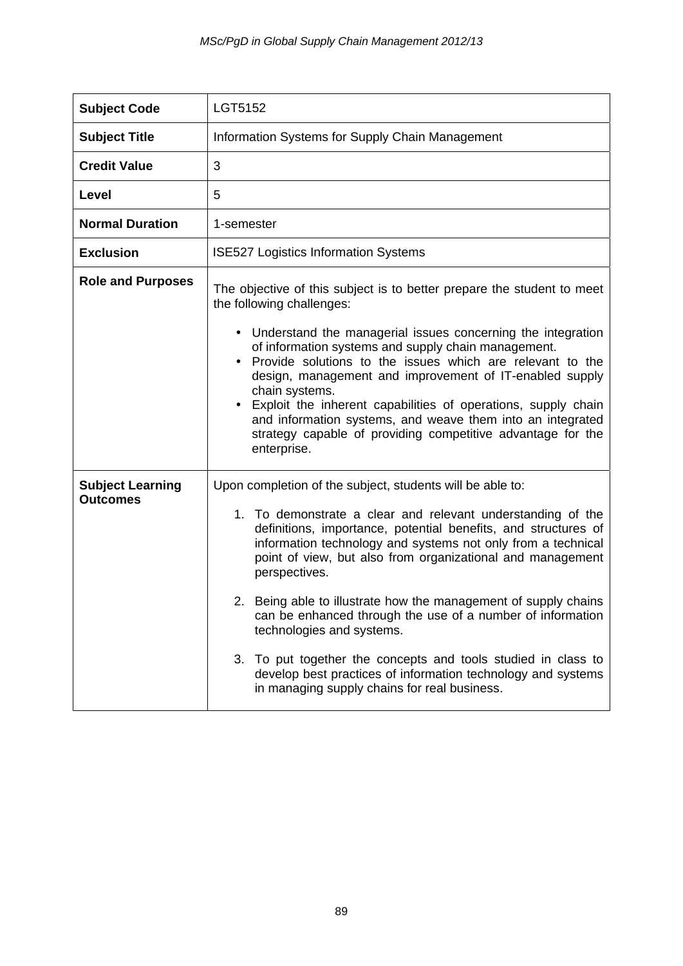| <b>Subject Code</b>                        | LGT5152                                                                                                                                                                                                                                                                                                                                                                                                                                                                                                                                                                                                                                                                                     |
|--------------------------------------------|---------------------------------------------------------------------------------------------------------------------------------------------------------------------------------------------------------------------------------------------------------------------------------------------------------------------------------------------------------------------------------------------------------------------------------------------------------------------------------------------------------------------------------------------------------------------------------------------------------------------------------------------------------------------------------------------|
| <b>Subject Title</b>                       | Information Systems for Supply Chain Management                                                                                                                                                                                                                                                                                                                                                                                                                                                                                                                                                                                                                                             |
| <b>Credit Value</b>                        | 3                                                                                                                                                                                                                                                                                                                                                                                                                                                                                                                                                                                                                                                                                           |
| Level                                      | 5                                                                                                                                                                                                                                                                                                                                                                                                                                                                                                                                                                                                                                                                                           |
| <b>Normal Duration</b>                     | 1-semester                                                                                                                                                                                                                                                                                                                                                                                                                                                                                                                                                                                                                                                                                  |
| <b>Exclusion</b>                           | <b>ISE527 Logistics Information Systems</b>                                                                                                                                                                                                                                                                                                                                                                                                                                                                                                                                                                                                                                                 |
| <b>Role and Purposes</b>                   | The objective of this subject is to better prepare the student to meet<br>the following challenges:<br>• Understand the managerial issues concerning the integration<br>of information systems and supply chain management.<br>Provide solutions to the issues which are relevant to the                                                                                                                                                                                                                                                                                                                                                                                                    |
|                                            | design, management and improvement of IT-enabled supply<br>chain systems.<br>Exploit the inherent capabilities of operations, supply chain<br>and information systems, and weave them into an integrated<br>strategy capable of providing competitive advantage for the<br>enterprise.                                                                                                                                                                                                                                                                                                                                                                                                      |
| <b>Subject Learning</b><br><b>Outcomes</b> | Upon completion of the subject, students will be able to:<br>1. To demonstrate a clear and relevant understanding of the<br>definitions, importance, potential benefits, and structures of<br>information technology and systems not only from a technical<br>point of view, but also from organizational and management<br>perspectives.<br>2. Being able to illustrate how the management of supply chains<br>can be enhanced through the use of a number of information<br>technologies and systems.<br>3.<br>To put together the concepts and tools studied in class to<br>develop best practices of information technology and systems<br>in managing supply chains for real business. |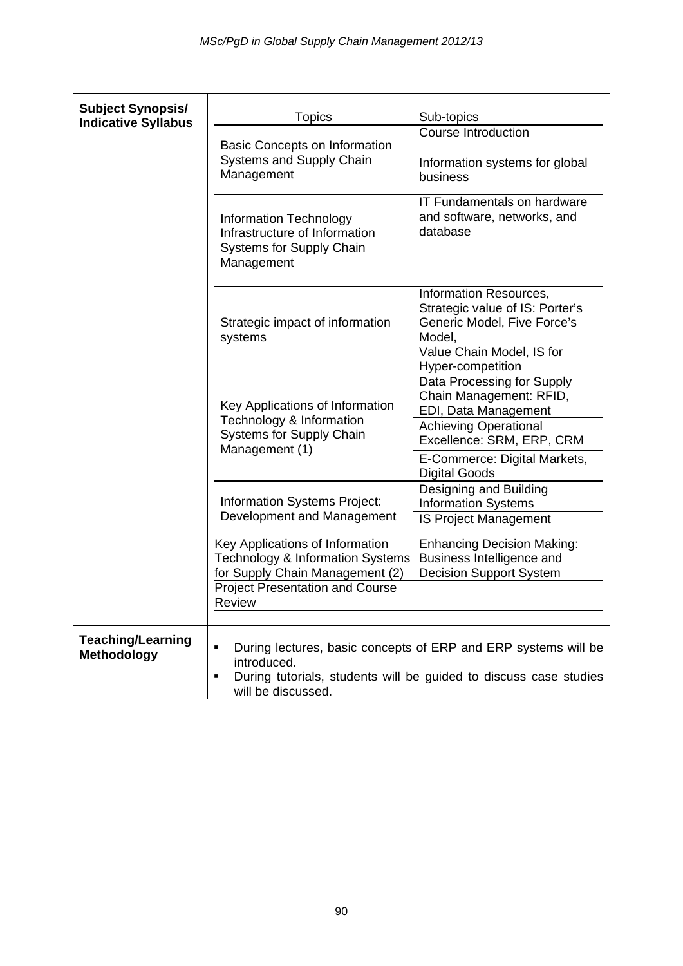| <b>Subject Synopsis/</b>                       |                                                                                                                                                             |                                                                                                                                                      |  |  |  |  |
|------------------------------------------------|-------------------------------------------------------------------------------------------------------------------------------------------------------------|------------------------------------------------------------------------------------------------------------------------------------------------------|--|--|--|--|
| <b>Indicative Syllabus</b>                     | Topics                                                                                                                                                      | Sub-topics                                                                                                                                           |  |  |  |  |
|                                                | Basic Concepts on Information                                                                                                                               | Course Introduction                                                                                                                                  |  |  |  |  |
|                                                | <b>Systems and Supply Chain</b><br>Management                                                                                                               | Information systems for global<br>business                                                                                                           |  |  |  |  |
|                                                | <b>Information Technology</b><br>Infrastructure of Information<br><b>Systems for Supply Chain</b><br>Management                                             | IT Fundamentals on hardware<br>and software, networks, and<br>database                                                                               |  |  |  |  |
|                                                | Strategic impact of information<br>systems                                                                                                                  | Information Resources,<br>Strategic value of IS: Porter's<br>Generic Model, Five Force's<br>Model,<br>Value Chain Model, IS for<br>Hyper-competition |  |  |  |  |
|                                                | Key Applications of Information<br>Technology & Information<br><b>Systems for Supply Chain</b>                                                              | Data Processing for Supply<br>Chain Management: RFID,<br>EDI, Data Management<br><b>Achieving Operational</b>                                        |  |  |  |  |
|                                                | Management (1)                                                                                                                                              | Excellence: SRM, ERP, CRM<br>E-Commerce: Digital Markets,<br><b>Digital Goods</b>                                                                    |  |  |  |  |
|                                                | Information Systems Project:<br>Development and Management                                                                                                  | Designing and Building<br><b>Information Systems</b><br><b>IS Project Management</b>                                                                 |  |  |  |  |
|                                                | Key Applications of Information<br><b>Technology &amp; Information Systems</b><br>for Supply Chain Management (2)<br><b>Project Presentation and Course</b> | <b>Enhancing Decision Making:</b><br>Business Intelligence and<br><b>Decision Support System</b>                                                     |  |  |  |  |
|                                                | <b>Review</b>                                                                                                                                               |                                                                                                                                                      |  |  |  |  |
| <b>Teaching/Learning</b><br><b>Methodology</b> | ٠<br>introduced.<br>٠<br>will be discussed.                                                                                                                 | During lectures, basic concepts of ERP and ERP systems will be<br>During tutorials, students will be guided to discuss case studies                  |  |  |  |  |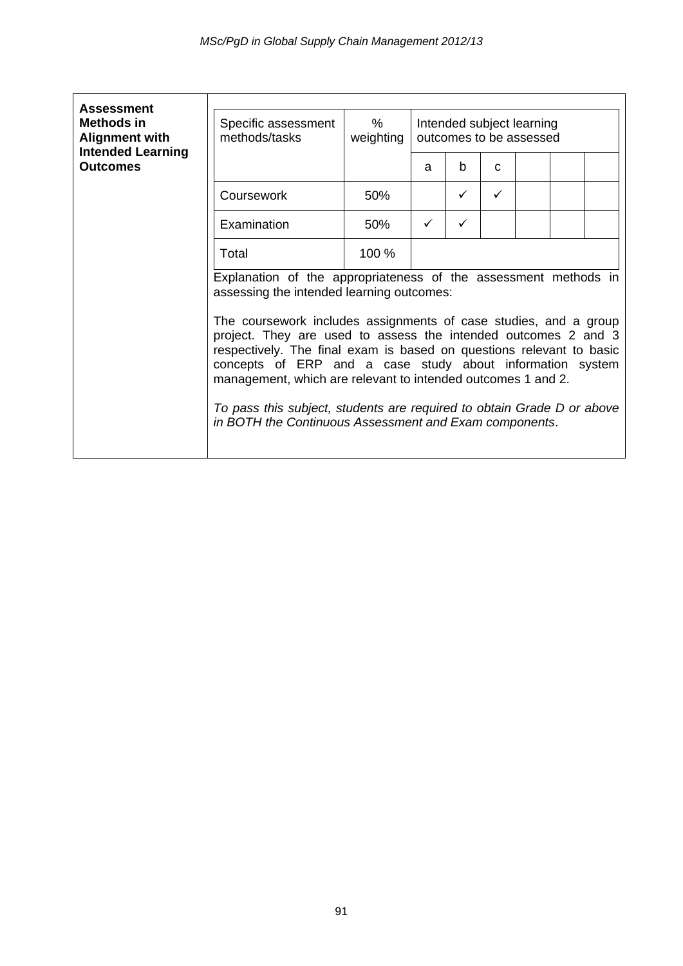| <b>Assessment</b><br>Methods in<br><b>Alignment with</b> | %<br>Intended subject learning<br>Specific assessment<br>methods/tasks<br>weighting<br>outcomes to be assessed                                                                                                                                                                                                                          |       |                                                                                                                                  |              |              |  |  |  |  |
|----------------------------------------------------------|-----------------------------------------------------------------------------------------------------------------------------------------------------------------------------------------------------------------------------------------------------------------------------------------------------------------------------------------|-------|----------------------------------------------------------------------------------------------------------------------------------|--------------|--------------|--|--|--|--|
| <b>Intended Learning</b>                                 |                                                                                                                                                                                                                                                                                                                                         |       |                                                                                                                                  |              |              |  |  |  |  |
| <b>Outcomes</b>                                          |                                                                                                                                                                                                                                                                                                                                         |       | a                                                                                                                                | b            | C            |  |  |  |  |
|                                                          | Coursework                                                                                                                                                                                                                                                                                                                              | 50%   |                                                                                                                                  | $\checkmark$ | $\checkmark$ |  |  |  |  |
|                                                          | Examination                                                                                                                                                                                                                                                                                                                             | 50%   | ✓                                                                                                                                | $\checkmark$ |              |  |  |  |  |
|                                                          | Total                                                                                                                                                                                                                                                                                                                                   | 100 % |                                                                                                                                  |              |              |  |  |  |  |
|                                                          | Explanation of the appropriateness of the assessment methods in<br>assessing the intended learning outcomes:                                                                                                                                                                                                                            |       |                                                                                                                                  |              |              |  |  |  |  |
|                                                          | The coursework includes assignments of case studies, and a group<br>project. They are used to assess the intended outcomes 2 and 3<br>respectively. The final exam is based on questions relevant to basic<br>concepts of ERP and a case study about information system<br>management, which are relevant to intended outcomes 1 and 2. |       |                                                                                                                                  |              |              |  |  |  |  |
|                                                          |                                                                                                                                                                                                                                                                                                                                         |       | To pass this subject, students are required to obtain Grade D or above<br>in BOTH the Continuous Assessment and Exam components. |              |              |  |  |  |  |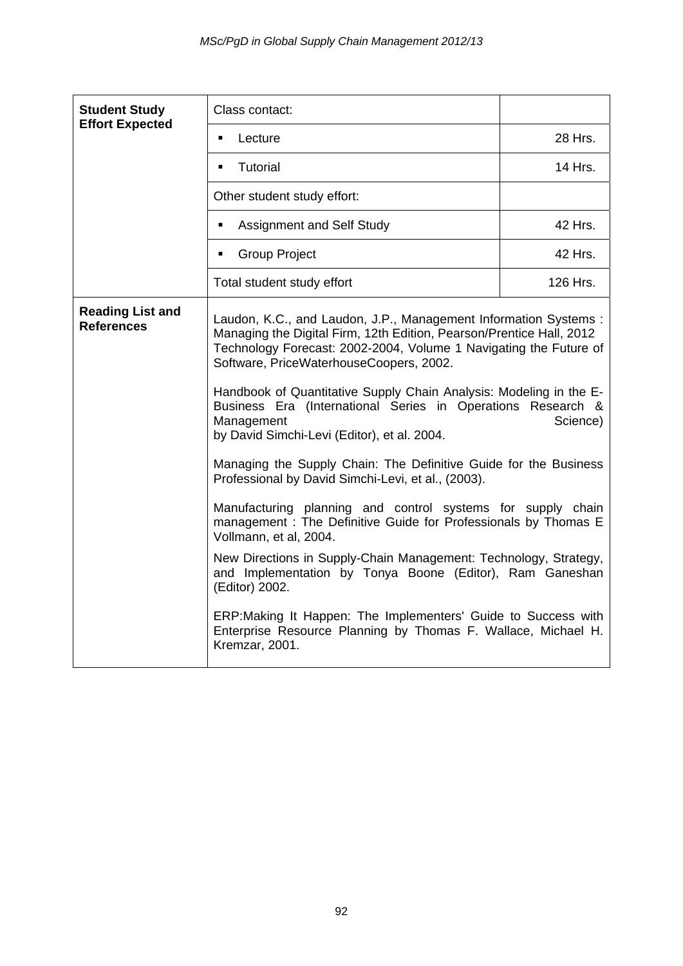| <b>Student Study</b>                         | Class contact:                                                                                                                                                                                                                                                                                                                                                                                                                                                                                                                                                                                                                                                                                                                                                                                                                                                                                                                                                                                                                                        |          |  |  |  |
|----------------------------------------------|-------------------------------------------------------------------------------------------------------------------------------------------------------------------------------------------------------------------------------------------------------------------------------------------------------------------------------------------------------------------------------------------------------------------------------------------------------------------------------------------------------------------------------------------------------------------------------------------------------------------------------------------------------------------------------------------------------------------------------------------------------------------------------------------------------------------------------------------------------------------------------------------------------------------------------------------------------------------------------------------------------------------------------------------------------|----------|--|--|--|
| <b>Effort Expected</b>                       | 28 Hrs.<br>٠<br>Lecture                                                                                                                                                                                                                                                                                                                                                                                                                                                                                                                                                                                                                                                                                                                                                                                                                                                                                                                                                                                                                               |          |  |  |  |
|                                              | Tutorial<br>٠                                                                                                                                                                                                                                                                                                                                                                                                                                                                                                                                                                                                                                                                                                                                                                                                                                                                                                                                                                                                                                         | 14 Hrs.  |  |  |  |
|                                              | Other student study effort:                                                                                                                                                                                                                                                                                                                                                                                                                                                                                                                                                                                                                                                                                                                                                                                                                                                                                                                                                                                                                           |          |  |  |  |
|                                              | <b>Assignment and Self Study</b><br>٠                                                                                                                                                                                                                                                                                                                                                                                                                                                                                                                                                                                                                                                                                                                                                                                                                                                                                                                                                                                                                 | 42 Hrs.  |  |  |  |
|                                              | <b>Group Project</b><br>$\blacksquare$                                                                                                                                                                                                                                                                                                                                                                                                                                                                                                                                                                                                                                                                                                                                                                                                                                                                                                                                                                                                                | 42 Hrs.  |  |  |  |
|                                              | Total student study effort                                                                                                                                                                                                                                                                                                                                                                                                                                                                                                                                                                                                                                                                                                                                                                                                                                                                                                                                                                                                                            | 126 Hrs. |  |  |  |
| <b>Reading List and</b><br><b>References</b> | Laudon, K.C., and Laudon, J.P., Management Information Systems:<br>Managing the Digital Firm, 12th Edition, Pearson/Prentice Hall, 2012<br>Technology Forecast: 2002-2004, Volume 1 Navigating the Future of<br>Software, PriceWaterhouseCoopers, 2002.<br>Handbook of Quantitative Supply Chain Analysis: Modeling in the E-<br>Business Era (International Series in Operations Research &<br>Management<br>by David Simchi-Levi (Editor), et al. 2004.<br>Managing the Supply Chain: The Definitive Guide for the Business<br>Professional by David Simchi-Levi, et al., (2003).<br>Manufacturing planning and control systems for supply chain<br>management: The Definitive Guide for Professionals by Thomas E<br>Vollmann, et al, 2004.<br>New Directions in Supply-Chain Management: Technology, Strategy,<br>and Implementation by Tonya Boone (Editor), Ram Ganeshan<br>(Editor) 2002.<br>ERP: Making It Happen: The Implementers' Guide to Success with<br>Enterprise Resource Planning by Thomas F. Wallace, Michael H.<br>Kremzar, 2001. | Science) |  |  |  |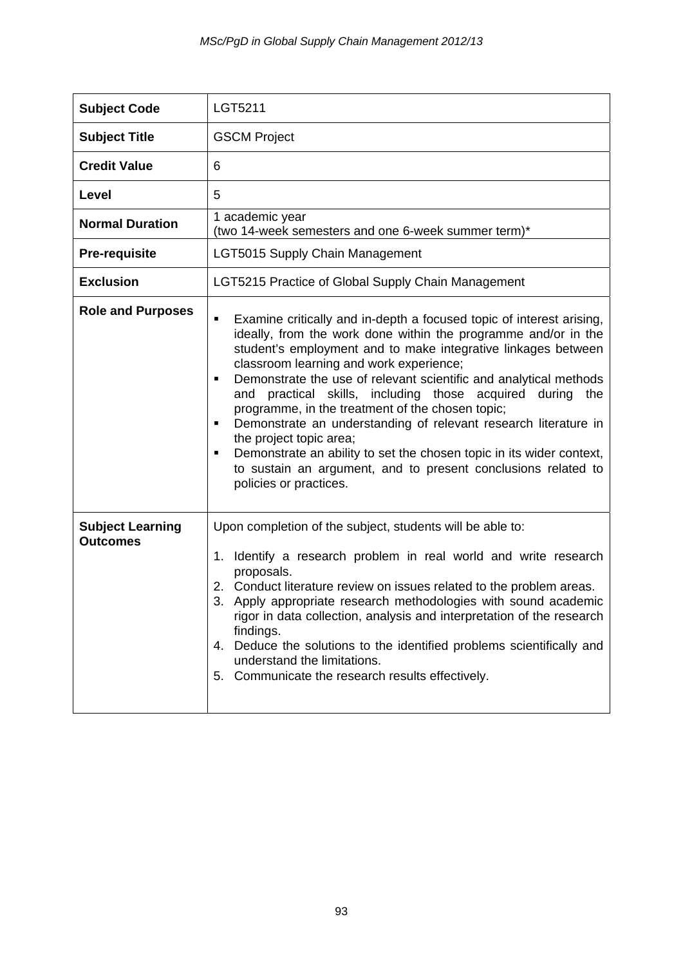| <b>Subject Code</b>                        | LGT5211                                                                                                                                                                                                                                                                                                                                                                                                                                                                                                                                                                                                                                                                                                                                    |
|--------------------------------------------|--------------------------------------------------------------------------------------------------------------------------------------------------------------------------------------------------------------------------------------------------------------------------------------------------------------------------------------------------------------------------------------------------------------------------------------------------------------------------------------------------------------------------------------------------------------------------------------------------------------------------------------------------------------------------------------------------------------------------------------------|
| <b>Subject Title</b>                       | <b>GSCM Project</b>                                                                                                                                                                                                                                                                                                                                                                                                                                                                                                                                                                                                                                                                                                                        |
| <b>Credit Value</b>                        | 6                                                                                                                                                                                                                                                                                                                                                                                                                                                                                                                                                                                                                                                                                                                                          |
| Level                                      | 5                                                                                                                                                                                                                                                                                                                                                                                                                                                                                                                                                                                                                                                                                                                                          |
| <b>Normal Duration</b>                     | 1 academic year<br>(two 14-week semesters and one 6-week summer term)*                                                                                                                                                                                                                                                                                                                                                                                                                                                                                                                                                                                                                                                                     |
| <b>Pre-requisite</b>                       | LGT5015 Supply Chain Management                                                                                                                                                                                                                                                                                                                                                                                                                                                                                                                                                                                                                                                                                                            |
| <b>Exclusion</b>                           | LGT5215 Practice of Global Supply Chain Management                                                                                                                                                                                                                                                                                                                                                                                                                                                                                                                                                                                                                                                                                         |
| <b>Role and Purposes</b>                   | Examine critically and in-depth a focused topic of interest arising,<br>٠<br>ideally, from the work done within the programme and/or in the<br>student's employment and to make integrative linkages between<br>classroom learning and work experience;<br>Demonstrate the use of relevant scientific and analytical methods<br>$\blacksquare$<br>and practical skills, including those acquired during the<br>programme, in the treatment of the chosen topic;<br>Demonstrate an understanding of relevant research literature in<br>٠<br>the project topic area;<br>Demonstrate an ability to set the chosen topic in its wider context,<br>٠<br>to sustain an argument, and to present conclusions related to<br>policies or practices. |
| <b>Subject Learning</b><br><b>Outcomes</b> | Upon completion of the subject, students will be able to:<br>Identify a research problem in real world and write research<br>1.<br>proposals.<br>2. Conduct literature review on issues related to the problem areas.<br>3.<br>Apply appropriate research methodologies with sound academic<br>rigor in data collection, analysis and interpretation of the research<br>findings.<br>Deduce the solutions to the identified problems scientifically and<br>4.<br>understand the limitations.<br>Communicate the research results effectively.<br>5.                                                                                                                                                                                        |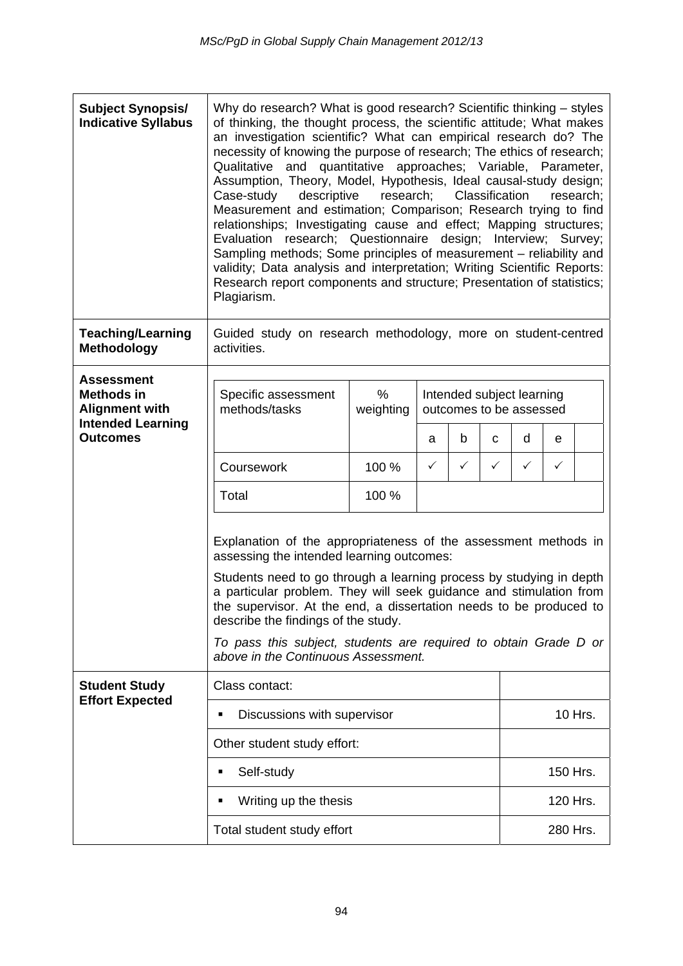| <b>Subject Synopsis/</b><br><b>Indicative Syllabus</b>          | Why do research? What is good research? Scientific thinking – styles<br>of thinking, the thought process, the scientific attitude; What makes<br>an investigation scientific? What can empirical research do? The<br>necessity of knowing the purpose of research; The ethics of research;<br>Qualitative and quantitative approaches; Variable, Parameter,<br>Assumption, Theory, Model, Hypothesis, Ideal causal-study design;<br>descriptive<br>research;<br>Classification<br>Case-study<br>research;<br>Measurement and estimation; Comparison; Research trying to find<br>relationships; Investigating cause and effect; Mapping structures;<br>Evaluation research; Questionnaire design;<br>Interview; Survey;<br>Sampling methods; Some principles of measurement - reliability and<br>validity; Data analysis and interpretation; Writing Scientific Reports:<br>Research report components and structure; Presentation of statistics;<br>Plagiarism. |       |              |              |   |         |              |          |  |
|-----------------------------------------------------------------|-----------------------------------------------------------------------------------------------------------------------------------------------------------------------------------------------------------------------------------------------------------------------------------------------------------------------------------------------------------------------------------------------------------------------------------------------------------------------------------------------------------------------------------------------------------------------------------------------------------------------------------------------------------------------------------------------------------------------------------------------------------------------------------------------------------------------------------------------------------------------------------------------------------------------------------------------------------------|-------|--------------|--------------|---|---------|--------------|----------|--|
| <b>Teaching/Learning</b><br><b>Methodology</b>                  | Guided study on research methodology, more on student-centred<br>activities.                                                                                                                                                                                                                                                                                                                                                                                                                                                                                                                                                                                                                                                                                                                                                                                                                                                                                    |       |              |              |   |         |              |          |  |
| <b>Assessment</b><br><b>Methods in</b><br><b>Alignment with</b> | $\%$<br>Specific assessment<br>Intended subject learning<br>methods/tasks<br>weighting<br>outcomes to be assessed                                                                                                                                                                                                                                                                                                                                                                                                                                                                                                                                                                                                                                                                                                                                                                                                                                               |       |              |              |   |         |              |          |  |
| <b>Intended Learning</b><br><b>Outcomes</b>                     |                                                                                                                                                                                                                                                                                                                                                                                                                                                                                                                                                                                                                                                                                                                                                                                                                                                                                                                                                                 |       | a            | b            | C | d       | e            |          |  |
|                                                                 | Coursework                                                                                                                                                                                                                                                                                                                                                                                                                                                                                                                                                                                                                                                                                                                                                                                                                                                                                                                                                      | 100 % | $\checkmark$ | $\checkmark$ | ✓ | ✓       | $\checkmark$ |          |  |
|                                                                 | Total<br>100 %                                                                                                                                                                                                                                                                                                                                                                                                                                                                                                                                                                                                                                                                                                                                                                                                                                                                                                                                                  |       |              |              |   |         |              |          |  |
|                                                                 | Explanation of the appropriateness of the assessment methods in<br>assessing the intended learning outcomes:<br>Students need to go through a learning process by studying in depth<br>a particular problem. They will seek guidance and stimulation from<br>the supervisor. At the end, a dissertation needs to be produced to<br>describe the findings of the study.<br>To pass this subject, students are required to obtain Grade D or<br>above in the Continuous Assessment.                                                                                                                                                                                                                                                                                                                                                                                                                                                                               |       |              |              |   |         |              |          |  |
| <b>Student Study</b><br><b>Effort Expected</b>                  | Class contact:                                                                                                                                                                                                                                                                                                                                                                                                                                                                                                                                                                                                                                                                                                                                                                                                                                                                                                                                                  |       |              |              |   |         |              |          |  |
|                                                                 | Discussions with supervisor<br>٠                                                                                                                                                                                                                                                                                                                                                                                                                                                                                                                                                                                                                                                                                                                                                                                                                                                                                                                                |       |              |              |   | 10 Hrs. |              |          |  |
|                                                                 | Other student study effort:<br>Self-study                                                                                                                                                                                                                                                                                                                                                                                                                                                                                                                                                                                                                                                                                                                                                                                                                                                                                                                       |       |              |              |   |         |              |          |  |
|                                                                 |                                                                                                                                                                                                                                                                                                                                                                                                                                                                                                                                                                                                                                                                                                                                                                                                                                                                                                                                                                 |       |              |              |   |         |              | 150 Hrs. |  |
|                                                                 | Writing up the thesis                                                                                                                                                                                                                                                                                                                                                                                                                                                                                                                                                                                                                                                                                                                                                                                                                                                                                                                                           |       |              |              |   |         |              | 120 Hrs. |  |
|                                                                 | 280 Hrs.<br>Total student study effort                                                                                                                                                                                                                                                                                                                                                                                                                                                                                                                                                                                                                                                                                                                                                                                                                                                                                                                          |       |              |              |   |         |              |          |  |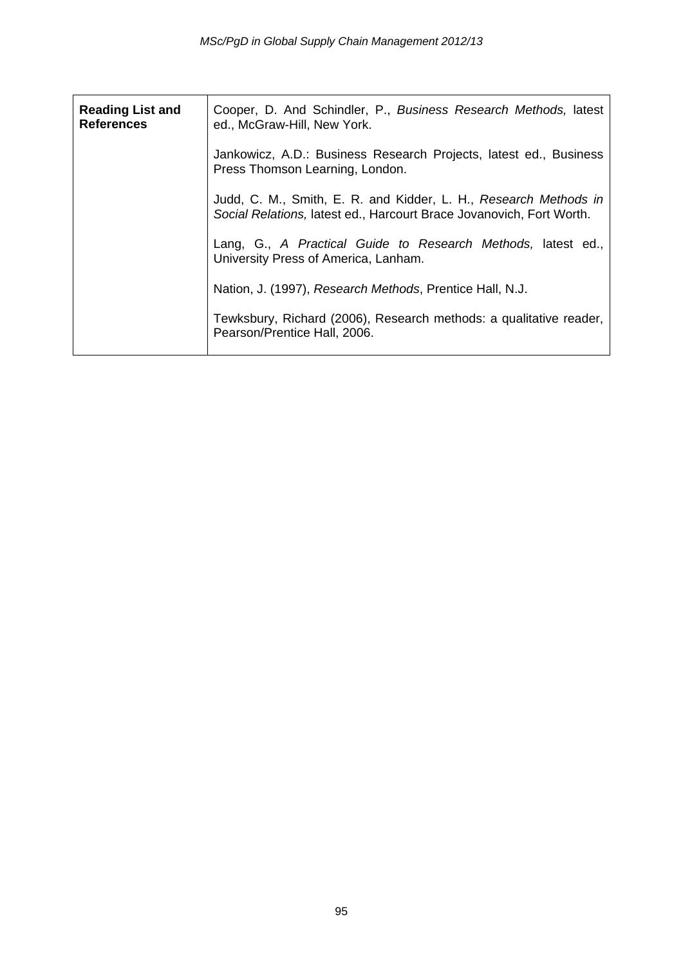| <b>Reading List and</b><br><b>References</b> | Cooper, D. And Schindler, P., Business Research Methods, latest<br>ed., McGraw-Hill, New York.                                           |
|----------------------------------------------|------------------------------------------------------------------------------------------------------------------------------------------|
|                                              | Jankowicz, A.D.: Business Research Projects, latest ed., Business<br>Press Thomson Learning, London.                                     |
|                                              | Judd, C. M., Smith, E. R. and Kidder, L. H., Research Methods in<br>Social Relations, latest ed., Harcourt Brace Jovanovich, Fort Worth. |
|                                              | Lang, G., A Practical Guide to Research Methods, latest ed.,<br>University Press of America, Lanham.                                     |
|                                              | Nation, J. (1997), Research Methods, Prentice Hall, N.J.                                                                                 |
|                                              | Tewksbury, Richard (2006), Research methods: a qualitative reader,<br>Pearson/Prentice Hall, 2006.                                       |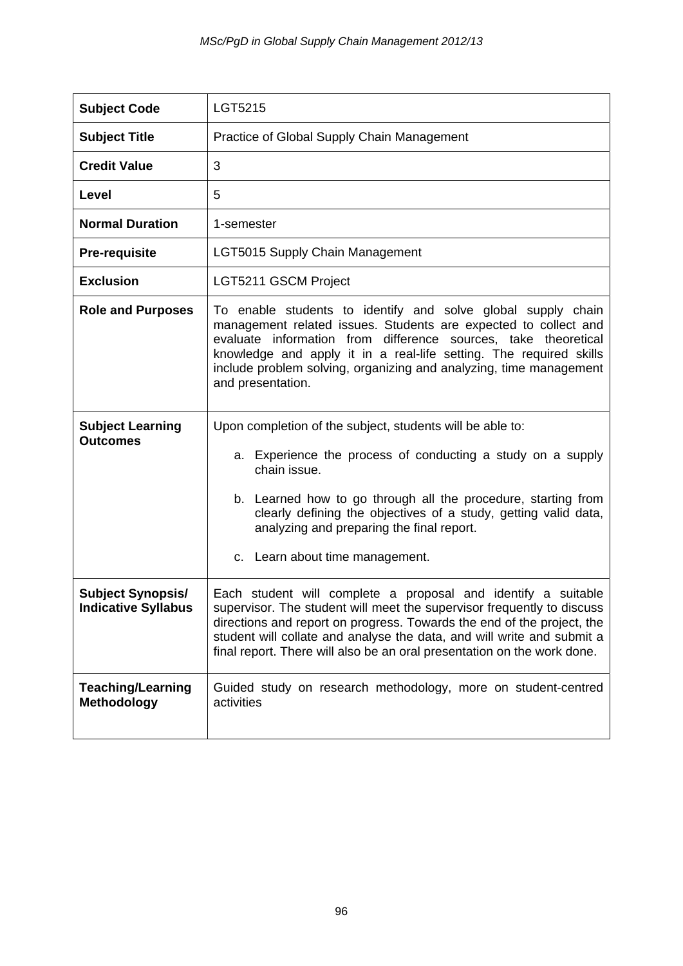| <b>Subject Code</b>                                    | LGT5215                                                                                                                                                                                                                                                                                                                                                                |  |  |  |
|--------------------------------------------------------|------------------------------------------------------------------------------------------------------------------------------------------------------------------------------------------------------------------------------------------------------------------------------------------------------------------------------------------------------------------------|--|--|--|
| <b>Subject Title</b>                                   | Practice of Global Supply Chain Management                                                                                                                                                                                                                                                                                                                             |  |  |  |
| <b>Credit Value</b>                                    | 3                                                                                                                                                                                                                                                                                                                                                                      |  |  |  |
| Level                                                  | 5                                                                                                                                                                                                                                                                                                                                                                      |  |  |  |
| <b>Normal Duration</b>                                 | 1-semester                                                                                                                                                                                                                                                                                                                                                             |  |  |  |
| <b>Pre-requisite</b>                                   | LGT5015 Supply Chain Management                                                                                                                                                                                                                                                                                                                                        |  |  |  |
| <b>Exclusion</b>                                       | LGT5211 GSCM Project                                                                                                                                                                                                                                                                                                                                                   |  |  |  |
| <b>Role and Purposes</b>                               | To enable students to identify and solve global supply chain<br>management related issues. Students are expected to collect and<br>evaluate information from difference sources, take theoretical<br>knowledge and apply it in a real-life setting. The required skills<br>include problem solving, organizing and analyzing, time management<br>and presentation.     |  |  |  |
| <b>Subject Learning</b><br><b>Outcomes</b>             | Upon completion of the subject, students will be able to:<br>a. Experience the process of conducting a study on a supply<br>chain issue.<br>b. Learned how to go through all the procedure, starting from<br>clearly defining the objectives of a study, getting valid data,<br>analyzing and preparing the final report.<br>c. Learn about time management.           |  |  |  |
| <b>Subject Synopsis/</b><br><b>Indicative Syllabus</b> | Each student will complete a proposal and identify a suitable<br>supervisor. The student will meet the supervisor frequently to discuss<br>directions and report on progress. Towards the end of the project, the<br>student will collate and analyse the data, and will write and submit a<br>final report. There will also be an oral presentation on the work done. |  |  |  |
| <b>Teaching/Learning</b><br>Methodology                | Guided study on research methodology, more on student-centred<br>activities                                                                                                                                                                                                                                                                                            |  |  |  |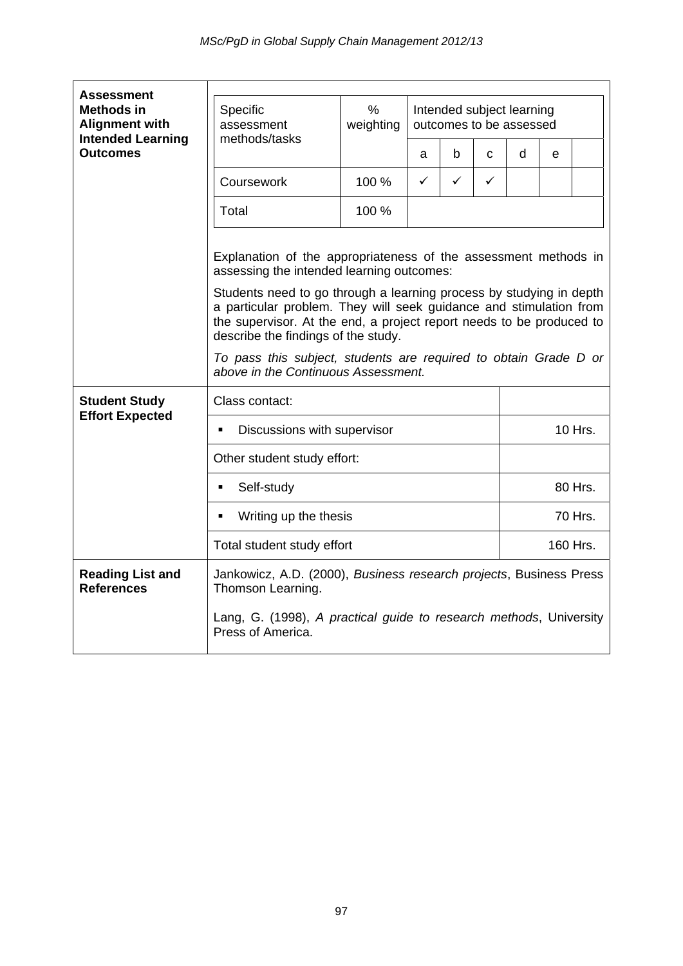| Assessment                                                             |                                                                                                                                                                                                                                                                                                                                                                                                                                                                                     |                                                                                    |   |   |              |         |          |         |
|------------------------------------------------------------------------|-------------------------------------------------------------------------------------------------------------------------------------------------------------------------------------------------------------------------------------------------------------------------------------------------------------------------------------------------------------------------------------------------------------------------------------------------------------------------------------|------------------------------------------------------------------------------------|---|---|--------------|---------|----------|---------|
| <b>Methods in</b><br><b>Alignment with</b><br><b>Intended Learning</b> | Specific<br>assessment<br>methods/tasks                                                                                                                                                                                                                                                                                                                                                                                                                                             | $\frac{0}{0}$<br>Intended subject learning<br>weighting<br>outcomes to be assessed |   |   |              |         |          |         |
| <b>Outcomes</b>                                                        |                                                                                                                                                                                                                                                                                                                                                                                                                                                                                     |                                                                                    | a | b | $\mathbf{C}$ | d       | e        |         |
|                                                                        | Coursework                                                                                                                                                                                                                                                                                                                                                                                                                                                                          | 100 %                                                                              | ✓ | ✓ | ✓            |         |          |         |
|                                                                        | Total                                                                                                                                                                                                                                                                                                                                                                                                                                                                               | 100 %                                                                              |   |   |              |         |          |         |
|                                                                        | Explanation of the appropriateness of the assessment methods in<br>assessing the intended learning outcomes:<br>Students need to go through a learning process by studying in depth<br>a particular problem. They will seek guidance and stimulation from<br>the supervisor. At the end, a project report needs to be produced to<br>describe the findings of the study.<br>To pass this subject, students are required to obtain Grade D or<br>above in the Continuous Assessment. |                                                                                    |   |   |              |         |          |         |
|                                                                        |                                                                                                                                                                                                                                                                                                                                                                                                                                                                                     |                                                                                    |   |   |              |         |          |         |
|                                                                        |                                                                                                                                                                                                                                                                                                                                                                                                                                                                                     |                                                                                    |   |   |              |         |          |         |
| <b>Student Study</b><br><b>Effort Expected</b>                         | Class contact:                                                                                                                                                                                                                                                                                                                                                                                                                                                                      |                                                                                    |   |   |              |         |          |         |
|                                                                        | Discussions with supervisor<br>٠                                                                                                                                                                                                                                                                                                                                                                                                                                                    |                                                                                    |   |   |              |         | 10 Hrs.  |         |
|                                                                        | Other student study effort:                                                                                                                                                                                                                                                                                                                                                                                                                                                         |                                                                                    |   |   |              |         |          |         |
|                                                                        | Self-study<br>$\blacksquare$                                                                                                                                                                                                                                                                                                                                                                                                                                                        |                                                                                    |   |   |              | 80 Hrs. |          |         |
|                                                                        | Writing up the thesis                                                                                                                                                                                                                                                                                                                                                                                                                                                               |                                                                                    |   |   |              |         |          | 70 Hrs. |
|                                                                        | Total student study effort                                                                                                                                                                                                                                                                                                                                                                                                                                                          |                                                                                    |   |   |              |         | 160 Hrs. |         |
| <b>Reading List and</b><br><b>References</b>                           | Jankowicz, A.D. (2000), Business research projects, Business Press<br>Thomson Learning.                                                                                                                                                                                                                                                                                                                                                                                             |                                                                                    |   |   |              |         |          |         |
|                                                                        | Lang, G. (1998), A practical guide to research methods, University<br>Press of America.                                                                                                                                                                                                                                                                                                                                                                                             |                                                                                    |   |   |              |         |          |         |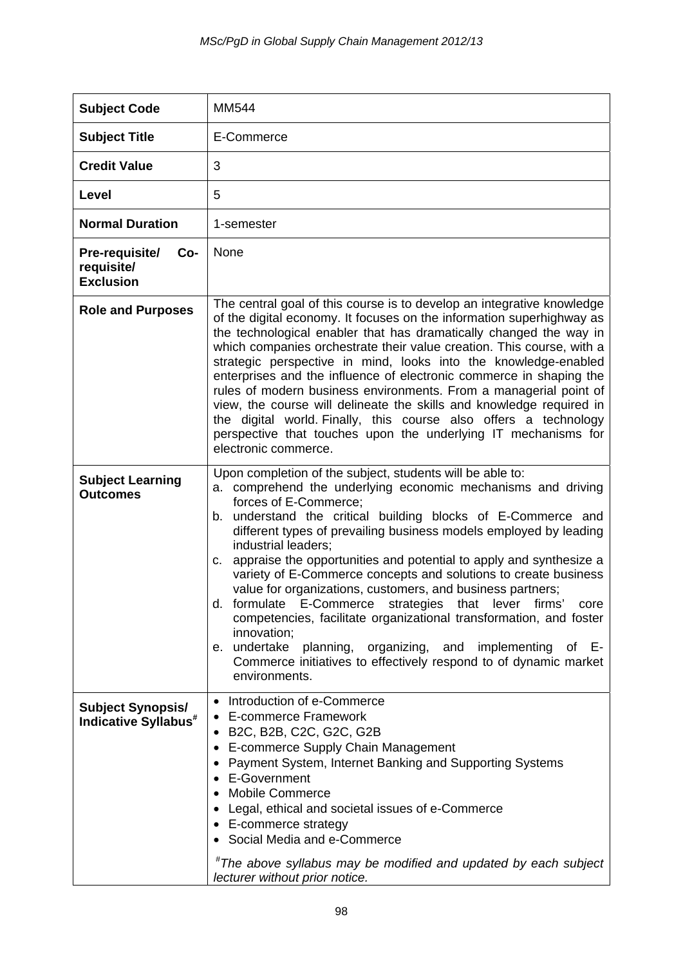| <b>Subject Code</b>                                          | <b>MM544</b>                                                                                                                                                                                                                                                                                                                                                                                                                                                                                                                                                                                                                                                                                                                                                                                                                             |
|--------------------------------------------------------------|------------------------------------------------------------------------------------------------------------------------------------------------------------------------------------------------------------------------------------------------------------------------------------------------------------------------------------------------------------------------------------------------------------------------------------------------------------------------------------------------------------------------------------------------------------------------------------------------------------------------------------------------------------------------------------------------------------------------------------------------------------------------------------------------------------------------------------------|
| <b>Subject Title</b>                                         | E-Commerce                                                                                                                                                                                                                                                                                                                                                                                                                                                                                                                                                                                                                                                                                                                                                                                                                               |
| <b>Credit Value</b>                                          | 3                                                                                                                                                                                                                                                                                                                                                                                                                                                                                                                                                                                                                                                                                                                                                                                                                                        |
| Level                                                        | 5                                                                                                                                                                                                                                                                                                                                                                                                                                                                                                                                                                                                                                                                                                                                                                                                                                        |
| <b>Normal Duration</b>                                       | 1-semester                                                                                                                                                                                                                                                                                                                                                                                                                                                                                                                                                                                                                                                                                                                                                                                                                               |
| Pre-requisite/<br>Co-<br>requisite/<br><b>Exclusion</b>      | None                                                                                                                                                                                                                                                                                                                                                                                                                                                                                                                                                                                                                                                                                                                                                                                                                                     |
| <b>Role and Purposes</b>                                     | The central goal of this course is to develop an integrative knowledge<br>of the digital economy. It focuses on the information superhighway as<br>the technological enabler that has dramatically changed the way in<br>which companies orchestrate their value creation. This course, with a<br>strategic perspective in mind, looks into the knowledge-enabled<br>enterprises and the influence of electronic commerce in shaping the<br>rules of modern business environments. From a managerial point of<br>view, the course will delineate the skills and knowledge required in<br>the digital world. Finally, this course also offers a technology<br>perspective that touches upon the underlying IT mechanisms for<br>electronic commerce.                                                                                      |
| <b>Subject Learning</b><br><b>Outcomes</b>                   | Upon completion of the subject, students will be able to:<br>a. comprehend the underlying economic mechanisms and driving<br>forces of E-Commerce;<br>b. understand the critical building blocks of E-Commerce and<br>different types of prevailing business models employed by leading<br>industrial leaders;<br>c. appraise the opportunities and potential to apply and synthesize a<br>variety of E-Commerce concepts and solutions to create business<br>value for organizations, customers, and business partners;<br>formulate E-Commerce strategies that lever firms'<br>core<br>d.<br>competencies, facilitate organizational transformation, and foster<br>innovation;<br>e. undertake<br>planning, organizing, and implementing<br>of E-<br>Commerce initiatives to effectively respond to of dynamic market<br>environments. |
| <b>Subject Synopsis/</b><br>Indicative Syllabus <sup>#</sup> | Introduction of e-Commerce<br><b>E-commerce Framework</b><br>B2C, B2B, C2C, G2C, G2B<br>E-commerce Supply Chain Management<br>Payment System, Internet Banking and Supporting Systems<br>• E-Government<br><b>Mobile Commerce</b><br>Legal, ethical and societal issues of e-Commerce<br>• E-commerce strategy<br>• Social Media and e-Commerce<br>"The above syllabus may be modified and updated by each subject<br>lecturer without prior notice.                                                                                                                                                                                                                                                                                                                                                                                     |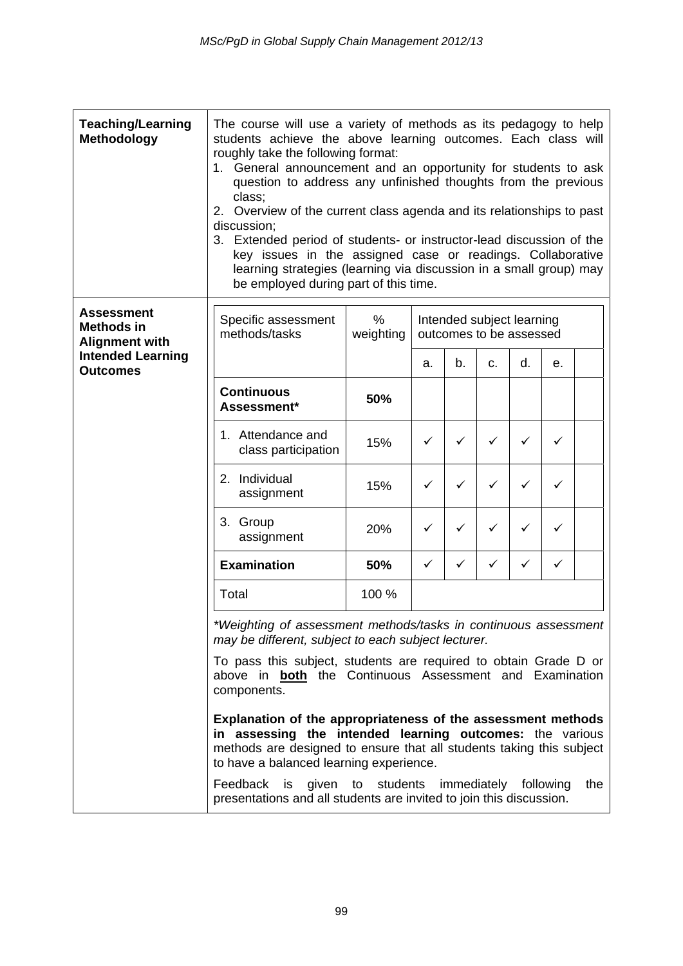| <b>Teaching/Learning</b><br><b>Methodology</b>                                                                                                                                                                                              | The course will use a variety of methods as its pedagogy to help<br>students achieve the above learning outcomes. Each class will<br>roughly take the following format:<br>1. General announcement and an opportunity for students to ask<br>question to address any unfinished thoughts from the previous<br>class;<br>2. Overview of the current class agenda and its relationships to past<br>discussion;<br>Extended period of students- or instructor-lead discussion of the<br>3.<br>key issues in the assigned case or readings. Collaborative<br>learning strategies (learning via discussion in a small group) may<br>be employed during part of this time. |                |    |    |                                                      |    |              |     |
|---------------------------------------------------------------------------------------------------------------------------------------------------------------------------------------------------------------------------------------------|----------------------------------------------------------------------------------------------------------------------------------------------------------------------------------------------------------------------------------------------------------------------------------------------------------------------------------------------------------------------------------------------------------------------------------------------------------------------------------------------------------------------------------------------------------------------------------------------------------------------------------------------------------------------|----------------|----|----|------------------------------------------------------|----|--------------|-----|
| <b>Assessment</b><br><b>Methods in</b><br><b>Alignment with</b>                                                                                                                                                                             | Specific assessment<br>methods/tasks                                                                                                                                                                                                                                                                                                                                                                                                                                                                                                                                                                                                                                 | %<br>weighting |    |    | Intended subject learning<br>outcomes to be assessed |    |              |     |
| <b>Intended Learning</b><br><b>Outcomes</b>                                                                                                                                                                                                 |                                                                                                                                                                                                                                                                                                                                                                                                                                                                                                                                                                                                                                                                      |                | a. | b. | c.                                                   | d. | е.           |     |
|                                                                                                                                                                                                                                             | <b>Continuous</b><br>Assessment*                                                                                                                                                                                                                                                                                                                                                                                                                                                                                                                                                                                                                                     | 50%            |    |    |                                                      |    |              |     |
|                                                                                                                                                                                                                                             | 1. Attendance and<br>class participation                                                                                                                                                                                                                                                                                                                                                                                                                                                                                                                                                                                                                             | 15%            | ✓  | ✓  | ✓                                                    | ✓  | $\checkmark$ |     |
|                                                                                                                                                                                                                                             | 2. Individual<br>assignment                                                                                                                                                                                                                                                                                                                                                                                                                                                                                                                                                                                                                                          | 15%            | ✓  | ✓  | ✓                                                    | ✓  | ✓            |     |
|                                                                                                                                                                                                                                             | 3. Group<br>assignment                                                                                                                                                                                                                                                                                                                                                                                                                                                                                                                                                                                                                                               | 20%            | ✓  | ✓  | ✓                                                    | ✓  | ✓            |     |
|                                                                                                                                                                                                                                             | <b>Examination</b>                                                                                                                                                                                                                                                                                                                                                                                                                                                                                                                                                                                                                                                   | 50%            | ✓  | ✓  | ✓                                                    | ✓  | ✓            |     |
|                                                                                                                                                                                                                                             | Total                                                                                                                                                                                                                                                                                                                                                                                                                                                                                                                                                                                                                                                                | 100 %          |    |    |                                                      |    |              |     |
|                                                                                                                                                                                                                                             | Weighting of assessment methods/tasks in continuous assessment<br>may be different, subject to each subject lecturer.                                                                                                                                                                                                                                                                                                                                                                                                                                                                                                                                                |                |    |    |                                                      |    |              |     |
|                                                                                                                                                                                                                                             | To pass this subject, students are required to obtain Grade D or<br>above in <b>both</b> the Continuous Assessment and Examination<br>components.                                                                                                                                                                                                                                                                                                                                                                                                                                                                                                                    |                |    |    |                                                      |    |              |     |
| Explanation of the appropriateness of the assessment methods<br>in assessing the intended learning outcomes: the various<br>methods are designed to ensure that all students taking this subject<br>to have a balanced learning experience. |                                                                                                                                                                                                                                                                                                                                                                                                                                                                                                                                                                                                                                                                      |                |    |    |                                                      |    |              |     |
| Feedback is<br>given to students immediately following<br>presentations and all students are invited to join this discussion.                                                                                                               |                                                                                                                                                                                                                                                                                                                                                                                                                                                                                                                                                                                                                                                                      |                |    |    |                                                      |    |              | the |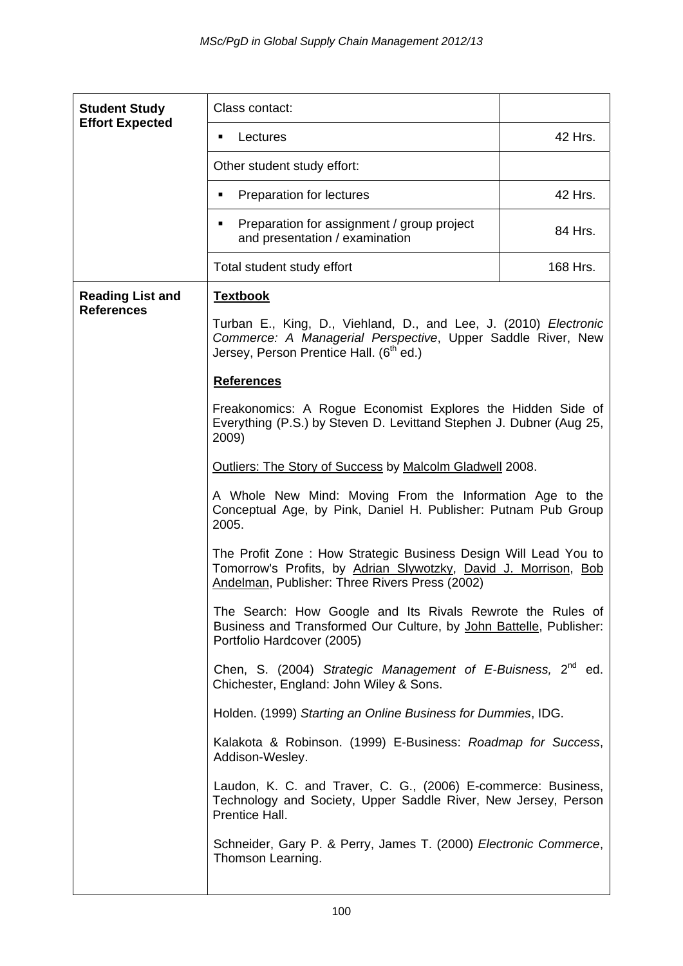| <b>Effort Expected</b><br>42 Hrs.<br>Lectures<br>٠<br>Other student study effort:<br>42 Hrs.<br>Preparation for lectures<br>п<br>Preparation for assignment / group project<br>٠<br>84 Hrs.<br>and presentation / examination<br>168 Hrs.<br>Total student study effort<br><b>Textbook</b><br><b>Reading List and</b><br><b>References</b><br>Turban E., King, D., Viehland, D., and Lee, J. (2010) Electronic<br>Commerce: A Managerial Perspective, Upper Saddle River, New<br>Jersey, Person Prentice Hall. (6 <sup>th</sup> ed.)<br><b>References</b><br>Freakonomics: A Rogue Economist Explores the Hidden Side of<br>Everything (P.S.) by Steven D. Levittand Stephen J. Dubner (Aug 25,<br>2009)<br><b>Outliers: The Story of Success by Malcolm Gladwell 2008.</b><br>A Whole New Mind: Moving From the Information Age to the<br>Conceptual Age, by Pink, Daniel H. Publisher: Putnam Pub Group<br>2005.<br>The Profit Zone: How Strategic Business Design Will Lead You to<br>Tomorrow's Profits, by Adrian Slywotzky, David J. Morrison, Bob<br>Andelman, Publisher: Three Rivers Press (2002)<br>The Search: How Google and Its Rivals Rewrote the Rules of |
|--------------------------------------------------------------------------------------------------------------------------------------------------------------------------------------------------------------------------------------------------------------------------------------------------------------------------------------------------------------------------------------------------------------------------------------------------------------------------------------------------------------------------------------------------------------------------------------------------------------------------------------------------------------------------------------------------------------------------------------------------------------------------------------------------------------------------------------------------------------------------------------------------------------------------------------------------------------------------------------------------------------------------------------------------------------------------------------------------------------------------------------------------------------------------|
|                                                                                                                                                                                                                                                                                                                                                                                                                                                                                                                                                                                                                                                                                                                                                                                                                                                                                                                                                                                                                                                                                                                                                                          |
|                                                                                                                                                                                                                                                                                                                                                                                                                                                                                                                                                                                                                                                                                                                                                                                                                                                                                                                                                                                                                                                                                                                                                                          |
|                                                                                                                                                                                                                                                                                                                                                                                                                                                                                                                                                                                                                                                                                                                                                                                                                                                                                                                                                                                                                                                                                                                                                                          |
|                                                                                                                                                                                                                                                                                                                                                                                                                                                                                                                                                                                                                                                                                                                                                                                                                                                                                                                                                                                                                                                                                                                                                                          |
|                                                                                                                                                                                                                                                                                                                                                                                                                                                                                                                                                                                                                                                                                                                                                                                                                                                                                                                                                                                                                                                                                                                                                                          |
| Business and Transformed Our Culture, by John Battelle, Publisher:<br>Portfolio Hardcover (2005)<br>Chen, S. (2004) Strategic Management of E-Buisness, 2 <sup>nd</sup> ed.<br>Chichester, England: John Wiley & Sons.<br>Holden. (1999) Starting an Online Business for Dummies, IDG.<br>Kalakota & Robinson. (1999) E-Business: Roadmap for Success,<br>Addison-Wesley.<br>Laudon, K. C. and Traver, C. G., (2006) E-commerce: Business,                                                                                                                                                                                                                                                                                                                                                                                                                                                                                                                                                                                                                                                                                                                               |
| Technology and Society, Upper Saddle River, New Jersey, Person<br>Prentice Hall.<br>Schneider, Gary P. & Perry, James T. (2000) Electronic Commerce,<br>Thomson Learning.                                                                                                                                                                                                                                                                                                                                                                                                                                                                                                                                                                                                                                                                                                                                                                                                                                                                                                                                                                                                |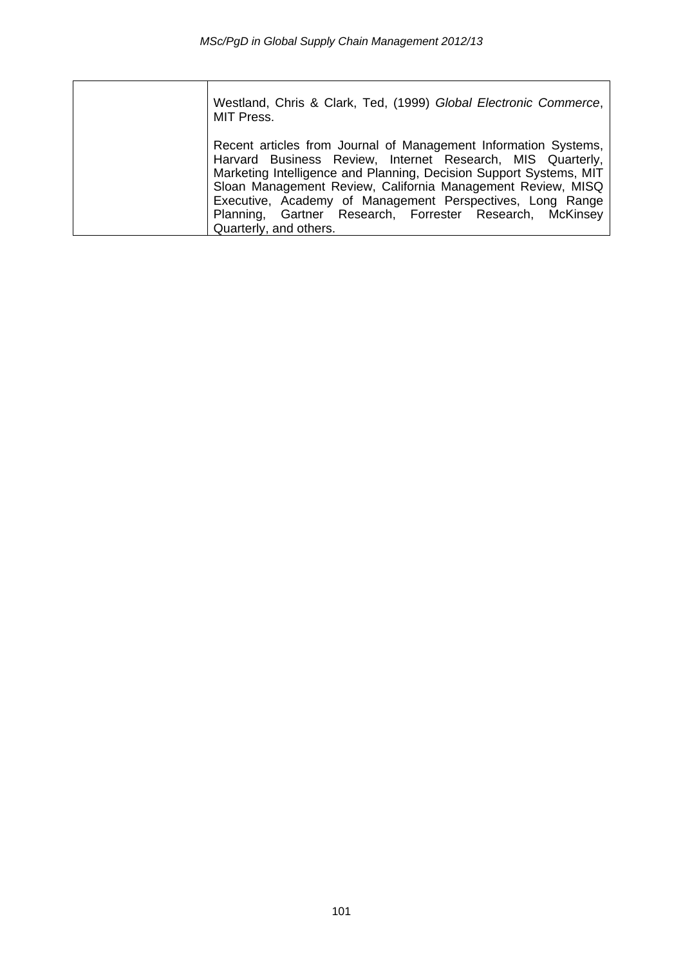| Westland, Chris & Clark, Ted, (1999) Global Electronic Commerce,<br><b>MIT Press.</b>                                                                                                                                                                                                                                                                                                                                 |
|-----------------------------------------------------------------------------------------------------------------------------------------------------------------------------------------------------------------------------------------------------------------------------------------------------------------------------------------------------------------------------------------------------------------------|
| Recent articles from Journal of Management Information Systems,<br>Harvard Business Review, Internet Research, MIS Quarterly,<br>Marketing Intelligence and Planning, Decision Support Systems, MIT<br>Sloan Management Review, California Management Review, MISQ<br>Executive, Academy of Management Perspectives, Long Range<br>Planning, Gartner Research, Forrester Research, McKinsey<br>Quarterly, and others. |